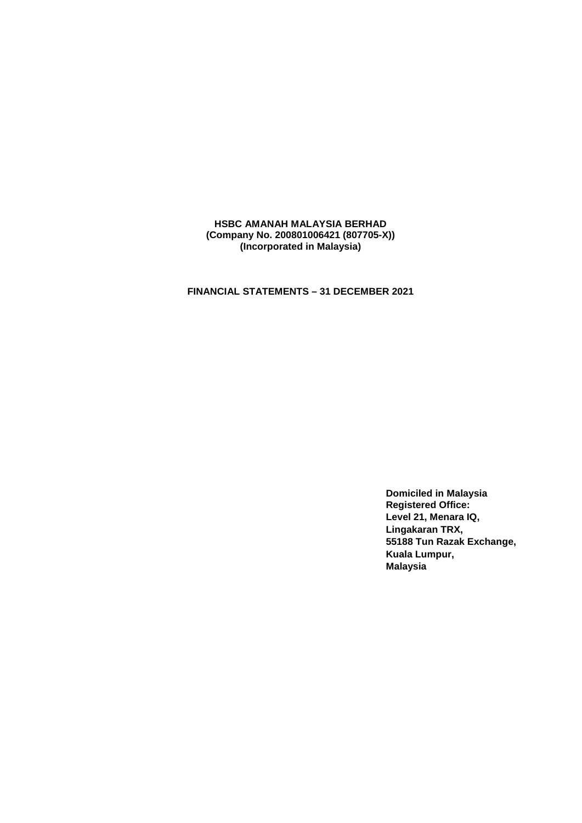**FINANCIAL STATEMENTS – 31 DECEMBER 2021** 

**Domiciled in Malaysia Registered Office: Level 21, Menara IQ, Lingakaran TRX, 55188 Tun Razak Exchange, Kuala Lumpur, Malaysia**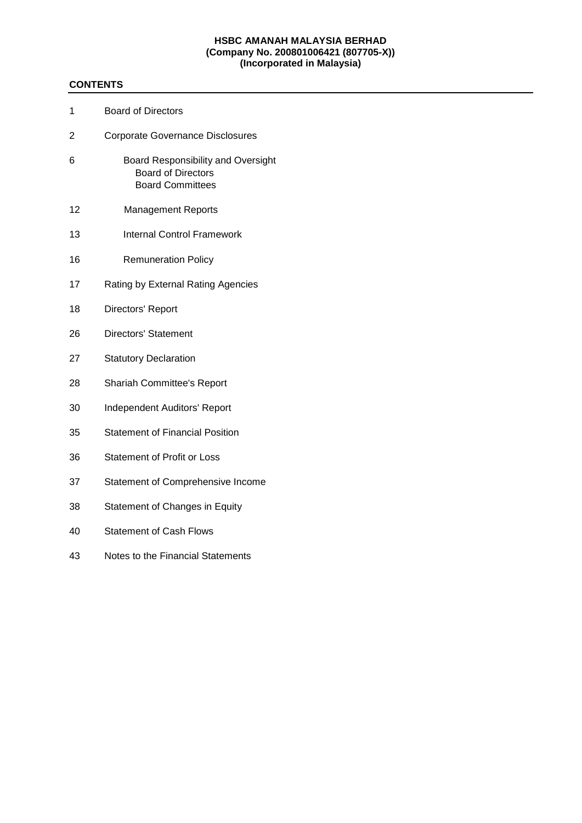# **CONTENTS**

| 1  | <b>Board of Directors</b>                                                                         |
|----|---------------------------------------------------------------------------------------------------|
| 2  | <b>Corporate Governance Disclosures</b>                                                           |
| 6  | <b>Board Responsibility and Oversight</b><br><b>Board of Directors</b><br><b>Board Committees</b> |
| 12 | <b>Management Reports</b>                                                                         |
| 13 | <b>Internal Control Framework</b>                                                                 |
| 16 | <b>Remuneration Policy</b>                                                                        |
| 17 | Rating by External Rating Agencies                                                                |
| 18 | Directors' Report                                                                                 |
| 26 | <b>Directors' Statement</b>                                                                       |
| 27 | <b>Statutory Declaration</b>                                                                      |
| 28 | <b>Shariah Committee's Report</b>                                                                 |
| 30 | <b>Independent Auditors' Report</b>                                                               |
| 35 | <b>Statement of Financial Position</b>                                                            |
| 36 | Statement of Profit or Loss                                                                       |
| 37 | Statement of Comprehensive Income                                                                 |
| 38 | Statement of Changes in Equity                                                                    |
| 40 | <b>Statement of Cash Flows</b>                                                                    |
| 43 | Notes to the Financial Statements                                                                 |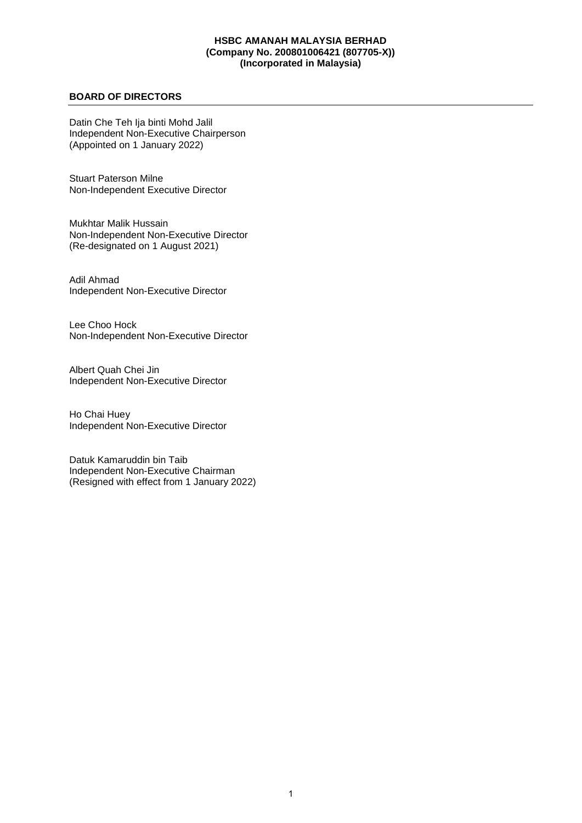## **BOARD OF DIRECTORS**

Datin Che Teh Ija binti Mohd Jalil Independent Non-Executive Chairperson (Appointed on 1 January 2022)

Stuart Paterson Milne Non-Independent Executive Director

Mukhtar Malik Hussain Non-Independent Non-Executive Director (Re-designated on 1 August 2021)

Adil Ahmad Independent Non-Executive Director

Lee Choo Hock Non-Independent Non-Executive Director

Albert Quah Chei Jin Independent Non-Executive Director

Ho Chai Huey Independent Non-Executive Director

Datuk Kamaruddin bin Taib Independent Non-Executive Chairman (Resigned with effect from 1 January 2022)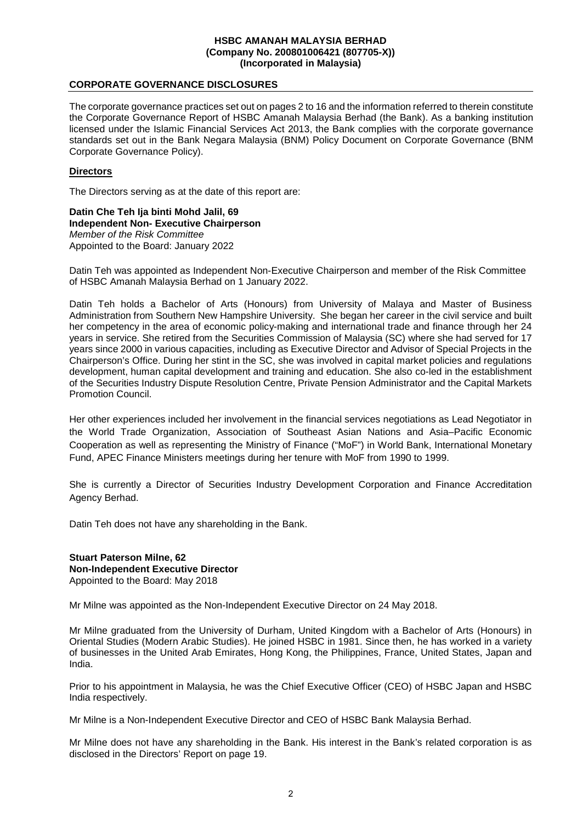### **CORPORATE GOVERNANCE DISCLOSURES**

The corporate governance practices set out on pages 2 to 16 and the information referred to therein constitute the Corporate Governance Report of HSBC Amanah Malaysia Berhad (the Bank). As a banking institution licensed under the Islamic Financial Services Act 2013, the Bank complies with the corporate governance standards set out in the Bank Negara Malaysia (BNM) Policy Document on Corporate Governance (BNM Corporate Governance Policy).

### **Directors**

The Directors serving as at the date of this report are:

**Datin Che Teh Ija binti Mohd Jalil, 69 Independent Non- Executive Chairperson**  *Member of the Risk Committee*  Appointed to the Board: January 2022

Datin Teh was appointed as Independent Non-Executive Chairperson and member of the Risk Committee of HSBC Amanah Malaysia Berhad on 1 January 2022.

Datin Teh holds a Bachelor of Arts (Honours) from University of Malaya and Master of Business Administration from Southern New Hampshire University. She began her career in the civil service and built her competency in the area of economic policy-making and international trade and finance through her 24 years in service. She retired from the Securities Commission of Malaysia (SC) where she had served for 17 years since 2000 in various capacities, including as Executive Director and Advisor of Special Projects in the Chairperson's Office. During her stint in the SC, she was involved in capital market policies and regulations development, human capital development and training and education. She also co-led in the establishment of the Securities Industry Dispute Resolution Centre, Private Pension Administrator and the Capital Markets Promotion Council.

Her other experiences included her involvement in the financial services negotiations as Lead Negotiator in the World Trade Organization, Association of Southeast Asian Nations and Asia–Pacific Economic Cooperation as well as representing the Ministry of Finance ("MoF") in World Bank, International Monetary Fund, APEC Finance Ministers meetings during her tenure with MoF from 1990 to 1999.

She is currently a Director of Securities Industry Development Corporation and Finance Accreditation Agency Berhad.

Datin Teh does not have any shareholding in the Bank.

### **Stuart Paterson Milne, 62 Non-Independent Executive Director**  Appointed to the Board: May 2018

Mr Milne was appointed as the Non-Independent Executive Director on 24 May 2018.

Mr Milne graduated from the University of Durham, United Kingdom with a Bachelor of Arts (Honours) in Oriental Studies (Modern Arabic Studies). He joined HSBC in 1981. Since then, he has worked in a variety of businesses in the United Arab Emirates, Hong Kong, the Philippines, France, United States, Japan and India.

Prior to his appointment in Malaysia, he was the Chief Executive Officer (CEO) of HSBC Japan and HSBC India respectively.

Mr Milne is a Non-Independent Executive Director and CEO of HSBC Bank Malaysia Berhad.

Mr Milne does not have any shareholding in the Bank. His interest in the Bank's related corporation is as disclosed in the Directors' Report on page 19.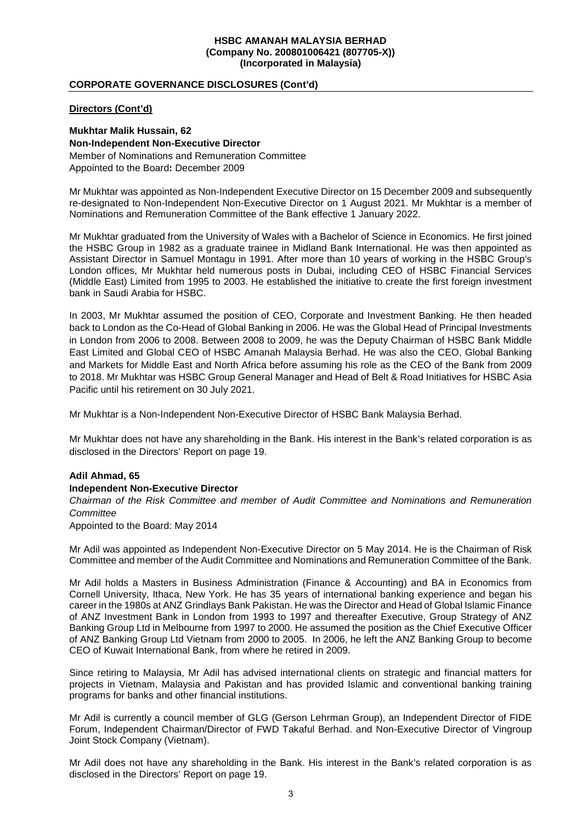## **CORPORATE GOVERNANCE DISCLOSURES (Cont'd)**

## **Directors (Cont'd)**

**Mukhtar Malik Hussain, 62 Non-Independent Non-Executive Director**  Member of Nominations and Remuneration Committee Appointed to the Board**:** December 2009

Mr Mukhtar was appointed as Non-Independent Executive Director on 15 December 2009 and subsequently re-designated to Non-Independent Non-Executive Director on 1 August 2021. Mr Mukhtar is a member of Nominations and Remuneration Committee of the Bank effective 1 January 2022.

Mr Mukhtar graduated from the University of Wales with a Bachelor of Science in Economics. He first joined the HSBC Group in 1982 as a graduate trainee in Midland Bank International. He was then appointed as Assistant Director in Samuel Montagu in 1991. After more than 10 years of working in the HSBC Group's London offices, Mr Mukhtar held numerous posts in Dubai, including CEO of HSBC Financial Services (Middle East) Limited from 1995 to 2003. He established the initiative to create the first foreign investment bank in Saudi Arabia for HSBC.

In 2003, Mr Mukhtar assumed the position of CEO, Corporate and Investment Banking. He then headed back to London as the Co-Head of Global Banking in 2006. He was the Global Head of Principal Investments in London from 2006 to 2008. Between 2008 to 2009, he was the Deputy Chairman of HSBC Bank Middle East Limited and Global CEO of HSBC Amanah Malaysia Berhad. He was also the CEO, Global Banking and Markets for Middle East and North Africa before assuming his role as the CEO of the Bank from 2009 to 2018. Mr Mukhtar was HSBC Group General Manager and Head of Belt & Road Initiatives for HSBC Asia Pacific until his retirement on 30 July 2021.

Mr Mukhtar is a Non-Independent Non-Executive Director of HSBC Bank Malaysia Berhad.

Mr Mukhtar does not have any shareholding in the Bank. His interest in the Bank's related corporation is as disclosed in the Directors' Report on page 19.

#### **Adil Ahmad, 65**

#### **Independent Non-Executive Director**

*Chairman of the Risk Committee and member of Audit Committee and Nominations and Remuneration Committee* 

Appointed to the Board: May 2014

Mr Adil was appointed as Independent Non-Executive Director on 5 May 2014. He is the Chairman of Risk Committee and member of the Audit Committee and Nominations and Remuneration Committee of the Bank.

Mr Adil holds a Masters in Business Administration (Finance & Accounting) and BA in Economics from Cornell University, Ithaca, New York. He has 35 years of international banking experience and began his career in the 1980s at ANZ Grindlays Bank Pakistan. He was the Director and Head of Global Islamic Finance of ANZ Investment Bank in London from 1993 to 1997 and thereafter Executive, Group Strategy of ANZ Banking Group Ltd in Melbourne from 1997 to 2000. He assumed the position as the Chief Executive Officer of ANZ Banking Group Ltd Vietnam from 2000 to 2005. In 2006, he left the ANZ Banking Group to become CEO of Kuwait International Bank, from where he retired in 2009.

Since retiring to Malaysia, Mr Adil has advised international clients on strategic and financial matters for projects in Vietnam, Malaysia and Pakistan and has provided Islamic and conventional banking training programs for banks and other financial institutions.

Mr Adil is currently a council member of GLG (Gerson Lehrman Group), an Independent Director of FIDE Forum, Independent Chairman/Director of FWD Takaful Berhad. and Non-Executive Director of Vingroup Joint Stock Company (Vietnam).

Mr Adil does not have any shareholding in the Bank. His interest in the Bank's related corporation is as disclosed in the Directors' Report on page 19.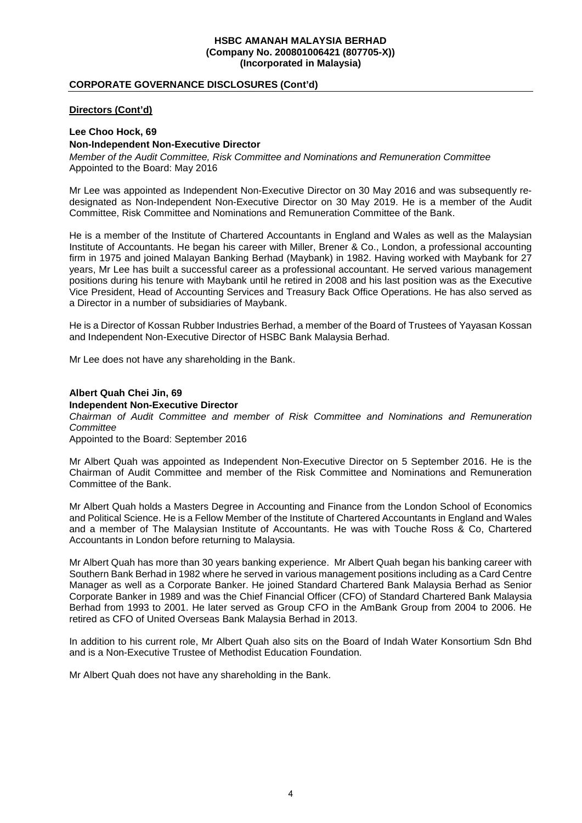## **CORPORATE GOVERNANCE DISCLOSURES (Cont'd)**

## **Directors (Cont'd)**

## **Lee Choo Hock, 69 Non-Independent Non-Executive Director**

*Member of the Audit Committee, Risk Committee and Nominations and Remuneration Committee*  Appointed to the Board: May 2016

Mr Lee was appointed as Independent Non-Executive Director on 30 May 2016 and was subsequently redesignated as Non-Independent Non-Executive Director on 30 May 2019. He is a member of the Audit Committee, Risk Committee and Nominations and Remuneration Committee of the Bank.

He is a member of the Institute of Chartered Accountants in England and Wales as well as the Malaysian Institute of Accountants. He began his career with Miller, Brener & Co., London, a professional accounting firm in 1975 and joined Malayan Banking Berhad (Maybank) in 1982. Having worked with Maybank for 27 years, Mr Lee has built a successful career as a professional accountant. He served various management positions during his tenure with Maybank until he retired in 2008 and his last position was as the Executive Vice President, Head of Accounting Services and Treasury Back Office Operations. He has also served as a Director in a number of subsidiaries of Maybank.

He is a Director of Kossan Rubber Industries Berhad, a member of the Board of Trustees of Yayasan Kossan and Independent Non-Executive Director of HSBC Bank Malaysia Berhad.

Mr Lee does not have any shareholding in the Bank.

## **Albert Quah Chei Jin, 69**

#### **Independent Non-Executive Director**

*Chairman of Audit Committee and member of Risk Committee and Nominations and Remuneration Committee* 

Appointed to the Board: September 2016

Mr Albert Quah was appointed as Independent Non-Executive Director on 5 September 2016. He is the Chairman of Audit Committee and member of the Risk Committee and Nominations and Remuneration Committee of the Bank.

Mr Albert Quah holds a Masters Degree in Accounting and Finance from the London School of Economics and Political Science. He is a Fellow Member of the Institute of Chartered Accountants in England and Wales and a member of The Malaysian Institute of Accountants. He was with Touche Ross & Co, Chartered Accountants in London before returning to Malaysia.

Mr Albert Quah has more than 30 years banking experience. Mr Albert Quah began his banking career with Southern Bank Berhad in 1982 where he served in various management positions including as a Card Centre Manager as well as a Corporate Banker. He joined Standard Chartered Bank Malaysia Berhad as Senior Corporate Banker in 1989 and was the Chief Financial Officer (CFO) of Standard Chartered Bank Malaysia Berhad from 1993 to 2001. He later served as Group CFO in the AmBank Group from 2004 to 2006. He retired as CFO of United Overseas Bank Malaysia Berhad in 2013.

In addition to his current role, Mr Albert Quah also sits on the Board of Indah Water Konsortium Sdn Bhd and is a Non-Executive Trustee of Methodist Education Foundation.

Mr Albert Quah does not have any shareholding in the Bank.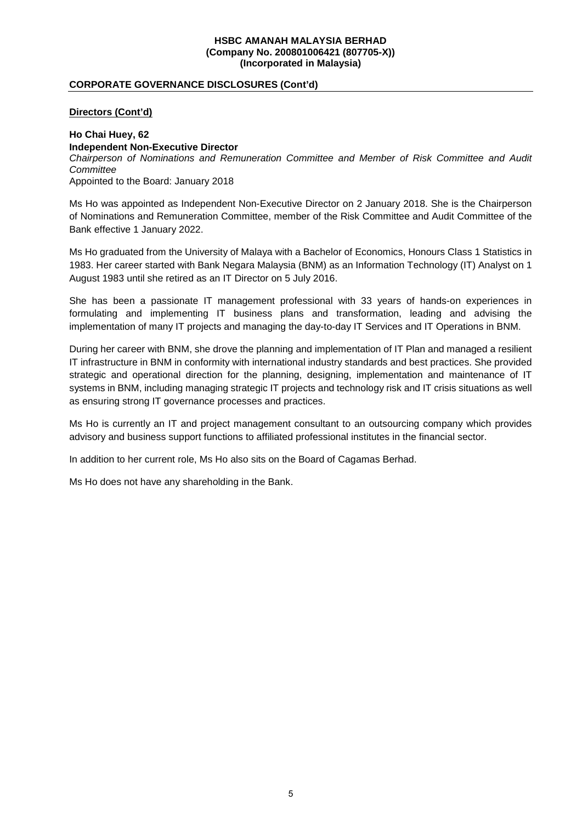## **CORPORATE GOVERNANCE DISCLOSURES (Cont'd)**

## **Directors (Cont'd)**

# **Ho Chai Huey, 62 Independent Non-Executive Director**

*Chairperson of Nominations and Remuneration Committee and Member of Risk Committee and Audit Committee* 

Appointed to the Board: January 2018

Ms Ho was appointed as Independent Non-Executive Director on 2 January 2018. She is the Chairperson of Nominations and Remuneration Committee, member of the Risk Committee and Audit Committee of the Bank effective 1 January 2022.

Ms Ho graduated from the University of Malaya with a Bachelor of Economics, Honours Class 1 Statistics in 1983. Her career started with Bank Negara Malaysia (BNM) as an Information Technology (IT) Analyst on 1 August 1983 until she retired as an IT Director on 5 July 2016.

She has been a passionate IT management professional with 33 years of hands-on experiences in formulating and implementing IT business plans and transformation, leading and advising the implementation of many IT projects and managing the day-to-day IT Services and IT Operations in BNM.

During her career with BNM, she drove the planning and implementation of IT Plan and managed a resilient IT infrastructure in BNM in conformity with international industry standards and best practices. She provided strategic and operational direction for the planning, designing, implementation and maintenance of IT systems in BNM, including managing strategic IT projects and technology risk and IT crisis situations as well as ensuring strong IT governance processes and practices.

Ms Ho is currently an IT and project management consultant to an outsourcing company which provides advisory and business support functions to affiliated professional institutes in the financial sector.

In addition to her current role, Ms Ho also sits on the Board of Cagamas Berhad.

Ms Ho does not have any shareholding in the Bank.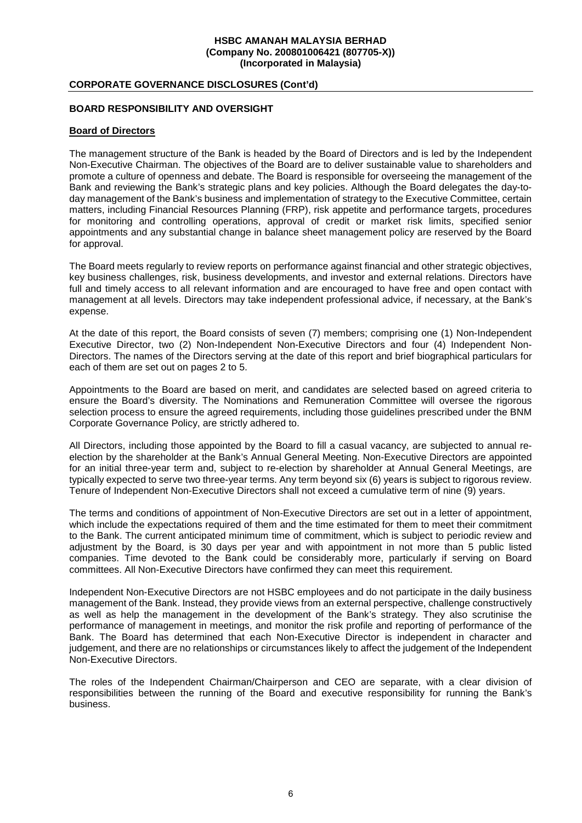## **CORPORATE GOVERNANCE DISCLOSURES (Cont'd)**

## **BOARD RESPONSIBILITY AND OVERSIGHT**

#### **Board of Directors**

The management structure of the Bank is headed by the Board of Directors and is led by the Independent Non-Executive Chairman. The objectives of the Board are to deliver sustainable value to shareholders and promote a culture of openness and debate. The Board is responsible for overseeing the management of the Bank and reviewing the Bank's strategic plans and key policies. Although the Board delegates the day-today management of the Bank's business and implementation of strategy to the Executive Committee, certain matters, including Financial Resources Planning (FRP), risk appetite and performance targets, procedures for monitoring and controlling operations, approval of credit or market risk limits, specified senior appointments and any substantial change in balance sheet management policy are reserved by the Board for approval.

The Board meets regularly to review reports on performance against financial and other strategic objectives, key business challenges, risk, business developments, and investor and external relations. Directors have full and timely access to all relevant information and are encouraged to have free and open contact with management at all levels. Directors may take independent professional advice, if necessary, at the Bank's expense.

At the date of this report, the Board consists of seven (7) members; comprising one (1) Non-Independent Executive Director, two (2) Non-Independent Non-Executive Directors and four (4) Independent Non-Directors. The names of the Directors serving at the date of this report and brief biographical particulars for each of them are set out on pages 2 to 5.

Appointments to the Board are based on merit, and candidates are selected based on agreed criteria to ensure the Board's diversity. The Nominations and Remuneration Committee will oversee the rigorous selection process to ensure the agreed requirements, including those guidelines prescribed under the BNM Corporate Governance Policy, are strictly adhered to.

All Directors, including those appointed by the Board to fill a casual vacancy, are subjected to annual reelection by the shareholder at the Bank's Annual General Meeting. Non-Executive Directors are appointed for an initial three-year term and, subject to re-election by shareholder at Annual General Meetings, are typically expected to serve two three-year terms. Any term beyond six (6) years is subject to rigorous review. Tenure of Independent Non-Executive Directors shall not exceed a cumulative term of nine (9) years.

The terms and conditions of appointment of Non-Executive Directors are set out in a letter of appointment, which include the expectations required of them and the time estimated for them to meet their commitment to the Bank. The current anticipated minimum time of commitment, which is subject to periodic review and adjustment by the Board, is 30 days per year and with appointment in not more than 5 public listed companies. Time devoted to the Bank could be considerably more, particularly if serving on Board committees. All Non-Executive Directors have confirmed they can meet this requirement.

Independent Non-Executive Directors are not HSBC employees and do not participate in the daily business management of the Bank. Instead, they provide views from an external perspective, challenge constructively as well as help the management in the development of the Bank's strategy. They also scrutinise the performance of management in meetings, and monitor the risk profile and reporting of performance of the Bank. The Board has determined that each Non-Executive Director is independent in character and judgement, and there are no relationships or circumstances likely to affect the judgement of the Independent Non-Executive Directors.

The roles of the Independent Chairman/Chairperson and CEO are separate, with a clear division of responsibilities between the running of the Board and executive responsibility for running the Bank's business.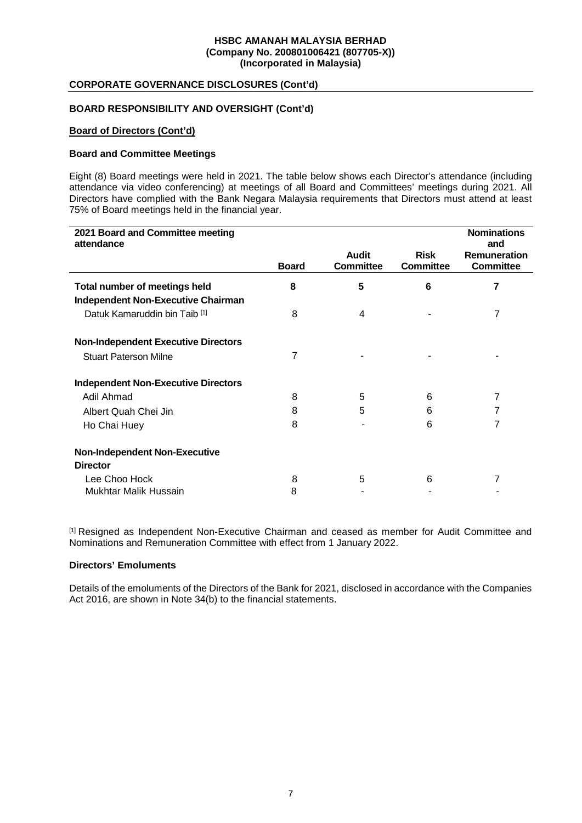## **CORPORATE GOVERNANCE DISCLOSURES (Cont'd)**

## **BOARD RESPONSIBILITY AND OVERSIGHT (Cont'd)**

#### **Board of Directors (Cont'd)**

#### **Board and Committee Meetings**

Eight (8) Board meetings were held in 2021. The table below shows each Director's attendance (including attendance via video conferencing) at meetings of all Board and Committees' meetings during 2021. All Directors have complied with the Bank Negara Malaysia requirements that Directors must attend at least 75% of Board meetings held in the financial year.

| 2021 Board and Committee meeting<br>attendance                                    |              |                                  |                                 | <b>Nominations</b><br>and               |
|-----------------------------------------------------------------------------------|--------------|----------------------------------|---------------------------------|-----------------------------------------|
|                                                                                   | <b>Board</b> | <b>Audit</b><br><b>Committee</b> | <b>Risk</b><br><b>Committee</b> | <b>Remuneration</b><br><b>Committee</b> |
| <b>Total number of meetings held</b><br><b>Independent Non-Executive Chairman</b> | 8            | 5                                | 6                               | 7                                       |
| Datuk Kamaruddin bin Taib <sup>[1]</sup>                                          | 8            | 4                                |                                 | 7                                       |
| <b>Non-Independent Executive Directors</b>                                        |              |                                  |                                 |                                         |
| <b>Stuart Paterson Milne</b>                                                      | 7            |                                  |                                 |                                         |
| <b>Independent Non-Executive Directors</b>                                        |              |                                  |                                 |                                         |
| Adil Ahmad                                                                        | 8            | 5                                | 6                               | 7                                       |
| Albert Quah Chei Jin                                                              | 8            | 5                                | 6                               | 7                                       |
| Ho Chai Huey                                                                      | 8            |                                  | 6                               | 7                                       |
| <b>Non-Independent Non-Executive</b><br><b>Director</b>                           |              |                                  |                                 |                                         |
| Lee Choo Hock                                                                     | 8            | 5                                | 6                               |                                         |
| Mukhtar Malik Hussain                                                             | 8            |                                  |                                 |                                         |

[1] Resigned as Independent Non-Executive Chairman and ceased as member for Audit Committee and Nominations and Remuneration Committee with effect from 1 January 2022.

#### **Directors' Emoluments**

Details of the emoluments of the Directors of the Bank for 2021, disclosed in accordance with the Companies Act 2016, are shown in Note 34(b) to the financial statements.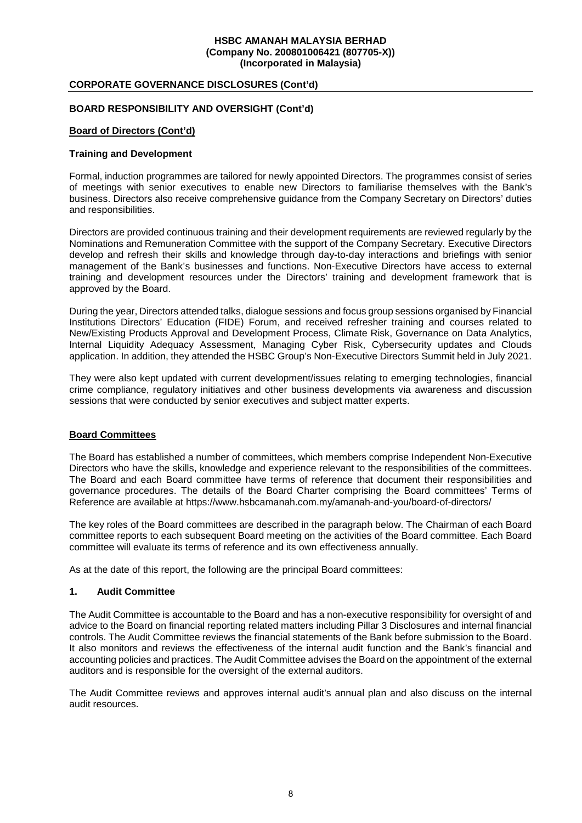## **CORPORATE GOVERNANCE DISCLOSURES (Cont'd)**

## **BOARD RESPONSIBILITY AND OVERSIGHT (Cont'd)**

### **Board of Directors (Cont'd)**

#### **Training and Development**

Formal, induction programmes are tailored for newly appointed Directors. The programmes consist of series of meetings with senior executives to enable new Directors to familiarise themselves with the Bank's business. Directors also receive comprehensive guidance from the Company Secretary on Directors' duties and responsibilities.

Directors are provided continuous training and their development requirements are reviewed regularly by the Nominations and Remuneration Committee with the support of the Company Secretary. Executive Directors develop and refresh their skills and knowledge through day-to-day interactions and briefings with senior management of the Bank's businesses and functions. Non-Executive Directors have access to external training and development resources under the Directors' training and development framework that is approved by the Board.

During the year, Directors attended talks, dialogue sessions and focus group sessions organised by Financial Institutions Directors' Education (FIDE) Forum, and received refresher training and courses related to New/Existing Products Approval and Development Process, Climate Risk, Governance on Data Analytics, Internal Liquidity Adequacy Assessment, Managing Cyber Risk, Cybersecurity updates and Clouds application. In addition, they attended the HSBC Group's Non-Executive Directors Summit held in July 2021.

They were also kept updated with current development/issues relating to emerging technologies, financial crime compliance, regulatory initiatives and other business developments via awareness and discussion sessions that were conducted by senior executives and subject matter experts.

## **Board Committees**

The Board has established a number of committees, which members comprise Independent Non-Executive Directors who have the skills, knowledge and experience relevant to the responsibilities of the committees. The Board and each Board committee have terms of reference that document their responsibilities and governance procedures. The details of the Board Charter comprising the Board committees' Terms of Reference are available at https://www.hsbcamanah.com.my/amanah-and-you/board-of-directors/

The key roles of the Board committees are described in the paragraph below. The Chairman of each Board committee reports to each subsequent Board meeting on the activities of the Board committee. Each Board committee will evaluate its terms of reference and its own effectiveness annually.

As at the date of this report, the following are the principal Board committees:

#### **1. Audit Committee**

The Audit Committee is accountable to the Board and has a non-executive responsibility for oversight of and advice to the Board on financial reporting related matters including Pillar 3 Disclosures and internal financial controls. The Audit Committee reviews the financial statements of the Bank before submission to the Board. It also monitors and reviews the effectiveness of the internal audit function and the Bank's financial and accounting policies and practices. The Audit Committee advises the Board on the appointment of the external auditors and is responsible for the oversight of the external auditors.

The Audit Committee reviews and approves internal audit's annual plan and also discuss on the internal audit resources.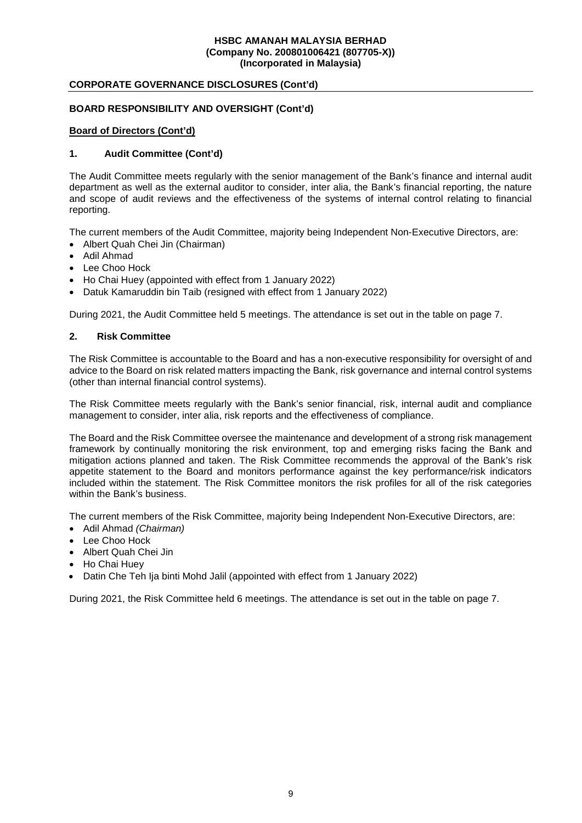## **CORPORATE GOVERNANCE DISCLOSURES (Cont'd)**

## **BOARD RESPONSIBILITY AND OVERSIGHT (Cont'd)**

#### **Board of Directors (Cont'd)**

## **1. Audit Committee (Cont'd)**

The Audit Committee meets regularly with the senior management of the Bank's finance and internal audit department as well as the external auditor to consider, inter alia, the Bank's financial reporting, the nature and scope of audit reviews and the effectiveness of the systems of internal control relating to financial reporting.

The current members of the Audit Committee, majority being Independent Non-Executive Directors, are:

- Albert Quah Chei Jin (Chairman)
- Adil Ahmad
- Lee Choo Hock
- Ho Chai Huey (appointed with effect from 1 January 2022)
- Datuk Kamaruddin bin Taib (resigned with effect from 1 January 2022)

During 2021, the Audit Committee held 5 meetings. The attendance is set out in the table on page 7.

## **2. Risk Committee**

The Risk Committee is accountable to the Board and has a non-executive responsibility for oversight of and advice to the Board on risk related matters impacting the Bank, risk governance and internal control systems (other than internal financial control systems).

The Risk Committee meets regularly with the Bank's senior financial, risk, internal audit and compliance management to consider, inter alia, risk reports and the effectiveness of compliance.

The Board and the Risk Committee oversee the maintenance and development of a strong risk management framework by continually monitoring the risk environment, top and emerging risks facing the Bank and mitigation actions planned and taken. The Risk Committee recommends the approval of the Bank's risk appetite statement to the Board and monitors performance against the key performance/risk indicators included within the statement. The Risk Committee monitors the risk profiles for all of the risk categories within the Bank's business.

The current members of the Risk Committee, majority being Independent Non-Executive Directors, are:

- Adil Ahmad *(Chairman)*
- Lee Choo Hock
- Albert Quah Chei Jin
- Ho Chai Huey
- Datin Che Teh Ija binti Mohd Jalil (appointed with effect from 1 January 2022)

During 2021, the Risk Committee held 6 meetings. The attendance is set out in the table on page 7.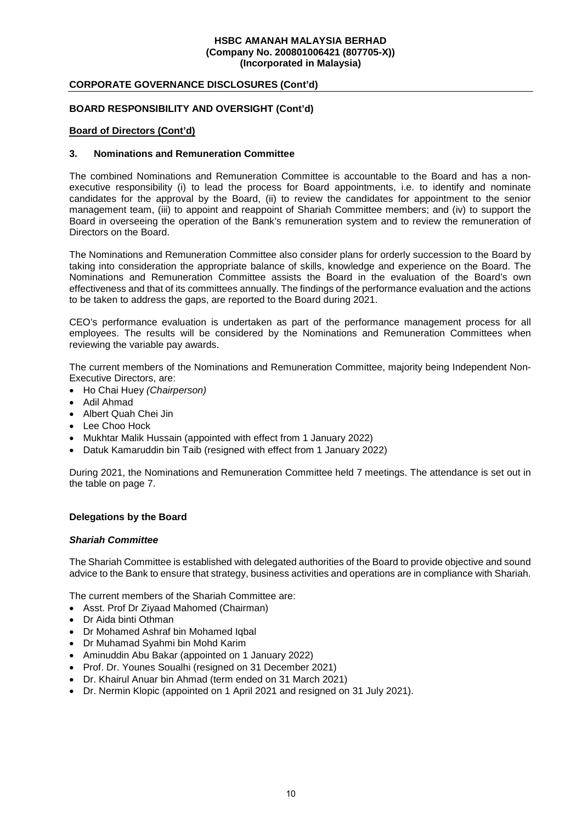## **CORPORATE GOVERNANCE DISCLOSURES (Cont'd)**

## **BOARD RESPONSIBILITY AND OVERSIGHT (Cont'd)**

#### **Board of Directors (Cont'd)**

#### **3. Nominations and Remuneration Committee**

The combined Nominations and Remuneration Committee is accountable to the Board and has a nonexecutive responsibility (i) to lead the process for Board appointments, i.e. to identify and nominate candidates for the approval by the Board, (ii) to review the candidates for appointment to the senior management team, (iii) to appoint and reappoint of Shariah Committee members; and (iv) to support the Board in overseeing the operation of the Bank's remuneration system and to review the remuneration of Directors on the Board.

The Nominations and Remuneration Committee also consider plans for orderly succession to the Board by taking into consideration the appropriate balance of skills, knowledge and experience on the Board. The Nominations and Remuneration Committee assists the Board in the evaluation of the Board's own effectiveness and that of its committees annually. The findings of the performance evaluation and the actions to be taken to address the gaps, are reported to the Board during 2021.

CEO's performance evaluation is undertaken as part of the performance management process for all employees. The results will be considered by the Nominations and Remuneration Committees when reviewing the variable pay awards.

The current members of the Nominations and Remuneration Committee, majority being Independent Non-Executive Directors, are:

- Ho Chai Huey *(Chairperson)*
- Adil Ahmad
- Albert Quah Chei Jin
- Lee Choo Hock
- Mukhtar Malik Hussain (appointed with effect from 1 January 2022)
- Datuk Kamaruddin bin Taib (resigned with effect from 1 January 2022)

During 2021, the Nominations and Remuneration Committee held 7 meetings. The attendance is set out in the table on page 7.

#### **Delegations by the Board**

#### *Shariah Committee*

The Shariah Committee is established with delegated authorities of the Board to provide objective and sound advice to the Bank to ensure that strategy, business activities and operations are in compliance with Shariah.

The current members of the Shariah Committee are:

- Asst. Prof Dr Ziyaad Mahomed (Chairman)
- Dr Aida binti Othman
- Dr Mohamed Ashraf bin Mohamed Iqbal
- Dr Muhamad Syahmi bin Mohd Karim
- Aminuddin Abu Bakar (appointed on 1 January 2022)
- Prof. Dr. Younes Soualhi (resigned on 31 December 2021)
- Dr. Khairul Anuar bin Ahmad (term ended on 31 March 2021)
- Dr. Nermin Klopic (appointed on 1 April 2021 and resigned on 31 July 2021).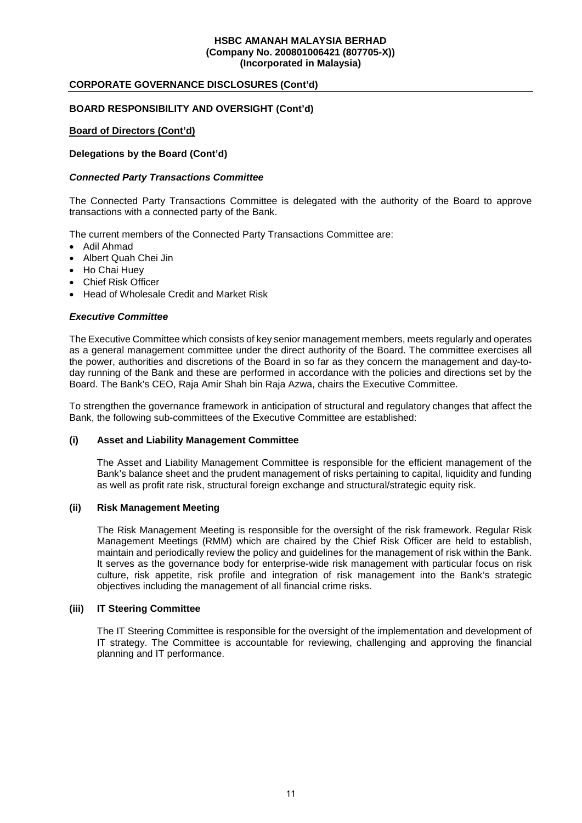## **CORPORATE GOVERNANCE DISCLOSURES (Cont'd)**

## **BOARD RESPONSIBILITY AND OVERSIGHT (Cont'd)**

### **Board of Directors (Cont'd)**

### **Delegations by the Board (Cont'd)**

#### *Connected Party Transactions Committee*

The Connected Party Transactions Committee is delegated with the authority of the Board to approve transactions with a connected party of the Bank.

The current members of the Connected Party Transactions Committee are:

- Adil Ahmad
- Albert Quah Chei Jin
- Ho Chai Huev
- Chief Risk Officer
- Head of Wholesale Credit and Market Risk

### *Executive Committee*

The Executive Committee which consists of key senior management members, meets regularly and operates as a general management committee under the direct authority of the Board. The committee exercises all the power, authorities and discretions of the Board in so far as they concern the management and day-today running of the Bank and these are performed in accordance with the policies and directions set by the Board. The Bank's CEO, Raja Amir Shah bin Raja Azwa, chairs the Executive Committee.

To strengthen the governance framework in anticipation of structural and regulatory changes that affect the Bank, the following sub-committees of the Executive Committee are established:

#### **(i) Asset and Liability Management Committee**

The Asset and Liability Management Committee is responsible for the efficient management of the Bank's balance sheet and the prudent management of risks pertaining to capital, liquidity and funding as well as profit rate risk, structural foreign exchange and structural/strategic equity risk.

#### **(ii) Risk Management Meeting**

The Risk Management Meeting is responsible for the oversight of the risk framework. Regular Risk Management Meetings (RMM) which are chaired by the Chief Risk Officer are held to establish, maintain and periodically review the policy and guidelines for the management of risk within the Bank. It serves as the governance body for enterprise-wide risk management with particular focus on risk culture, risk appetite, risk profile and integration of risk management into the Bank's strategic objectives including the management of all financial crime risks.

#### **(iii) IT Steering Committee**

The IT Steering Committee is responsible for the oversight of the implementation and development of IT strategy. The Committee is accountable for reviewing, challenging and approving the financial planning and IT performance.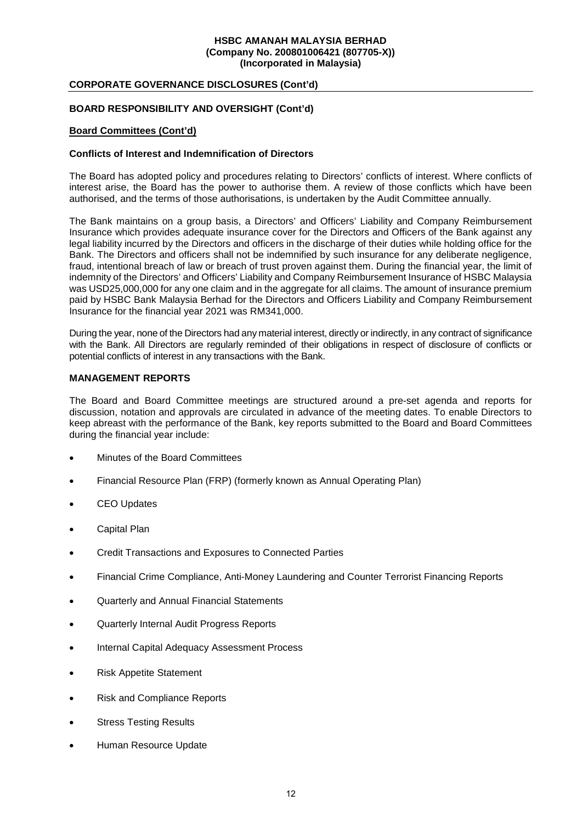## **CORPORATE GOVERNANCE DISCLOSURES (Cont'd)**

## **BOARD RESPONSIBILITY AND OVERSIGHT (Cont'd)**

#### **Board Committees (Cont'd)**

#### **Conflicts of Interest and Indemnification of Directors**

The Board has adopted policy and procedures relating to Directors' conflicts of interest. Where conflicts of interest arise, the Board has the power to authorise them. A review of those conflicts which have been authorised, and the terms of those authorisations, is undertaken by the Audit Committee annually.

The Bank maintains on a group basis, a Directors' and Officers' Liability and Company Reimbursement Insurance which provides adequate insurance cover for the Directors and Officers of the Bank against any legal liability incurred by the Directors and officers in the discharge of their duties while holding office for the Bank. The Directors and officers shall not be indemnified by such insurance for any deliberate negligence, fraud, intentional breach of law or breach of trust proven against them. During the financial year, the limit of indemnity of the Directors' and Officers' Liability and Company Reimbursement Insurance of HSBC Malaysia was USD25,000,000 for any one claim and in the aggregate for all claims. The amount of insurance premium paid by HSBC Bank Malaysia Berhad for the Directors and Officers Liability and Company Reimbursement Insurance for the financial year 2021 was RM341,000.

During the year, none of the Directors had any material interest, directly or indirectly, in any contract of significance with the Bank. All Directors are regularly reminded of their obligations in respect of disclosure of conflicts or potential conflicts of interest in any transactions with the Bank.

#### **MANAGEMENT REPORTS**

The Board and Board Committee meetings are structured around a pre-set agenda and reports for discussion, notation and approvals are circulated in advance of the meeting dates. To enable Directors to keep abreast with the performance of the Bank, key reports submitted to the Board and Board Committees during the financial year include:

- Minutes of the Board Committees
- Financial Resource Plan (FRP) (formerly known as Annual Operating Plan)
- CEO Updates
- Capital Plan
- Credit Transactions and Exposures to Connected Parties
- Financial Crime Compliance, Anti-Money Laundering and Counter Terrorist Financing Reports
- Quarterly and Annual Financial Statements
- Quarterly Internal Audit Progress Reports
- Internal Capital Adequacy Assessment Process
- Risk Appetite Statement
- Risk and Compliance Reports
- Stress Testing Results
- Human Resource Update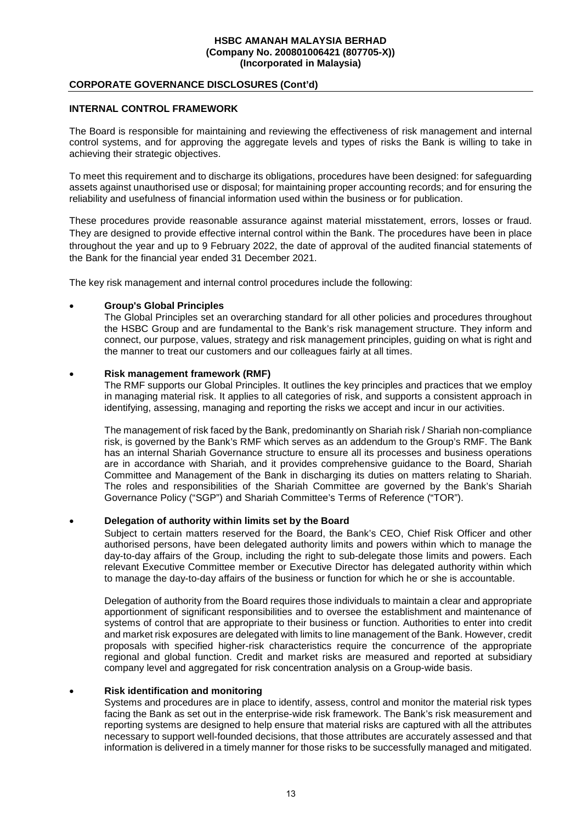## **CORPORATE GOVERNANCE DISCLOSURES (Cont'd)**

## **INTERNAL CONTROL FRAMEWORK**

The Board is responsible for maintaining and reviewing the effectiveness of risk management and internal control systems, and for approving the aggregate levels and types of risks the Bank is willing to take in achieving their strategic objectives.

To meet this requirement and to discharge its obligations, procedures have been designed: for safeguarding assets against unauthorised use or disposal; for maintaining proper accounting records; and for ensuring the reliability and usefulness of financial information used within the business or for publication.

These procedures provide reasonable assurance against material misstatement, errors, losses or fraud. They are designed to provide effective internal control within the Bank. The procedures have been in place throughout the year and up to 9 February 2022, the date of approval of the audited financial statements of the Bank for the financial year ended 31 December 2021.

The key risk management and internal control procedures include the following:

## **Group's Global Principles**

The Global Principles set an overarching standard for all other policies and procedures throughout the HSBC Group and are fundamental to the Bank's risk management structure. They inform and connect, our purpose, values, strategy and risk management principles, guiding on what is right and the manner to treat our customers and our colleagues fairly at all times.

## **Risk management framework (RMF)**

The RMF supports our Global Principles. It outlines the key principles and practices that we employ in managing material risk. It applies to all categories of risk, and supports a consistent approach in identifying, assessing, managing and reporting the risks we accept and incur in our activities.

The management of risk faced by the Bank, predominantly on Shariah risk / Shariah non-compliance risk, is governed by the Bank's RMF which serves as an addendum to the Group's RMF. The Bank has an internal Shariah Governance structure to ensure all its processes and business operations are in accordance with Shariah, and it provides comprehensive guidance to the Board, Shariah Committee and Management of the Bank in discharging its duties on matters relating to Shariah. The roles and responsibilities of the Shariah Committee are governed by the Bank's Shariah Governance Policy ("SGP") and Shariah Committee's Terms of Reference ("TOR").

## **Delegation of authority within limits set by the Board**

Subject to certain matters reserved for the Board, the Bank's CEO, Chief Risk Officer and other authorised persons, have been delegated authority limits and powers within which to manage the day-to-day affairs of the Group, including the right to sub-delegate those limits and powers. Each relevant Executive Committee member or Executive Director has delegated authority within which to manage the day-to-day affairs of the business or function for which he or she is accountable.

Delegation of authority from the Board requires those individuals to maintain a clear and appropriate apportionment of significant responsibilities and to oversee the establishment and maintenance of systems of control that are appropriate to their business or function. Authorities to enter into credit and market risk exposures are delegated with limits to line management of the Bank. However, credit proposals with specified higher-risk characteristics require the concurrence of the appropriate regional and global function. Credit and market risks are measured and reported at subsidiary company level and aggregated for risk concentration analysis on a Group-wide basis.

#### **Risk identification and monitoring**

Systems and procedures are in place to identify, assess, control and monitor the material risk types facing the Bank as set out in the enterprise-wide risk framework. The Bank's risk measurement and reporting systems are designed to help ensure that material risks are captured with all the attributes necessary to support well-founded decisions, that those attributes are accurately assessed and that information is delivered in a timely manner for those risks to be successfully managed and mitigated.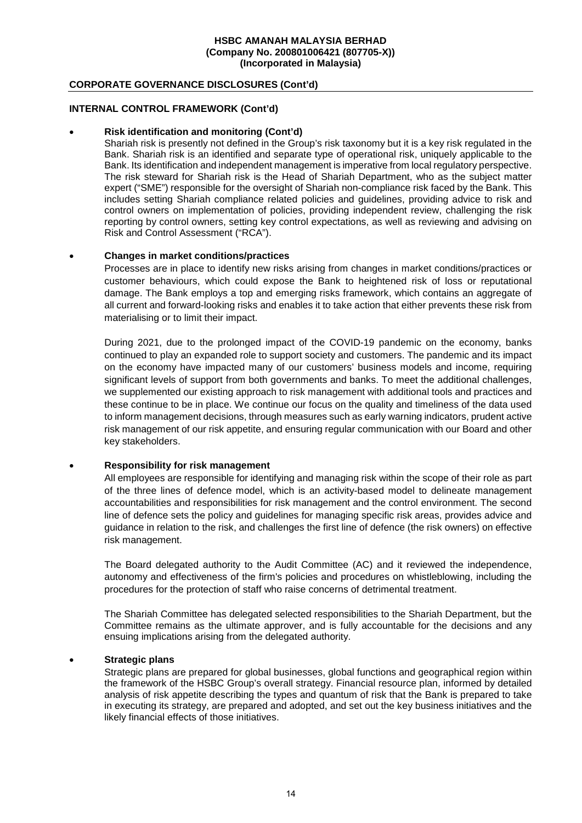## **CORPORATE GOVERNANCE DISCLOSURES (Cont'd)**

## **INTERNAL CONTROL FRAMEWORK (Cont'd)**

#### **Risk identification and monitoring (Cont'd)**

Shariah risk is presently not defined in the Group's risk taxonomy but it is a key risk regulated in the Bank. Shariah risk is an identified and separate type of operational risk, uniquely applicable to the Bank. Its identification and independent management is imperative from local regulatory perspective. The risk steward for Shariah risk is the Head of Shariah Department, who as the subject matter expert ("SME") responsible for the oversight of Shariah non-compliance risk faced by the Bank. This includes setting Shariah compliance related policies and guidelines, providing advice to risk and control owners on implementation of policies, providing independent review, challenging the risk reporting by control owners, setting key control expectations, as well as reviewing and advising on Risk and Control Assessment ("RCA").

#### **Changes in market conditions/practices**

Processes are in place to identify new risks arising from changes in market conditions/practices or customer behaviours, which could expose the Bank to heightened risk of loss or reputational damage. The Bank employs a top and emerging risks framework, which contains an aggregate of all current and forward-looking risks and enables it to take action that either prevents these risk from materialising or to limit their impact.

During 2021, due to the prolonged impact of the COVID-19 pandemic on the economy, banks continued to play an expanded role to support society and customers. The pandemic and its impact on the economy have impacted many of our customers' business models and income, requiring significant levels of support from both governments and banks. To meet the additional challenges, we supplemented our existing approach to risk management with additional tools and practices and these continue to be in place. We continue our focus on the quality and timeliness of the data used to inform management decisions, through measures such as early warning indicators, prudent active risk management of our risk appetite, and ensuring regular communication with our Board and other key stakeholders.

#### **Responsibility for risk management**

All employees are responsible for identifying and managing risk within the scope of their role as part of the three lines of defence model, which is an activity-based model to delineate management accountabilities and responsibilities for risk management and the control environment. The second line of defence sets the policy and guidelines for managing specific risk areas, provides advice and guidance in relation to the risk, and challenges the first line of defence (the risk owners) on effective risk management.

The Board delegated authority to the Audit Committee (AC) and it reviewed the independence, autonomy and effectiveness of the firm's policies and procedures on whistleblowing, including the procedures for the protection of staff who raise concerns of detrimental treatment.

The Shariah Committee has delegated selected responsibilities to the Shariah Department, but the Committee remains as the ultimate approver, and is fully accountable for the decisions and any ensuing implications arising from the delegated authority.

## **Strategic plans**

Strategic plans are prepared for global businesses, global functions and geographical region within the framework of the HSBC Group's overall strategy. Financial resource plan, informed by detailed analysis of risk appetite describing the types and quantum of risk that the Bank is prepared to take in executing its strategy, are prepared and adopted, and set out the key business initiatives and the likely financial effects of those initiatives.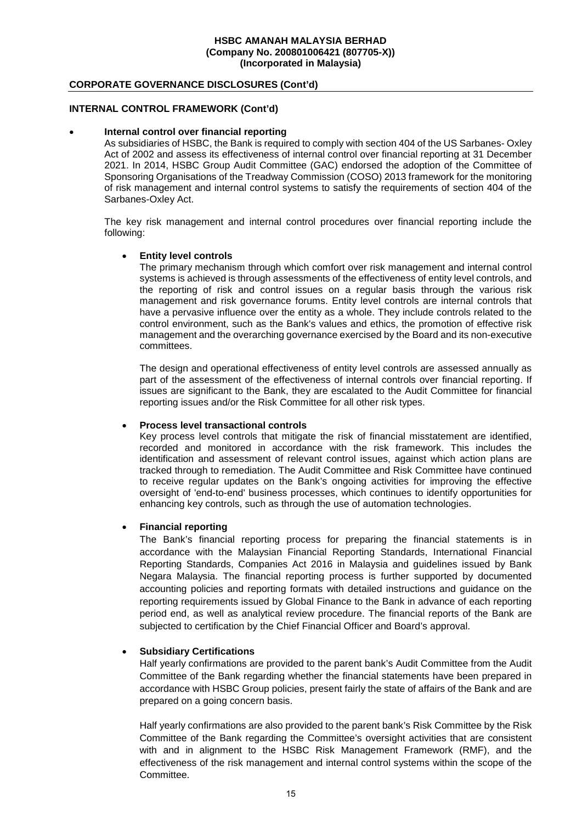## **CORPORATE GOVERNANCE DISCLOSURES (Cont'd)**

### **INTERNAL CONTROL FRAMEWORK (Cont'd)**

#### **Internal control over financial reporting**

As subsidiaries of HSBC, the Bank is required to comply with section 404 of the US Sarbanes- Oxley Act of 2002 and assess its effectiveness of internal control over financial reporting at 31 December 2021. In 2014, HSBC Group Audit Committee (GAC) endorsed the adoption of the Committee of Sponsoring Organisations of the Treadway Commission (COSO) 2013 framework for the monitoring of risk management and internal control systems to satisfy the requirements of section 404 of the Sarbanes-Oxley Act.

The key risk management and internal control procedures over financial reporting include the following:

#### **Entity level controls**

The primary mechanism through which comfort over risk management and internal control systems is achieved is through assessments of the effectiveness of entity level controls, and the reporting of risk and control issues on a regular basis through the various risk management and risk governance forums. Entity level controls are internal controls that have a pervasive influence over the entity as a whole. They include controls related to the control environment, such as the Bank's values and ethics, the promotion of effective risk management and the overarching governance exercised by the Board and its non-executive committees.

The design and operational effectiveness of entity level controls are assessed annually as part of the assessment of the effectiveness of internal controls over financial reporting. If issues are significant to the Bank, they are escalated to the Audit Committee for financial reporting issues and/or the Risk Committee for all other risk types.

#### **Process level transactional controls**

Key process level controls that mitigate the risk of financial misstatement are identified, recorded and monitored in accordance with the risk framework. This includes the identification and assessment of relevant control issues, against which action plans are tracked through to remediation. The Audit Committee and Risk Committee have continued to receive regular updates on the Bank's ongoing activities for improving the effective oversight of 'end-to-end' business processes, which continues to identify opportunities for enhancing key controls, such as through the use of automation technologies.

#### **Financial reporting**

The Bank's financial reporting process for preparing the financial statements is in accordance with the Malaysian Financial Reporting Standards, International Financial Reporting Standards, Companies Act 2016 in Malaysia and guidelines issued by Bank Negara Malaysia. The financial reporting process is further supported by documented accounting policies and reporting formats with detailed instructions and guidance on the reporting requirements issued by Global Finance to the Bank in advance of each reporting period end, as well as analytical review procedure. The financial reports of the Bank are subjected to certification by the Chief Financial Officer and Board's approval.

#### **Subsidiary Certifications**

Half yearly confirmations are provided to the parent bank's Audit Committee from the Audit Committee of the Bank regarding whether the financial statements have been prepared in accordance with HSBC Group policies, present fairly the state of affairs of the Bank and are prepared on a going concern basis.

Half yearly confirmations are also provided to the parent bank's Risk Committee by the Risk Committee of the Bank regarding the Committee's oversight activities that are consistent with and in alignment to the HSBC Risk Management Framework (RMF), and the effectiveness of the risk management and internal control systems within the scope of the Committee.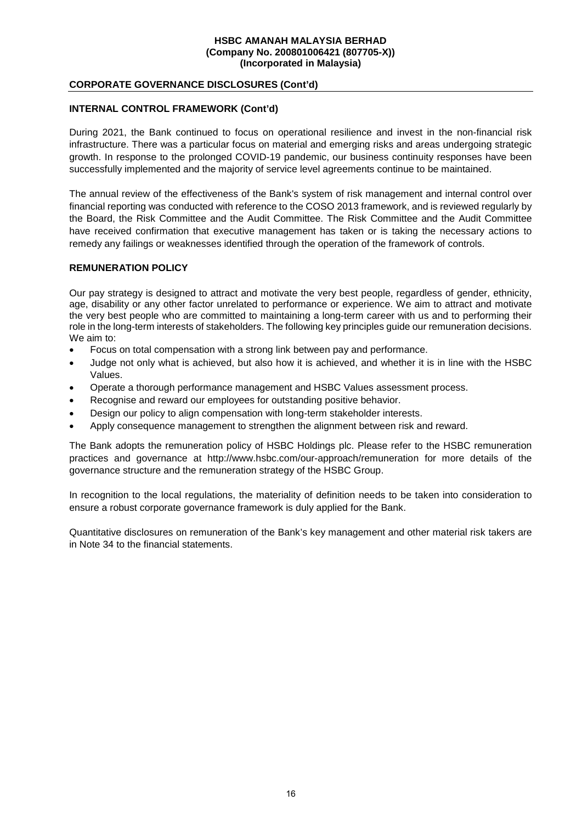## **CORPORATE GOVERNANCE DISCLOSURES (Cont'd)**

## **INTERNAL CONTROL FRAMEWORK (Cont'd)**

During 2021, the Bank continued to focus on operational resilience and invest in the non-financial risk infrastructure. There was a particular focus on material and emerging risks and areas undergoing strategic growth. In response to the prolonged COVID-19 pandemic, our business continuity responses have been successfully implemented and the majority of service level agreements continue to be maintained.

The annual review of the effectiveness of the Bank's system of risk management and internal control over financial reporting was conducted with reference to the COSO 2013 framework, and is reviewed regularly by the Board, the Risk Committee and the Audit Committee. The Risk Committee and the Audit Committee have received confirmation that executive management has taken or is taking the necessary actions to remedy any failings or weaknesses identified through the operation of the framework of controls.

## **REMUNERATION POLICY**

Our pay strategy is designed to attract and motivate the very best people, regardless of gender, ethnicity, age, disability or any other factor unrelated to performance or experience. We aim to attract and motivate the very best people who are committed to maintaining a long-term career with us and to performing their role in the long-term interests of stakeholders. The following key principles guide our remuneration decisions. We aim to:

- Focus on total compensation with a strong link between pay and performance.
- Judge not only what is achieved, but also how it is achieved, and whether it is in line with the HSBC Values.
- Operate a thorough performance management and HSBC Values assessment process.
- Recognise and reward our employees for outstanding positive behavior.
- Design our policy to align compensation with long-term stakeholder interests.
- Apply consequence management to strengthen the alignment between risk and reward.

The Bank adopts the remuneration policy of HSBC Holdings plc. Please refer to the HSBC remuneration practices and governance at http://www.hsbc.com/our-approach/remuneration for more details of the governance structure and the remuneration strategy of the HSBC Group.

In recognition to the local regulations, the materiality of definition needs to be taken into consideration to ensure a robust corporate governance framework is duly applied for the Bank.

Quantitative disclosures on remuneration of the Bank's key management and other material risk takers are in Note 34 to the financial statements.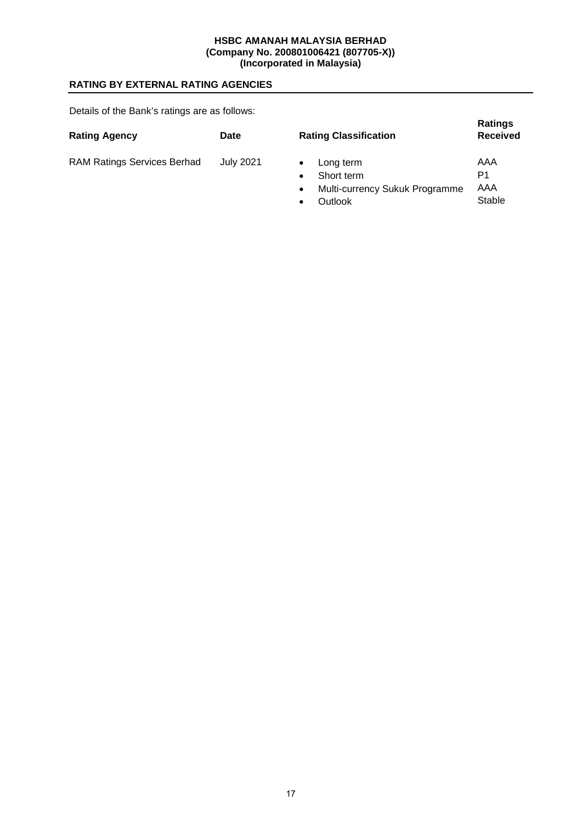# **RATING BY EXTERNAL RATING AGENCIES**

Details of the Bank's ratings are as follows:

| <b>Rating Agency</b>               | Date             | <b>Rating Classification</b>          | <b>Ratings</b><br><b>Received</b> |
|------------------------------------|------------------|---------------------------------------|-----------------------------------|
| <b>RAM Ratings Services Berhad</b> | <b>July 2021</b> | Long term                             | AAA                               |
|                                    |                  | Short term                            | P1                                |
|                                    |                  | <b>Multi-currency Sukuk Programme</b> | AAA                               |

Multi-currency Sukuk Programme

Stable

**Outlook**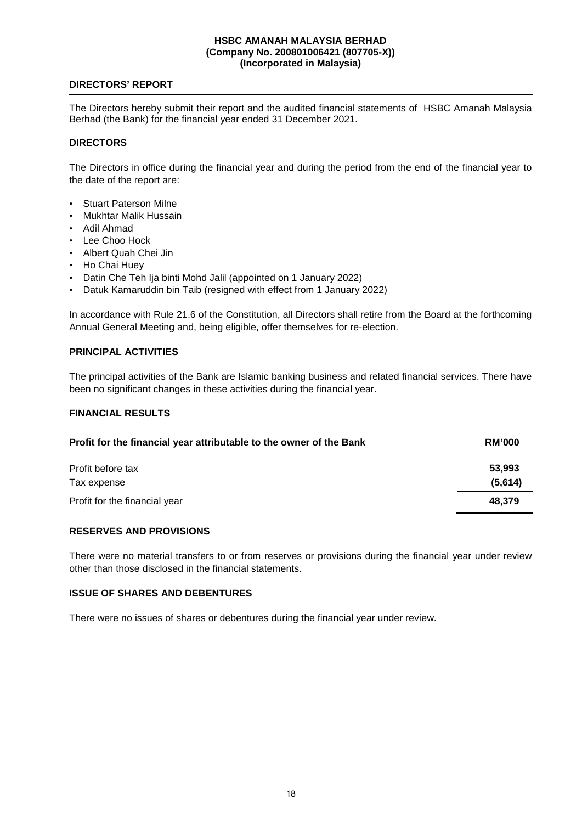## **DIRECTORS' REPORT**

The Directors hereby submit their report and the audited financial statements of HSBC Amanah Malaysia Berhad (the Bank) for the financial year ended 31 December 2021.

## **DIRECTORS**

The Directors in office during the financial year and during the period from the end of the financial year to the date of the report are:

- Stuart Paterson Milne
- Mukhtar Malik Hussain
- Adil Ahmad
- Lee Choo Hock
- Albert Quah Chei Jin
- Ho Chai Huey
- Datin Che Teh Ija binti Mohd Jalil (appointed on 1 January 2022)
- Datuk Kamaruddin bin Taib (resigned with effect from 1 January 2022)

In accordance with Rule 21.6 of the Constitution, all Directors shall retire from the Board at the forthcoming Annual General Meeting and, being eligible, offer themselves for re-election.

## **PRINCIPAL ACTIVITIES**

The principal activities of the Bank are Islamic banking business and related financial services. There have been no significant changes in these activities during the financial year.

## **FINANCIAL RESULTS**

| Profit for the financial year attributable to the owner of the Bank | <b>RM'000</b> |  |
|---------------------------------------------------------------------|---------------|--|
| Profit before tax                                                   | 53.993        |  |
| Tax expense                                                         | (5,614)       |  |
| Profit for the financial year                                       | 48.379        |  |

### **RESERVES AND PROVISIONS**

There were no material transfers to or from reserves or provisions during the financial year under review other than those disclosed in the financial statements.

### **ISSUE OF SHARES AND DEBENTURES**

There were no issues of shares or debentures during the financial year under review.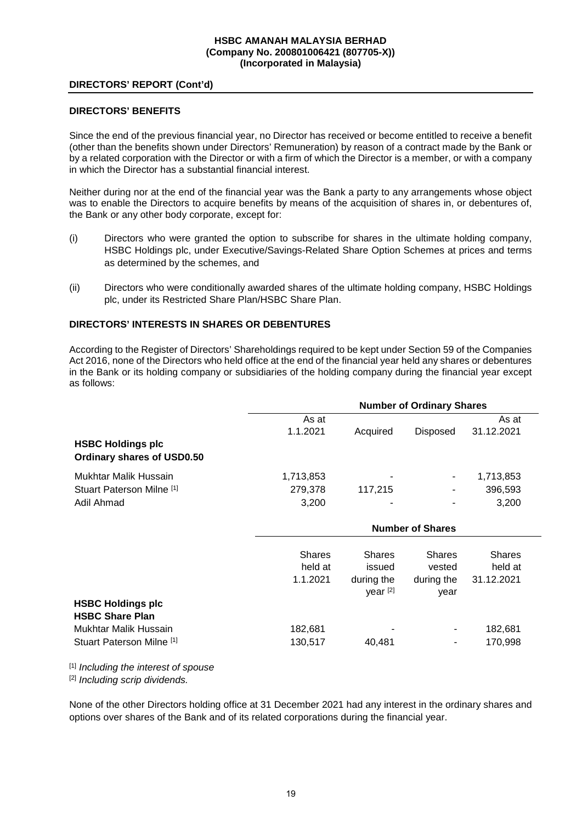### **DIRECTORS' REPORT (Cont'd)**

### **DIRECTORS' BENEFITS**

Since the end of the previous financial year, no Director has received or become entitled to receive a benefit (other than the benefits shown under Directors' Remuneration) by reason of a contract made by the Bank or by a related corporation with the Director or with a firm of which the Director is a member, or with a company in which the Director has a substantial financial interest.

Neither during nor at the end of the financial year was the Bank a party to any arrangements whose object was to enable the Directors to acquire benefits by means of the acquisition of shares in, or debentures of, the Bank or any other body corporate, except for:

- (i) Directors who were granted the option to subscribe for shares in the ultimate holding company, HSBC Holdings plc, under Executive/Savings-Related Share Option Schemes at prices and terms as determined by the schemes, and
- (ii) Directors who were conditionally awarded shares of the ultimate holding company, HSBC Holdings plc, under its Restricted Share Plan/HSBC Share Plan.

## **DIRECTORS' INTERESTS IN SHARES OR DEBENTURES**

According to the Register of Directors' Shareholdings required to be kept under Section 59 of the Companies Act 2016, none of the Directors who held office at the end of the financial year held any shares or debentures in the Bank or its holding company or subsidiaries of the holding company during the financial year except as follows:

|                                                        | <b>Number of Ordinary Shares</b> |          |                 |            |  |
|--------------------------------------------------------|----------------------------------|----------|-----------------|------------|--|
|                                                        | As at                            |          |                 | As at      |  |
|                                                        | 1.1.2021                         | Acquired | <b>Disposed</b> | 31.12.2021 |  |
| <b>HSBC Holdings plc</b><br>Ordinary shares of USD0.50 |                                  |          |                 |            |  |
| Mukhtar Malik Hussain                                  | 1,713,853                        | ۰        | ۰               | 1,713,853  |  |
| Stuart Paterson Milne [1]                              | 279,378                          | 117.215  | ۰               | 396,593    |  |
| Adil Ahmad                                             | 3,200                            | ۰        | $\blacksquare$  | 3,200      |  |

|                           | <b>Number of Shares</b>              |                                                   |                                               |                                        |
|---------------------------|--------------------------------------|---------------------------------------------------|-----------------------------------------------|----------------------------------------|
|                           | <b>Shares</b><br>held at<br>1.1.2021 | <b>Shares</b><br>issued<br>during the<br>year [2] | <b>Shares</b><br>vested<br>during the<br>year | <b>Shares</b><br>held at<br>31.12.2021 |
| <b>HSBC Holdings plc</b>  |                                      |                                                   |                                               |                                        |
| <b>HSBC Share Plan</b>    |                                      |                                                   |                                               |                                        |
| Mukhtar Malik Hussain     | 182,681                              | ۰                                                 | ۰                                             | 182,681                                |
| Stuart Paterson Milne [1] | 130,517                              | 40.481                                            | ۰                                             | 170,998                                |

[1] *Including the interest of spouse* 

[2] *Including scrip dividends.* 

None of the other Directors holding office at 31 December 2021 had any interest in the ordinary shares and options over shares of the Bank and of its related corporations during the financial year.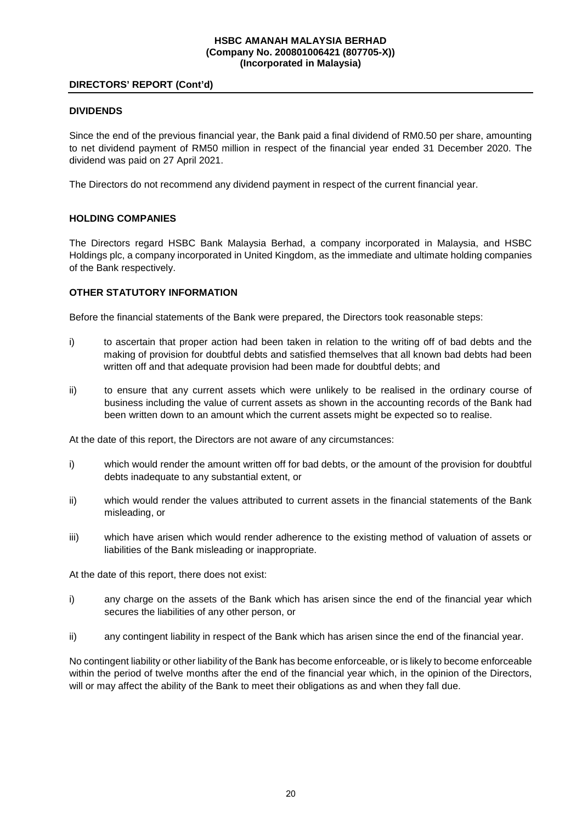## **DIRECTORS' REPORT (Cont'd)**

## **DIVIDENDS**

Since the end of the previous financial year, the Bank paid a final dividend of RM0.50 per share, amounting to net dividend payment of RM50 million in respect of the financial year ended 31 December 2020. The dividend was paid on 27 April 2021.

The Directors do not recommend any dividend payment in respect of the current financial year.

## **HOLDING COMPANIES**

The Directors regard HSBC Bank Malaysia Berhad, a company incorporated in Malaysia, and HSBC Holdings plc, a company incorporated in United Kingdom, as the immediate and ultimate holding companies of the Bank respectively.

## **OTHER STATUTORY INFORMATION**

Before the financial statements of the Bank were prepared, the Directors took reasonable steps:

- i) to ascertain that proper action had been taken in relation to the writing off of bad debts and the making of provision for doubtful debts and satisfied themselves that all known bad debts had been written off and that adequate provision had been made for doubtful debts; and
- ii) to ensure that any current assets which were unlikely to be realised in the ordinary course of business including the value of current assets as shown in the accounting records of the Bank had been written down to an amount which the current assets might be expected so to realise.

At the date of this report, the Directors are not aware of any circumstances:

- i) which would render the amount written off for bad debts, or the amount of the provision for doubtful debts inadequate to any substantial extent, or
- ii) which would render the values attributed to current assets in the financial statements of the Bank misleading, or
- iii) which have arisen which would render adherence to the existing method of valuation of assets or liabilities of the Bank misleading or inappropriate.

At the date of this report, there does not exist:

- i) any charge on the assets of the Bank which has arisen since the end of the financial year which secures the liabilities of any other person, or
- ii) any contingent liability in respect of the Bank which has arisen since the end of the financial year.

No contingent liability or other liability of the Bank has become enforceable, or is likely to become enforceable within the period of twelve months after the end of the financial year which, in the opinion of the Directors, will or may affect the ability of the Bank to meet their obligations as and when they fall due.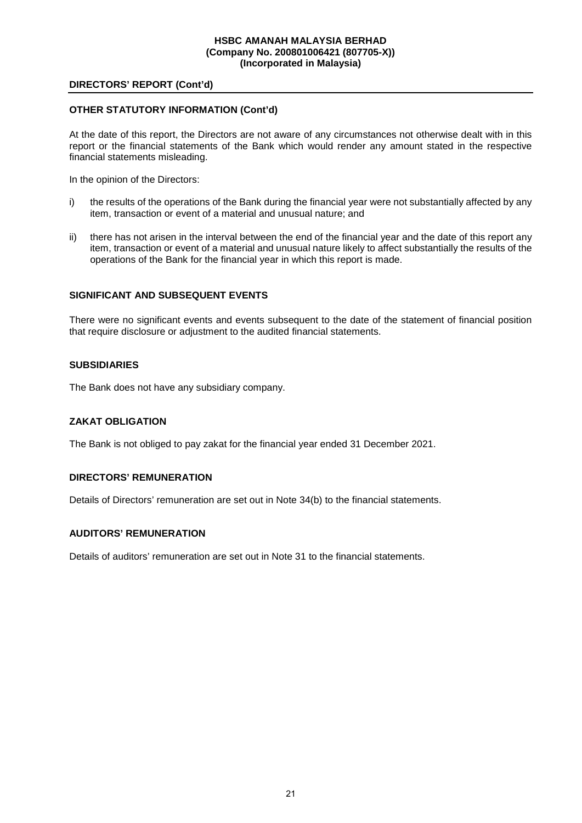### **DIRECTORS' REPORT (Cont'd)**

## **OTHER STATUTORY INFORMATION (Cont'd)**

At the date of this report, the Directors are not aware of any circumstances not otherwise dealt with in this report or the financial statements of the Bank which would render any amount stated in the respective financial statements misleading.

In the opinion of the Directors:

- i) the results of the operations of the Bank during the financial year were not substantially affected by any item, transaction or event of a material and unusual nature; and
- ii) there has not arisen in the interval between the end of the financial year and the date of this report any item, transaction or event of a material and unusual nature likely to affect substantially the results of the operations of the Bank for the financial year in which this report is made.

## **SIGNIFICANT AND SUBSEQUENT EVENTS**

There were no significant events and events subsequent to the date of the statement of financial position that require disclosure or adjustment to the audited financial statements.

#### **SUBSIDIARIES**

The Bank does not have any subsidiary company.

## **ZAKAT OBLIGATION**

The Bank is not obliged to pay zakat for the financial year ended 31 December 2021.

### **DIRECTORS' REMUNERATION**

Details of Directors' remuneration are set out in Note 34(b) to the financial statements.

#### **AUDITORS' REMUNERATION**

Details of auditors' remuneration are set out in Note 31 to the financial statements.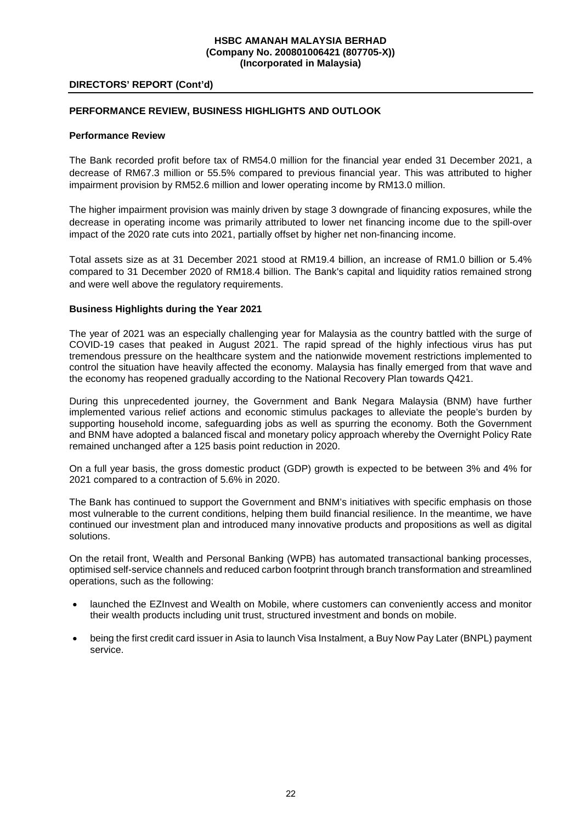### **DIRECTORS' REPORT (Cont'd)**

## **PERFORMANCE REVIEW, BUSINESS HIGHLIGHTS AND OUTLOOK**

## **Performance Review**

The Bank recorded profit before tax of RM54.0 million for the financial year ended 31 December 2021, a decrease of RM67.3 million or 55.5% compared to previous financial year. This was attributed to higher impairment provision by RM52.6 million and lower operating income by RM13.0 million.

The higher impairment provision was mainly driven by stage 3 downgrade of financing exposures, while the decrease in operating income was primarily attributed to lower net financing income due to the spill-over impact of the 2020 rate cuts into 2021, partially offset by higher net non-financing income.

Total assets size as at 31 December 2021 stood at RM19.4 billion, an increase of RM1.0 billion or 5.4% compared to 31 December 2020 of RM18.4 billion. The Bank's capital and liquidity ratios remained strong and were well above the regulatory requirements.

## **Business Highlights during the Year 2021**

The year of 2021 was an especially challenging year for Malaysia as the country battled with the surge of COVID-19 cases that peaked in August 2021. The rapid spread of the highly infectious virus has put tremendous pressure on the healthcare system and the nationwide movement restrictions implemented to control the situation have heavily affected the economy. Malaysia has finally emerged from that wave and the economy has reopened gradually according to the National Recovery Plan towards Q421.

During this unprecedented journey, the Government and Bank Negara Malaysia (BNM) have further implemented various relief actions and economic stimulus packages to alleviate the people's burden by supporting household income, safeguarding jobs as well as spurring the economy. Both the Government and BNM have adopted a balanced fiscal and monetary policy approach whereby the Overnight Policy Rate remained unchanged after a 125 basis point reduction in 2020.

On a full year basis, the gross domestic product (GDP) growth is expected to be between 3% and 4% for 2021 compared to a contraction of 5.6% in 2020.

The Bank has continued to support the Government and BNM's initiatives with specific emphasis on those most vulnerable to the current conditions, helping them build financial resilience. In the meantime, we have continued our investment plan and introduced many innovative products and propositions as well as digital solutions.

On the retail front, Wealth and Personal Banking (WPB) has automated transactional banking processes, optimised self-service channels and reduced carbon footprint through branch transformation and streamlined operations, such as the following:

- launched the EZInvest and Wealth on Mobile, where customers can conveniently access and monitor their wealth products including unit trust, structured investment and bonds on mobile.
- being the first credit card issuer in Asia to launch Visa Instalment, a Buy Now Pay Later (BNPL) payment service.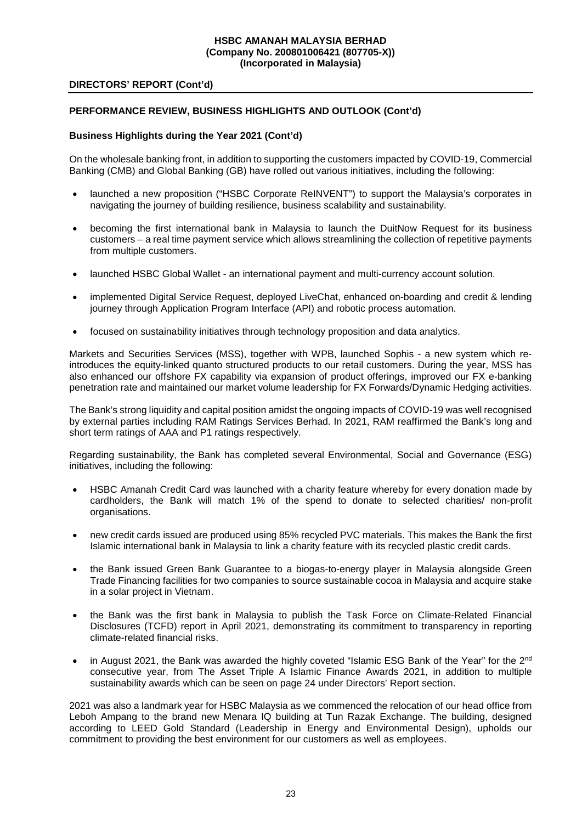## **DIRECTORS' REPORT (Cont'd)**

## **PERFORMANCE REVIEW, BUSINESS HIGHLIGHTS AND OUTLOOK (Cont'd)**

### **Business Highlights during the Year 2021 (Cont'd)**

On the wholesale banking front, in addition to supporting the customers impacted by COVID-19, Commercial Banking (CMB) and Global Banking (GB) have rolled out various initiatives, including the following:

- launched a new proposition ("HSBC Corporate ReINVENT") to support the Malaysia's corporates in navigating the journey of building resilience, business scalability and sustainability.
- becoming the first international bank in Malaysia to launch the DuitNow Request for its business customers – a real time payment service which allows streamlining the collection of repetitive payments from multiple customers.
- launched HSBC Global Wallet an international payment and multi-currency account solution.
- implemented Digital Service Request, deployed LiveChat, enhanced on-boarding and credit & lending journey through Application Program Interface (API) and robotic process automation.
- focused on sustainability initiatives through technology proposition and data analytics.

Markets and Securities Services (MSS), together with WPB, launched Sophis - a new system which reintroduces the equity-linked quanto structured products to our retail customers. During the year, MSS has also enhanced our offshore FX capability via expansion of product offerings, improved our FX e-banking penetration rate and maintained our market volume leadership for FX Forwards/Dynamic Hedging activities.

The Bank's strong liquidity and capital position amidst the ongoing impacts of COVID-19 was well recognised by external parties including RAM Ratings Services Berhad. In 2021, RAM reaffirmed the Bank's long and short term ratings of AAA and P1 ratings respectively.

Regarding sustainability, the Bank has completed several Environmental, Social and Governance (ESG) initiatives, including the following:

- HSBC Amanah Credit Card was launched with a charity feature whereby for every donation made by cardholders, the Bank will match 1% of the spend to donate to selected charities/ non-profit organisations.
- new credit cards issued are produced using 85% recycled PVC materials. This makes the Bank the first Islamic international bank in Malaysia to link a charity feature with its recycled plastic credit cards.
- the Bank issued Green Bank Guarantee to a biogas-to-energy player in Malaysia alongside Green Trade Financing facilities for two companies to source sustainable cocoa in Malaysia and acquire stake in a solar project in Vietnam.
- the Bank was the first bank in Malaysia to publish the Task Force on Climate-Related Financial Disclosures (TCFD) report in April 2021, demonstrating its commitment to transparency in reporting climate-related financial risks.
- in August 2021, the Bank was awarded the highly coveted "Islamic ESG Bank of the Year" for the 2<sup>nd</sup> consecutive year, from The Asset Triple A Islamic Finance Awards 2021, in addition to multiple sustainability awards which can be seen on page 24 under Directors' Report section.

2021 was also a landmark year for HSBC Malaysia as we commenced the relocation of our head office from Leboh Ampang to the brand new Menara IQ building at Tun Razak Exchange. The building, designed according to LEED Gold Standard (Leadership in Energy and Environmental Design), upholds our commitment to providing the best environment for our customers as well as employees.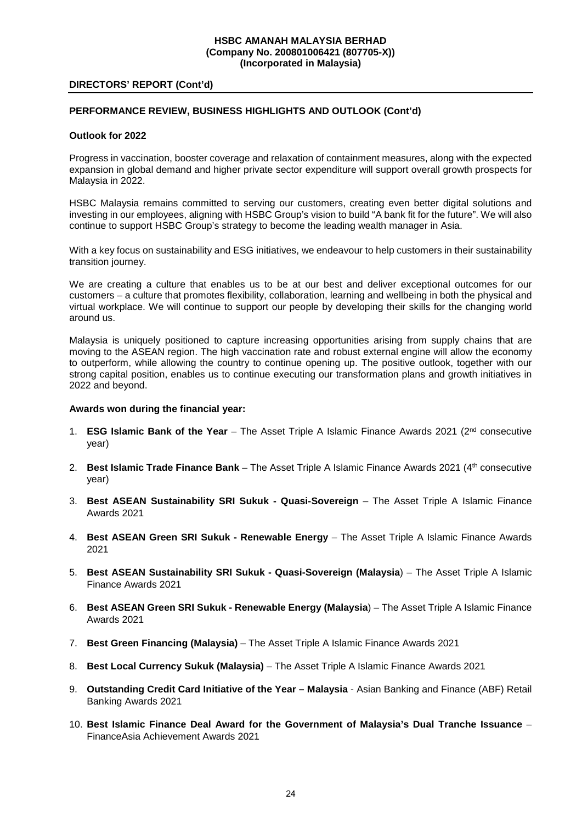#### **DIRECTORS' REPORT (Cont'd)**

## **PERFORMANCE REVIEW, BUSINESS HIGHLIGHTS AND OUTLOOK (Cont'd)**

#### **Outlook for 2022**

Progress in vaccination, booster coverage and relaxation of containment measures, along with the expected expansion in global demand and higher private sector expenditure will support overall growth prospects for Malaysia in 2022.

HSBC Malaysia remains committed to serving our customers, creating even better digital solutions and investing in our employees, aligning with HSBC Group's vision to build "A bank fit for the future". We will also continue to support HSBC Group's strategy to become the leading wealth manager in Asia.

With a key focus on sustainability and ESG initiatives, we endeavour to help customers in their sustainability transition journey.

We are creating a culture that enables us to be at our best and deliver exceptional outcomes for our customers – a culture that promotes flexibility, collaboration, learning and wellbeing in both the physical and virtual workplace. We will continue to support our people by developing their skills for the changing world around us.

Malaysia is uniquely positioned to capture increasing opportunities arising from supply chains that are moving to the ASEAN region. The high vaccination rate and robust external engine will allow the economy to outperform, while allowing the country to continue opening up. The positive outlook, together with our strong capital position, enables us to continue executing our transformation plans and growth initiatives in 2022 and beyond.

#### **Awards won during the financial year:**

- 1. **ESG Islamic Bank of the Year** The Asset Triple A Islamic Finance Awards 2021 (2nd consecutive year)
- 2. **Best Islamic Trade Finance Bank** The Asset Triple A Islamic Finance Awards 2021 (4<sup>th</sup> consecutive year)
- 3. **Best ASEAN Sustainability SRI Sukuk Quasi-Sovereign** The Asset Triple A Islamic Finance Awards 2021
- 4. **Best ASEAN Green SRI Sukuk Renewable Energy** The Asset Triple A Islamic Finance Awards 2021
- 5. **Best ASEAN Sustainability SRI Sukuk Quasi-Sovereign (Malaysia**) The Asset Triple A Islamic Finance Awards 2021
- 6. **Best ASEAN Green SRI Sukuk Renewable Energy (Malaysia**) The Asset Triple A Islamic Finance Awards 2021
- 7. **Best Green Financing (Malaysia)** The Asset Triple A Islamic Finance Awards 2021
- 8. **Best Local Currency Sukuk (Malaysia)**  The Asset Triple A Islamic Finance Awards 2021
- 9. **Outstanding Credit Card Initiative of the Year Malaysia** Asian Banking and Finance (ABF) Retail Banking Awards 2021
- 10. **Best Islamic Finance Deal Award for the Government of Malaysia's Dual Tranche Issuance** FinanceAsia Achievement Awards 2021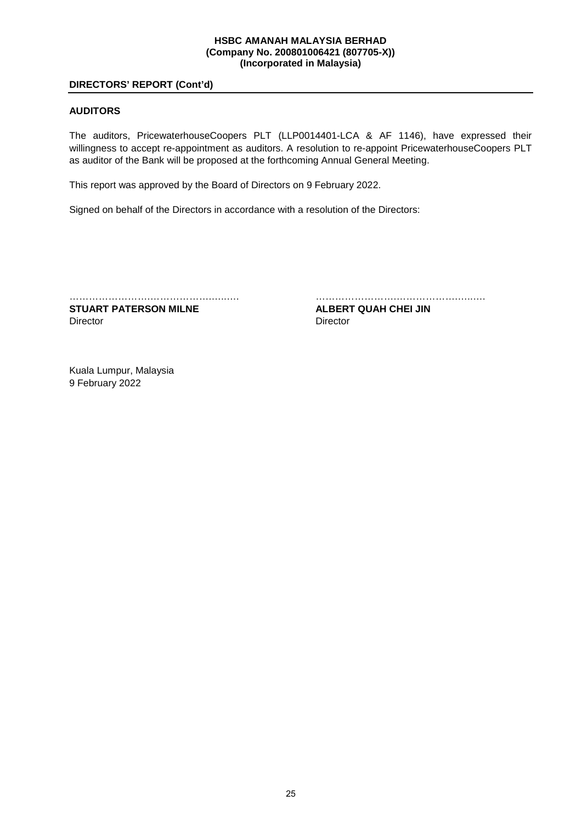### **DIRECTORS' REPORT (Cont'd)**

## **AUDITORS**

The auditors, PricewaterhouseCoopers PLT (LLP0014401-LCA & AF 1146), have expressed their willingness to accept re-appointment as auditors. A resolution to re-appoint PricewaterhouseCoopers PLT as auditor of the Bank will be proposed at the forthcoming Annual General Meeting.

This report was approved by the Board of Directors on 9 February 2022.

Signed on behalf of the Directors in accordance with a resolution of the Directors:

…………………….……………….…..…. …………………….……………….…..….

**STUART PATERSON MILNE ALBERT QUAH CHEI JIN** Director **Director** Director

Kuala Lumpur, Malaysia 9 February 2022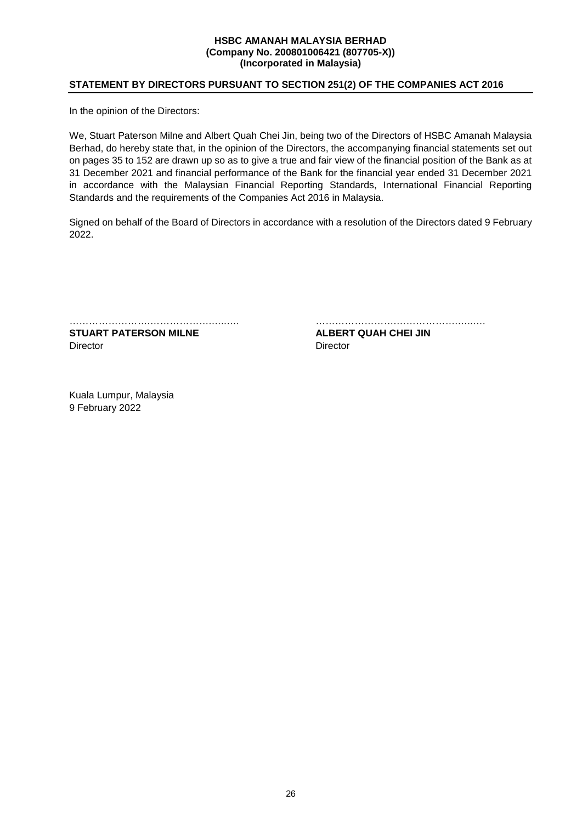## **STATEMENT BY DIRECTORS PURSUANT TO SECTION 251(2) OF THE COMPANIES ACT 2016**

In the opinion of the Directors:

We, Stuart Paterson Milne and Albert Quah Chei Jin, being two of the Directors of HSBC Amanah Malaysia Berhad, do hereby state that, in the opinion of the Directors, the accompanying financial statements set out on pages 35 to 152 are drawn up so as to give a true and fair view of the financial position of the Bank as at 31 December 2021 and financial performance of the Bank for the financial year ended 31 December 2021 in accordance with the Malaysian Financial Reporting Standards, International Financial Reporting Standards and the requirements of the Companies Act 2016 in Malaysia.

Signed on behalf of the Board of Directors in accordance with a resolution of the Directors dated 9 February 2022.

…………………….……………….…..…. …………………….……………….…..…. **STUART PATERSON MILNE ALBERT QUAH CHEI JIN** 

Director **Director** Director

Kuala Lumpur, Malaysia 9 February 2022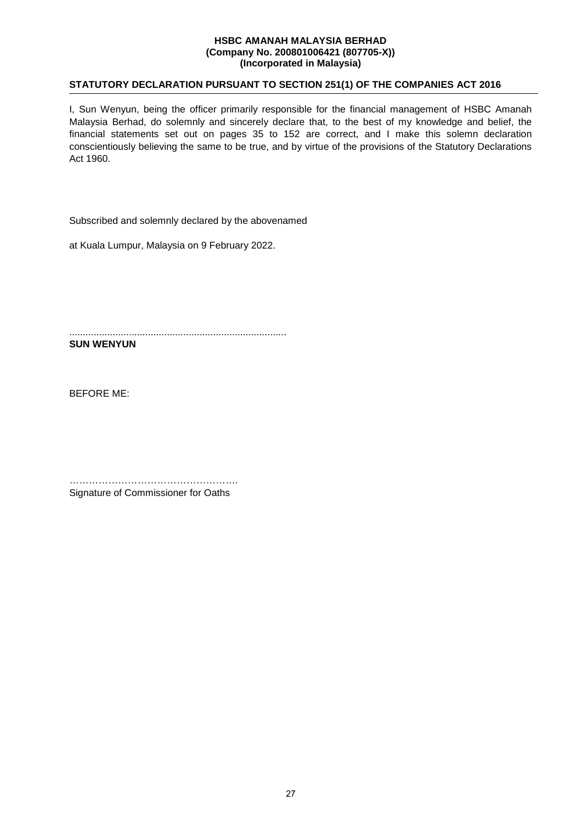## **STATUTORY DECLARATION PURSUANT TO SECTION 251(1) OF THE COMPANIES ACT 2016**

I, Sun Wenyun, being the officer primarily responsible for the financial management of HSBC Amanah Malaysia Berhad, do solemnly and sincerely declare that, to the best of my knowledge and belief, the financial statements set out on pages 35 to 152 are correct, and I make this solemn declaration conscientiously believing the same to be true, and by virtue of the provisions of the Statutory Declarations Act 1960.

Subscribed and solemnly declared by the abovenamed

at Kuala Lumpur, Malaysia on 9 February 2022.

................................................................................ **SUN WENYUN** 

BEFORE ME:

……………………………………………. Signature of Commissioner for Oaths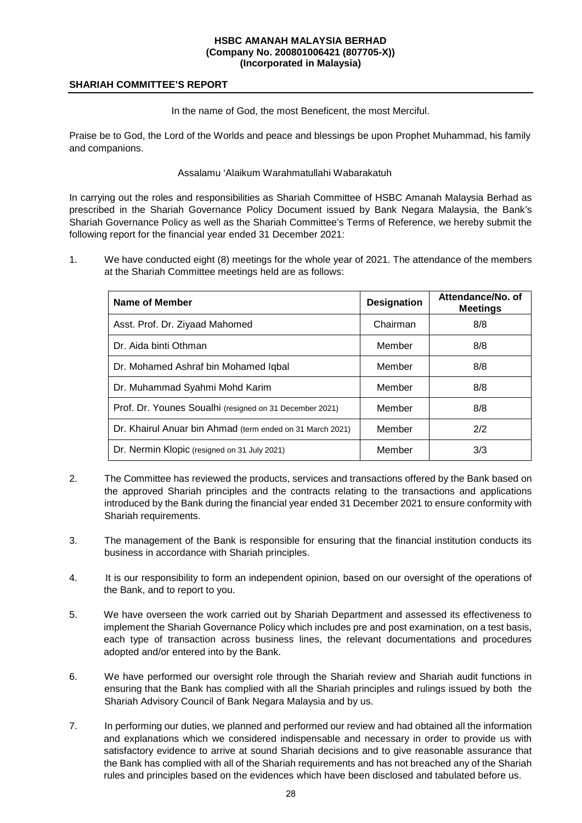### **SHARIAH COMMITTEE'S REPORT**

In the name of God, the most Beneficent, the most Merciful.

Praise be to God, the Lord of the Worlds and peace and blessings be upon Prophet Muhammad, his family and companions.

Assalamu 'Alaikum Warahmatullahi Wabarakatuh

In carrying out the roles and responsibilities as Shariah Committee of HSBC Amanah Malaysia Berhad as prescribed in the Shariah Governance Policy Document issued by Bank Negara Malaysia, the Bank's Shariah Governance Policy as well as the Shariah Committee's Terms of Reference, we hereby submit the following report for the financial year ended 31 December 2021:

1. We have conducted eight (8) meetings for the whole year of 2021. The attendance of the members at the Shariah Committee meetings held are as follows:

| Name of Member                                            | <b>Designation</b> | Attendance/No. of<br><b>Meetings</b> |
|-----------------------------------------------------------|--------------------|--------------------------------------|
| Asst. Prof. Dr. Ziyaad Mahomed                            | Chairman           | 8/8                                  |
| Dr. Aida binti Othman                                     | Member             | 8/8                                  |
| Dr. Mohamed Ashraf bin Mohamed Iqbal                      | Member             | 8/8                                  |
| Dr. Muhammad Syahmi Mohd Karim                            | Member             | 8/8                                  |
| Prof. Dr. Younes Soualhi (resigned on 31 December 2021)   | Member             | 8/8                                  |
| Dr. Khairul Anuar bin Ahmad (term ended on 31 March 2021) | Member             | 2/2                                  |
| Dr. Nermin Klopic (resigned on 31 July 2021)              | Member             | 3/3                                  |

- 2. The Committee has reviewed the products, services and transactions offered by the Bank based on the approved Shariah principles and the contracts relating to the transactions and applications introduced by the Bank during the financial year ended 31 December 2021 to ensure conformity with Shariah requirements.
- 3. The management of the Bank is responsible for ensuring that the financial institution conducts its business in accordance with Shariah principles.
- 4. It is our responsibility to form an independent opinion, based on our oversight of the operations of the Bank, and to report to you.
- 5. We have overseen the work carried out by Shariah Department and assessed its effectiveness to implement the Shariah Governance Policy which includes pre and post examination, on a test basis, each type of transaction across business lines, the relevant documentations and procedures adopted and/or entered into by the Bank.
- 6. We have performed our oversight role through the Shariah review and Shariah audit functions in ensuring that the Bank has complied with all the Shariah principles and rulings issued by both the Shariah Advisory Council of Bank Negara Malaysia and by us.
- 7. In performing our duties, we planned and performed our review and had obtained all the information and explanations which we considered indispensable and necessary in order to provide us with satisfactory evidence to arrive at sound Shariah decisions and to give reasonable assurance that the Bank has complied with all of the Shariah requirements and has not breached any of the Shariah rules and principles based on the evidences which have been disclosed and tabulated before us.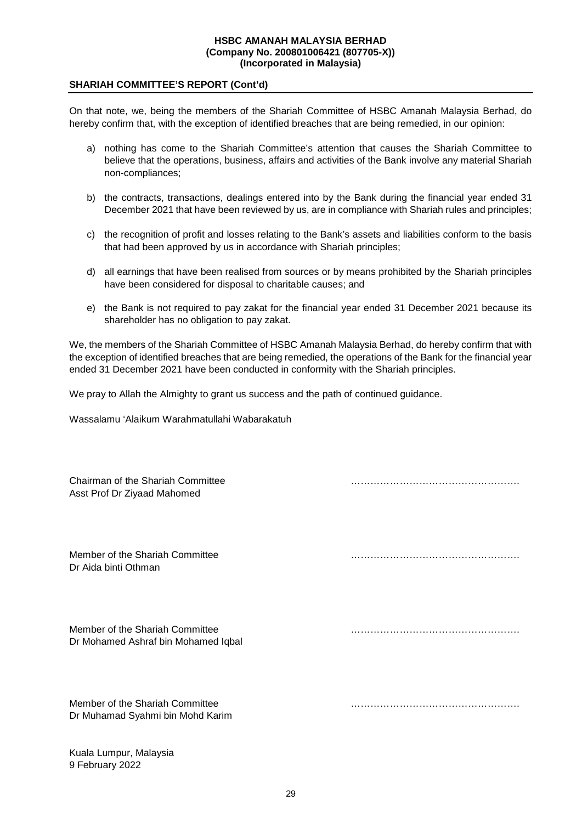### **SHARIAH COMMITTEE'S REPORT (Cont'd)**

On that note, we, being the members of the Shariah Committee of HSBC Amanah Malaysia Berhad, do hereby confirm that, with the exception of identified breaches that are being remedied, in our opinion:

- a) nothing has come to the Shariah Committee's attention that causes the Shariah Committee to believe that the operations, business, affairs and activities of the Bank involve any material Shariah non-compliances;
- b) the contracts, transactions, dealings entered into by the Bank during the financial year ended 31 December 2021 that have been reviewed by us, are in compliance with Shariah rules and principles;
- c) the recognition of profit and losses relating to the Bank's assets and liabilities conform to the basis that had been approved by us in accordance with Shariah principles;
- d) all earnings that have been realised from sources or by means prohibited by the Shariah principles have been considered for disposal to charitable causes; and
- e) the Bank is not required to pay zakat for the financial year ended 31 December 2021 because its shareholder has no obligation to pay zakat.

We, the members of the Shariah Committee of HSBC Amanah Malaysia Berhad, do hereby confirm that with the exception of identified breaches that are being remedied, the operations of the Bank for the financial year ended 31 December 2021 have been conducted in conformity with the Shariah principles.

We pray to Allah the Almighty to grant us success and the path of continued guidance.

Wassalamu 'Alaikum Warahmatullahi Wabarakatuh

| Chairman of the Shariah Committee<br>Asst Prof Dr Ziyaad Mahomed       |  |
|------------------------------------------------------------------------|--|
| Member of the Shariah Committee<br>Dr Aida binti Othman                |  |
| Member of the Shariah Committee<br>Dr Mohamed Ashraf bin Mohamed Iqbal |  |
| Member of the Shariah Committee<br>Dr Muhamad Syahmi bin Mohd Karim    |  |

Kuala Lumpur, Malaysia 9 February 2022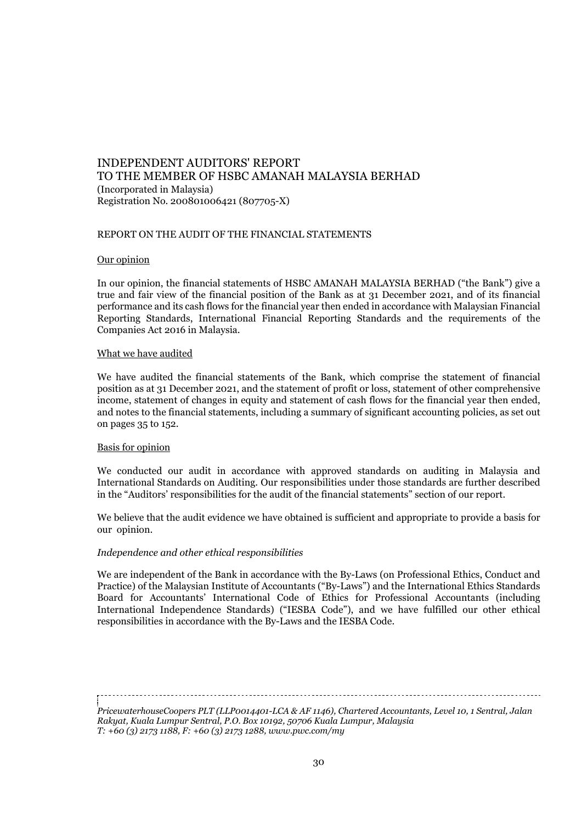## REPORT ON THE AUDIT OF THE FINANCIAL STATEMENTS

#### Our opinion

In our opinion, the financial statements of HSBC AMANAH MALAYSIA BERHAD ("the Bank") give a true and fair view of the financial position of the Bank as at 31 December 2021, and of its financial performance and its cash flows for the financial year then ended in accordance with Malaysian Financial Reporting Standards, International Financial Reporting Standards and the requirements of the Companies Act 2016 in Malaysia.

#### What we have audited

We have audited the financial statements of the Bank, which comprise the statement of financial position as at 31 December 2021, and the statement of profit or loss, statement of other comprehensive income, statement of changes in equity and statement of cash flows for the financial year then ended, and notes to the financial statements, including a summary of significant accounting policies, as set out on pages 35 to 152.

### Basis for opinion

We conducted our audit in accordance with approved standards on auditing in Malaysia and International Standards on Auditing. Our responsibilities under those standards are further described in the "Auditors' responsibilities for the audit of the financial statements" section of our report.

We believe that the audit evidence we have obtained is sufficient and appropriate to provide a basis for our opinion.

#### *Independence and other ethical responsibilities*

We are independent of the Bank in accordance with the By-Laws (on Professional Ethics, Conduct and Practice) of the Malaysian Institute of Accountants ("By-Laws") and the International Ethics Standards Board for Accountants' International Code of Ethics for Professional Accountants (including International Independence Standards) ("IESBA Code"), and we have fulfilled our other ethical responsibilities in accordance with the By-Laws and the IESBA Code.

*PricewaterhouseCoopers PLT (LLP0014401-LCA & AF 1146), Chartered Accountants, Level 10, 1 Sentral, Jalan Rakyat, Kuala Lumpur Sentral, P.O. Box 10192, 50706 Kuala Lumpur, Malaysia T: +60 (3) 2173 1188, F: +60 (3) 2173 1288, www.pwc.com/my*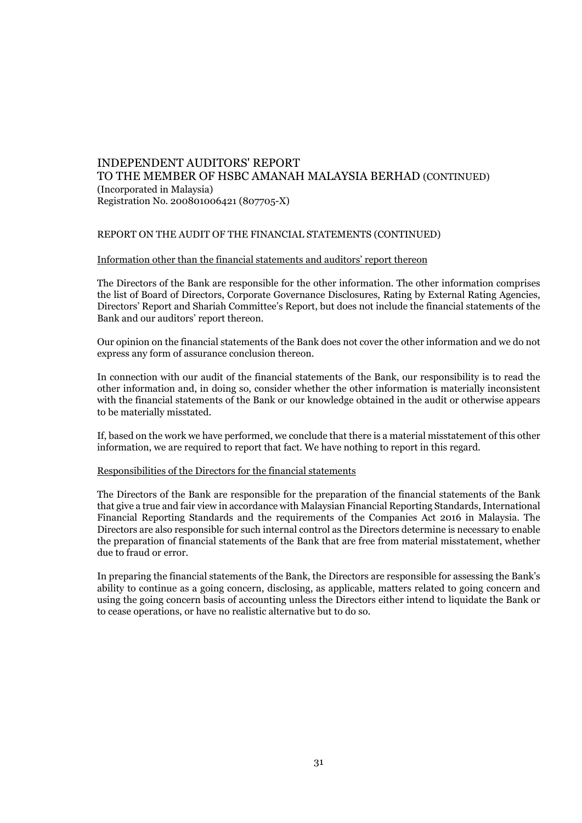#### REPORT ON THE AUDIT OF THE FINANCIAL STATEMENTS (CONTINUED)

#### Information other than the financial statements and auditors' report thereon

The Directors of the Bank are responsible for the other information. The other information comprises the list of Board of Directors, Corporate Governance Disclosures, Rating by External Rating Agencies, Directors' Report and Shariah Committee's Report, but does not include the financial statements of the Bank and our auditors' report thereon.

Our opinion on the financial statements of the Bank does not cover the other information and we do not express any form of assurance conclusion thereon.

In connection with our audit of the financial statements of the Bank, our responsibility is to read the other information and, in doing so, consider whether the other information is materially inconsistent with the financial statements of the Bank or our knowledge obtained in the audit or otherwise appears to be materially misstated.

If, based on the work we have performed, we conclude that there is a material misstatement of this other information, we are required to report that fact. We have nothing to report in this regard.

#### Responsibilities of the Directors for the financial statements

The Directors of the Bank are responsible for the preparation of the financial statements of the Bank that give a true and fair view in accordance with Malaysian Financial Reporting Standards, International Financial Reporting Standards and the requirements of the Companies Act 2016 in Malaysia. The Directors are also responsible for such internal control as the Directors determine is necessary to enable the preparation of financial statements of the Bank that are free from material misstatement, whether due to fraud or error.

In preparing the financial statements of the Bank, the Directors are responsible for assessing the Bank's ability to continue as a going concern, disclosing, as applicable, matters related to going concern and using the going concern basis of accounting unless the Directors either intend to liquidate the Bank or to cease operations, or have no realistic alternative but to do so.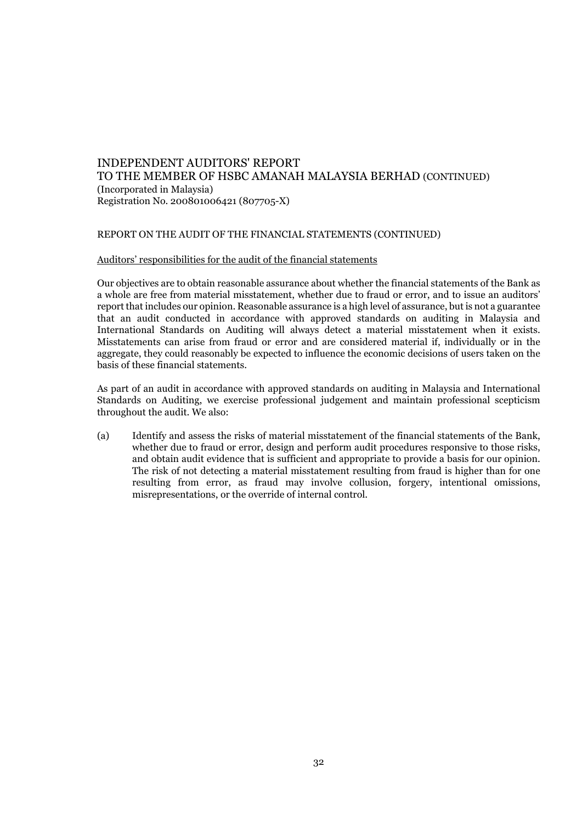#### REPORT ON THE AUDIT OF THE FINANCIAL STATEMENTS (CONTINUED)

#### Auditors' responsibilities for the audit of the financial statements

Our objectives are to obtain reasonable assurance about whether the financial statements of the Bank as a whole are free from material misstatement, whether due to fraud or error, and to issue an auditors' report that includes our opinion. Reasonable assurance is a high level of assurance, but is not a guarantee that an audit conducted in accordance with approved standards on auditing in Malaysia and International Standards on Auditing will always detect a material misstatement when it exists. Misstatements can arise from fraud or error and are considered material if, individually or in the aggregate, they could reasonably be expected to influence the economic decisions of users taken on the basis of these financial statements.

As part of an audit in accordance with approved standards on auditing in Malaysia and International Standards on Auditing, we exercise professional judgement and maintain professional scepticism throughout the audit. We also:

(a) Identify and assess the risks of material misstatement of the financial statements of the Bank, whether due to fraud or error, design and perform audit procedures responsive to those risks, and obtain audit evidence that is sufficient and appropriate to provide a basis for our opinion. The risk of not detecting a material misstatement resulting from fraud is higher than for one resulting from error, as fraud may involve collusion, forgery, intentional omissions, misrepresentations, or the override of internal control.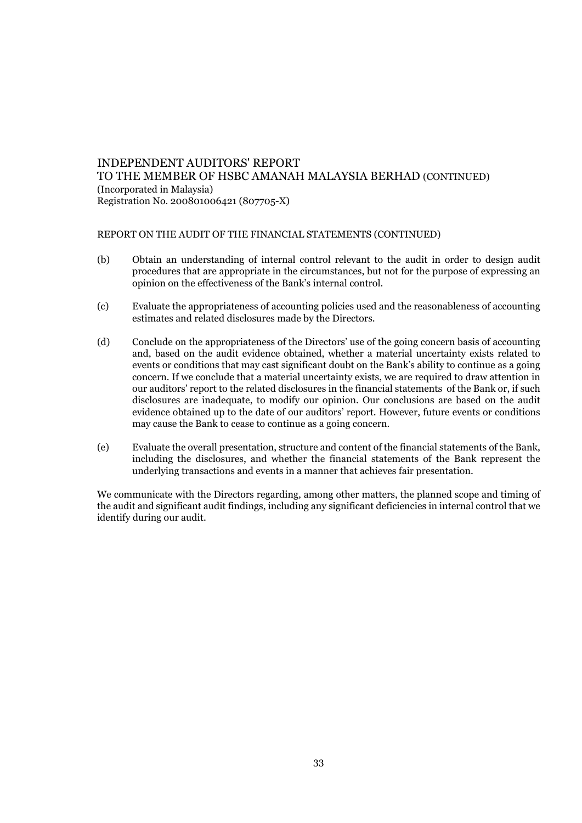#### REPORT ON THE AUDIT OF THE FINANCIAL STATEMENTS (CONTINUED)

- (b) Obtain an understanding of internal control relevant to the audit in order to design audit procedures that are appropriate in the circumstances, but not for the purpose of expressing an opinion on the effectiveness of the Bank's internal control.
- (c) Evaluate the appropriateness of accounting policies used and the reasonableness of accounting estimates and related disclosures made by the Directors.
- (d) Conclude on the appropriateness of the Directors' use of the going concern basis of accounting and, based on the audit evidence obtained, whether a material uncertainty exists related to events or conditions that may cast significant doubt on the Bank's ability to continue as a going concern. If we conclude that a material uncertainty exists, we are required to draw attention in our auditors' report to the related disclosures in the financial statements of the Bank or, if such disclosures are inadequate, to modify our opinion. Our conclusions are based on the audit evidence obtained up to the date of our auditors' report. However, future events or conditions may cause the Bank to cease to continue as a going concern.
- (e) Evaluate the overall presentation, structure and content of the financial statements of the Bank, including the disclosures, and whether the financial statements of the Bank represent the underlying transactions and events in a manner that achieves fair presentation.

We communicate with the Directors regarding, among other matters, the planned scope and timing of the audit and significant audit findings, including any significant deficiencies in internal control that we identify during our audit.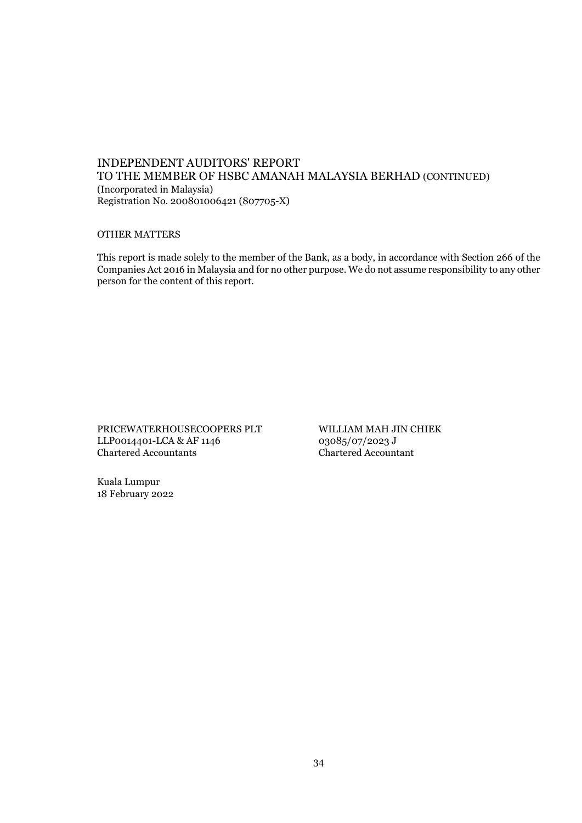## OTHER MATTERS

This report is made solely to the member of the Bank, as a body, in accordance with Section 266 of the Companies Act 2016 in Malaysia and for no other purpose. We do not assume responsibility to any other person for the content of this report.

PRICEWATERHOUSECOOPERS PLT WILLIAM MAH JIN CHIEK LLP0014401-LCA & AF 1146  $03085/07/2023$  J<br>Chartered Accountants Chartered Accountant Chartered Accountants Chartered Accountant

Kuala Lumpur 18 February 2022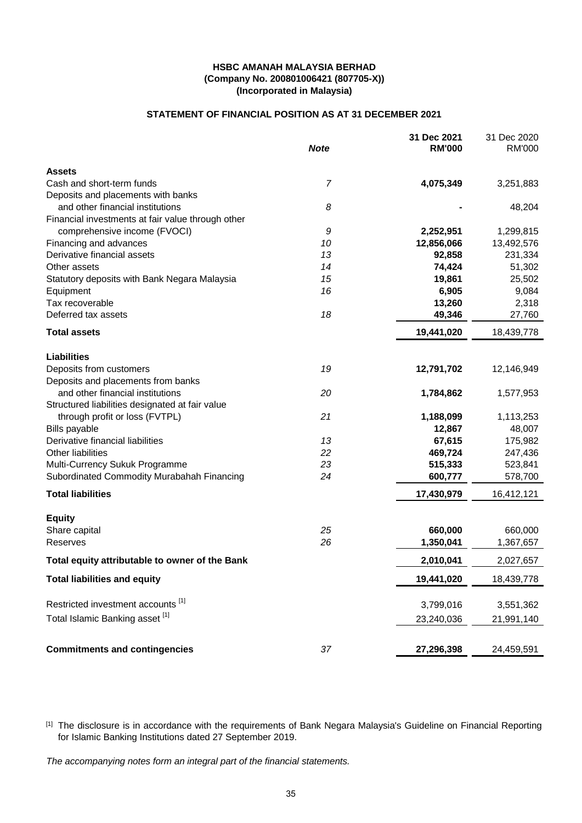# **STATEMENT OF FINANCIAL POSITION AS AT 31 DECEMBER 2021**

|                                                   | <b>Note</b>    | 31 Dec 2021<br><b>RM'000</b> | 31 Dec 2020<br>RM'000 |
|---------------------------------------------------|----------------|------------------------------|-----------------------|
| <b>Assets</b>                                     |                |                              |                       |
| Cash and short-term funds                         | $\overline{7}$ | 4,075,349                    | 3,251,883             |
| Deposits and placements with banks                |                |                              |                       |
| and other financial institutions                  | 8              |                              | 48,204                |
| Financial investments at fair value through other |                |                              |                       |
| comprehensive income (FVOCI)                      | 9              | 2,252,951                    | 1,299,815             |
| Financing and advances                            | 10             | 12,856,066                   | 13,492,576            |
| Derivative financial assets                       | 13             | 92,858                       | 231,334               |
| Other assets                                      | 14             | 74,424                       | 51,302                |
| Statutory deposits with Bank Negara Malaysia      | 15             | 19,861                       | 25,502                |
| Equipment                                         | 16             | 6,905                        | 9,084                 |
| Tax recoverable                                   |                | 13,260                       | 2,318                 |
| Deferred tax assets                               | 18             | 49,346                       | 27,760                |
| <b>Total assets</b>                               |                | 19,441,020                   | 18,439,778            |
| <b>Liabilities</b>                                |                |                              |                       |
| Deposits from customers                           | 19             | 12,791,702                   | 12,146,949            |
| Deposits and placements from banks                |                |                              |                       |
| and other financial institutions                  | 20             | 1,784,862                    | 1,577,953             |
| Structured liabilities designated at fair value   |                |                              |                       |
| through profit or loss (FVTPL)                    | 21             | 1,188,099                    | 1,113,253             |
| Bills payable                                     |                | 12,867                       | 48,007                |
| Derivative financial liabilities                  | 13             | 67,615                       | 175,982               |
| Other liabilities                                 | 22             | 469,724                      | 247,436               |
| Multi-Currency Sukuk Programme                    | 23             | 515,333                      | 523,841               |
| Subordinated Commodity Murabahah Financing        | 24             | 600,777                      | 578,700               |
| <b>Total liabilities</b>                          |                | 17,430,979                   | 16,412,121            |
| <b>Equity</b>                                     |                |                              |                       |
| Share capital                                     | 25             | 660,000                      | 660,000               |
| Reserves                                          | 26             | 1,350,041                    | 1,367,657             |
| Total equity attributable to owner of the Bank    |                | 2,010,041                    | 2,027,657             |
| <b>Total liabilities and equity</b>               |                | 19,441,020                   | 18,439,778            |
| Restricted investment accounts [1]                |                | 3,799,016                    | 3,551,362             |
| Total Islamic Banking asset [1]                   |                | 23,240,036                   | 21,991,140            |
| <b>Commitments and contingencies</b>              | 37             | 27,296,398                   | 24,459,591            |

<sup>[1]</sup> The disclosure is in accordance with the requirements of Bank Negara Malaysia's Guideline on Financial Reporting for Islamic Banking Institutions dated 27 September 2019.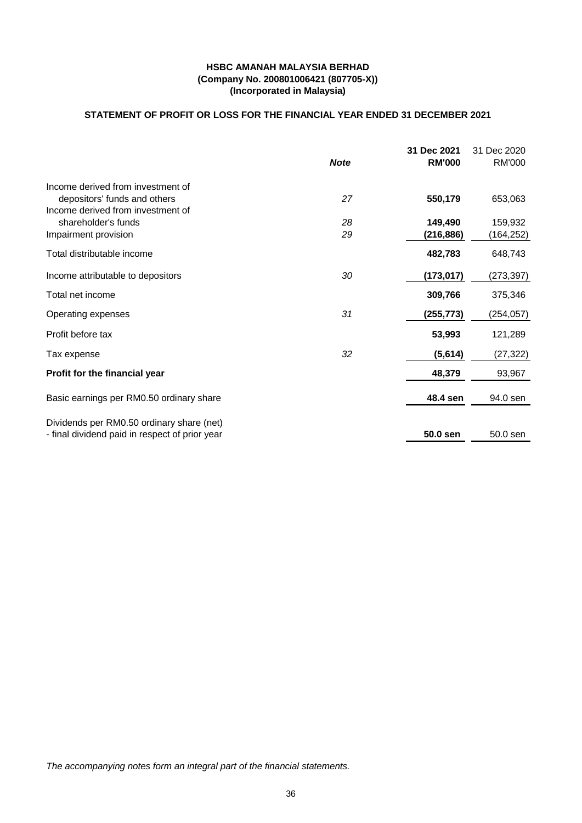# **STATEMENT OF PROFIT OR LOSS FOR THE FINANCIAL YEAR ENDED 31 DECEMBER 2021**

|                                                |             | 31 Dec 2021   | 31 Dec 2020 |
|------------------------------------------------|-------------|---------------|-------------|
|                                                | <b>Note</b> | <b>RM'000</b> | RM'000      |
| Income derived from investment of              |             |               |             |
| depositors' funds and others                   | 27          | 550,179       | 653,063     |
| Income derived from investment of              |             |               |             |
| shareholder's funds                            | 28          | 149,490       | 159,932     |
| Impairment provision                           | 29          | (216,886)     | (164,252)   |
| Total distributable income                     |             | 482,783       | 648,743     |
| Income attributable to depositors              | 30          | (173, 017)    | (273, 397)  |
| Total net income                               |             | 309,766       | 375,346     |
| Operating expenses                             | 31          | (255,773)     | (254, 057)  |
| Profit before tax                              |             | 53,993        | 121,289     |
| Tax expense                                    | 32          | (5,614)       | (27, 322)   |
| Profit for the financial year                  |             | 48,379        | 93,967      |
| Basic earnings per RM0.50 ordinary share       |             | 48.4 sen      | 94.0 sen    |
|                                                |             |               |             |
| Dividends per RM0.50 ordinary share (net)      |             |               |             |
| - final dividend paid in respect of prior year |             | 50.0 sen      | 50.0 sen    |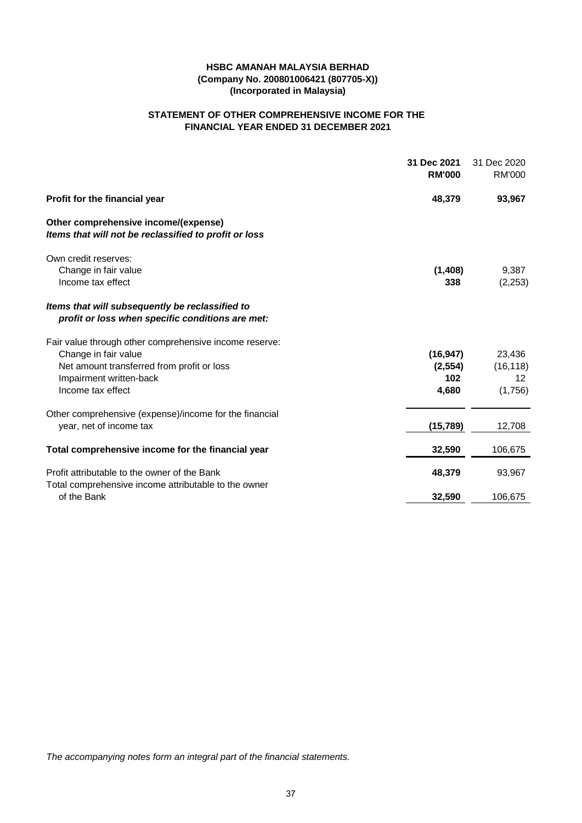# **FINANCIAL YEAR ENDED 31 DECEMBER 2021 STATEMENT OF OTHER COMPREHENSIVE INCOME FOR THE**

|                                                                                                     | 31 Dec 2021<br><b>RM'000</b> | 31 Dec 2020<br>RM'000 |
|-----------------------------------------------------------------------------------------------------|------------------------------|-----------------------|
| Profit for the financial year                                                                       | 48,379                       | 93,967                |
| Other comprehensive income/(expense)<br>Items that will not be reclassified to profit or loss       |                              |                       |
| Own credit reserves:                                                                                |                              |                       |
| Change in fair value<br>Income tax effect                                                           | (1, 408)<br>338              | 9,387<br>(2, 253)     |
|                                                                                                     |                              |                       |
| Items that will subsequently be reclassified to<br>profit or loss when specific conditions are met: |                              |                       |
| Fair value through other comprehensive income reserve:                                              |                              |                       |
| Change in fair value                                                                                | (16, 947)                    | 23,436                |
| Net amount transferred from profit or loss<br>Impairment written-back                               | (2, 554)<br>102              | (16, 118)<br>12       |
| Income tax effect                                                                                   | 4,680                        | (1,756)               |
| Other comprehensive (expense)/income for the financial                                              |                              |                       |
| year, net of income tax                                                                             | (15, 789)                    | 12,708                |
| Total comprehensive income for the financial year                                                   | 32,590                       | 106,675               |
| Profit attributable to the owner of the Bank                                                        | 48,379                       | 93,967                |
| Total comprehensive income attributable to the owner<br>of the Bank                                 | 32,590                       | 106,675               |
|                                                                                                     |                              |                       |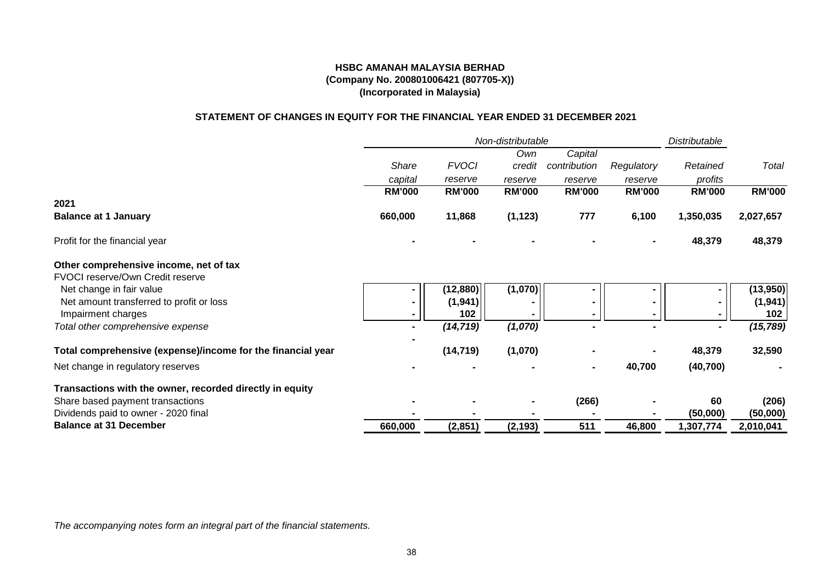# **STATEMENT OF CHANGES IN EQUITY FOR THE FINANCIAL YEAR ENDED 31 DECEMBER 2021**

|                                                             |               |               | Non-distributable |               |               | Distributable            |               |
|-------------------------------------------------------------|---------------|---------------|-------------------|---------------|---------------|--------------------------|---------------|
|                                                             |               |               | Own               | Capital       |               |                          |               |
|                                                             | Share         | <b>FVOCI</b>  | credit            | contribution  | Regulatory    | Retained                 | Total         |
|                                                             | capital       | reserve       | reserve           | reserve       | reserve       | profits                  |               |
|                                                             | <b>RM'000</b> | <b>RM'000</b> | <b>RM'000</b>     | <b>RM'000</b> | <b>RM'000</b> | <b>RM'000</b>            | <b>RM'000</b> |
| 2021                                                        |               |               |                   |               |               |                          |               |
| <b>Balance at 1 January</b>                                 | 660,000       | 11,868        | (1, 123)          | 777           | 6,100         | 1,350,035                | 2,027,657     |
| Profit for the financial year                               |               |               |                   |               |               | 48,379                   | 48,379        |
| Other comprehensive income, net of tax                      |               |               |                   |               |               |                          |               |
| FVOCI reserve/Own Credit reserve                            |               |               |                   |               |               |                          |               |
| Net change in fair value                                    |               | (12, 880)     | (1,070)           |               |               | $\blacksquare$           | (13,950)      |
| Net amount transferred to profit or loss                    |               | (1, 941)      |                   |               |               | $\blacksquare$           | (1, 941)      |
| Impairment charges                                          |               | 102           |                   |               |               |                          | 102           |
| Total other comprehensive expense                           |               | (14, 719)     | (1,070)           |               |               | $\overline{\phantom{a}}$ | (15, 789)     |
|                                                             |               |               |                   |               |               |                          |               |
| Total comprehensive (expense)/income for the financial year |               | (14, 719)     | (1,070)           |               |               | 48,379                   | 32,590        |
| Net change in regulatory reserves                           |               |               |                   |               | 40,700        | (40, 700)                |               |
| Transactions with the owner, recorded directly in equity    |               |               |                   |               |               |                          |               |
| Share based payment transactions                            |               |               |                   | (266)         |               | 60                       | (206)         |
| Dividends paid to owner - 2020 final                        |               |               |                   |               |               | (50,000)                 | (50,000)      |
| <b>Balance at 31 December</b>                               | 660,000       | (2,851)       | (2, 193)          | 511           | 46,800        | 1,307,774                | 2,010,041     |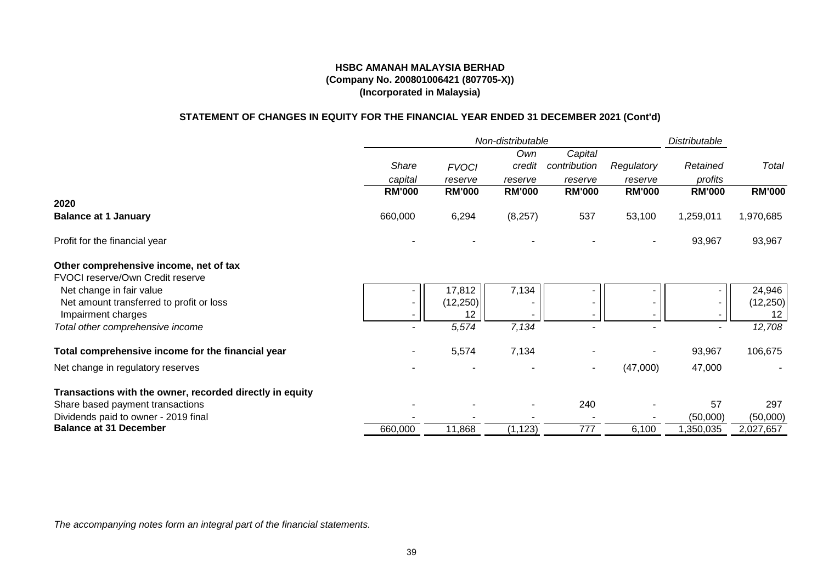# **(Company No. 200801006421 (807705-X)) (Incorporated in Malaysia) HSBC AMANAH MALAYSIA BERHAD**

# **STATEMENT OF CHANGES IN EQUITY FOR THE FINANCIAL YEAR ENDED 31 DECEMBER 2021 (Cont'd)**

|                                                          |               |               | Non-distributable |                          |               | Distributable |               |
|----------------------------------------------------------|---------------|---------------|-------------------|--------------------------|---------------|---------------|---------------|
|                                                          |               |               | Own               | Capital                  |               |               |               |
|                                                          | Share         | <b>FVOCI</b>  | credit            | contribution             | Regulatory    | Retained      | Total         |
|                                                          | capital       | reserve       | reserve           | reserve                  | reserve       | profits       |               |
|                                                          | <b>RM'000</b> | <b>RM'000</b> | <b>RM'000</b>     | <b>RM'000</b>            | <b>RM'000</b> | <b>RM'000</b> | <b>RM'000</b> |
| 2020                                                     |               |               |                   |                          |               |               |               |
| <b>Balance at 1 January</b>                              | 660,000       | 6,294         | (8, 257)          | 537                      | 53,100        | 1,259,011     | 1,970,685     |
| Profit for the financial year                            |               |               |                   |                          |               | 93,967        | 93,967        |
| Other comprehensive income, net of tax                   |               |               |                   |                          |               |               |               |
| FVOCI reserve/Own Credit reserve                         |               |               |                   |                          |               |               |               |
| Net change in fair value                                 |               | 17,812        | 7,134             |                          |               | ۰.            | 24,946        |
| Net amount transferred to profit or loss                 | ۰.            | (12, 250)     |                   | $\overline{\phantom{a}}$ |               | $\sim$        | (12, 250)     |
| Impairment charges                                       | ۰.            | 12            |                   |                          |               | н.            | 12            |
| Total other comprehensive income                         |               | 5,574         | 7,134             |                          |               |               | 12,708        |
| Total comprehensive income for the financial year        |               | 5,574         | 7,134             |                          |               | 93,967        | 106,675       |
| Net change in regulatory reserves                        |               |               |                   |                          | (47,000)      | 47,000        |               |
| Transactions with the owner, recorded directly in equity |               |               |                   |                          |               |               |               |
| Share based payment transactions                         |               |               |                   | 240                      |               | 57            | 297           |
| Dividends paid to owner - 2019 final                     |               |               |                   |                          |               | (50,000)      | (50,000)      |
| <b>Balance at 31 December</b>                            | 660,000       | 11,868        | (1, 123)          | 777                      | 6,100         | 1,350,035     | 2,027,657     |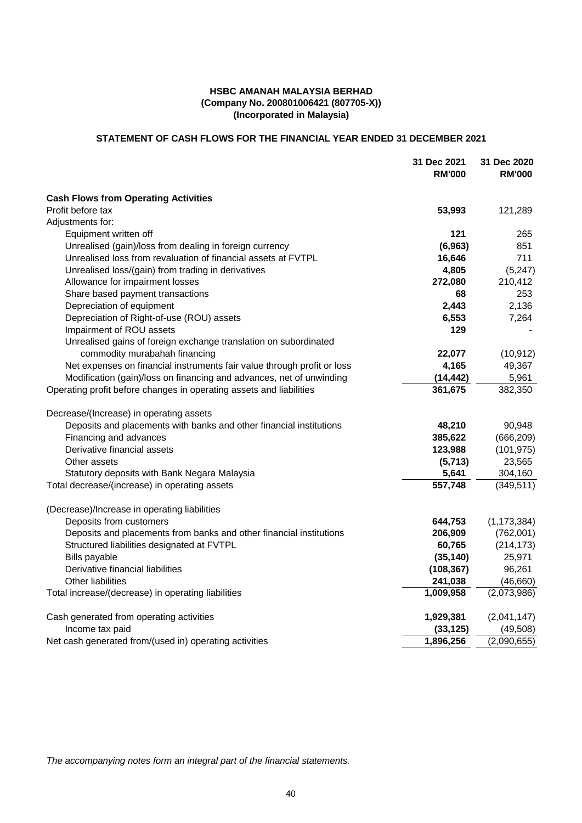# **(Incorporated in Malaysia) (Company No. 200801006421 (807705-X)) HSBC AMANAH MALAYSIA BERHAD**

# **STATEMENT OF CASH FLOWS FOR THE FINANCIAL YEAR ENDED 31 DECEMBER 2021**

|                                                                         | 31 Dec 2021<br><b>RM'000</b> | 31 Dec 2020<br><b>RM'000</b> |
|-------------------------------------------------------------------------|------------------------------|------------------------------|
|                                                                         |                              |                              |
| <b>Cash Flows from Operating Activities</b>                             |                              |                              |
| Profit before tax                                                       | 53,993                       | 121,289                      |
| Adjustments for:                                                        |                              |                              |
| Equipment written off                                                   | 121                          | 265                          |
| Unrealised (gain)/loss from dealing in foreign currency                 | (6, 963)                     | 851                          |
| Unrealised loss from revaluation of financial assets at FVTPL           | 16,646                       | 711                          |
| Unrealised loss/(gain) from trading in derivatives                      | 4,805                        | (5, 247)                     |
| Allowance for impairment losses                                         | 272,080                      | 210,412                      |
| Share based payment transactions                                        | 68                           | 253                          |
| Depreciation of equipment                                               | 2,443                        | 2,136                        |
| Depreciation of Right-of-use (ROU) assets                               | 6,553                        | 7,264                        |
| Impairment of ROU assets                                                | 129                          |                              |
| Unrealised gains of foreign exchange translation on subordinated        |                              |                              |
| commodity murabahah financing                                           | 22,077                       | (10, 912)                    |
| Net expenses on financial instruments fair value through profit or loss | 4,165                        | 49,367                       |
| Modification (gain)/loss on financing and advances, net of unwinding    | (14, 442)                    | 5,961                        |
| Operating profit before changes in operating assets and liabilities     | 361,675                      | 382,350                      |
| Decrease/(Increase) in operating assets                                 |                              |                              |
| Deposits and placements with banks and other financial institutions     | 48,210                       | 90,948                       |
| Financing and advances                                                  | 385,622                      | (666, 209)                   |
| Derivative financial assets                                             | 123,988                      | (101, 975)                   |
| Other assets                                                            | (5,713)                      | 23,565                       |
| Statutory deposits with Bank Negara Malaysia                            | 5,641                        | 304,160                      |
| Total decrease/(increase) in operating assets                           | 557,748                      | (349, 511)                   |
| (Decrease)/Increase in operating liabilities                            |                              |                              |
| Deposits from customers                                                 | 644,753                      | (1, 173, 384)                |
| Deposits and placements from banks and other financial institutions     | 206,909                      | (762,001)                    |
| Structured liabilities designated at FVTPL                              | 60,765                       | (214, 173)                   |
| Bills payable                                                           | (35, 140)                    | 25,971                       |
| Derivative financial liabilities                                        | (108, 367)                   | 96,261                       |
| <b>Other liabilities</b>                                                | 241,038                      | (46, 660)                    |
| Total increase/(decrease) in operating liabilities                      | 1,009,958                    | (2,073,986)                  |
| Cash generated from operating activities                                | 1,929,381                    | (2,041,147)                  |
| Income tax paid                                                         | (33, 125)                    | (49, 508)                    |
| Net cash generated from/(used in) operating activities                  | 1,896,256                    | (2,090,655)                  |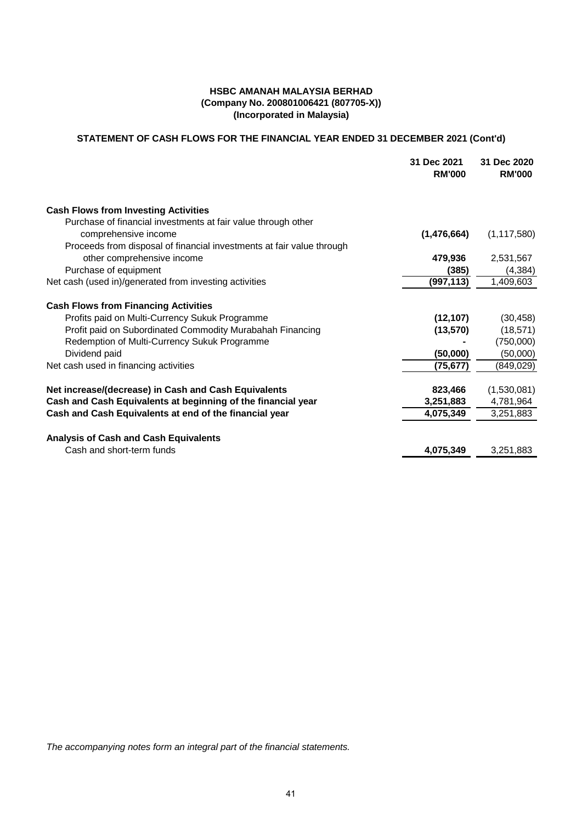# **STATEMENT OF CASH FLOWS FOR THE FINANCIAL YEAR ENDED 31 DECEMBER 2021 (Cont'd)**

|            | <b>RM'000</b> |
|------------|---------------|
|            |               |
|            |               |
|            | (1, 117, 580) |
|            |               |
| 479,936    | 2,531,567     |
| (385)      | (4, 384)      |
| (997, 113) | 1,409,603     |
|            |               |
| (12, 107)  | (30, 458)     |
| (13, 570)  | (18, 571)     |
|            | (750,000)     |
| (50,000)   | (50,000)      |
| (75,677)   | (849,029)     |
|            |               |
| 823,466    | (1,530,081)   |
| 3,251,883  | 4,781,964     |
| 4,075,349  | 3,251,883     |
|            |               |
| 4,075,349  | 3,251,883     |
|            | (1,476,664)   |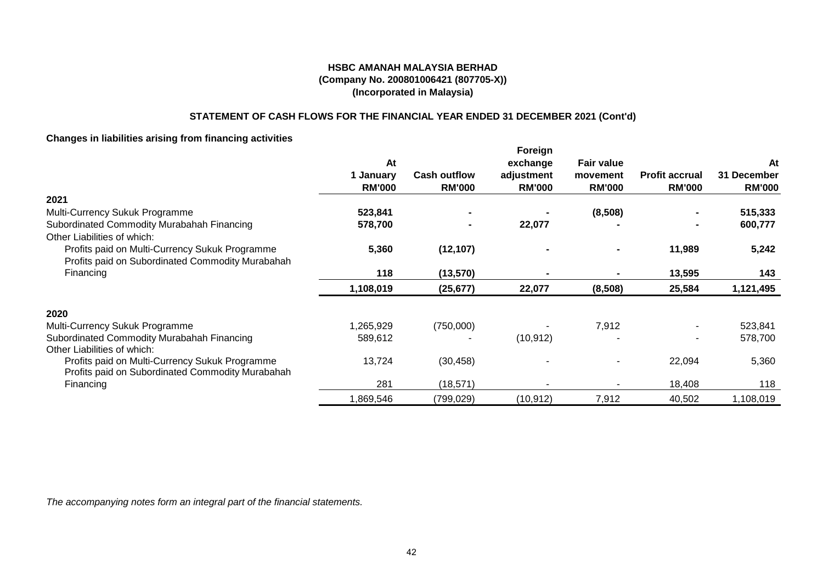# **STATEMENT OF CASH FLOWS FOR THE FINANCIAL YEAR ENDED 31 DECEMBER 2021 (Cont'd)**

# **Changes in liabilities arising from financing activities**

|                                                                                                    | At                         |                                      | Foreign                                 | <b>Fair value</b>         |                                        |                                    |
|----------------------------------------------------------------------------------------------------|----------------------------|--------------------------------------|-----------------------------------------|---------------------------|----------------------------------------|------------------------------------|
|                                                                                                    | 1 January<br><b>RM'000</b> | <b>Cash outflow</b><br><b>RM'000</b> | exchange<br>adjustment<br><b>RM'000</b> | movement<br><b>RM'000</b> | <b>Profit accrual</b><br><b>RM'000</b> | At<br>31 December<br><b>RM'000</b> |
| 2021                                                                                               |                            |                                      |                                         |                           |                                        |                                    |
| Multi-Currency Sukuk Programme                                                                     | 523,841                    |                                      |                                         | (8,508)                   |                                        | 515,333                            |
| Subordinated Commodity Murabahah Financing                                                         | 578,700                    |                                      | 22,077                                  |                           |                                        | 600,777                            |
| Other Liabilities of which:                                                                        |                            |                                      |                                         |                           |                                        |                                    |
| Profits paid on Multi-Currency Sukuk Programme                                                     | 5,360                      | (12, 107)                            |                                         |                           | 11,989                                 | 5,242                              |
| Profits paid on Subordinated Commodity Murabahah                                                   |                            |                                      |                                         |                           |                                        |                                    |
| Financing                                                                                          | 118                        | (13, 570)                            |                                         |                           | 13,595                                 | 143                                |
|                                                                                                    | 1,108,019                  | (25, 677)                            | 22,077                                  | (8,508)                   | 25,584                                 | 1,121,495                          |
| 2020                                                                                               |                            |                                      |                                         |                           |                                        |                                    |
| Multi-Currency Sukuk Programme                                                                     | 1,265,929                  | (750,000)                            |                                         | 7,912                     |                                        | 523,841                            |
| Subordinated Commodity Murabahah Financing                                                         | 589,612                    |                                      | (10, 912)                               |                           |                                        | 578,700                            |
| Other Liabilities of which:                                                                        |                            |                                      |                                         |                           |                                        |                                    |
| Profits paid on Multi-Currency Sukuk Programme<br>Profits paid on Subordinated Commodity Murabahah | 13,724                     | (30, 458)                            |                                         |                           | 22,094                                 | 5,360                              |
| Financing                                                                                          | 281                        | (18, 571)                            |                                         |                           | 18,408                                 | 118                                |
|                                                                                                    | 1,869,546                  | (799,029)                            | (10, 912)                               | 7,912                     | 40,502                                 | 1,108,019                          |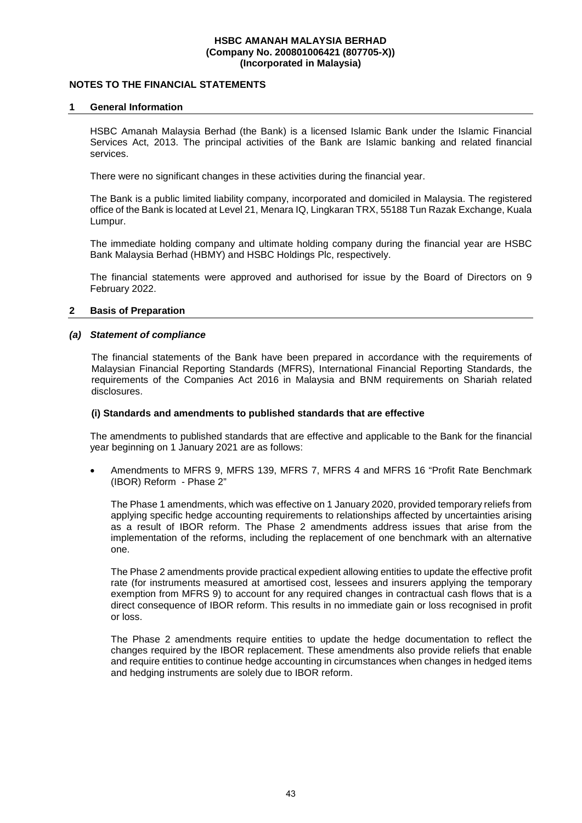## **NOTES TO THE FINANCIAL STATEMENTS**

### **1 General Information**

HSBC Amanah Malaysia Berhad (the Bank) is a licensed Islamic Bank under the Islamic Financial Services Act, 2013. The principal activities of the Bank are Islamic banking and related financial services.

There were no significant changes in these activities during the financial year.

The Bank is a public limited liability company, incorporated and domiciled in Malaysia. The registered office of the Bank is located at Level 21, Menara IQ, Lingkaran TRX, 55188 Tun Razak Exchange, Kuala Lumpur.

The immediate holding company and ultimate holding company during the financial year are HSBC Bank Malaysia Berhad (HBMY) and HSBC Holdings Plc, respectively.

The financial statements were approved and authorised for issue by the Board of Directors on 9 February 2022.

### **2 Basis of Preparation**

# *(a) Statement of compliance*

The financial statements of the Bank have been prepared in accordance with the requirements of Malaysian Financial Reporting Standards (MFRS), International Financial Reporting Standards, the requirements of the Companies Act 2016 in Malaysia and BNM requirements on Shariah related disclosures.

### **(i) Standards and amendments to published standards that are effective**

The amendments to published standards that are effective and applicable to the Bank for the financial year beginning on 1 January 2021 are as follows:

 Amendments to MFRS 9, MFRS 139, MFRS 7, MFRS 4 and MFRS 16 "Profit Rate Benchmark (IBOR) Reform - Phase 2"

 The Phase 1 amendments, which was effective on 1 January 2020, provided temporary reliefs from applying specific hedge accounting requirements to relationships affected by uncertainties arising as a result of IBOR reform. The Phase 2 amendments address issues that arise from the implementation of the reforms, including the replacement of one benchmark with an alternative one.

 The Phase 2 amendments provide practical expedient allowing entities to update the effective profit rate (for instruments measured at amortised cost, lessees and insurers applying the temporary exemption from MFRS 9) to account for any required changes in contractual cash flows that is a direct consequence of IBOR reform. This results in no immediate gain or loss recognised in profit or loss.

 The Phase 2 amendments require entities to update the hedge documentation to reflect the changes required by the IBOR replacement. These amendments also provide reliefs that enable and require entities to continue hedge accounting in circumstances when changes in hedged items and hedging instruments are solely due to IBOR reform.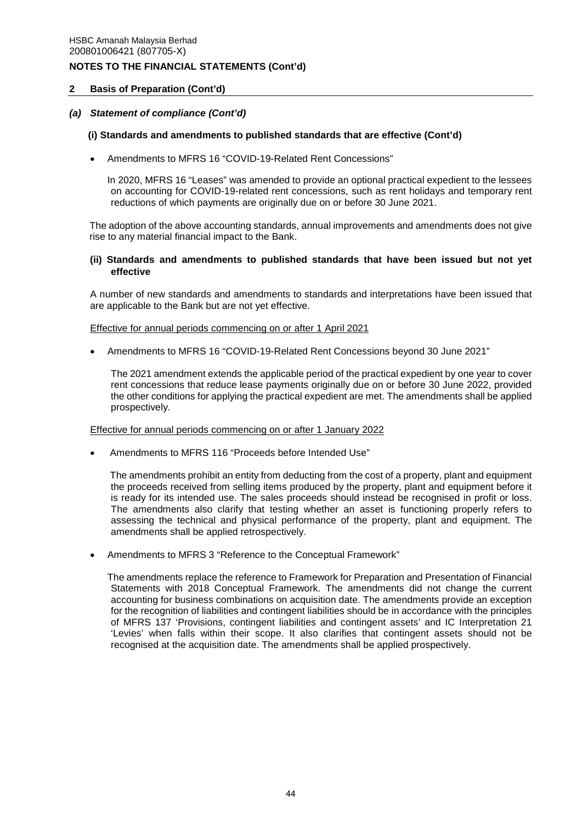### **2 Basis of Preparation (Cont'd)**

### *(a) Statement of compliance (Cont'd)*

#### **(i) Standards and amendments to published standards that are effective (Cont'd)**

Amendments to MFRS 16 "COVID-19-Related Rent Concessions"

 In 2020, MFRS 16 "Leases" was amended to provide an optional practical expedient to the lessees on accounting for COVID-19-related rent concessions, such as rent holidays and temporary rent reductions of which payments are originally due on or before 30 June 2021.

The adoption of the above accounting standards, annual improvements and amendments does not give rise to any material financial impact to the Bank.

### **(ii) Standards and amendments to published standards that have been issued but not yet effective**

A number of new standards and amendments to standards and interpretations have been issued that are applicable to the Bank but are not yet effective.

#### Effective for annual periods commencing on or after 1 April 2021

Amendments to MFRS 16 "COVID-19-Related Rent Concessions beyond 30 June 2021"

The 2021 amendment extends the applicable period of the practical expedient by one year to cover rent concessions that reduce lease payments originally due on or before 30 June 2022, provided the other conditions for applying the practical expedient are met. The amendments shall be applied prospectively.

#### Effective for annual periods commencing on or after 1 January 2022

Amendments to MFRS 116 "Proceeds before Intended Use"

 The amendments prohibit an entity from deducting from the cost of a property, plant and equipment the proceeds received from selling items produced by the property, plant and equipment before it is ready for its intended use. The sales proceeds should instead be recognised in profit or loss. The amendments also clarify that testing whether an asset is functioning properly refers to assessing the technical and physical performance of the property, plant and equipment. The amendments shall be applied retrospectively.

Amendments to MFRS 3 "Reference to the Conceptual Framework"

 The amendments replace the reference to Framework for Preparation and Presentation of Financial Statements with 2018 Conceptual Framework. The amendments did not change the current accounting for business combinations on acquisition date. The amendments provide an exception for the recognition of liabilities and contingent liabilities should be in accordance with the principles of MFRS 137 'Provisions, contingent liabilities and contingent assets' and IC Interpretation 21 'Levies' when falls within their scope. It also clarifies that contingent assets should not be recognised at the acquisition date. The amendments shall be applied prospectively.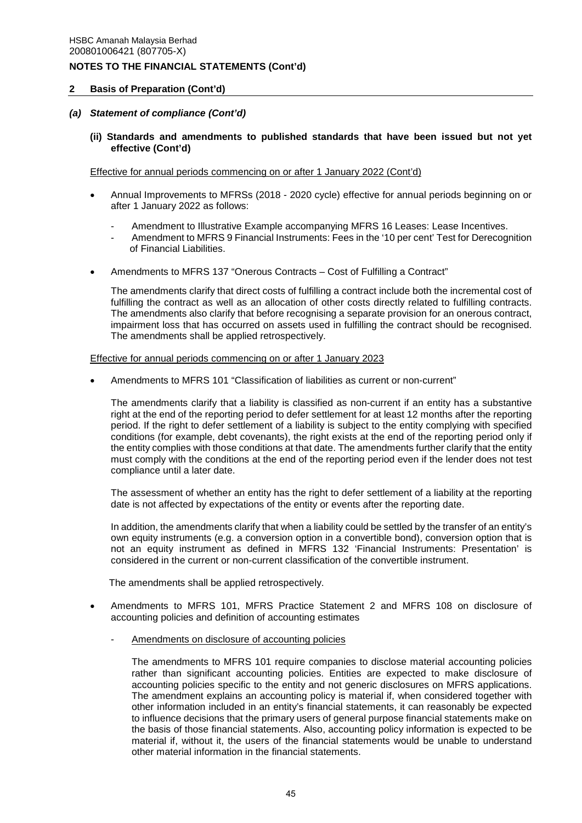### **2 Basis of Preparation (Cont'd)**

### *(a) Statement of compliance (Cont'd)*

**(ii) Standards and amendments to published standards that have been issued but not yet effective (Cont'd)** 

Effective for annual periods commencing on or after 1 January 2022 (Cont'd)

- Annual Improvements to MFRSs (2018 2020 cycle) effective for annual periods beginning on or after 1 January 2022 as follows:
	- Amendment to Illustrative Example accompanying MFRS 16 Leases: Lease Incentives.
	- Amendment to MFRS 9 Financial Instruments: Fees in the '10 per cent' Test for Derecognition of Financial Liabilities.
- Amendments to MFRS 137 "Onerous Contracts Cost of Fulfilling a Contract"

 The amendments clarify that direct costs of fulfilling a contract include both the incremental cost of fulfilling the contract as well as an allocation of other costs directly related to fulfilling contracts. The amendments also clarify that before recognising a separate provision for an onerous contract, impairment loss that has occurred on assets used in fulfilling the contract should be recognised. The amendments shall be applied retrospectively.

#### Effective for annual periods commencing on or after 1 January 2023

Amendments to MFRS 101 "Classification of liabilities as current or non-current"

 The amendments clarify that a liability is classified as non-current if an entity has a substantive right at the end of the reporting period to defer settlement for at least 12 months after the reporting period. If the right to defer settlement of a liability is subject to the entity complying with specified conditions (for example, debt covenants), the right exists at the end of the reporting period only if the entity complies with those conditions at that date. The amendments further clarify that the entity must comply with the conditions at the end of the reporting period even if the lender does not test compliance until a later date.

 The assessment of whether an entity has the right to defer settlement of a liability at the reporting date is not affected by expectations of the entity or events after the reporting date.

 In addition, the amendments clarify that when a liability could be settled by the transfer of an entity's own equity instruments (e.g. a conversion option in a convertible bond), conversion option that is not an equity instrument as defined in MFRS 132 'Financial Instruments: Presentation' is considered in the current or non-current classification of the convertible instrument.

The amendments shall be applied retrospectively.

- Amendments to MFRS 101, MFRS Practice Statement 2 and MFRS 108 on disclosure of accounting policies and definition of accounting estimates
	- Amendments on disclosure of accounting policies

The amendments to MFRS 101 require companies to disclose material accounting policies rather than significant accounting policies. Entities are expected to make disclosure of accounting policies specific to the entity and not generic disclosures on MFRS applications. The amendment explains an accounting policy is material if, when considered together with other information included in an entity's financial statements, it can reasonably be expected to influence decisions that the primary users of general purpose financial statements make on the basis of those financial statements. Also, accounting policy information is expected to be material if, without it, the users of the financial statements would be unable to understand other material information in the financial statements.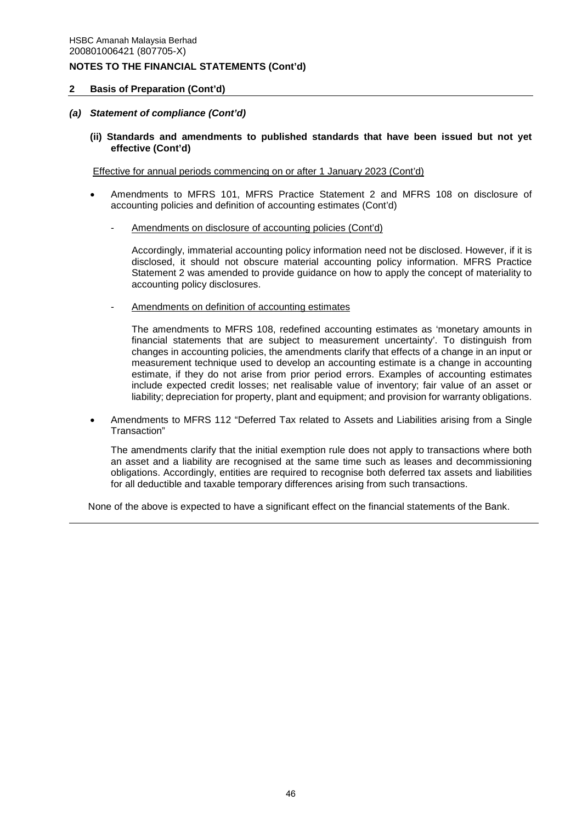### **2 Basis of Preparation (Cont'd)**

### *(a) Statement of compliance (Cont'd)*

**(ii) Standards and amendments to published standards that have been issued but not yet effective (Cont'd)** 

Effective for annual periods commencing on or after 1 January 2023 (Cont'd)

- Amendments to MFRS 101, MFRS Practice Statement 2 and MFRS 108 on disclosure of accounting policies and definition of accounting estimates (Cont'd)
	- Amendments on disclosure of accounting policies (Cont'd)

Accordingly, immaterial accounting policy information need not be disclosed. However, if it is disclosed, it should not obscure material accounting policy information. MFRS Practice Statement 2 was amended to provide guidance on how to apply the concept of materiality to accounting policy disclosures.

Amendments on definition of accounting estimates

The amendments to MFRS 108, redefined accounting estimates as 'monetary amounts in financial statements that are subject to measurement uncertainty'. To distinguish from changes in accounting policies, the amendments clarify that effects of a change in an input or measurement technique used to develop an accounting estimate is a change in accounting estimate, if they do not arise from prior period errors. Examples of accounting estimates include expected credit losses; net realisable value of inventory; fair value of an asset or liability; depreciation for property, plant and equipment; and provision for warranty obligations.

 Amendments to MFRS 112 "Deferred Tax related to Assets and Liabilities arising from a Single Transaction"

The amendments clarify that the initial exemption rule does not apply to transactions where both an asset and a liability are recognised at the same time such as leases and decommissioning obligations. Accordingly, entities are required to recognise both deferred tax assets and liabilities for all deductible and taxable temporary differences arising from such transactions.

None of the above is expected to have a significant effect on the financial statements of the Bank.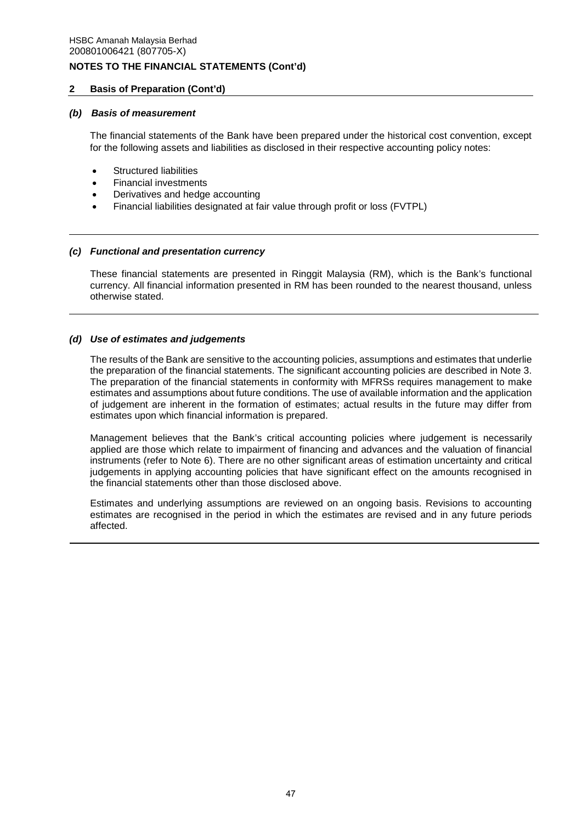# **2 Basis of Preparation (Cont'd)**

### *(b) Basis of measurement*

The financial statements of the Bank have been prepared under the historical cost convention, except for the following assets and liabilities as disclosed in their respective accounting policy notes:

- Structured liabilities
- Financial investments
- Derivatives and hedge accounting
- Financial liabilities designated at fair value through profit or loss (FVTPL)

# *(c) Functional and presentation currency*

These financial statements are presented in Ringgit Malaysia (RM), which is the Bank's functional currency. All financial information presented in RM has been rounded to the nearest thousand, unless otherwise stated.

# *(d) Use of estimates and judgements*

The results of the Bank are sensitive to the accounting policies, assumptions and estimates that underlie the preparation of the financial statements. The significant accounting policies are described in Note 3. The preparation of the financial statements in conformity with MFRSs requires management to make estimates and assumptions about future conditions. The use of available information and the application of judgement are inherent in the formation of estimates; actual results in the future may differ from estimates upon which financial information is prepared.

Management believes that the Bank's critical accounting policies where judgement is necessarily applied are those which relate to impairment of financing and advances and the valuation of financial instruments (refer to Note 6). There are no other significant areas of estimation uncertainty and critical judgements in applying accounting policies that have significant effect on the amounts recognised in the financial statements other than those disclosed above.

Estimates and underlying assumptions are reviewed on an ongoing basis. Revisions to accounting estimates are recognised in the period in which the estimates are revised and in any future periods affected.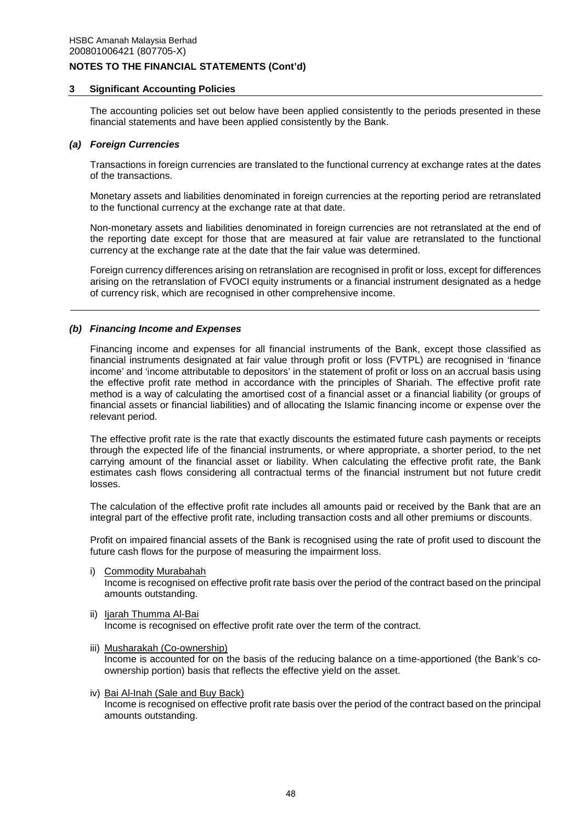### **3 Significant Accounting Policies**

The accounting policies set out below have been applied consistently to the periods presented in these financial statements and have been applied consistently by the Bank.

#### *(a) Foreign Currencies*

Transactions in foreign currencies are translated to the functional currency at exchange rates at the dates of the transactions.

Monetary assets and liabilities denominated in foreign currencies at the reporting period are retranslated to the functional currency at the exchange rate at that date.

Non-monetary assets and liabilities denominated in foreign currencies are not retranslated at the end of the reporting date except for those that are measured at fair value are retranslated to the functional currency at the exchange rate at the date that the fair value was determined.

Foreign currency differences arising on retranslation are recognised in profit or loss, except for differences arising on the retranslation of FVOCI equity instruments or a financial instrument designated as a hedge of currency risk, which are recognised in other comprehensive income.

### *(b) Financing Income and Expenses*

Financing income and expenses for all financial instruments of the Bank, except those classified as financial instruments designated at fair value through profit or loss (FVTPL) are recognised in 'finance income' and 'income attributable to depositors' in the statement of profit or loss on an accrual basis using the effective profit rate method in accordance with the principles of Shariah. The effective profit rate method is a way of calculating the amortised cost of a financial asset or a financial liability (or groups of financial assets or financial liabilities) and of allocating the Islamic financing income or expense over the relevant period.

The effective profit rate is the rate that exactly discounts the estimated future cash payments or receipts through the expected life of the financial instruments, or where appropriate, a shorter period, to the net carrying amount of the financial asset or liability. When calculating the effective profit rate, the Bank estimates cash flows considering all contractual terms of the financial instrument but not future credit losses.

The calculation of the effective profit rate includes all amounts paid or received by the Bank that are an integral part of the effective profit rate, including transaction costs and all other premiums or discounts.

Profit on impaired financial assets of the Bank is recognised using the rate of profit used to discount the future cash flows for the purpose of measuring the impairment loss.

- i) Commodity Murabahah Income is recognised on effective profit rate basis over the period of the contract based on the principal amounts outstanding.
- ii) Ijarah Thumma Al-Bai Income is recognised on effective profit rate over the term of the contract.
- iii) Musharakah (Co-ownership) Income is accounted for on the basis of the reducing balance on a time-apportioned (the Bank's coownership portion) basis that reflects the effective yield on the asset.
- iv) Bai Al-Inah (Sale and Buy Back) Income is recognised on effective profit rate basis over the period of the contract based on the principal amounts outstanding.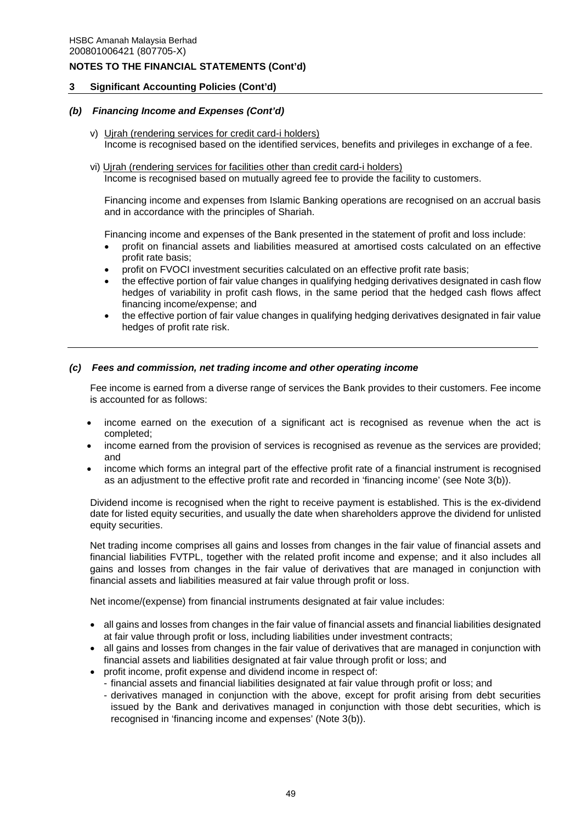## **3 Significant Accounting Policies (Cont'd)**

### *(b) Financing Income and Expenses (Cont'd)*

- v) Ujrah (rendering services for credit card-i holders) Income is recognised based on the identified services, benefits and privileges in exchange of a fee.
- vi) Ujrah (rendering services for facilities other than credit card-i holders) Income is recognised based on mutually agreed fee to provide the facility to customers.

Financing income and expenses from Islamic Banking operations are recognised on an accrual basis and in accordance with the principles of Shariah.

Financing income and expenses of the Bank presented in the statement of profit and loss include:

- profit on financial assets and liabilities measured at amortised costs calculated on an effective profit rate basis;
- profit on FVOCI investment securities calculated on an effective profit rate basis;
- the effective portion of fair value changes in qualifying hedging derivatives designated in cash flow hedges of variability in profit cash flows, in the same period that the hedged cash flows affect financing income/expense; and
- the effective portion of fair value changes in qualifying hedging derivatives designated in fair value hedges of profit rate risk.

### *(c) Fees and commission, net trading income and other operating income*

Fee income is earned from a diverse range of services the Bank provides to their customers. Fee income is accounted for as follows:

- income earned on the execution of a significant act is recognised as revenue when the act is completed;
- income earned from the provision of services is recognised as revenue as the services are provided; and
- income which forms an integral part of the effective profit rate of a financial instrument is recognised as an adjustment to the effective profit rate and recorded in 'financing income' (see Note 3(b)).

Dividend income is recognised when the right to receive payment is established. This is the ex-dividend date for listed equity securities, and usually the date when shareholders approve the dividend for unlisted equity securities.

Net trading income comprises all gains and losses from changes in the fair value of financial assets and financial liabilities FVTPL, together with the related profit income and expense; and it also includes all gains and losses from changes in the fair value of derivatives that are managed in conjunction with financial assets and liabilities measured at fair value through profit or loss.

Net income/(expense) from financial instruments designated at fair value includes:

- all gains and losses from changes in the fair value of financial assets and financial liabilities designated at fair value through profit or loss, including liabilities under investment contracts;
- all gains and losses from changes in the fair value of derivatives that are managed in conjunction with financial assets and liabilities designated at fair value through profit or loss; and
- profit income, profit expense and dividend income in respect of:
	- financial assets and financial liabilities designated at fair value through profit or loss; and
	- derivatives managed in conjunction with the above, except for profit arising from debt securities issued by the Bank and derivatives managed in conjunction with those debt securities, which is recognised in 'financing income and expenses' (Note 3(b)).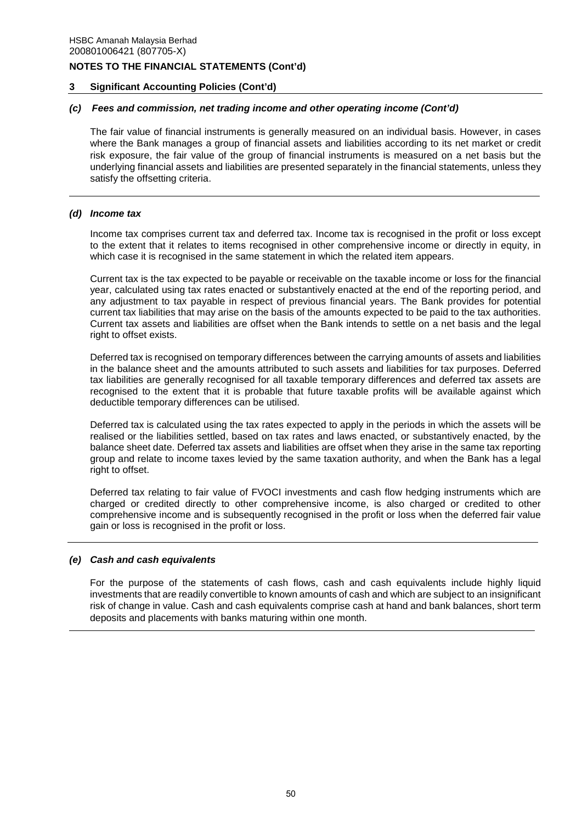### **3 Significant Accounting Policies (Cont'd)**

# *(c) Fees and commission, net trading income and other operating income (Cont'd)*

The fair value of financial instruments is generally measured on an individual basis. However, in cases where the Bank manages a group of financial assets and liabilities according to its net market or credit risk exposure, the fair value of the group of financial instruments is measured on a net basis but the underlying financial assets and liabilities are presented separately in the financial statements, unless they satisfy the offsetting criteria.

### *(d) Income tax*

Income tax comprises current tax and deferred tax. Income tax is recognised in the profit or loss except to the extent that it relates to items recognised in other comprehensive income or directly in equity, in which case it is recognised in the same statement in which the related item appears.

Current tax is the tax expected to be payable or receivable on the taxable income or loss for the financial year, calculated using tax rates enacted or substantively enacted at the end of the reporting period, and any adjustment to tax payable in respect of previous financial years. The Bank provides for potential current tax liabilities that may arise on the basis of the amounts expected to be paid to the tax authorities. Current tax assets and liabilities are offset when the Bank intends to settle on a net basis and the legal right to offset exists.

Deferred tax is recognised on temporary differences between the carrying amounts of assets and liabilities in the balance sheet and the amounts attributed to such assets and liabilities for tax purposes. Deferred tax liabilities are generally recognised for all taxable temporary differences and deferred tax assets are recognised to the extent that it is probable that future taxable profits will be available against which deductible temporary differences can be utilised.

Deferred tax is calculated using the tax rates expected to apply in the periods in which the assets will be realised or the liabilities settled, based on tax rates and laws enacted, or substantively enacted, by the balance sheet date. Deferred tax assets and liabilities are offset when they arise in the same tax reporting group and relate to income taxes levied by the same taxation authority, and when the Bank has a legal right to offset.

Deferred tax relating to fair value of FVOCI investments and cash flow hedging instruments which are charged or credited directly to other comprehensive income, is also charged or credited to other comprehensive income and is subsequently recognised in the profit or loss when the deferred fair value gain or loss is recognised in the profit or loss.

### *(e) Cash and cash equivalents*

For the purpose of the statements of cash flows, cash and cash equivalents include highly liquid investments that are readily convertible to known amounts of cash and which are subject to an insignificant risk of change in value. Cash and cash equivalents comprise cash at hand and bank balances, short term deposits and placements with banks maturing within one month.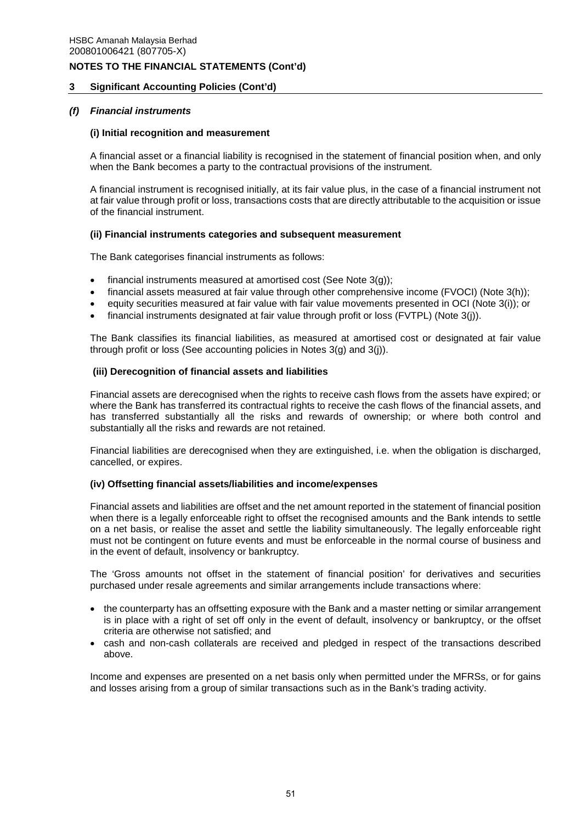## **3 Significant Accounting Policies (Cont'd)**

## *(f) Financial instruments*

### **(i) Initial recognition and measurement**

A financial asset or a financial liability is recognised in the statement of financial position when, and only when the Bank becomes a party to the contractual provisions of the instrument.

A financial instrument is recognised initially, at its fair value plus, in the case of a financial instrument not at fair value through profit or loss, transactions costs that are directly attributable to the acquisition or issue of the financial instrument.

### **(ii) Financial instruments categories and subsequent measurement**

The Bank categorises financial instruments as follows:

- financial instruments measured at amortised cost (See Note 3(g));
- financial assets measured at fair value through other comprehensive income (FVOCI) (Note 3(h));
- equity securities measured at fair value with fair value movements presented in OCI (Note 3(i)); or
- financial instruments designated at fair value through profit or loss (FVTPL) (Note 3(j)).

The Bank classifies its financial liabilities, as measured at amortised cost or designated at fair value through profit or loss (See accounting policies in Notes 3(g) and 3(j)).

# **(iii) Derecognition of financial assets and liabilities**

Financial assets are derecognised when the rights to receive cash flows from the assets have expired; or where the Bank has transferred its contractual rights to receive the cash flows of the financial assets, and has transferred substantially all the risks and rewards of ownership; or where both control and substantially all the risks and rewards are not retained.

Financial liabilities are derecognised when they are extinguished, i.e. when the obligation is discharged, cancelled, or expires.

### **(iv) Offsetting financial assets/liabilities and income/expenses**

Financial assets and liabilities are offset and the net amount reported in the statement of financial position when there is a legally enforceable right to offset the recognised amounts and the Bank intends to settle on a net basis, or realise the asset and settle the liability simultaneously. The legally enforceable right must not be contingent on future events and must be enforceable in the normal course of business and in the event of default, insolvency or bankruptcy.

The 'Gross amounts not offset in the statement of financial position' for derivatives and securities purchased under resale agreements and similar arrangements include transactions where:

- the counterparty has an offsetting exposure with the Bank and a master netting or similar arrangement is in place with a right of set off only in the event of default, insolvency or bankruptcy, or the offset criteria are otherwise not satisfied; and
- cash and non-cash collaterals are received and pledged in respect of the transactions described above.

Income and expenses are presented on a net basis only when permitted under the MFRSs, or for gains and losses arising from a group of similar transactions such as in the Bank's trading activity.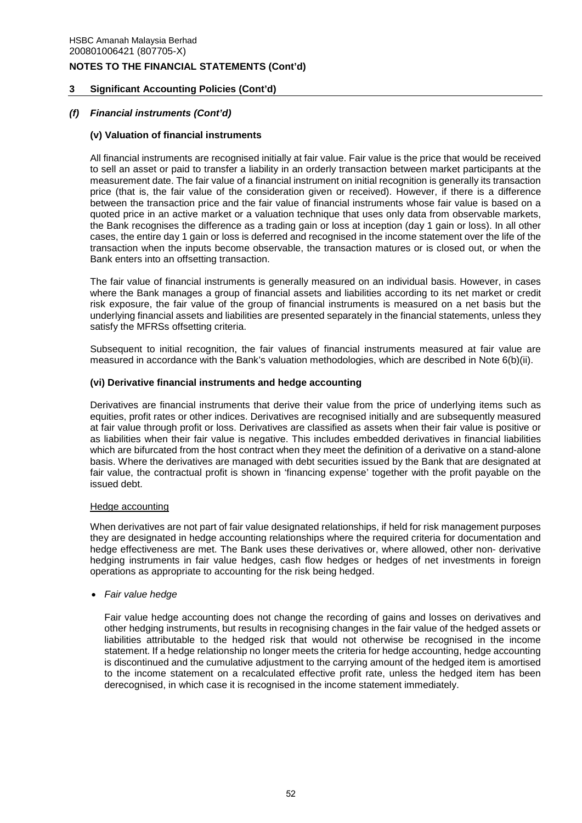# **3 Significant Accounting Policies (Cont'd)**

## *(f) Financial instruments (Cont'd)*

### **(v) Valuation of financial instruments**

All financial instruments are recognised initially at fair value. Fair value is the price that would be received to sell an asset or paid to transfer a liability in an orderly transaction between market participants at the measurement date. The fair value of a financial instrument on initial recognition is generally its transaction price (that is, the fair value of the consideration given or received). However, if there is a difference between the transaction price and the fair value of financial instruments whose fair value is based on a quoted price in an active market or a valuation technique that uses only data from observable markets, the Bank recognises the difference as a trading gain or loss at inception (day 1 gain or loss). In all other cases, the entire day 1 gain or loss is deferred and recognised in the income statement over the life of the transaction when the inputs become observable, the transaction matures or is closed out, or when the Bank enters into an offsetting transaction.

The fair value of financial instruments is generally measured on an individual basis. However, in cases where the Bank manages a group of financial assets and liabilities according to its net market or credit risk exposure, the fair value of the group of financial instruments is measured on a net basis but the underlying financial assets and liabilities are presented separately in the financial statements, unless they satisfy the MFRSs offsetting criteria.

Subsequent to initial recognition, the fair values of financial instruments measured at fair value are measured in accordance with the Bank's valuation methodologies, which are described in Note 6(b)(ii).

### **(vi) Derivative financial instruments and hedge accounting**

Derivatives are financial instruments that derive their value from the price of underlying items such as equities, profit rates or other indices. Derivatives are recognised initially and are subsequently measured at fair value through profit or loss. Derivatives are classified as assets when their fair value is positive or as liabilities when their fair value is negative. This includes embedded derivatives in financial liabilities which are bifurcated from the host contract when they meet the definition of a derivative on a stand-alone basis. Where the derivatives are managed with debt securities issued by the Bank that are designated at fair value, the contractual profit is shown in 'financing expense' together with the profit payable on the issued debt.

### Hedge accounting

When derivatives are not part of fair value designated relationships, if held for risk management purposes they are designated in hedge accounting relationships where the required criteria for documentation and hedge effectiveness are met. The Bank uses these derivatives or, where allowed, other non- derivative hedging instruments in fair value hedges, cash flow hedges or hedges of net investments in foreign operations as appropriate to accounting for the risk being hedged.

*Fair value hedge* 

Fair value hedge accounting does not change the recording of gains and losses on derivatives and other hedging instruments, but results in recognising changes in the fair value of the hedged assets or liabilities attributable to the hedged risk that would not otherwise be recognised in the income statement. If a hedge relationship no longer meets the criteria for hedge accounting, hedge accounting is discontinued and the cumulative adjustment to the carrying amount of the hedged item is amortised to the income statement on a recalculated effective profit rate, unless the hedged item has been derecognised, in which case it is recognised in the income statement immediately.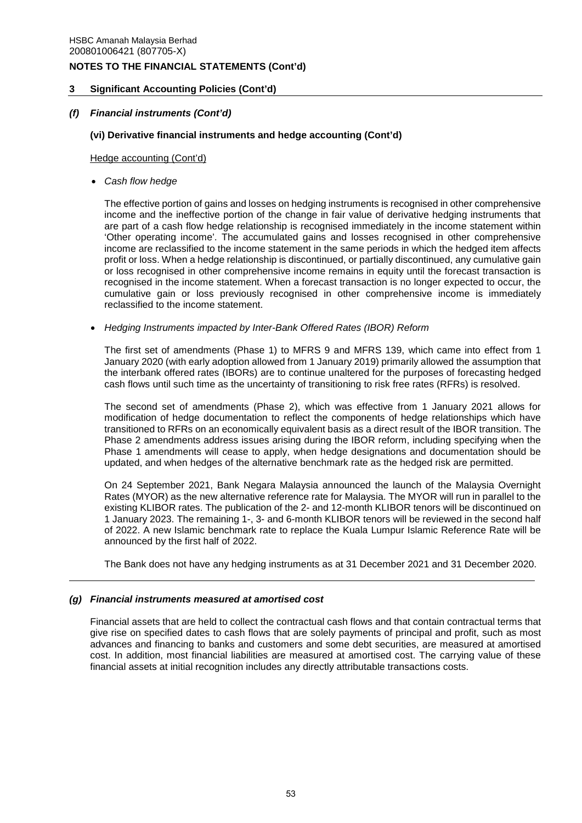# **3 Significant Accounting Policies (Cont'd)**

## *(f) Financial instruments (Cont'd)*

## **(vi) Derivative financial instruments and hedge accounting (Cont'd)**

Hedge accounting (Cont'd)

*Cash flow hedge* 

The effective portion of gains and losses on hedging instruments is recognised in other comprehensive income and the ineffective portion of the change in fair value of derivative hedging instruments that are part of a cash flow hedge relationship is recognised immediately in the income statement within 'Other operating income'. The accumulated gains and losses recognised in other comprehensive income are reclassified to the income statement in the same periods in which the hedged item affects profit or loss. When a hedge relationship is discontinued, or partially discontinued, any cumulative gain or loss recognised in other comprehensive income remains in equity until the forecast transaction is recognised in the income statement. When a forecast transaction is no longer expected to occur, the cumulative gain or loss previously recognised in other comprehensive income is immediately reclassified to the income statement.

*Hedging Instruments impacted by Inter-Bank Offered Rates (IBOR) Reform* 

The first set of amendments (Phase 1) to MFRS 9 and MFRS 139, which came into effect from 1 January 2020 (with early adoption allowed from 1 January 2019) primarily allowed the assumption that the interbank offered rates (IBORs) are to continue unaltered for the purposes of forecasting hedged cash flows until such time as the uncertainty of transitioning to risk free rates (RFRs) is resolved.

The second set of amendments (Phase 2), which was effective from 1 January 2021 allows for modification of hedge documentation to reflect the components of hedge relationships which have transitioned to RFRs on an economically equivalent basis as a direct result of the IBOR transition. The Phase 2 amendments address issues arising during the IBOR reform, including specifying when the Phase 1 amendments will cease to apply, when hedge designations and documentation should be updated, and when hedges of the alternative benchmark rate as the hedged risk are permitted.

On 24 September 2021, Bank Negara Malaysia announced the launch of the Malaysia Overnight Rates (MYOR) as the new alternative reference rate for Malaysia. The MYOR will run in parallel to the existing KLIBOR rates. The publication of the 2- and 12-month KLIBOR tenors will be discontinued on 1 January 2023. The remaining 1-, 3- and 6-month KLIBOR tenors will be reviewed in the second half of 2022. A new Islamic benchmark rate to replace the Kuala Lumpur Islamic Reference Rate will be announced by the first half of 2022.

The Bank does not have any hedging instruments as at 31 December 2021 and 31 December 2020.

## *(g) Financial instruments measured at amortised cost*

Financial assets that are held to collect the contractual cash flows and that contain contractual terms that give rise on specified dates to cash flows that are solely payments of principal and profit, such as most advances and financing to banks and customers and some debt securities, are measured at amortised cost. In addition, most financial liabilities are measured at amortised cost. The carrying value of these financial assets at initial recognition includes any directly attributable transactions costs.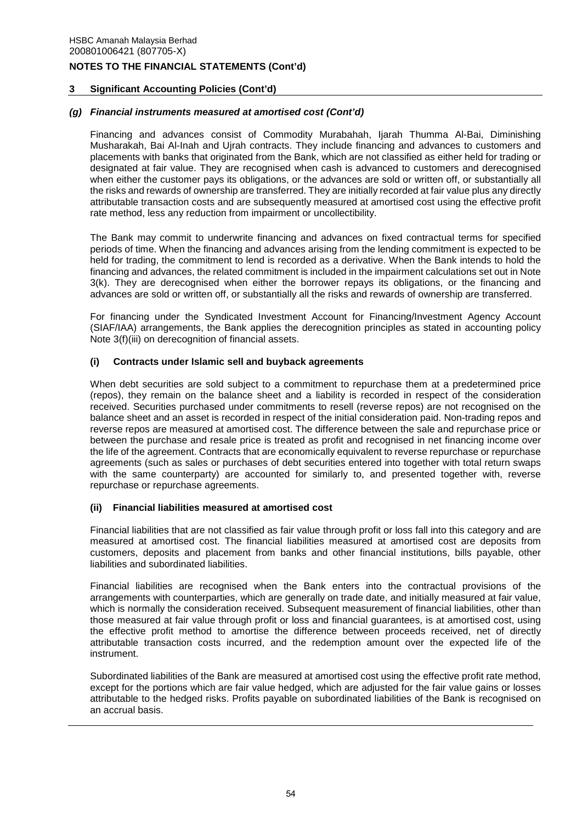# **3 Significant Accounting Policies (Cont'd)**

## *(g) Financial instruments measured at amortised cost (Cont'd)*

Financing and advances consist of Commodity Murabahah, Ijarah Thumma Al-Bai, Diminishing Musharakah, Bai Al-Inah and Ujrah contracts. They include financing and advances to customers and placements with banks that originated from the Bank, which are not classified as either held for trading or designated at fair value. They are recognised when cash is advanced to customers and derecognised when either the customer pays its obligations, or the advances are sold or written off, or substantially all the risks and rewards of ownership are transferred. They are initially recorded at fair value plus any directly attributable transaction costs and are subsequently measured at amortised cost using the effective profit rate method, less any reduction from impairment or uncollectibility.

The Bank may commit to underwrite financing and advances on fixed contractual terms for specified periods of time. When the financing and advances arising from the lending commitment is expected to be held for trading, the commitment to lend is recorded as a derivative. When the Bank intends to hold the financing and advances, the related commitment is included in the impairment calculations set out in Note 3(k). They are derecognised when either the borrower repays its obligations, or the financing and advances are sold or written off, or substantially all the risks and rewards of ownership are transferred.

For financing under the Syndicated Investment Account for Financing/Investment Agency Account (SIAF/IAA) arrangements, the Bank applies the derecognition principles as stated in accounting policy Note 3(f)(iii) on derecognition of financial assets.

# **(i) Contracts under Islamic sell and buyback agreements**

When debt securities are sold subject to a commitment to repurchase them at a predetermined price (repos), they remain on the balance sheet and a liability is recorded in respect of the consideration received. Securities purchased under commitments to resell (reverse repos) are not recognised on the balance sheet and an asset is recorded in respect of the initial consideration paid. Non-trading repos and reverse repos are measured at amortised cost. The difference between the sale and repurchase price or between the purchase and resale price is treated as profit and recognised in net financing income over the life of the agreement. Contracts that are economically equivalent to reverse repurchase or repurchase agreements (such as sales or purchases of debt securities entered into together with total return swaps with the same counterparty) are accounted for similarly to, and presented together with, reverse repurchase or repurchase agreements.

### **(ii) Financial liabilities measured at amortised cost**

Financial liabilities that are not classified as fair value through profit or loss fall into this category and are measured at amortised cost. The financial liabilities measured at amortised cost are deposits from customers, deposits and placement from banks and other financial institutions, bills payable, other liabilities and subordinated liabilities.

Financial liabilities are recognised when the Bank enters into the contractual provisions of the arrangements with counterparties, which are generally on trade date, and initially measured at fair value, which is normally the consideration received. Subsequent measurement of financial liabilities, other than those measured at fair value through profit or loss and financial guarantees, is at amortised cost, using the effective profit method to amortise the difference between proceeds received, net of directly attributable transaction costs incurred, and the redemption amount over the expected life of the instrument.

Subordinated liabilities of the Bank are measured at amortised cost using the effective profit rate method, except for the portions which are fair value hedged, which are adjusted for the fair value gains or losses attributable to the hedged risks. Profits payable on subordinated liabilities of the Bank is recognised on an accrual basis.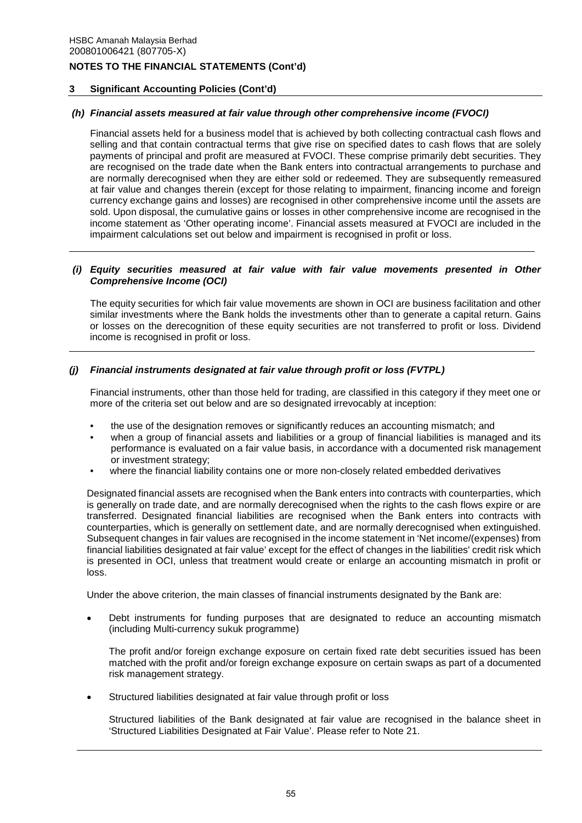# **3 Significant Accounting Policies (Cont'd)**

# *(h) Financial assets measured at fair value through other comprehensive income (FVOCI)*

Financial assets held for a business model that is achieved by both collecting contractual cash flows and selling and that contain contractual terms that give rise on specified dates to cash flows that are solely payments of principal and profit are measured at FVOCI. These comprise primarily debt securities. They are recognised on the trade date when the Bank enters into contractual arrangements to purchase and are normally derecognised when they are either sold or redeemed. They are subsequently remeasured at fair value and changes therein (except for those relating to impairment, financing income and foreign currency exchange gains and losses) are recognised in other comprehensive income until the assets are sold. Upon disposal, the cumulative gains or losses in other comprehensive income are recognised in the income statement as 'Other operating income'. Financial assets measured at FVOCI are included in the impairment calculations set out below and impairment is recognised in profit or loss.

### *(i) Equity securities measured at fair value with fair value movements presented in Other Comprehensive Income (OCI)*

The equity securities for which fair value movements are shown in OCI are business facilitation and other similar investments where the Bank holds the investments other than to generate a capital return. Gains or losses on the derecognition of these equity securities are not transferred to profit or loss. Dividend income is recognised in profit or loss.

# *(j) Financial instruments designated at fair value through profit or loss (FVTPL)*

Financial instruments, other than those held for trading, are classified in this category if they meet one or more of the criteria set out below and are so designated irrevocably at inception:

- the use of the designation removes or significantly reduces an accounting mismatch; and
- when a group of financial assets and liabilities or a group of financial liabilities is managed and its performance is evaluated on a fair value basis, in accordance with a documented risk management or investment strategy;
- where the financial liability contains one or more non-closely related embedded derivatives

Designated financial assets are recognised when the Bank enters into contracts with counterparties, which is generally on trade date, and are normally derecognised when the rights to the cash flows expire or are transferred. Designated financial liabilities are recognised when the Bank enters into contracts with counterparties, which is generally on settlement date, and are normally derecognised when extinguished. Subsequent changes in fair values are recognised in the income statement in 'Net income/(expenses) from financial liabilities designated at fair value' except for the effect of changes in the liabilities' credit risk which is presented in OCI, unless that treatment would create or enlarge an accounting mismatch in profit or loss.

Under the above criterion, the main classes of financial instruments designated by the Bank are:

 Debt instruments for funding purposes that are designated to reduce an accounting mismatch (including Multi-currency sukuk programme)

The profit and/or foreign exchange exposure on certain fixed rate debt securities issued has been matched with the profit and/or foreign exchange exposure on certain swaps as part of a documented risk management strategy.

Structured liabilities designated at fair value through profit or loss

Structured liabilities of the Bank designated at fair value are recognised in the balance sheet in 'Structured Liabilities Designated at Fair Value'. Please refer to Note 21.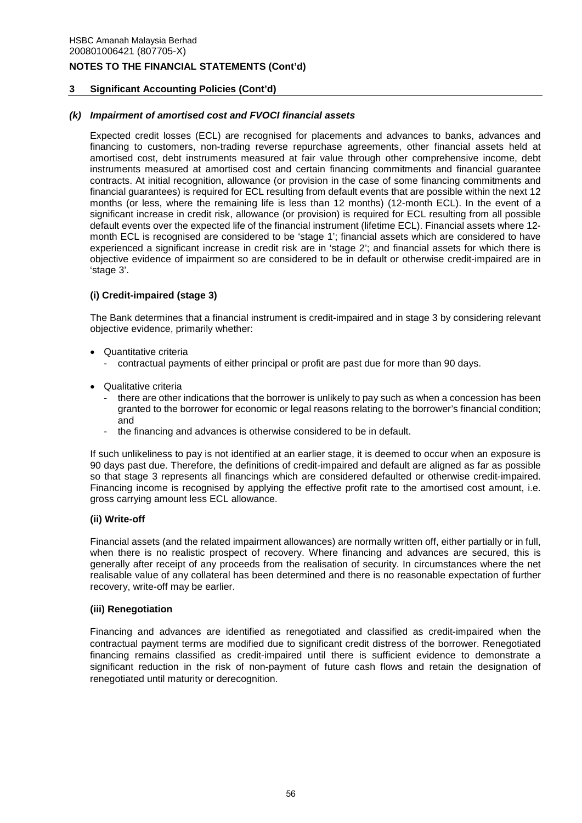# **3 Significant Accounting Policies (Cont'd)**

## *(k) Impairment of amortised cost and FVOCI financial assets*

Expected credit losses (ECL) are recognised for placements and advances to banks, advances and financing to customers, non-trading reverse repurchase agreements, other financial assets held at amortised cost, debt instruments measured at fair value through other comprehensive income, debt instruments measured at amortised cost and certain financing commitments and financial guarantee contracts. At initial recognition, allowance (or provision in the case of some financing commitments and financial guarantees) is required for ECL resulting from default events that are possible within the next 12 months (or less, where the remaining life is less than 12 months) (12-month ECL). In the event of a significant increase in credit risk, allowance (or provision) is required for ECL resulting from all possible default events over the expected life of the financial instrument (lifetime ECL). Financial assets where 12 month ECL is recognised are considered to be 'stage 1'; financial assets which are considered to have experienced a significant increase in credit risk are in 'stage 2'; and financial assets for which there is objective evidence of impairment so are considered to be in default or otherwise credit-impaired are in 'stage 3'.

# **(i) Credit-impaired (stage 3)**

The Bank determines that a financial instrument is credit-impaired and in stage 3 by considering relevant objective evidence, primarily whether:

- Quantitative criteria
	- contractual payments of either principal or profit are past due for more than 90 days.
- Qualitative criteria
	- there are other indications that the borrower is unlikely to pay such as when a concession has been granted to the borrower for economic or legal reasons relating to the borrower's financial condition; and
	- the financing and advances is otherwise considered to be in default.

If such unlikeliness to pay is not identified at an earlier stage, it is deemed to occur when an exposure is 90 days past due. Therefore, the definitions of credit-impaired and default are aligned as far as possible so that stage 3 represents all financings which are considered defaulted or otherwise credit-impaired. Financing income is recognised by applying the effective profit rate to the amortised cost amount, i.e. gross carrying amount less ECL allowance.

### **(ii) Write-off**

Financial assets (and the related impairment allowances) are normally written off, either partially or in full, when there is no realistic prospect of recovery. Where financing and advances are secured, this is generally after receipt of any proceeds from the realisation of security. In circumstances where the net realisable value of any collateral has been determined and there is no reasonable expectation of further recovery, write-off may be earlier.

### **(iii) Renegotiation**

Financing and advances are identified as renegotiated and classified as credit-impaired when the contractual payment terms are modified due to significant credit distress of the borrower. Renegotiated financing remains classified as credit-impaired until there is sufficient evidence to demonstrate a significant reduction in the risk of non-payment of future cash flows and retain the designation of renegotiated until maturity or derecognition.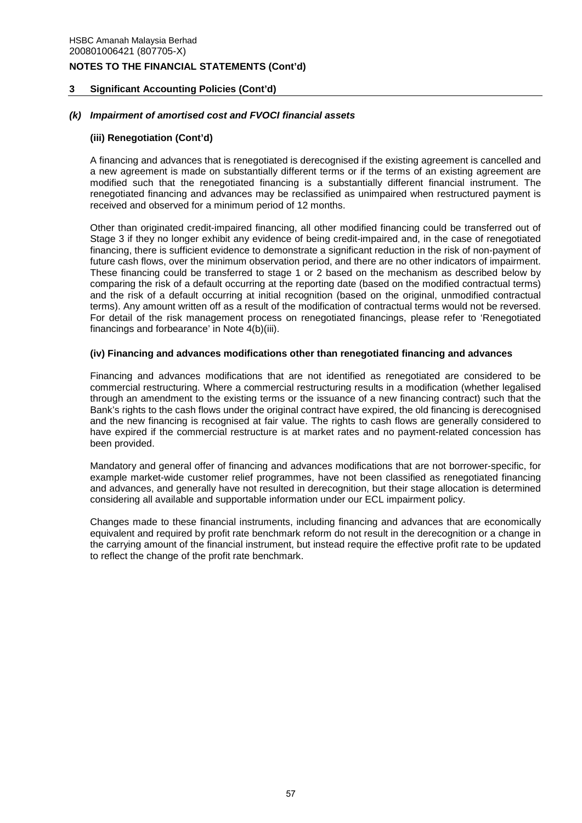## **3 Significant Accounting Policies (Cont'd)**

### *(k) Impairment of amortised cost and FVOCI financial assets*

### **(iii) Renegotiation (Cont'd)**

A financing and advances that is renegotiated is derecognised if the existing agreement is cancelled and a new agreement is made on substantially different terms or if the terms of an existing agreement are modified such that the renegotiated financing is a substantially different financial instrument. The renegotiated financing and advances may be reclassified as unimpaired when restructured payment is received and observed for a minimum period of 12 months.

Other than originated credit-impaired financing, all other modified financing could be transferred out of Stage 3 if they no longer exhibit any evidence of being credit-impaired and, in the case of renegotiated financing, there is sufficient evidence to demonstrate a significant reduction in the risk of non-payment of future cash flows, over the minimum observation period, and there are no other indicators of impairment. These financing could be transferred to stage 1 or 2 based on the mechanism as described below by comparing the risk of a default occurring at the reporting date (based on the modified contractual terms) and the risk of a default occurring at initial recognition (based on the original, unmodified contractual terms). Any amount written off as a result of the modification of contractual terms would not be reversed. For detail of the risk management process on renegotiated financings, please refer to 'Renegotiated financings and forbearance' in Note 4(b)(iii).

#### **(iv) Financing and advances modifications other than renegotiated financing and advances**

Financing and advances modifications that are not identified as renegotiated are considered to be commercial restructuring. Where a commercial restructuring results in a modification (whether legalised through an amendment to the existing terms or the issuance of a new financing contract) such that the Bank's rights to the cash flows under the original contract have expired, the old financing is derecognised and the new financing is recognised at fair value. The rights to cash flows are generally considered to have expired if the commercial restructure is at market rates and no payment-related concession has been provided.

Mandatory and general offer of financing and advances modifications that are not borrower-specific, for example market-wide customer relief programmes, have not been classified as renegotiated financing and advances, and generally have not resulted in derecognition, but their stage allocation is determined considering all available and supportable information under our ECL impairment policy.

Changes made to these financial instruments, including financing and advances that are economically equivalent and required by profit rate benchmark reform do not result in the derecognition or a change in the carrying amount of the financial instrument, but instead require the effective profit rate to be updated to reflect the change of the profit rate benchmark.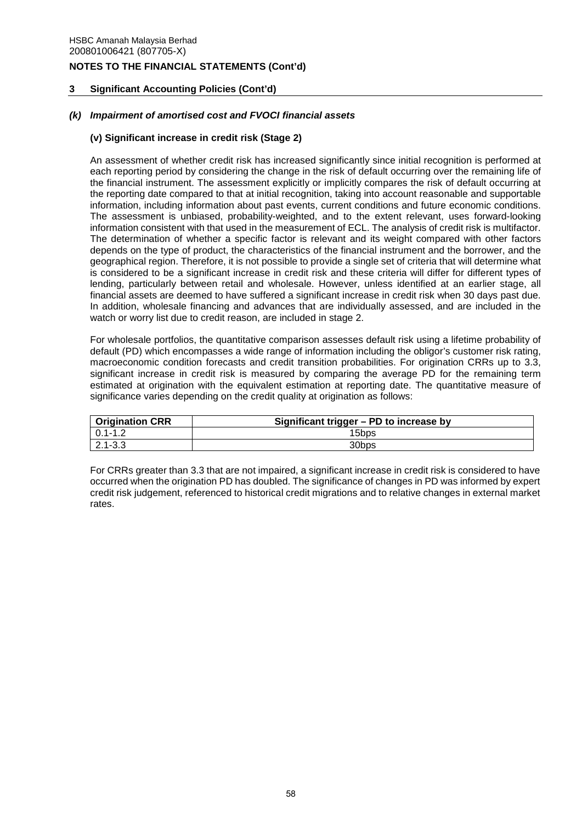# **3 Significant Accounting Policies (Cont'd)**

## *(k) Impairment of amortised cost and FVOCI financial assets*

## **(v) Significant increase in credit risk (Stage 2)**

An assessment of whether credit risk has increased significantly since initial recognition is performed at each reporting period by considering the change in the risk of default occurring over the remaining life of the financial instrument. The assessment explicitly or implicitly compares the risk of default occurring at the reporting date compared to that at initial recognition, taking into account reasonable and supportable information, including information about past events, current conditions and future economic conditions. The assessment is unbiased, probability-weighted, and to the extent relevant, uses forward-looking information consistent with that used in the measurement of ECL. The analysis of credit risk is multifactor. The determination of whether a specific factor is relevant and its weight compared with other factors depends on the type of product, the characteristics of the financial instrument and the borrower, and the geographical region. Therefore, it is not possible to provide a single set of criteria that will determine what is considered to be a significant increase in credit risk and these criteria will differ for different types of lending, particularly between retail and wholesale. However, unless identified at an earlier stage, all financial assets are deemed to have suffered a significant increase in credit risk when 30 days past due. In addition, wholesale financing and advances that are individually assessed, and are included in the watch or worry list due to credit reason, are included in stage 2.

For wholesale portfolios, the quantitative comparison assesses default risk using a lifetime probability of default (PD) which encompasses a wide range of information including the obligor's customer risk rating, macroeconomic condition forecasts and credit transition probabilities. For origination CRRs up to 3.3, significant increase in credit risk is measured by comparing the average PD for the remaining term estimated at origination with the equivalent estimation at reporting date. The quantitative measure of significance varies depending on the credit quality at origination as follows:

| <b>Origination CRR</b> | Significant trigger - PD to increase by |
|------------------------|-----------------------------------------|
| $0.1 - 1.2$            | 15bps                                   |
| $2.1 - 3.3$            | 30bps                                   |

For CRRs greater than 3.3 that are not impaired, a significant increase in credit risk is considered to have occurred when the origination PD has doubled. The significance of changes in PD was informed by expert credit risk judgement, referenced to historical credit migrations and to relative changes in external market rates.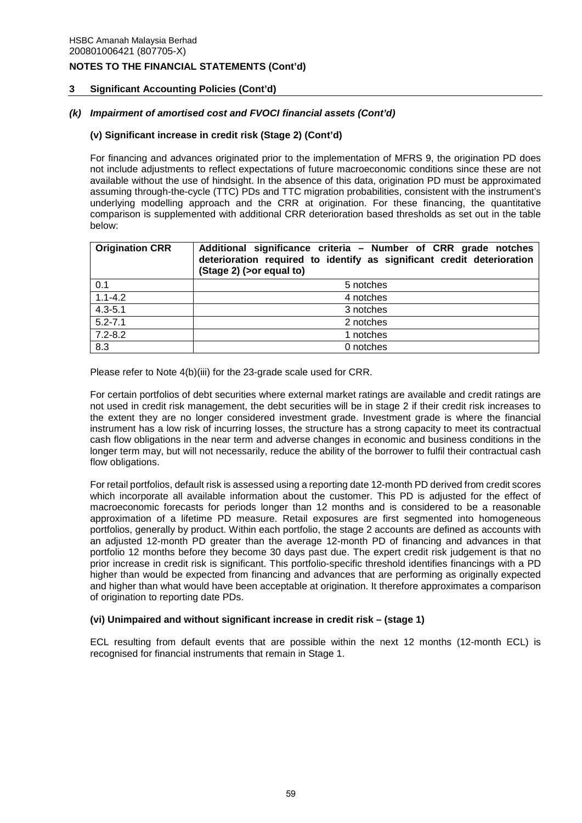# **3 Significant Accounting Policies (Cont'd)**

## *(k) Impairment of amortised cost and FVOCI financial assets (Cont'd)*

## **(v) Significant increase in credit risk (Stage 2) (Cont'd)**

For financing and advances originated prior to the implementation of MFRS 9, the origination PD does not include adjustments to reflect expectations of future macroeconomic conditions since these are not available without the use of hindsight. In the absence of this data, origination PD must be approximated assuming through-the-cycle (TTC) PDs and TTC migration probabilities, consistent with the instrument's underlying modelling approach and the CRR at origination. For these financing, the quantitative comparison is supplemented with additional CRR deterioration based thresholds as set out in the table below:

| <b>Origination CRR</b> | Additional significance criteria - Number of CRR grade notches<br>deterioration required to identify as significant credit deterioration<br>(Stage 2) (> or equal to) |  |
|------------------------|-----------------------------------------------------------------------------------------------------------------------------------------------------------------------|--|
| 0.1                    | 5 notches                                                                                                                                                             |  |
| $1.1 - 4.2$            | 4 notches                                                                                                                                                             |  |
| $4.3 - 5.1$            | 3 notches                                                                                                                                                             |  |
| $5.2 - 7.1$            | 2 notches                                                                                                                                                             |  |
| $7.2 - 8.2$            | 1 notches                                                                                                                                                             |  |
| 8.3                    | 0 notches                                                                                                                                                             |  |

Please refer to Note 4(b)(iii) for the 23-grade scale used for CRR.

For certain portfolios of debt securities where external market ratings are available and credit ratings are not used in credit risk management, the debt securities will be in stage 2 if their credit risk increases to the extent they are no longer considered investment grade. Investment grade is where the financial instrument has a low risk of incurring losses, the structure has a strong capacity to meet its contractual cash flow obligations in the near term and adverse changes in economic and business conditions in the longer term may, but will not necessarily, reduce the ability of the borrower to fulfil their contractual cash flow obligations.

For retail portfolios, default risk is assessed using a reporting date 12-month PD derived from credit scores which incorporate all available information about the customer. This PD is adjusted for the effect of macroeconomic forecasts for periods longer than 12 months and is considered to be a reasonable approximation of a lifetime PD measure. Retail exposures are first segmented into homogeneous portfolios, generally by product. Within each portfolio, the stage 2 accounts are defined as accounts with an adjusted 12-month PD greater than the average 12-month PD of financing and advances in that portfolio 12 months before they become 30 days past due. The expert credit risk judgement is that no prior increase in credit risk is significant. This portfolio-specific threshold identifies financings with a PD higher than would be expected from financing and advances that are performing as originally expected and higher than what would have been acceptable at origination. It therefore approximates a comparison of origination to reporting date PDs.

### **(vi) Unimpaired and without significant increase in credit risk – (stage 1)**

ECL resulting from default events that are possible within the next 12 months (12-month ECL) is recognised for financial instruments that remain in Stage 1.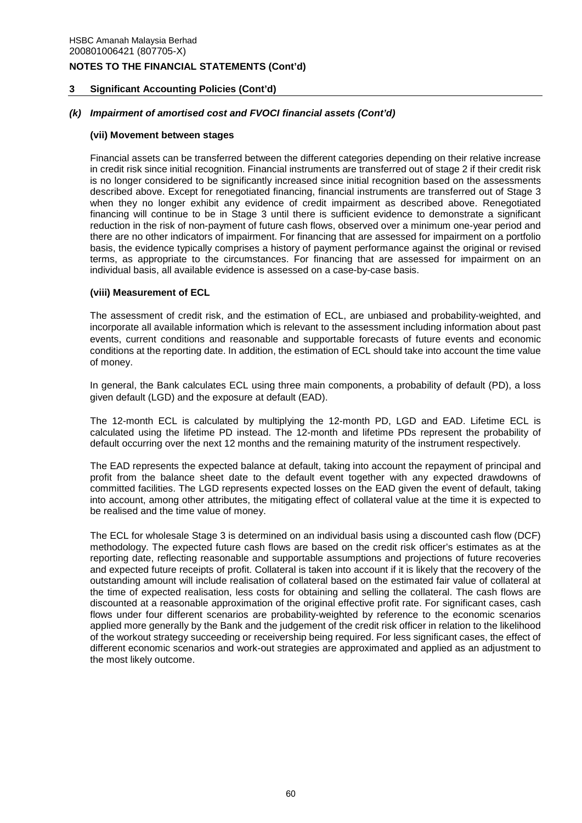# **3 Significant Accounting Policies (Cont'd)**

## *(k) Impairment of amortised cost and FVOCI financial assets (Cont'd)*

### **(vii) Movement between stages**

Financial assets can be transferred between the different categories depending on their relative increase in credit risk since initial recognition. Financial instruments are transferred out of stage 2 if their credit risk is no longer considered to be significantly increased since initial recognition based on the assessments described above. Except for renegotiated financing, financial instruments are transferred out of Stage 3 when they no longer exhibit any evidence of credit impairment as described above. Renegotiated financing will continue to be in Stage 3 until there is sufficient evidence to demonstrate a significant reduction in the risk of non-payment of future cash flows, observed over a minimum one-year period and there are no other indicators of impairment. For financing that are assessed for impairment on a portfolio basis, the evidence typically comprises a history of payment performance against the original or revised terms, as appropriate to the circumstances. For financing that are assessed for impairment on an individual basis, all available evidence is assessed on a case-by-case basis.

### **(viii) Measurement of ECL**

The assessment of credit risk, and the estimation of ECL, are unbiased and probability-weighted, and incorporate all available information which is relevant to the assessment including information about past events, current conditions and reasonable and supportable forecasts of future events and economic conditions at the reporting date. In addition, the estimation of ECL should take into account the time value of money.

In general, the Bank calculates ECL using three main components, a probability of default (PD), a loss given default (LGD) and the exposure at default (EAD).

The 12-month ECL is calculated by multiplying the 12-month PD, LGD and EAD. Lifetime ECL is calculated using the lifetime PD instead. The 12-month and lifetime PDs represent the probability of default occurring over the next 12 months and the remaining maturity of the instrument respectively.

The EAD represents the expected balance at default, taking into account the repayment of principal and profit from the balance sheet date to the default event together with any expected drawdowns of committed facilities. The LGD represents expected losses on the EAD given the event of default, taking into account, among other attributes, the mitigating effect of collateral value at the time it is expected to be realised and the time value of money.

The ECL for wholesale Stage 3 is determined on an individual basis using a discounted cash flow (DCF) methodology. The expected future cash flows are based on the credit risk officer's estimates as at the reporting date, reflecting reasonable and supportable assumptions and projections of future recoveries and expected future receipts of profit. Collateral is taken into account if it is likely that the recovery of the outstanding amount will include realisation of collateral based on the estimated fair value of collateral at the time of expected realisation, less costs for obtaining and selling the collateral. The cash flows are discounted at a reasonable approximation of the original effective profit rate. For significant cases, cash flows under four different scenarios are probability-weighted by reference to the economic scenarios applied more generally by the Bank and the judgement of the credit risk officer in relation to the likelihood of the workout strategy succeeding or receivership being required. For less significant cases, the effect of different economic scenarios and work-out strategies are approximated and applied as an adjustment to the most likely outcome.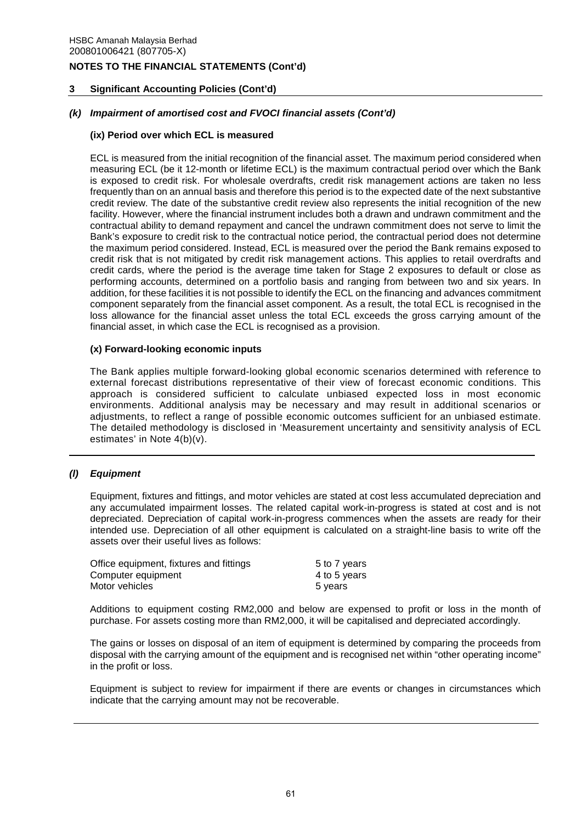# **3 Significant Accounting Policies (Cont'd)**

# *(k) Impairment of amortised cost and FVOCI financial assets (Cont'd)*

### **(ix) Period over which ECL is measured**

ECL is measured from the initial recognition of the financial asset. The maximum period considered when measuring ECL (be it 12-month or lifetime ECL) is the maximum contractual period over which the Bank is exposed to credit risk. For wholesale overdrafts, credit risk management actions are taken no less frequently than on an annual basis and therefore this period is to the expected date of the next substantive credit review. The date of the substantive credit review also represents the initial recognition of the new facility. However, where the financial instrument includes both a drawn and undrawn commitment and the contractual ability to demand repayment and cancel the undrawn commitment does not serve to limit the Bank's exposure to credit risk to the contractual notice period, the contractual period does not determine the maximum period considered. Instead, ECL is measured over the period the Bank remains exposed to credit risk that is not mitigated by credit risk management actions. This applies to retail overdrafts and credit cards, where the period is the average time taken for Stage 2 exposures to default or close as performing accounts, determined on a portfolio basis and ranging from between two and six years. In addition, for these facilities it is not possible to identify the ECL on the financing and advances commitment component separately from the financial asset component. As a result, the total ECL is recognised in the loss allowance for the financial asset unless the total ECL exceeds the gross carrying amount of the financial asset, in which case the ECL is recognised as a provision.

### **(x) Forward-looking economic inputs**

The Bank applies multiple forward-looking global economic scenarios determined with reference to external forecast distributions representative of their view of forecast economic conditions. This approach is considered sufficient to calculate unbiased expected loss in most economic environments. Additional analysis may be necessary and may result in additional scenarios or adjustments, to reflect a range of possible economic outcomes sufficient for an unbiased estimate. The detailed methodology is disclosed in 'Measurement uncertainty and sensitivity analysis of ECL estimates' in Note 4(b)(v).

### *(l) Equipment*

Equipment, fixtures and fittings, and motor vehicles are stated at cost less accumulated depreciation and any accumulated impairment losses. The related capital work-in-progress is stated at cost and is not depreciated. Depreciation of capital work-in-progress commences when the assets are ready for their intended use. Depreciation of all other equipment is calculated on a straight-line basis to write off the assets over their useful lives as follows:

| Office equipment, fixtures and fittings | 5 to 7 years |
|-----------------------------------------|--------------|
| Computer equipment                      | 4 to 5 years |
| Motor vehicles                          | 5 years      |

Additions to equipment costing RM2,000 and below are expensed to profit or loss in the month of purchase. For assets costing more than RM2,000, it will be capitalised and depreciated accordingly.

The gains or losses on disposal of an item of equipment is determined by comparing the proceeds from disposal with the carrying amount of the equipment and is recognised net within "other operating income" in the profit or loss.

Equipment is subject to review for impairment if there are events or changes in circumstances which indicate that the carrying amount may not be recoverable.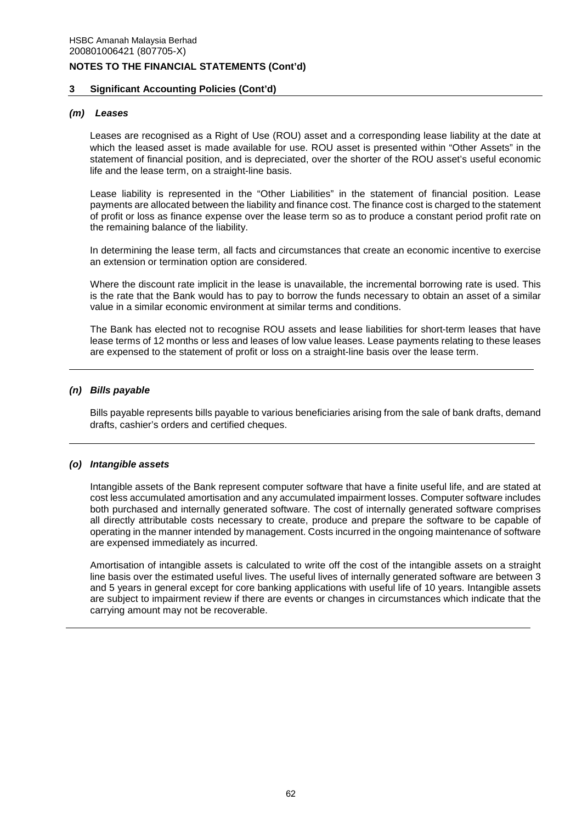### **3 Significant Accounting Policies (Cont'd)**

### *(m) Leases*

Leases are recognised as a Right of Use (ROU) asset and a corresponding lease liability at the date at which the leased asset is made available for use. ROU asset is presented within "Other Assets" in the statement of financial position, and is depreciated, over the shorter of the ROU asset's useful economic life and the lease term, on a straight-line basis.

Lease liability is represented in the "Other Liabilities" in the statement of financial position. Lease payments are allocated between the liability and finance cost. The finance cost is charged to the statement of profit or loss as finance expense over the lease term so as to produce a constant period profit rate on the remaining balance of the liability.

In determining the lease term, all facts and circumstances that create an economic incentive to exercise an extension or termination option are considered.

Where the discount rate implicit in the lease is unavailable, the incremental borrowing rate is used. This is the rate that the Bank would has to pay to borrow the funds necessary to obtain an asset of a similar value in a similar economic environment at similar terms and conditions.

 The Bank has elected not to recognise ROU assets and lease liabilities for short-term leases that have lease terms of 12 months or less and leases of low value leases. Lease payments relating to these leases are expensed to the statement of profit or loss on a straight-line basis over the lease term.

#### *(n) Bills payable*

Bills payable represents bills payable to various beneficiaries arising from the sale of bank drafts, demand drafts, cashier's orders and certified cheques.

#### *(o) Intangible assets*

Intangible assets of the Bank represent computer software that have a finite useful life, and are stated at cost less accumulated amortisation and any accumulated impairment losses. Computer software includes both purchased and internally generated software. The cost of internally generated software comprises all directly attributable costs necessary to create, produce and prepare the software to be capable of operating in the manner intended by management. Costs incurred in the ongoing maintenance of software are expensed immediately as incurred.

Amortisation of intangible assets is calculated to write off the cost of the intangible assets on a straight line basis over the estimated useful lives. The useful lives of internally generated software are between 3 and 5 years in general except for core banking applications with useful life of 10 years. Intangible assets are subject to impairment review if there are events or changes in circumstances which indicate that the carrying amount may not be recoverable.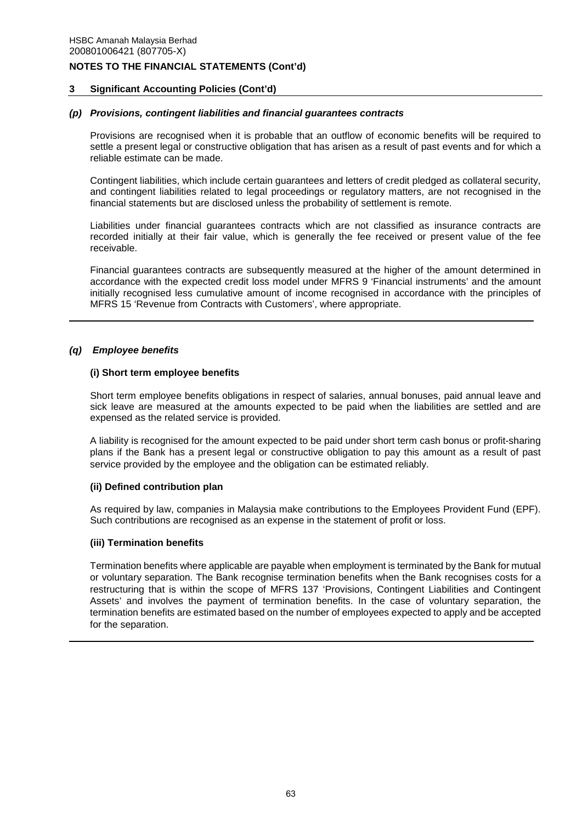### **3 Significant Accounting Policies (Cont'd)**

### *(p) Provisions, contingent liabilities and financial guarantees contracts*

Provisions are recognised when it is probable that an outflow of economic benefits will be required to settle a present legal or constructive obligation that has arisen as a result of past events and for which a reliable estimate can be made.

Contingent liabilities, which include certain guarantees and letters of credit pledged as collateral security, and contingent liabilities related to legal proceedings or regulatory matters, are not recognised in the financial statements but are disclosed unless the probability of settlement is remote.

Liabilities under financial guarantees contracts which are not classified as insurance contracts are recorded initially at their fair value, which is generally the fee received or present value of the fee receivable.

Financial guarantees contracts are subsequently measured at the higher of the amount determined in accordance with the expected credit loss model under MFRS 9 'Financial instruments' and the amount initially recognised less cumulative amount of income recognised in accordance with the principles of MFRS 15 'Revenue from Contracts with Customers', where appropriate.

### *(q) Employee benefits*

### **(i) Short term employee benefits**

Short term employee benefits obligations in respect of salaries, annual bonuses, paid annual leave and sick leave are measured at the amounts expected to be paid when the liabilities are settled and are expensed as the related service is provided.

 A liability is recognised for the amount expected to be paid under short term cash bonus or profit-sharing plans if the Bank has a present legal or constructive obligation to pay this amount as a result of past service provided by the employee and the obligation can be estimated reliably.

### **(ii) Defined contribution plan**

As required by law, companies in Malaysia make contributions to the Employees Provident Fund (EPF). Such contributions are recognised as an expense in the statement of profit or loss.

### **(iii) Termination benefits**

Termination benefits where applicable are payable when employment is terminated by the Bank for mutual or voluntary separation. The Bank recognise termination benefits when the Bank recognises costs for a restructuring that is within the scope of MFRS 137 'Provisions, Contingent Liabilities and Contingent Assets' and involves the payment of termination benefits. In the case of voluntary separation, the termination benefits are estimated based on the number of employees expected to apply and be accepted for the separation.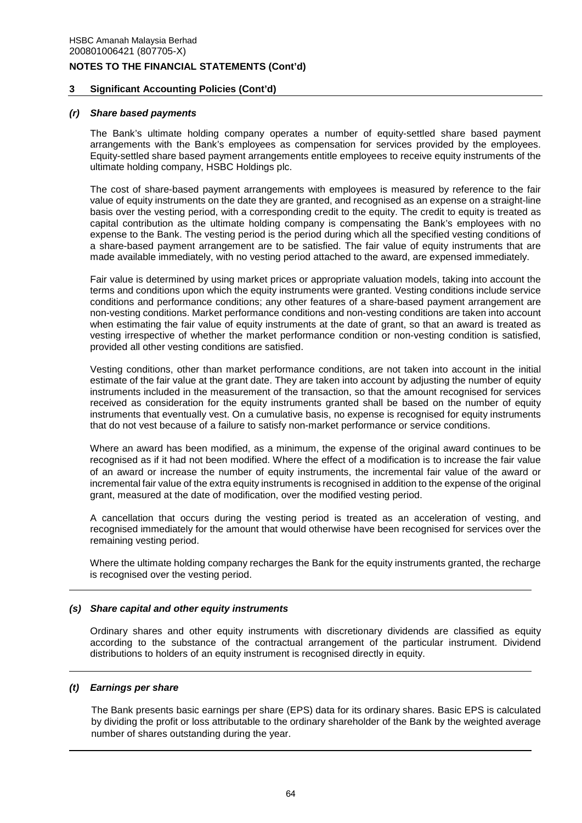### **3 Significant Accounting Policies (Cont'd)**

#### *(r) Share based payments*

The Bank's ultimate holding company operates a number of equity-settled share based payment arrangements with the Bank's employees as compensation for services provided by the employees. Equity-settled share based payment arrangements entitle employees to receive equity instruments of the ultimate holding company, HSBC Holdings plc.

The cost of share-based payment arrangements with employees is measured by reference to the fair value of equity instruments on the date they are granted, and recognised as an expense on a straight-line basis over the vesting period, with a corresponding credit to the equity. The credit to equity is treated as capital contribution as the ultimate holding company is compensating the Bank's employees with no expense to the Bank. The vesting period is the period during which all the specified vesting conditions of a share-based payment arrangement are to be satisfied. The fair value of equity instruments that are made available immediately, with no vesting period attached to the award, are expensed immediately.

Fair value is determined by using market prices or appropriate valuation models, taking into account the terms and conditions upon which the equity instruments were granted. Vesting conditions include service conditions and performance conditions; any other features of a share-based payment arrangement are non-vesting conditions. Market performance conditions and non-vesting conditions are taken into account when estimating the fair value of equity instruments at the date of grant, so that an award is treated as vesting irrespective of whether the market performance condition or non-vesting condition is satisfied, provided all other vesting conditions are satisfied.

Vesting conditions, other than market performance conditions, are not taken into account in the initial estimate of the fair value at the grant date. They are taken into account by adjusting the number of equity instruments included in the measurement of the transaction, so that the amount recognised for services received as consideration for the equity instruments granted shall be based on the number of equity instruments that eventually vest. On a cumulative basis, no expense is recognised for equity instruments that do not vest because of a failure to satisfy non-market performance or service conditions.

Where an award has been modified, as a minimum, the expense of the original award continues to be recognised as if it had not been modified. Where the effect of a modification is to increase the fair value of an award or increase the number of equity instruments, the incremental fair value of the award or incremental fair value of the extra equity instruments is recognised in addition to the expense of the original grant, measured at the date of modification, over the modified vesting period.

A cancellation that occurs during the vesting period is treated as an acceleration of vesting, and recognised immediately for the amount that would otherwise have been recognised for services over the remaining vesting period.

Where the ultimate holding company recharges the Bank for the equity instruments granted, the recharge is recognised over the vesting period.

### *(s) Share capital and other equity instruments*

Ordinary shares and other equity instruments with discretionary dividends are classified as equity according to the substance of the contractual arrangement of the particular instrument. Dividend distributions to holders of an equity instrument is recognised directly in equity.

#### *(t) Earnings per share*

The Bank presents basic earnings per share (EPS) data for its ordinary shares. Basic EPS is calculated by dividing the profit or loss attributable to the ordinary shareholder of the Bank by the weighted average number of shares outstanding during the year.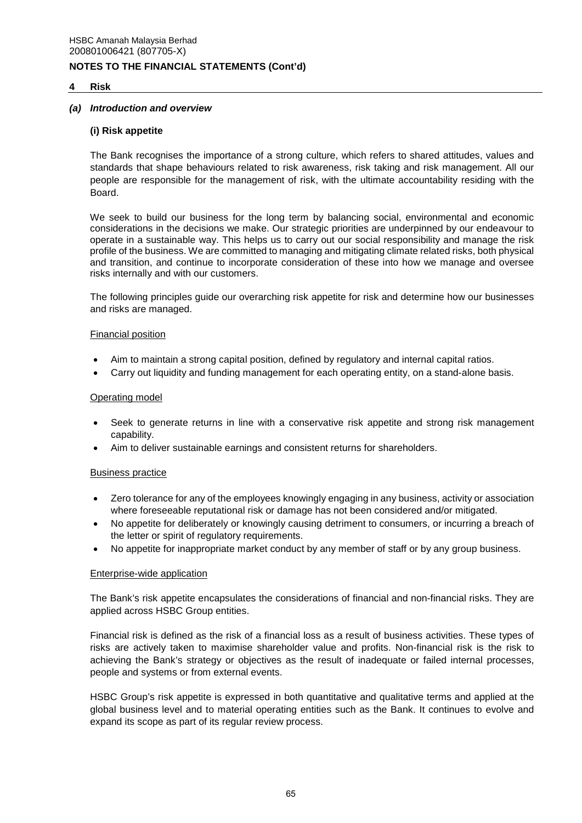### **4 Risk**

#### *(a) Introduction and overview*

#### **(i) Risk appetite**

The Bank recognises the importance of a strong culture, which refers to shared attitudes, values and standards that shape behaviours related to risk awareness, risk taking and risk management. All our people are responsible for the management of risk, with the ultimate accountability residing with the Board.

We seek to build our business for the long term by balancing social, environmental and economic considerations in the decisions we make. Our strategic priorities are underpinned by our endeavour to operate in a sustainable way. This helps us to carry out our social responsibility and manage the risk profile of the business. We are committed to managing and mitigating climate related risks, both physical and transition, and continue to incorporate consideration of these into how we manage and oversee risks internally and with our customers.

The following principles guide our overarching risk appetite for risk and determine how our businesses and risks are managed.

#### Financial position

- Aim to maintain a strong capital position, defined by regulatory and internal capital ratios.
- Carry out liquidity and funding management for each operating entity, on a stand-alone basis.

#### Operating model

- Seek to generate returns in line with a conservative risk appetite and strong risk management capability.
- Aim to deliver sustainable earnings and consistent returns for shareholders.

#### Business practice

- Zero tolerance for any of the employees knowingly engaging in any business, activity or association where foreseeable reputational risk or damage has not been considered and/or mitigated.
- No appetite for deliberately or knowingly causing detriment to consumers, or incurring a breach of the letter or spirit of regulatory requirements.
- No appetite for inappropriate market conduct by any member of staff or by any group business.

# Enterprise-wide application

The Bank's risk appetite encapsulates the considerations of financial and non-financial risks. They are applied across HSBC Group entities.

Financial risk is defined as the risk of a financial loss as a result of business activities. These types of risks are actively taken to maximise shareholder value and profits. Non-financial risk is the risk to achieving the Bank's strategy or objectives as the result of inadequate or failed internal processes, people and systems or from external events.

HSBC Group's risk appetite is expressed in both quantitative and qualitative terms and applied at the global business level and to material operating entities such as the Bank. It continues to evolve and expand its scope as part of its regular review process.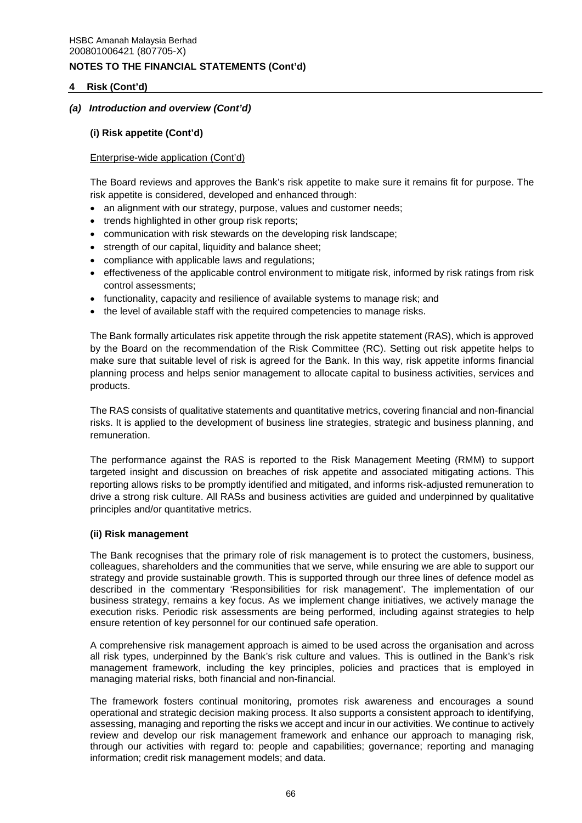# **4 Risk (Cont'd)**

# *(a) Introduction and overview (Cont'd)*

## **(i) Risk appetite (Cont'd)**

### Enterprise-wide application (Cont'd)

The Board reviews and approves the Bank's risk appetite to make sure it remains fit for purpose. The risk appetite is considered, developed and enhanced through:

- an alignment with our strategy, purpose, values and customer needs;
- trends highlighted in other group risk reports;
- communication with risk stewards on the developing risk landscape;
- strength of our capital, liquidity and balance sheet;
- compliance with applicable laws and regulations;
- effectiveness of the applicable control environment to mitigate risk, informed by risk ratings from risk control assessments;
- functionality, capacity and resilience of available systems to manage risk; and
- the level of available staff with the required competencies to manage risks.

The Bank formally articulates risk appetite through the risk appetite statement (RAS), which is approved by the Board on the recommendation of the Risk Committee (RC). Setting out risk appetite helps to make sure that suitable level of risk is agreed for the Bank. In this way, risk appetite informs financial planning process and helps senior management to allocate capital to business activities, services and products.

The RAS consists of qualitative statements and quantitative metrics, covering financial and non-financial risks. It is applied to the development of business line strategies, strategic and business planning, and remuneration.

The performance against the RAS is reported to the Risk Management Meeting (RMM) to support targeted insight and discussion on breaches of risk appetite and associated mitigating actions. This reporting allows risks to be promptly identified and mitigated, and informs risk-adjusted remuneration to drive a strong risk culture. All RASs and business activities are guided and underpinned by qualitative principles and/or quantitative metrics.

### **(ii) Risk management**

The Bank recognises that the primary role of risk management is to protect the customers, business, colleagues, shareholders and the communities that we serve, while ensuring we are able to support our strategy and provide sustainable growth. This is supported through our three lines of defence model as described in the commentary 'Responsibilities for risk management'. The implementation of our business strategy, remains a key focus. As we implement change initiatives, we actively manage the execution risks. Periodic risk assessments are being performed, including against strategies to help ensure retention of key personnel for our continued safe operation.

A comprehensive risk management approach is aimed to be used across the organisation and across all risk types, underpinned by the Bank's risk culture and values. This is outlined in the Bank's risk management framework, including the key principles, policies and practices that is employed in managing material risks, both financial and non-financial.

The framework fosters continual monitoring, promotes risk awareness and encourages a sound operational and strategic decision making process. It also supports a consistent approach to identifying, assessing, managing and reporting the risks we accept and incur in our activities. We continue to actively review and develop our risk management framework and enhance our approach to managing risk, through our activities with regard to: people and capabilities; governance; reporting and managing information; credit risk management models; and data.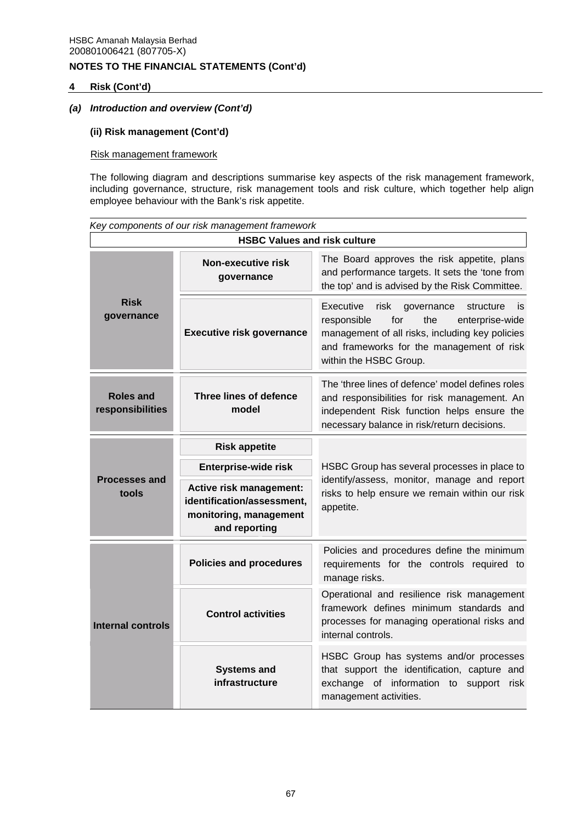# **4 Risk (Cont'd)**

# *(a) Introduction and overview (Cont'd)*

# **(ii) Risk management (Cont'd)**

# Risk management framework

The following diagram and descriptions summarise key aspects of the risk management framework, including governance, structure, risk management tools and risk culture, which together help align employee behaviour with the Bank's risk appetite.

| Key components of our risk management framework |                                                                                                         |                                                                                                                                                                                                                               |  |  |  |  |
|-------------------------------------------------|---------------------------------------------------------------------------------------------------------|-------------------------------------------------------------------------------------------------------------------------------------------------------------------------------------------------------------------------------|--|--|--|--|
|                                                 | <b>HSBC Values and risk culture</b>                                                                     |                                                                                                                                                                                                                               |  |  |  |  |
| <b>Risk</b><br>governance                       | Non-executive risk<br>governance                                                                        | The Board approves the risk appetite, plans<br>and performance targets. It sets the 'tone from<br>the top' and is advised by the Risk Committee.                                                                              |  |  |  |  |
|                                                 | <b>Executive risk governance</b>                                                                        | Executive<br>risk<br>governance<br>structure<br>İS.<br>for<br>responsible<br>the<br>enterprise-wide<br>management of all risks, including key policies<br>and frameworks for the management of risk<br>within the HSBC Group. |  |  |  |  |
| Roles and<br>responsibilities                   | <b>Three lines of defence</b><br>model                                                                  | The 'three lines of defence' model defines roles<br>and responsibilities for risk management. An<br>independent Risk function helps ensure the<br>necessary balance in risk/return decisions.                                 |  |  |  |  |
|                                                 | <b>Risk appetite</b>                                                                                    |                                                                                                                                                                                                                               |  |  |  |  |
| <b>Processes and</b><br>tools                   | Enterprise-wide risk                                                                                    | HSBC Group has several processes in place to                                                                                                                                                                                  |  |  |  |  |
|                                                 | <b>Active risk management:</b><br>identification/assessment,<br>monitoring, management<br>and reporting | identify/assess, monitor, manage and report<br>risks to help ensure we remain within our risk<br>appetite.                                                                                                                    |  |  |  |  |
|                                                 | <b>Policies and procedures</b>                                                                          | Policies and procedures define the minimum<br>requirements for the controls required to<br>manage risks.                                                                                                                      |  |  |  |  |
| <b>Internal controls</b>                        | <b>Control activities</b>                                                                               | Operational and resilience risk management<br>framework defines minimum standards and<br>processes for managing operational risks and<br>internal controls.                                                                   |  |  |  |  |
|                                                 | <b>Systems and</b><br>infrastructure                                                                    | HSBC Group has systems and/or processes<br>that support the identification, capture and<br>exchange of information to support risk<br>management activities.                                                                  |  |  |  |  |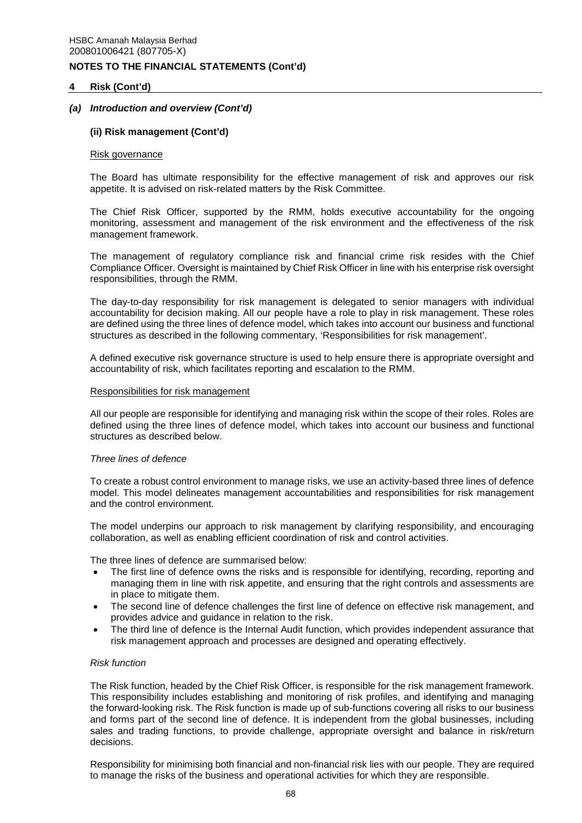### **4 Risk (Cont'd)**

### *(a) Introduction and overview (Cont'd)*

#### **(ii) Risk management (Cont'd)**

#### Risk governance

The Board has ultimate responsibility for the effective management of risk and approves our risk appetite. It is advised on risk-related matters by the Risk Committee.

The Chief Risk Officer, supported by the RMM, holds executive accountability for the ongoing monitoring, assessment and management of the risk environment and the effectiveness of the risk management framework.

The management of regulatory compliance risk and financial crime risk resides with the Chief Compliance Officer. Oversight is maintained by Chief Risk Officer in line with his enterprise risk oversight responsibilities, through the RMM.

The day-to-day responsibility for risk management is delegated to senior managers with individual accountability for decision making. All our people have a role to play in risk management. These roles are defined using the three lines of defence model, which takes into account our business and functional structures as described in the following commentary, 'Responsibilities for risk management'.

A defined executive risk governance structure is used to help ensure there is appropriate oversight and accountability of risk, which facilitates reporting and escalation to the RMM.

#### Responsibilities for risk management

All our people are responsible for identifying and managing risk within the scope of their roles. Roles are defined using the three lines of defence model, which takes into account our business and functional structures as described below.

#### *Three lines of defence*

To create a robust control environment to manage risks, we use an activity-based three lines of defence model. This model delineates management accountabilities and responsibilities for risk management and the control environment.

The model underpins our approach to risk management by clarifying responsibility, and encouraging collaboration, as well as enabling efficient coordination of risk and control activities.

The three lines of defence are summarised below:

- The first line of defence owns the risks and is responsible for identifying, recording, reporting and managing them in line with risk appetite, and ensuring that the right controls and assessments are in place to mitigate them.
- The second line of defence challenges the first line of defence on effective risk management, and provides advice and guidance in relation to the risk.
- The third line of defence is the Internal Audit function, which provides independent assurance that risk management approach and processes are designed and operating effectively.

#### *Risk function*

The Risk function, headed by the Chief Risk Officer, is responsible for the risk management framework. This responsibility includes establishing and monitoring of risk profiles, and identifying and managing the forward-looking risk. The Risk function is made up of sub-functions covering all risks to our business and forms part of the second line of defence. It is independent from the global businesses, including sales and trading functions, to provide challenge, appropriate oversight and balance in risk/return decisions.

Responsibility for minimising both financial and non-financial risk lies with our people. They are required to manage the risks of the business and operational activities for which they are responsible.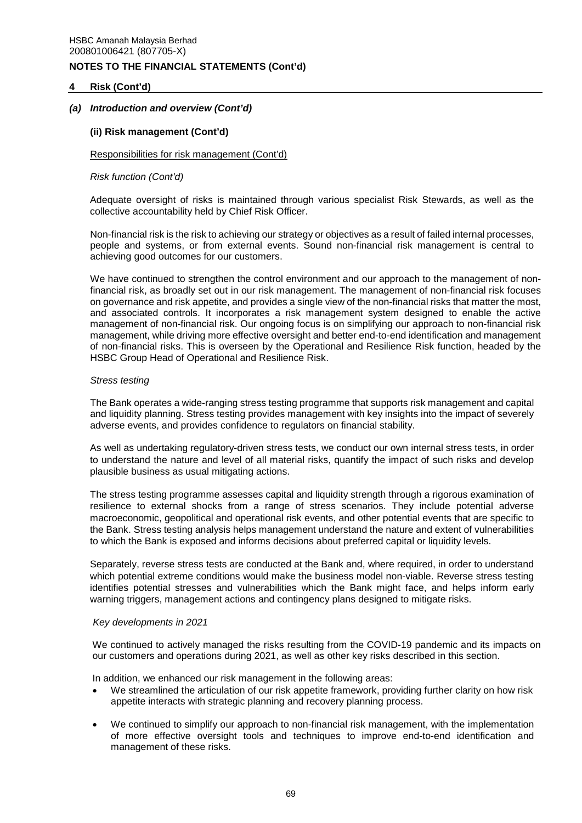### **4 Risk (Cont'd)**

## *(a) Introduction and overview (Cont'd)*

### **(ii) Risk management (Cont'd)**

#### Responsibilities for risk management (Cont'd)

#### *Risk function (Cont'd)*

Adequate oversight of risks is maintained through various specialist Risk Stewards, as well as the collective accountability held by Chief Risk Officer.

Non-financial risk is the risk to achieving our strategy or objectives as a result of failed internal processes, people and systems, or from external events. Sound non-financial risk management is central to achieving good outcomes for our customers.

We have continued to strengthen the control environment and our approach to the management of nonfinancial risk, as broadly set out in our risk management. The management of non-financial risk focuses on governance and risk appetite, and provides a single view of the non-financial risks that matter the most, and associated controls. It incorporates a risk management system designed to enable the active management of non-financial risk. Our ongoing focus is on simplifying our approach to non-financial risk management, while driving more effective oversight and better end-to-end identification and management of non-financial risks. This is overseen by the Operational and Resilience Risk function, headed by the HSBC Group Head of Operational and Resilience Risk.

#### *Stress testing*

The Bank operates a wide-ranging stress testing programme that supports risk management and capital and liquidity planning. Stress testing provides management with key insights into the impact of severely adverse events, and provides confidence to regulators on financial stability.

As well as undertaking regulatory-driven stress tests, we conduct our own internal stress tests, in order to understand the nature and level of all material risks, quantify the impact of such risks and develop plausible business as usual mitigating actions.

The stress testing programme assesses capital and liquidity strength through a rigorous examination of resilience to external shocks from a range of stress scenarios. They include potential adverse macroeconomic, geopolitical and operational risk events, and other potential events that are specific to the Bank. Stress testing analysis helps management understand the nature and extent of vulnerabilities to which the Bank is exposed and informs decisions about preferred capital or liquidity levels.

Separately, reverse stress tests are conducted at the Bank and, where required, in order to understand which potential extreme conditions would make the business model non-viable. Reverse stress testing identifies potential stresses and vulnerabilities which the Bank might face, and helps inform early warning triggers, management actions and contingency plans designed to mitigate risks.

#### *Key developments in 2021*

We continued to actively managed the risks resulting from the COVID-19 pandemic and its impacts on our customers and operations during 2021, as well as other key risks described in this section.

In addition, we enhanced our risk management in the following areas:

- We streamlined the articulation of our risk appetite framework, providing further clarity on how risk appetite interacts with strategic planning and recovery planning process.
- We continued to simplify our approach to non-financial risk management, with the implementation of more effective oversight tools and techniques to improve end-to-end identification and management of these risks.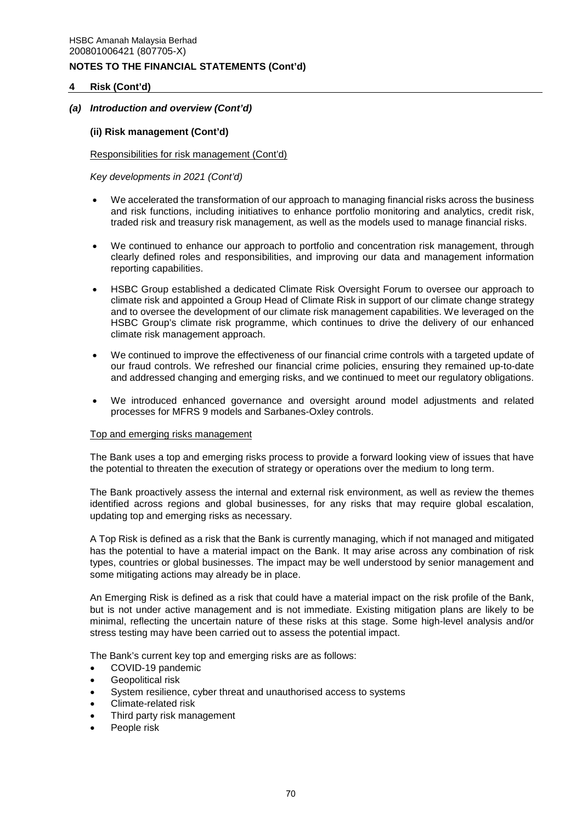## **4 Risk (Cont'd)**

## *(a) Introduction and overview (Cont'd)*

### **(ii) Risk management (Cont'd)**

#### Responsibilities for risk management (Cont'd)

*Key developments in 2021 (Cont'd)* 

- We accelerated the transformation of our approach to managing financial risks across the business and risk functions, including initiatives to enhance portfolio monitoring and analytics, credit risk, traded risk and treasury risk management, as well as the models used to manage financial risks.
- We continued to enhance our approach to portfolio and concentration risk management, through clearly defined roles and responsibilities, and improving our data and management information reporting capabilities.
- HSBC Group established a dedicated Climate Risk Oversight Forum to oversee our approach to climate risk and appointed a Group Head of Climate Risk in support of our climate change strategy and to oversee the development of our climate risk management capabilities. We leveraged on the HSBC Group's climate risk programme, which continues to drive the delivery of our enhanced climate risk management approach.
- We continued to improve the effectiveness of our financial crime controls with a targeted update of our fraud controls. We refreshed our financial crime policies, ensuring they remained up-to-date and addressed changing and emerging risks, and we continued to meet our regulatory obligations.
- We introduced enhanced governance and oversight around model adjustments and related processes for MFRS 9 models and Sarbanes-Oxley controls.

#### Top and emerging risks management

The Bank uses a top and emerging risks process to provide a forward looking view of issues that have the potential to threaten the execution of strategy or operations over the medium to long term.

The Bank proactively assess the internal and external risk environment, as well as review the themes identified across regions and global businesses, for any risks that may require global escalation, updating top and emerging risks as necessary.

A Top Risk is defined as a risk that the Bank is currently managing, which if not managed and mitigated has the potential to have a material impact on the Bank. It may arise across any combination of risk types, countries or global businesses. The impact may be well understood by senior management and some mitigating actions may already be in place.

An Emerging Risk is defined as a risk that could have a material impact on the risk profile of the Bank, but is not under active management and is not immediate. Existing mitigation plans are likely to be minimal, reflecting the uncertain nature of these risks at this stage. Some high-level analysis and/or stress testing may have been carried out to assess the potential impact.

The Bank's current key top and emerging risks are as follows:

- COVID-19 pandemic
- Geopolitical risk
- System resilience, cyber threat and unauthorised access to systems
- Climate-related risk
- Third party risk management
- People risk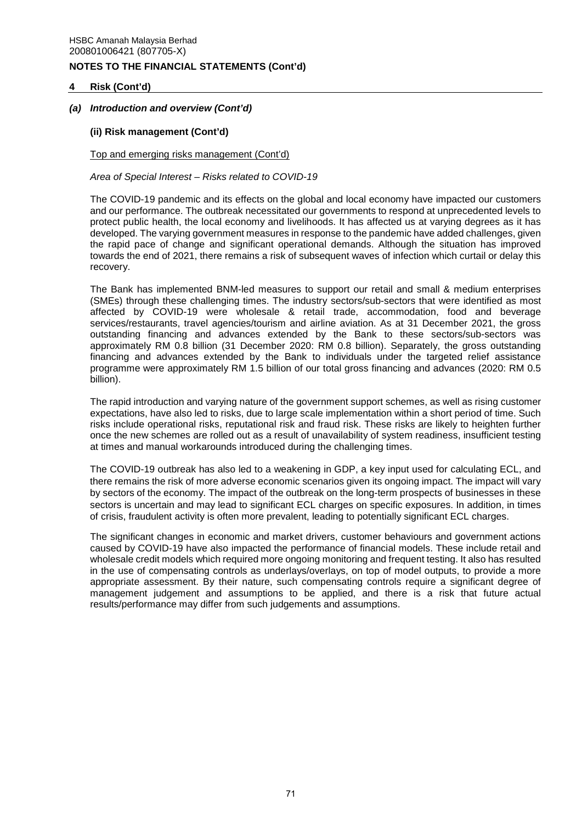## **4 Risk (Cont'd)**

## *(a) Introduction and overview (Cont'd)*

## **(ii) Risk management (Cont'd)**

### Top and emerging risks management (Cont'd)

*Area of Special Interest – Risks related to COVID-19* 

The COVID-19 pandemic and its effects on the global and local economy have impacted our customers and our performance. The outbreak necessitated our governments to respond at unprecedented levels to protect public health, the local economy and livelihoods. It has affected us at varying degrees as it has developed. The varying government measures in response to the pandemic have added challenges, given the rapid pace of change and significant operational demands. Although the situation has improved towards the end of 2021, there remains a risk of subsequent waves of infection which curtail or delay this recovery.

The Bank has implemented BNM-led measures to support our retail and small & medium enterprises (SMEs) through these challenging times. The industry sectors/sub-sectors that were identified as most affected by COVID-19 were wholesale & retail trade, accommodation, food and beverage services/restaurants, travel agencies/tourism and airline aviation. As at 31 December 2021, the gross outstanding financing and advances extended by the Bank to these sectors/sub-sectors was approximately RM 0.8 billion (31 December 2020: RM 0.8 billion). Separately, the gross outstanding financing and advances extended by the Bank to individuals under the targeted relief assistance programme were approximately RM 1.5 billion of our total gross financing and advances (2020: RM 0.5 billion).

The rapid introduction and varying nature of the government support schemes, as well as rising customer expectations, have also led to risks, due to large scale implementation within a short period of time. Such risks include operational risks, reputational risk and fraud risk. These risks are likely to heighten further once the new schemes are rolled out as a result of unavailability of system readiness, insufficient testing at times and manual workarounds introduced during the challenging times.

The COVID-19 outbreak has also led to a weakening in GDP, a key input used for calculating ECL, and there remains the risk of more adverse economic scenarios given its ongoing impact. The impact will vary by sectors of the economy. The impact of the outbreak on the long-term prospects of businesses in these sectors is uncertain and may lead to significant ECL charges on specific exposures. In addition, in times of crisis, fraudulent activity is often more prevalent, leading to potentially significant ECL charges.

The significant changes in economic and market drivers, customer behaviours and government actions caused by COVID-19 have also impacted the performance of financial models. These include retail and wholesale credit models which required more ongoing monitoring and frequent testing. It also has resulted in the use of compensating controls as underlays/overlays, on top of model outputs, to provide a more appropriate assessment. By their nature, such compensating controls require a significant degree of management judgement and assumptions to be applied, and there is a risk that future actual results/performance may differ from such judgements and assumptions.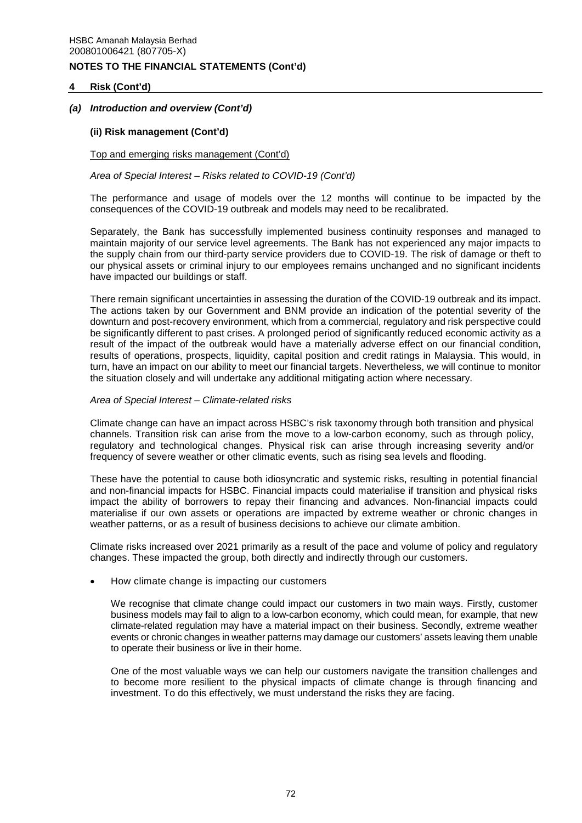## **4 Risk (Cont'd)**

## *(a) Introduction and overview (Cont'd)*

## **(ii) Risk management (Cont'd)**

#### Top and emerging risks management (Cont'd)

### *Area of Special Interest – Risks related to COVID-19 (Cont'd)*

The performance and usage of models over the 12 months will continue to be impacted by the consequences of the COVID-19 outbreak and models may need to be recalibrated.

Separately, the Bank has successfully implemented business continuity responses and managed to maintain majority of our service level agreements. The Bank has not experienced any major impacts to the supply chain from our third-party service providers due to COVID-19. The risk of damage or theft to our physical assets or criminal injury to our employees remains unchanged and no significant incidents have impacted our buildings or staff.

There remain significant uncertainties in assessing the duration of the COVID-19 outbreak and its impact. The actions taken by our Government and BNM provide an indication of the potential severity of the downturn and post-recovery environment, which from a commercial, regulatory and risk perspective could be significantly different to past crises. A prolonged period of significantly reduced economic activity as a result of the impact of the outbreak would have a materially adverse effect on our financial condition, results of operations, prospects, liquidity, capital position and credit ratings in Malaysia. This would, in turn, have an impact on our ability to meet our financial targets. Nevertheless, we will continue to monitor the situation closely and will undertake any additional mitigating action where necessary.

#### *Area of Special Interest – Climate-related risks*

Climate change can have an impact across HSBC's risk taxonomy through both transition and physical channels. Transition risk can arise from the move to a low-carbon economy, such as through policy, regulatory and technological changes. Physical risk can arise through increasing severity and/or frequency of severe weather or other climatic events, such as rising sea levels and flooding.

These have the potential to cause both idiosyncratic and systemic risks, resulting in potential financial and non-financial impacts for HSBC. Financial impacts could materialise if transition and physical risks impact the ability of borrowers to repay their financing and advances. Non-financial impacts could materialise if our own assets or operations are impacted by extreme weather or chronic changes in weather patterns, or as a result of business decisions to achieve our climate ambition.

Climate risks increased over 2021 primarily as a result of the pace and volume of policy and regulatory changes. These impacted the group, both directly and indirectly through our customers.

How climate change is impacting our customers

We recognise that climate change could impact our customers in two main ways. Firstly, customer business models may fail to align to a low-carbon economy, which could mean, for example, that new climate-related regulation may have a material impact on their business. Secondly, extreme weather events or chronic changes in weather patterns may damage our customers' assets leaving them unable to operate their business or live in their home.

One of the most valuable ways we can help our customers navigate the transition challenges and to become more resilient to the physical impacts of climate change is through financing and investment. To do this effectively, we must understand the risks they are facing.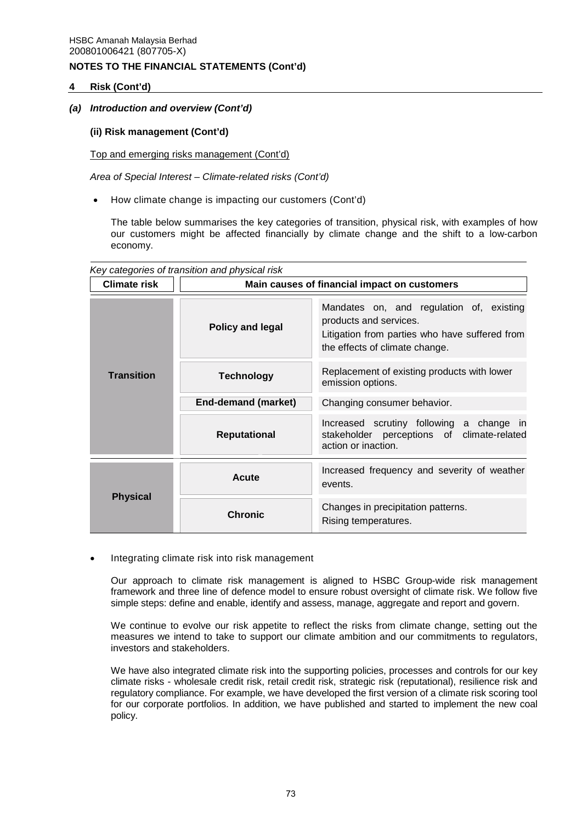## **4 Risk (Cont'd)**

## *(a) Introduction and overview (Cont'd)*

## **(ii) Risk management (Cont'd)**

Top and emerging risks management (Cont'd)

*Area of Special Interest – Climate-related risks (Cont'd)* 

How climate change is impacting our customers (Cont'd)

The table below summarises the key categories of transition, physical risk, with examples of how our customers might be affected financially by climate change and the shift to a low-carbon economy.

|                     | Key categories of transition and physical risk |                                                                                                                                                        |  |  |  |  |  |  |  |  |  |  |
|---------------------|------------------------------------------------|--------------------------------------------------------------------------------------------------------------------------------------------------------|--|--|--|--|--|--|--|--|--|--|
| <b>Climate risk</b> |                                                | Main causes of financial impact on customers                                                                                                           |  |  |  |  |  |  |  |  |  |  |
| <b>Transition</b>   | Policy and legal                               | Mandates on, and regulation of, existing<br>products and services.<br>Litigation from parties who have suffered from<br>the effects of climate change. |  |  |  |  |  |  |  |  |  |  |
|                     | <b>Technology</b>                              | Replacement of existing products with lower<br>emission options.                                                                                       |  |  |  |  |  |  |  |  |  |  |
|                     | End-demand (market)                            | Changing consumer behavior.                                                                                                                            |  |  |  |  |  |  |  |  |  |  |
|                     | <b>Reputational</b>                            | Increased scrutiny following a change in<br>stakeholder perceptions of climate-related<br>action or inaction.                                          |  |  |  |  |  |  |  |  |  |  |
| <b>Physical</b>     | Acute                                          | Increased frequency and severity of weather<br>events.                                                                                                 |  |  |  |  |  |  |  |  |  |  |
|                     | <b>Chronic</b>                                 | Changes in precipitation patterns.<br>Rising temperatures.                                                                                             |  |  |  |  |  |  |  |  |  |  |

Integrating climate risk into risk management

Our approach to climate risk management is aligned to HSBC Group-wide risk management framework and three line of defence model to ensure robust oversight of climate risk. We follow five simple steps: define and enable, identify and assess, manage, aggregate and report and govern.

We continue to evolve our risk appetite to reflect the risks from climate change, setting out the measures we intend to take to support our climate ambition and our commitments to regulators, investors and stakeholders.

We have also integrated climate risk into the supporting policies, processes and controls for our key climate risks - wholesale credit risk, retail credit risk, strategic risk (reputational), resilience risk and regulatory compliance. For example, we have developed the first version of a climate risk scoring tool for our corporate portfolios. In addition, we have published and started to implement the new coal policy.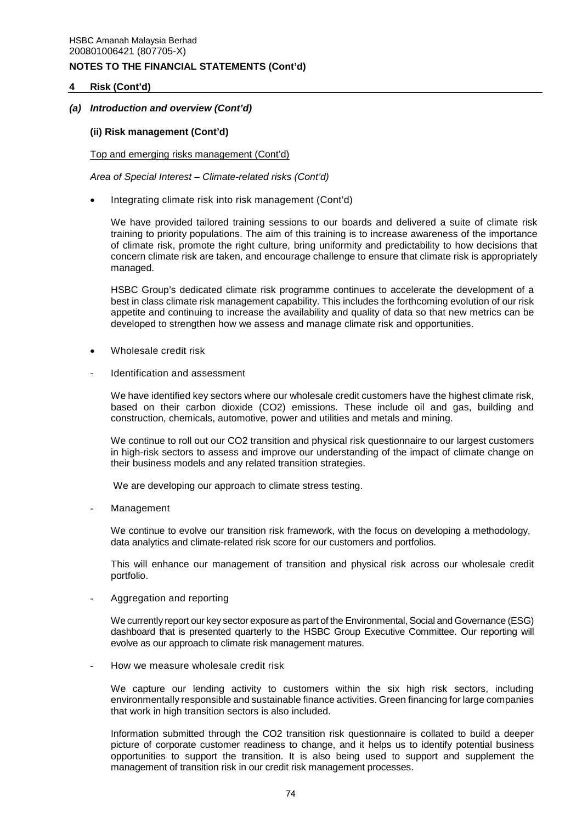## **4 Risk (Cont'd)**

## *(a) Introduction and overview (Cont'd)*

### **(ii) Risk management (Cont'd)**

Top and emerging risks management (Cont'd)

*Area of Special Interest – Climate-related risks (Cont'd)* 

Integrating climate risk into risk management (Cont'd)

We have provided tailored training sessions to our boards and delivered a suite of climate risk training to priority populations. The aim of this training is to increase awareness of the importance of climate risk, promote the right culture, bring uniformity and predictability to how decisions that concern climate risk are taken, and encourage challenge to ensure that climate risk is appropriately managed.

HSBC Group's dedicated climate risk programme continues to accelerate the development of a best in class climate risk management capability. This includes the forthcoming evolution of our risk appetite and continuing to increase the availability and quality of data so that new metrics can be developed to strengthen how we assess and manage climate risk and opportunities.

- Wholesale credit risk
- Identification and assessment

We have identified key sectors where our wholesale credit customers have the highest climate risk, based on their carbon dioxide (CO2) emissions. These include oil and gas, building and construction, chemicals, automotive, power and utilities and metals and mining.

We continue to roll out our CO2 transition and physical risk questionnaire to our largest customers in high-risk sectors to assess and improve our understanding of the impact of climate change on their business models and any related transition strategies.

We are developing our approach to climate stress testing.

**Management** 

We continue to evolve our transition risk framework, with the focus on developing a methodology, data analytics and climate-related risk score for our customers and portfolios.

This will enhance our management of transition and physical risk across our wholesale credit portfolio.

- Aggregation and reporting

We currently report our key sector exposure as part of the Environmental, Social and Governance (ESG) dashboard that is presented quarterly to the HSBC Group Executive Committee. Our reporting will evolve as our approach to climate risk management matures.

How we measure wholesale credit risk

We capture our lending activity to customers within the six high risk sectors, including environmentally responsible and sustainable finance activities. Green financing for large companies that work in high transition sectors is also included.

Information submitted through the CO2 transition risk questionnaire is collated to build a deeper picture of corporate customer readiness to change, and it helps us to identify potential business opportunities to support the transition. It is also being used to support and supplement the management of transition risk in our credit risk management processes.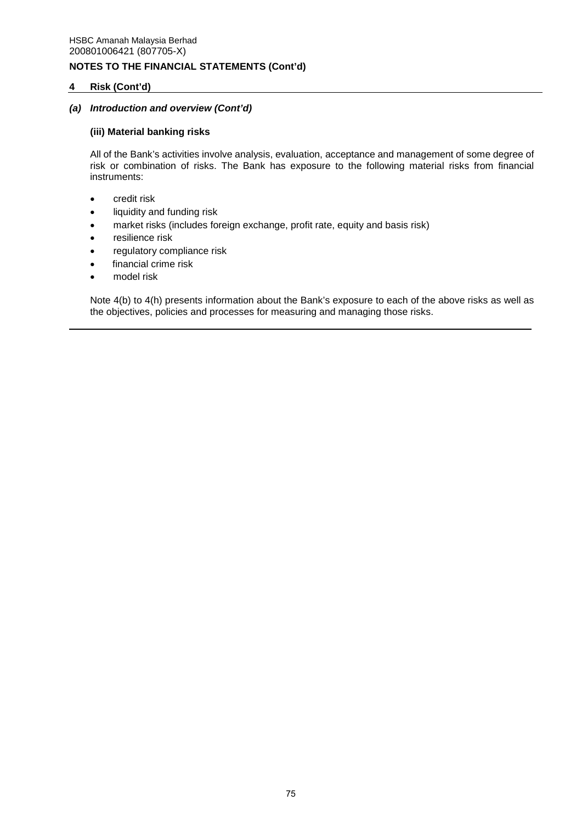## **4 Risk (Cont'd)**

## *(a) Introduction and overview (Cont'd)*

## **(iii) Material banking risks**

All of the Bank's activities involve analysis, evaluation, acceptance and management of some degree of risk or combination of risks. The Bank has exposure to the following material risks from financial instruments:

- credit risk
- liquidity and funding risk
- market risks (includes foreign exchange, profit rate, equity and basis risk)
- resilience risk
- regulatory compliance risk
- financial crime risk
- model risk

Note 4(b) to 4(h) presents information about the Bank's exposure to each of the above risks as well as the objectives, policies and processes for measuring and managing those risks.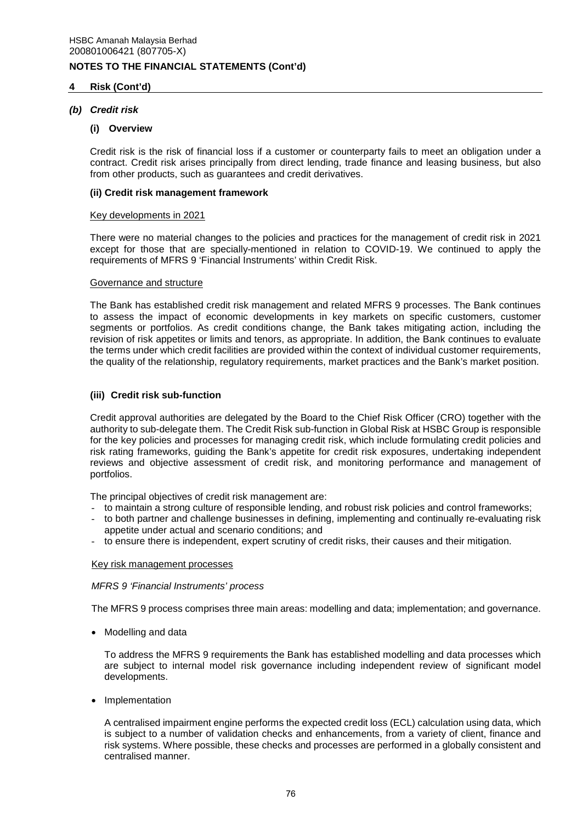## **4 Risk (Cont'd)**

## *(b) Credit risk*

### **(i) Overview**

Credit risk is the risk of financial loss if a customer or counterparty fails to meet an obligation under a contract. Credit risk arises principally from direct lending, trade finance and leasing business, but also from other products, such as guarantees and credit derivatives.

### **(ii) Credit risk management framework**

### Key developments in 2021

There were no material changes to the policies and practices for the management of credit risk in 2021 except for those that are specially-mentioned in relation to COVID-19. We continued to apply the requirements of MFRS 9 'Financial Instruments' within Credit Risk.

#### Governance and structure

The Bank has established credit risk management and related MFRS 9 processes. The Bank continues to assess the impact of economic developments in key markets on specific customers, customer segments or portfolios. As credit conditions change, the Bank takes mitigating action, including the revision of risk appetites or limits and tenors, as appropriate. In addition, the Bank continues to evaluate the terms under which credit facilities are provided within the context of individual customer requirements, the quality of the relationship, regulatory requirements, market practices and the Bank's market position.

## **(iii) Credit risk sub-function**

Credit approval authorities are delegated by the Board to the Chief Risk Officer (CRO) together with the authority to sub-delegate them. The Credit Risk sub-function in Global Risk at HSBC Group is responsible for the key policies and processes for managing credit risk, which include formulating credit policies and risk rating frameworks, guiding the Bank's appetite for credit risk exposures, undertaking independent reviews and objective assessment of credit risk, and monitoring performance and management of portfolios.

The principal objectives of credit risk management are:

- to maintain a strong culture of responsible lending, and robust risk policies and control frameworks;
- to both partner and challenge businesses in defining, implementing and continually re-evaluating risk appetite under actual and scenario conditions; and
- to ensure there is independent, expert scrutiny of credit risks, their causes and their mitigation.

## Key risk management processes

## *MFRS 9 'Financial Instruments' process*

The MFRS 9 process comprises three main areas: modelling and data; implementation; and governance.

• Modelling and data

To address the MFRS 9 requirements the Bank has established modelling and data processes which are subject to internal model risk governance including independent review of significant model developments.

• Implementation

A centralised impairment engine performs the expected credit loss (ECL) calculation using data, which is subject to a number of validation checks and enhancements, from a variety of client, finance and risk systems. Where possible, these checks and processes are performed in a globally consistent and centralised manner.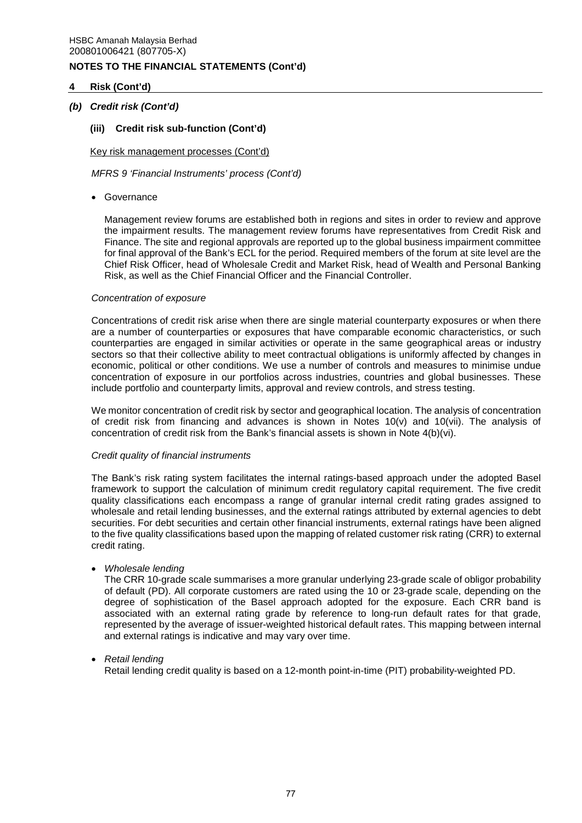## **4 Risk (Cont'd)**

## *(b) Credit risk (Cont'd)*

## **(iii) Credit risk sub-function (Cont'd)**

Key risk management processes (Cont'd)

*MFRS 9 'Financial Instruments' process (Cont'd)* 

Governance

Management review forums are established both in regions and sites in order to review and approve the impairment results. The management review forums have representatives from Credit Risk and Finance. The site and regional approvals are reported up to the global business impairment committee for final approval of the Bank's ECL for the period. Required members of the forum at site level are the Chief Risk Officer, head of Wholesale Credit and Market Risk, head of Wealth and Personal Banking Risk, as well as the Chief Financial Officer and the Financial Controller.

#### *Concentration of exposure*

Concentrations of credit risk arise when there are single material counterparty exposures or when there are a number of counterparties or exposures that have comparable economic characteristics, or such counterparties are engaged in similar activities or operate in the same geographical areas or industry sectors so that their collective ability to meet contractual obligations is uniformly affected by changes in economic, political or other conditions. We use a number of controls and measures to minimise undue concentration of exposure in our portfolios across industries, countries and global businesses. These include portfolio and counterparty limits, approval and review controls, and stress testing.

We monitor concentration of credit risk by sector and geographical location. The analysis of concentration of credit risk from financing and advances is shown in Notes  $10(v)$  and  $10(vii)$ . The analysis of concentration of credit risk from the Bank's financial assets is shown in Note 4(b)(vi).

#### *Credit quality of financial instruments*

The Bank's risk rating system facilitates the internal ratings-based approach under the adopted Basel framework to support the calculation of minimum credit regulatory capital requirement. The five credit quality classifications each encompass a range of granular internal credit rating grades assigned to wholesale and retail lending businesses, and the external ratings attributed by external agencies to debt securities. For debt securities and certain other financial instruments, external ratings have been aligned to the five quality classifications based upon the mapping of related customer risk rating (CRR) to external credit rating.

*Wholesale lending* 

The CRR 10-grade scale summarises a more granular underlying 23-grade scale of obligor probability of default (PD). All corporate customers are rated using the 10 or 23-grade scale, depending on the degree of sophistication of the Basel approach adopted for the exposure. Each CRR band is associated with an external rating grade by reference to long-run default rates for that grade, represented by the average of issuer-weighted historical default rates. This mapping between internal and external ratings is indicative and may vary over time.

## *Retail lending*

Retail lending credit quality is based on a 12-month point-in-time (PIT) probability-weighted PD.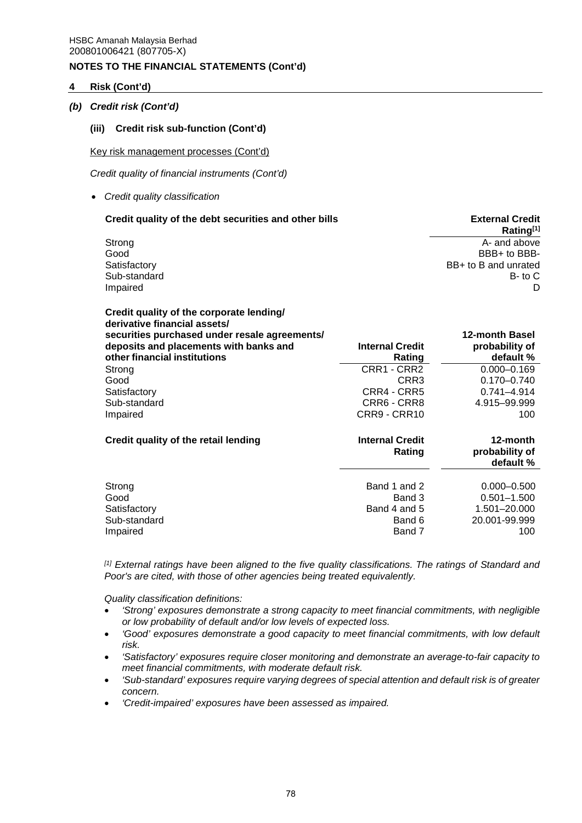## **4 Risk (Cont'd)**

### *(b) Credit risk (Cont'd)*

#### **(iii) Credit risk sub-function (Cont'd)**

Key risk management processes (Cont'd)

*Credit quality of financial instruments (Cont'd)*

*Credit quality classification* 

| Credit quality of the debt securities and other bills | <b>External Credit</b><br>Rating <sup>[1]</sup> |
|-------------------------------------------------------|-------------------------------------------------|
| Strong                                                | A- and above                                    |
| Good                                                  | BBB+ to BBB-                                    |
| Satisfactory                                          | BB+ to B and unrated                            |
| Sub-standard                                          | $B$ - to $C$                                    |
| Impaired                                              |                                                 |

| Credit quality of the corporate lending/<br>derivative financial assets/<br>securities purchased under resale agreements/<br>deposits and placements with banks and<br>other financial institutions | <b>Internal Credit</b><br>Rating                           | 12-month Basel<br>probability of<br>default %                              |
|-----------------------------------------------------------------------------------------------------------------------------------------------------------------------------------------------------|------------------------------------------------------------|----------------------------------------------------------------------------|
| Strong                                                                                                                                                                                              | CRR1 - CRR2                                                | $0.000 - 0.169$                                                            |
| Good                                                                                                                                                                                                | CRR3                                                       | $0.170 - 0.740$                                                            |
| Satisfactory                                                                                                                                                                                        | CRR4 - CRR5                                                | $0.741 - 4.914$                                                            |
| Sub-standard                                                                                                                                                                                        | CRR6 - CRR8                                                | 4.915-99.999                                                               |
| Impaired                                                                                                                                                                                            | CRR9 - CRR10                                               | 100                                                                        |
| Credit quality of the retail lending                                                                                                                                                                | <b>Internal Credit</b><br>Rating                           | 12-month<br>probability of<br>default %                                    |
| Strong<br>Good<br>Satisfactory<br>Sub-standard<br>Impaired                                                                                                                                          | Band 1 and 2<br>Band 3<br>Band 4 and 5<br>Band 6<br>Band 7 | $0.000 - 0.500$<br>$0.501 - 1.500$<br>1.501-20.000<br>20.001-99.999<br>100 |

*[1] External ratings have been aligned to the five quality classifications. The ratings of Standard and Poor's are cited, with those of other agencies being treated equivalently.* 

*Quality classification definitions:* 

- *'Strong' exposures demonstrate a strong capacity to meet financial commitments, with negligible or low probability of default and/or low levels of expected loss.*
- 'Good' exposures demonstrate a good capacity to meet financial commitments, with low default *risk.*
- *'Satisfactory' exposures require closer monitoring and demonstrate an average-to-fair capacity to meet financial commitments, with moderate default risk.*
- *'Sub-standard' exposures require varying degrees of special attention and default risk is of greater concern.*
- *'Credit-impaired' exposures have been assessed as impaired.*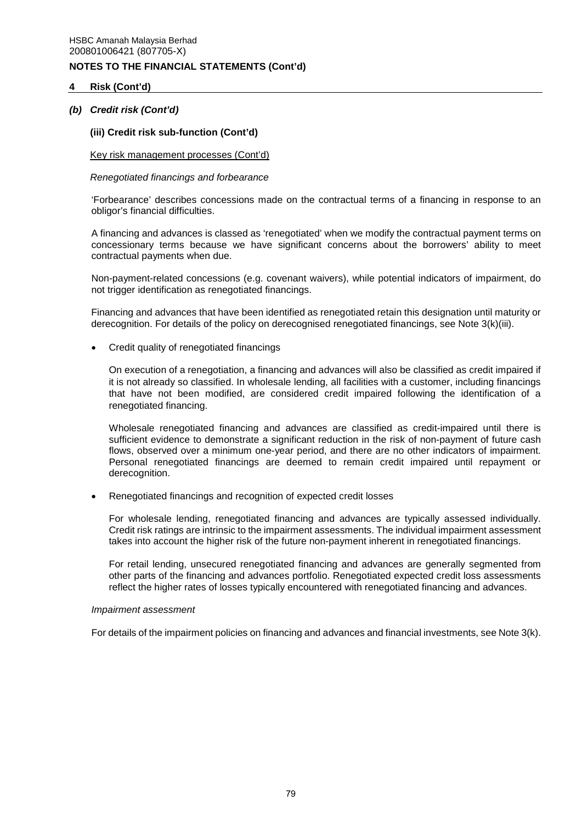## **4 Risk (Cont'd)**

### *(b) Credit risk (Cont'd)*

#### **(iii) Credit risk sub-function (Cont'd)**

#### Key risk management processes (Cont'd)

#### *Renegotiated financings and forbearance*

'Forbearance' describes concessions made on the contractual terms of a financing in response to an obligor's financial difficulties.

A financing and advances is classed as 'renegotiated' when we modify the contractual payment terms on concessionary terms because we have significant concerns about the borrowers' ability to meet contractual payments when due.

Non-payment-related concessions (e.g. covenant waivers), while potential indicators of impairment, do not trigger identification as renegotiated financings.

Financing and advances that have been identified as renegotiated retain this designation until maturity or derecognition. For details of the policy on derecognised renegotiated financings, see Note 3(k)(iii).

Credit quality of renegotiated financings

On execution of a renegotiation, a financing and advances will also be classified as credit impaired if it is not already so classified. In wholesale lending, all facilities with a customer, including financings that have not been modified, are considered credit impaired following the identification of a renegotiated financing.

Wholesale renegotiated financing and advances are classified as credit-impaired until there is sufficient evidence to demonstrate a significant reduction in the risk of non-payment of future cash flows, observed over a minimum one-year period, and there are no other indicators of impairment. Personal renegotiated financings are deemed to remain credit impaired until repayment or derecognition.

Renegotiated financings and recognition of expected credit losses

For wholesale lending, renegotiated financing and advances are typically assessed individually. Credit risk ratings are intrinsic to the impairment assessments. The individual impairment assessment takes into account the higher risk of the future non-payment inherent in renegotiated financings.

For retail lending, unsecured renegotiated financing and advances are generally segmented from other parts of the financing and advances portfolio. Renegotiated expected credit loss assessments reflect the higher rates of losses typically encountered with renegotiated financing and advances.

#### *Impairment assessment*

For details of the impairment policies on financing and advances and financial investments, see Note 3(k).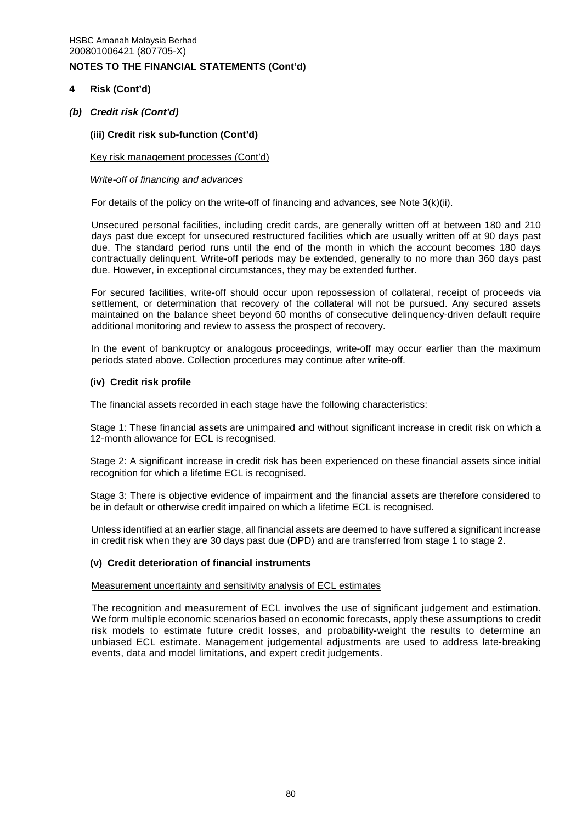## **4 Risk (Cont'd)**

## *(b) Credit risk (Cont'd)*

## **(iii) Credit risk sub-function (Cont'd)**

## Key risk management processes (Cont'd)

## *Write-off of financing and advances*

For details of the policy on the write-off of financing and advances, see Note 3(k)(ii).

Unsecured personal facilities, including credit cards, are generally written off at between 180 and 210 days past due except for unsecured restructured facilities which are usually written off at 90 days past due. The standard period runs until the end of the month in which the account becomes 180 days contractually delinquent. Write-off periods may be extended, generally to no more than 360 days past due. However, in exceptional circumstances, they may be extended further.

For secured facilities, write-off should occur upon repossession of collateral, receipt of proceeds via settlement, or determination that recovery of the collateral will not be pursued. Any secured assets maintained on the balance sheet beyond 60 months of consecutive delinquency-driven default require additional monitoring and review to assess the prospect of recovery.

In the event of bankruptcy or analogous proceedings, write-off may occur earlier than the maximum periods stated above. Collection procedures may continue after write-off.

## **(iv) Credit risk profile**

The financial assets recorded in each stage have the following characteristics:

Stage 1: These financial assets are unimpaired and without significant increase in credit risk on which a 12-month allowance for ECL is recognised.

Stage 2: A significant increase in credit risk has been experienced on these financial assets since initial recognition for which a lifetime ECL is recognised.

Stage 3: There is objective evidence of impairment and the financial assets are therefore considered to be in default or otherwise credit impaired on which a lifetime ECL is recognised.

Unless identified at an earlier stage, all financial assets are deemed to have suffered a significant increase in credit risk when they are 30 days past due (DPD) and are transferred from stage 1 to stage 2.

## **(v) Credit deterioration of financial instruments**

## Measurement uncertainty and sensitivity analysis of ECL estimates

The recognition and measurement of ECL involves the use of significant judgement and estimation. We form multiple economic scenarios based on economic forecasts, apply these assumptions to credit risk models to estimate future credit losses, and probability-weight the results to determine an unbiased ECL estimate. Management judgemental adjustments are used to address late-breaking events, data and model limitations, and expert credit judgements.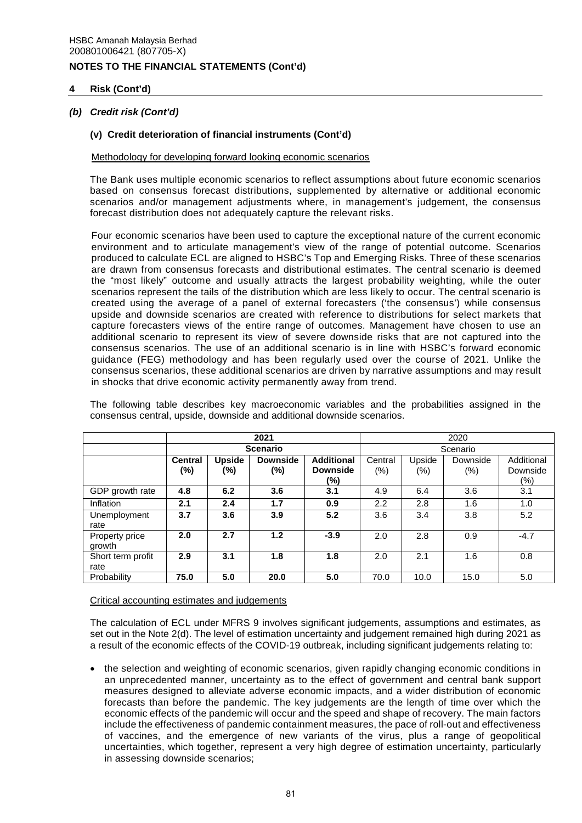## **4 Risk (Cont'd)**

## *(b) Credit risk (Cont'd)*

## **(v) Credit deterioration of financial instruments (Cont'd)**

## Methodology for developing forward looking economic scenarios

The Bank uses multiple economic scenarios to reflect assumptions about future economic scenarios based on consensus forecast distributions, supplemented by alternative or additional economic scenarios and/or management adjustments where, in management's judgement, the consensus forecast distribution does not adequately capture the relevant risks.

Four economic scenarios have been used to capture the exceptional nature of the current economic environment and to articulate management's view of the range of potential outcome. Scenarios produced to calculate ECL are aligned to HSBC's Top and Emerging Risks. Three of these scenarios are drawn from consensus forecasts and distributional estimates. The central scenario is deemed the "most likely" outcome and usually attracts the largest probability weighting, while the outer scenarios represent the tails of the distribution which are less likely to occur. The central scenario is created using the average of a panel of external forecasters ('the consensus') while consensus upside and downside scenarios are created with reference to distributions for select markets that capture forecasters views of the entire range of outcomes. Management have chosen to use an additional scenario to represent its view of severe downside risks that are not captured into the consensus scenarios. The use of an additional scenario is in line with HSBC's forward economic guidance (FEG) methodology and has been regularly used over the course of 2021. Unlike the consensus scenarios, these additional scenarios are driven by narrative assumptions and may result in shocks that drive economic activity permanently away from trend.

The following table describes key macroeconomic variables and the probabilities assigned in the consensus central, upside, downside and additional downside scenarios.

|                           |                       | 2021                 |                        | 2020                                 |         |          |          |                        |  |
|---------------------------|-----------------------|----------------------|------------------------|--------------------------------------|---------|----------|----------|------------------------|--|
|                           |                       |                      | <b>Scenario</b>        |                                      |         | Scenario |          |                        |  |
|                           | <b>Central</b><br>(%) | <b>Upside</b><br>(%) | <b>Downside</b><br>(%) | <b>Additional</b><br><b>Downside</b> | Central | Upside   | Downside | Additional<br>Downside |  |
|                           |                       |                      |                        | (%)                                  | $(\%)$  | $(\%)$   | $(\%)$   | (%)                    |  |
| GDP growth rate           | 4.8                   | 6.2                  | 3.6                    | 3.1                                  | 4.9     | 6.4      | 3.6      | 3.1                    |  |
| Inflation                 | 2.1                   | 2.4                  | 1.7                    | 0.9                                  | 2.2     | 2.8      | 1.6      | 1.0                    |  |
| Unemployment<br>rate      | 3.7                   | 3.6                  | 3.9                    | 5.2                                  | 3.6     | 3.4      | 3.8      | 5.2                    |  |
| Property price<br>growth  | 2.0                   | 2.7                  | 1.2                    | $-3.9$                               | 2.0     | 2.8      | 0.9      | $-4.7$                 |  |
| Short term profit<br>rate | 2.9                   | 3.1                  | 1.8                    | 1.8                                  | 2.0     | 2.1      | 1.6      | 0.8                    |  |
| Probability               | 75.0                  | 5.0                  | 20.0                   | 5.0                                  | 70.0    | 10.0     | 15.0     | 5.0                    |  |

## Critical accounting estimates and judgements

The calculation of ECL under MFRS 9 involves significant judgements, assumptions and estimates, as set out in the Note 2(d). The level of estimation uncertainty and judgement remained high during 2021 as a result of the economic effects of the COVID-19 outbreak, including significant judgements relating to:

 the selection and weighting of economic scenarios, given rapidly changing economic conditions in an unprecedented manner, uncertainty as to the effect of government and central bank support measures designed to alleviate adverse economic impacts, and a wider distribution of economic forecasts than before the pandemic. The key judgements are the length of time over which the economic effects of the pandemic will occur and the speed and shape of recovery. The main factors include the effectiveness of pandemic containment measures, the pace of roll-out and effectiveness of vaccines, and the emergence of new variants of the virus, plus a range of geopolitical uncertainties, which together, represent a very high degree of estimation uncertainty, particularly in assessing downside scenarios;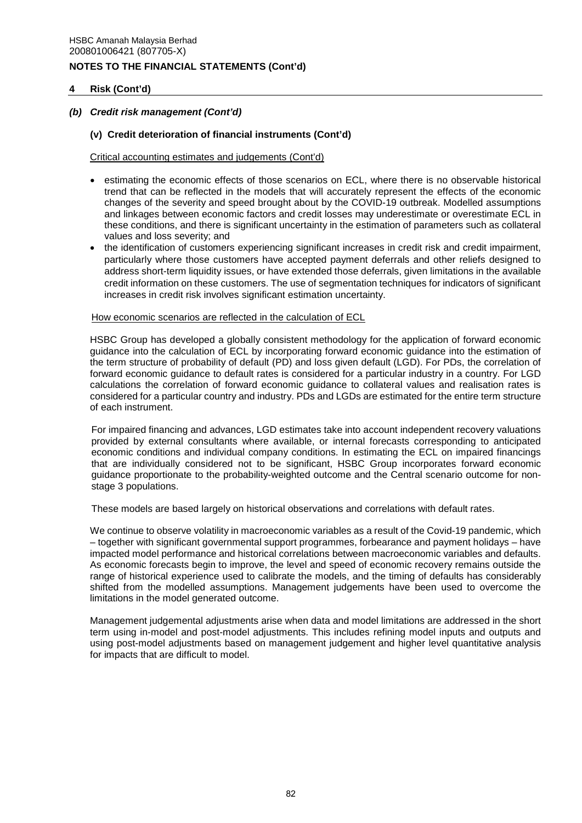## **4 Risk (Cont'd)**

## *(b) Credit risk management (Cont'd)*

### **(v) Credit deterioration of financial instruments (Cont'd)**

#### Critical accounting estimates and judgements (Cont'd)

- estimating the economic effects of those scenarios on ECL, where there is no observable historical trend that can be reflected in the models that will accurately represent the effects of the economic changes of the severity and speed brought about by the COVID-19 outbreak. Modelled assumptions and linkages between economic factors and credit losses may underestimate or overestimate ECL in these conditions, and there is significant uncertainty in the estimation of parameters such as collateral values and loss severity; and
- the identification of customers experiencing significant increases in credit risk and credit impairment, particularly where those customers have accepted payment deferrals and other reliefs designed to address short-term liquidity issues, or have extended those deferrals, given limitations in the available credit information on these customers. The use of segmentation techniques for indicators of significant increases in credit risk involves significant estimation uncertainty.

#### How economic scenarios are reflected in the calculation of ECL

HSBC Group has developed a globally consistent methodology for the application of forward economic guidance into the calculation of ECL by incorporating forward economic guidance into the estimation of the term structure of probability of default (PD) and loss given default (LGD). For PDs, the correlation of forward economic guidance to default rates is considered for a particular industry in a country. For LGD calculations the correlation of forward economic guidance to collateral values and realisation rates is considered for a particular country and industry. PDs and LGDs are estimated for the entire term structure of each instrument.

For impaired financing and advances, LGD estimates take into account independent recovery valuations provided by external consultants where available, or internal forecasts corresponding to anticipated economic conditions and individual company conditions. In estimating the ECL on impaired financings that are individually considered not to be significant, HSBC Group incorporates forward economic guidance proportionate to the probability-weighted outcome and the Central scenario outcome for nonstage 3 populations.

These models are based largely on historical observations and correlations with default rates.

We continue to observe volatility in macroeconomic variables as a result of the Covid-19 pandemic, which – together with significant governmental support programmes, forbearance and payment holidays – have impacted model performance and historical correlations between macroeconomic variables and defaults. As economic forecasts begin to improve, the level and speed of economic recovery remains outside the range of historical experience used to calibrate the models, and the timing of defaults has considerably shifted from the modelled assumptions. Management judgements have been used to overcome the limitations in the model generated outcome.

Management judgemental adjustments arise when data and model limitations are addressed in the short term using in-model and post-model adjustments. This includes refining model inputs and outputs and using post-model adjustments based on management judgement and higher level quantitative analysis for impacts that are difficult to model.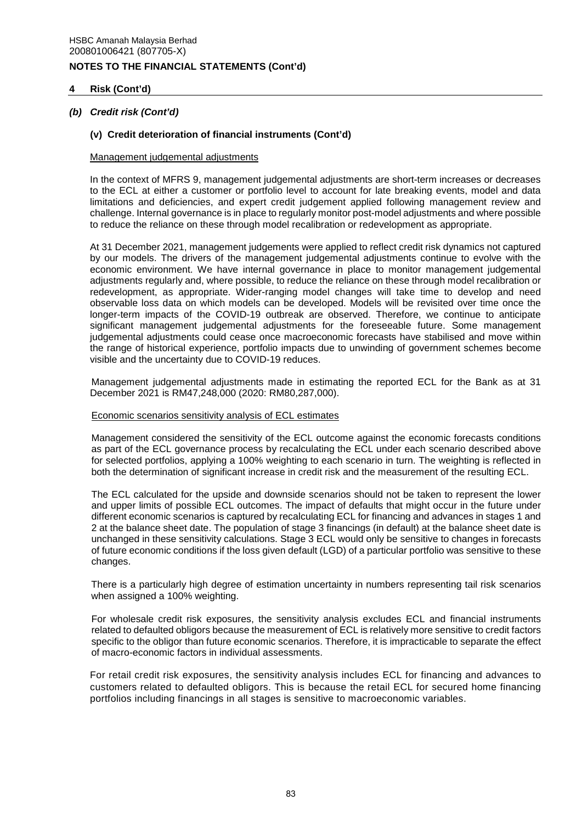## **4 Risk (Cont'd)**

## *(b) Credit risk (Cont'd)*

### **(v) Credit deterioration of financial instruments (Cont'd)**

#### Management judgemental adjustments

In the context of MFRS 9, management judgemental adjustments are short-term increases or decreases to the ECL at either a customer or portfolio level to account for late breaking events, model and data limitations and deficiencies, and expert credit judgement applied following management review and challenge. Internal governance is in place to regularly monitor post-model adjustments and where possible to reduce the reliance on these through model recalibration or redevelopment as appropriate.

At 31 December 2021, management judgements were applied to reflect credit risk dynamics not captured by our models. The drivers of the management judgemental adjustments continue to evolve with the economic environment. We have internal governance in place to monitor management judgemental adjustments regularly and, where possible, to reduce the reliance on these through model recalibration or redevelopment, as appropriate. Wider-ranging model changes will take time to develop and need observable loss data on which models can be developed. Models will be revisited over time once the longer-term impacts of the COVID-19 outbreak are observed. Therefore, we continue to anticipate significant management judgemental adjustments for the foreseeable future. Some management judgemental adjustments could cease once macroeconomic forecasts have stabilised and move within the range of historical experience, portfolio impacts due to unwinding of government schemes become visible and the uncertainty due to COVID-19 reduces.

 Management judgemental adjustments made in estimating the reported ECL for the Bank as at 31 December 2021 is RM47,248,000 (2020: RM80,287,000).

#### Economic scenarios sensitivity analysis of ECL estimates

Management considered the sensitivity of the ECL outcome against the economic forecasts conditions as part of the ECL governance process by recalculating the ECL under each scenario described above for selected portfolios, applying a 100% weighting to each scenario in turn. The weighting is reflected in both the determination of significant increase in credit risk and the measurement of the resulting ECL.

The ECL calculated for the upside and downside scenarios should not be taken to represent the lower and upper limits of possible ECL outcomes. The impact of defaults that might occur in the future under different economic scenarios is captured by recalculating ECL for financing and advances in stages 1 and 2 at the balance sheet date. The population of stage 3 financings (in default) at the balance sheet date is unchanged in these sensitivity calculations. Stage 3 ECL would only be sensitive to changes in forecasts of future economic conditions if the loss given default (LGD) of a particular portfolio was sensitive to these changes.

There is a particularly high degree of estimation uncertainty in numbers representing tail risk scenarios when assigned a 100% weighting.

For wholesale credit risk exposures, the sensitivity analysis excludes ECL and financial instruments related to defaulted obligors because the measurement of ECL is relatively more sensitive to credit factors specific to the obligor than future economic scenarios. Therefore, it is impracticable to separate the effect of macro-economic factors in individual assessments.

For retail credit risk exposures, the sensitivity analysis includes ECL for financing and advances to customers related to defaulted obligors. This is because the retail ECL for secured home financing portfolios including financings in all stages is sensitive to macroeconomic variables.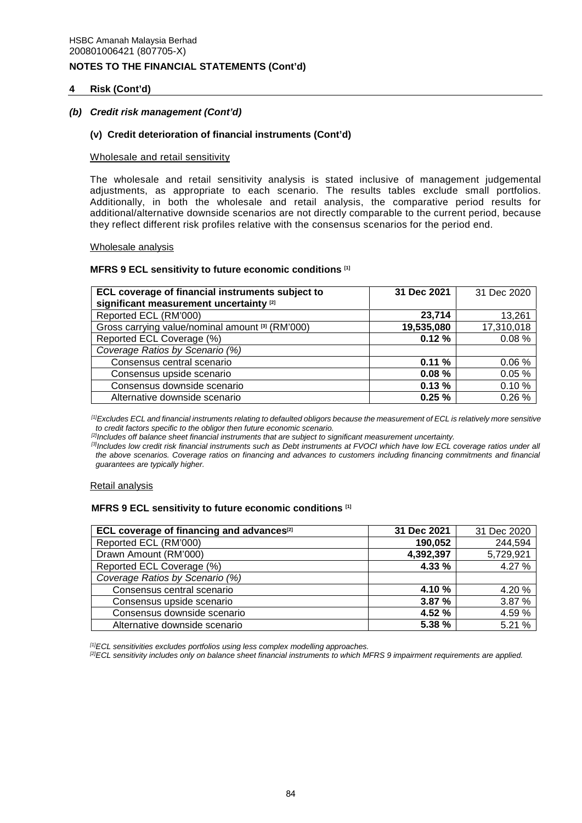## **4 Risk (Cont'd)**

### *(b) Credit risk management (Cont'd)*

### **(v) Credit deterioration of financial instruments (Cont'd)**

#### Wholesale and retail sensitivity

The wholesale and retail sensitivity analysis is stated inclusive of management judgemental adjustments, as appropriate to each scenario. The results tables exclude small portfolios. Additionally, in both the wholesale and retail analysis, the comparative period results for additional/alternative downside scenarios are not directly comparable to the current period, because they reflect different risk profiles relative with the consensus scenarios for the period end.

#### Wholesale analysis

#### **MFRS 9 ECL sensitivity to future economic conditions [1]**

| ECL coverage of financial instruments subject to<br>significant measurement uncertainty <sup>[2]</sup> | 31 Dec 2021 | 31 Dec 2020 |
|--------------------------------------------------------------------------------------------------------|-------------|-------------|
| Reported ECL (RM'000)                                                                                  | 23,714      | 13,261      |
| Gross carrying value/nominal amount [3] (RM'000)                                                       | 19,535,080  | 17,310,018  |
| Reported ECL Coverage (%)                                                                              | 0.12%       | 0.08%       |
| Coverage Ratios by Scenario (%)                                                                        |             |             |
| Consensus central scenario                                                                             | 0.11%       | 0.06%       |
| Consensus upside scenario                                                                              | 0.08%       | 0.05%       |
| Consensus downside scenario                                                                            | 0.13%       | 0.10%       |
| Alternative downside scenario                                                                          | 0.25%       | 0.26%       |

*[1]Excludes ECL and financial instruments relating to defaulted obligors because the measurement of ECL is relatively more sensitive to credit factors specific to the obligor then future economic scenario.* 

*[2]Includes off balance sheet financial instruments that are subject to significant measurement uncertainty.* 

*[3]Includes low credit risk financial instruments such as Debt instruments at FVOCI which have low ECL coverage ratios under all the above scenarios. Coverage ratios on financing and advances to customers including financing commitments and financial guarantees are typically higher.* 

#### Retail analysis

## **MFRS 9 ECL sensitivity to future economic conditions [1]**

| ECL coverage of financing and advances <sup>[2]</sup> | 31 Dec 2021 | 31 Dec 2020 |
|-------------------------------------------------------|-------------|-------------|
| Reported ECL (RM'000)                                 | 190,052     | 244,594     |
| Drawn Amount (RM'000)                                 | 4,392,397   | 5,729,921   |
| Reported ECL Coverage (%)                             | 4.33 %      | 4.27 %      |
| Coverage Ratios by Scenario (%)                       |             |             |
| Consensus central scenario                            | 4.10%       | 4.20%       |
| Consensus upside scenario                             | 3.87%       | 3.87 %      |
| Consensus downside scenario                           | 4.52%       | 4.59%       |
| Alternative downside scenario                         | 5.38 %      | 5.21 %      |

*[1]ECL sensitivities excludes portfolios using less complex modelling approaches.* 

*[2]ECL sensitivity includes only on balance sheet financial instruments to which MFRS 9 impairment requirements are applied.*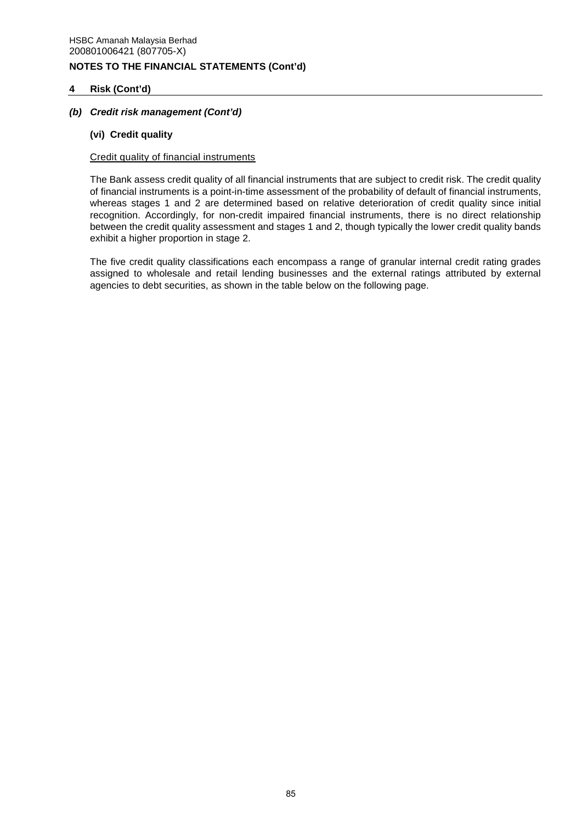## **4 Risk (Cont'd)**

## *(b) Credit risk management (Cont'd)*

## **(vi) Credit quality**

## Credit quality of financial instruments

The Bank assess credit quality of all financial instruments that are subject to credit risk. The credit quality of financial instruments is a point-in-time assessment of the probability of default of financial instruments, whereas stages 1 and 2 are determined based on relative deterioration of credit quality since initial recognition. Accordingly, for non-credit impaired financial instruments, there is no direct relationship between the credit quality assessment and stages 1 and 2, though typically the lower credit quality bands exhibit a higher proportion in stage 2.

The five credit quality classifications each encompass a range of granular internal credit rating grades assigned to wholesale and retail lending businesses and the external ratings attributed by external agencies to debt securities, as shown in the table below on the following page.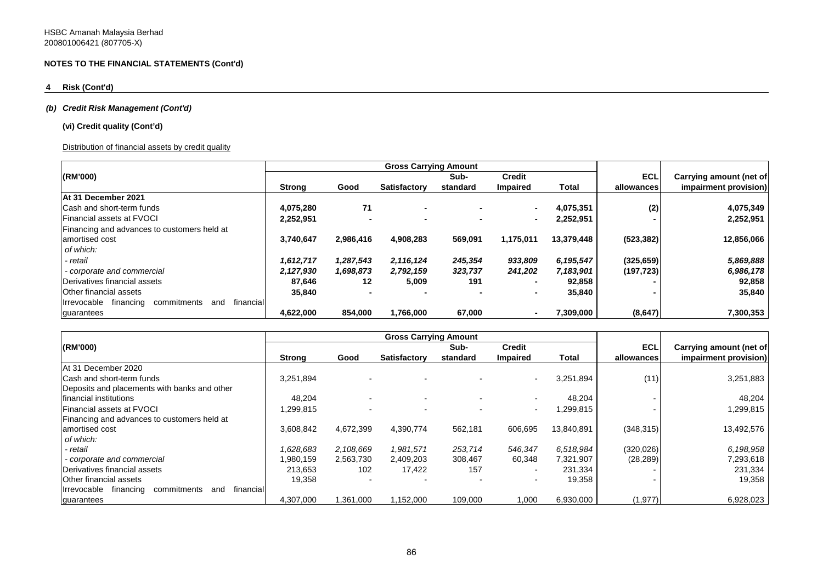## **4 Risk (Cont'd)**

### *(b) Credit Risk Management (Cont'd)*

### **(vi) Credit quality (Cont'd)**

### Distribution of financial assets by credit quality

|                                                             |               |           | <b>Gross Carrying Amount</b> |          |               |            |            |                         |
|-------------------------------------------------------------|---------------|-----------|------------------------------|----------|---------------|------------|------------|-------------------------|
| (RM'000)                                                    |               |           |                              | Sub-     | <b>Credit</b> |            | ECL        | Carrying amount (net of |
|                                                             | <b>Strong</b> | Good      | Satisfactory                 | standard | Impaired      | Total      | allowances | impairment provision)   |
| At 31 December 2021                                         |               |           |                              |          |               |            |            |                         |
| Cash and short-term funds                                   | 4.075.280     | 71        |                              |          |               | 4,075,351  | (2)        | 4,075,349               |
| <b>Financial assets at FVOCI</b>                            | 2,252,951     |           | ۰                            |          |               | 2,252,951  |            | 2,252,951               |
| Financing and advances to customers held at                 |               |           |                              |          |               |            |            |                         |
| amortised cost                                              | 3.740.647     | 2,986,416 | 4.908.283                    | 569,091  | 1,175,011     | 13.379.448 | (523, 382) | 12,856,066              |
| of which:                                                   |               |           |                              |          |               |            |            |                         |
| - retail                                                    | 1,612,717     | 1,287,543 | 2,116,124                    | 245,354  | 933,809       | 6,195,547  | (325, 659) | 5,869,888               |
| - corporate and commercial                                  | 2,127,930     | 1,698,873 | 2,792,159                    | 323,737  | 241,202       | 7,183,901  | (197, 723) | 6,986,178               |
| Derivatives financial assets                                | 87,646        | 12        | 5,009                        | 191      |               | 92,858     |            | 92,858                  |
| Other financial assets                                      | 35,840        |           |                              |          |               | 35,840     |            | 35,840                  |
| Irrevocable<br>financing<br>commitments<br>financial<br>and |               |           |                              |          |               |            |            |                         |
| guarantees                                                  | 4.622.000     | 854,000   | 1,766,000                    | 67,000   |               | 7,309,000  | (8,647)    | 7,300,353               |

|                                                             |               |           | <b>Gross Carrying Amount</b> |                          |                          |            |            |                         |
|-------------------------------------------------------------|---------------|-----------|------------------------------|--------------------------|--------------------------|------------|------------|-------------------------|
| (RM'000)                                                    |               |           |                              | Sub-                     | <b>Credit</b>            |            | <b>ECL</b> | Carrying amount (net of |
|                                                             | <b>Strong</b> | Good      | Satisfactory                 | standard                 | <b>Impaired</b>          | Total      | allowances | impairment provision)   |
| At 31 December 2020                                         |               |           |                              |                          |                          |            |            |                         |
| <b>Cash and short-term funds</b>                            | 3.251.894     |           |                              |                          |                          | 3,251,894  | (11)       | 3,251,883               |
| Deposits and placements with banks and other                |               |           |                              |                          |                          |            |            |                         |
| Ifinancial institutions                                     | 48.204        |           |                              |                          |                          | 48,204     |            | 48,204                  |
| <b>Financial assets at FVOCI</b>                            | 1,299,815     |           |                              | $\overline{\phantom{0}}$ | $\overline{\phantom{0}}$ | 1,299,815  |            | 1,299,815               |
| Financing and advances to customers held at                 |               |           |                              |                          |                          |            |            |                         |
| amortised cost                                              | 3,608,842     | 4,672,399 | 4,390,774                    | 562,181                  | 606,695                  | 13,840,891 | (348, 315) | 13,492,576              |
| of which:                                                   |               |           |                              |                          |                          |            |            |                         |
| - retail                                                    | 1.628.683     | 2.108.669 | 1.981.571                    | 253,714                  | 546,347                  | 6.518.984  | (320, 026) | 6,198,958               |
| - corporate and commercial                                  | 1,980,159     | 2,563,730 | 2,409,203                    | 308,467                  | 60,348                   | 7,321,907  | (28, 289)  | 7,293,618               |
| Derivatives financial assets                                | 213.653       | 102       | 17.422                       | 157                      |                          | 231,334    |            | 231,334                 |
| Other financial assets                                      | 19,358        |           |                              |                          |                          | 19,358     |            | 19,358                  |
| financing<br>commitments<br>Irrevocable<br>financial<br>and |               |           |                              |                          |                          |            |            |                         |
| guarantees                                                  | 4.307.000     | 1.361.000 | 1.152.000                    | 109.000                  | 1.000                    | 6.930.000  | (1, 977)   | 6,928,023               |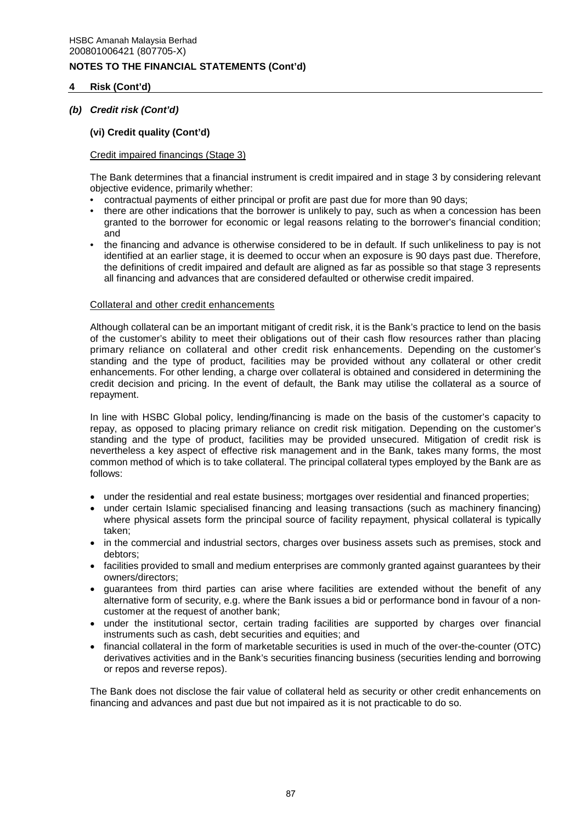## **4 Risk (Cont'd)**

## *(b) Credit risk (Cont'd)*

## **(vi) Credit quality (Cont'd)**

## Credit impaired financings (Stage 3)

The Bank determines that a financial instrument is credit impaired and in stage 3 by considering relevant objective evidence, primarily whether:

- contractual payments of either principal or profit are past due for more than 90 days;
- there are other indications that the borrower is unlikely to pay, such as when a concession has been granted to the borrower for economic or legal reasons relating to the borrower's financial condition; and
- the financing and advance is otherwise considered to be in default. If such unlikeliness to pay is not identified at an earlier stage, it is deemed to occur when an exposure is 90 days past due. Therefore, the definitions of credit impaired and default are aligned as far as possible so that stage 3 represents all financing and advances that are considered defaulted or otherwise credit impaired.

## Collateral and other credit enhancements

Although collateral can be an important mitigant of credit risk, it is the Bank's practice to lend on the basis of the customer's ability to meet their obligations out of their cash flow resources rather than placing primary reliance on collateral and other credit risk enhancements. Depending on the customer's standing and the type of product, facilities may be provided without any collateral or other credit enhancements. For other lending, a charge over collateral is obtained and considered in determining the credit decision and pricing. In the event of default, the Bank may utilise the collateral as a source of repayment.

In line with HSBC Global policy, lending/financing is made on the basis of the customer's capacity to repay, as opposed to placing primary reliance on credit risk mitigation. Depending on the customer's standing and the type of product, facilities may be provided unsecured. Mitigation of credit risk is nevertheless a key aspect of effective risk management and in the Bank, takes many forms, the most common method of which is to take collateral. The principal collateral types employed by the Bank are as follows:

- under the residential and real estate business; mortgages over residential and financed properties;
- under certain Islamic specialised financing and leasing transactions (such as machinery financing) where physical assets form the principal source of facility repayment, physical collateral is typically taken;
- in the commercial and industrial sectors, charges over business assets such as premises, stock and debtors;
- facilities provided to small and medium enterprises are commonly granted against guarantees by their owners/directors;
- guarantees from third parties can arise where facilities are extended without the benefit of any alternative form of security, e.g. where the Bank issues a bid or performance bond in favour of a noncustomer at the request of another bank;
- under the institutional sector, certain trading facilities are supported by charges over financial instruments such as cash, debt securities and equities; and
- financial collateral in the form of marketable securities is used in much of the over-the-counter (OTC) derivatives activities and in the Bank's securities financing business (securities lending and borrowing or repos and reverse repos).

The Bank does not disclose the fair value of collateral held as security or other credit enhancements on financing and advances and past due but not impaired as it is not practicable to do so.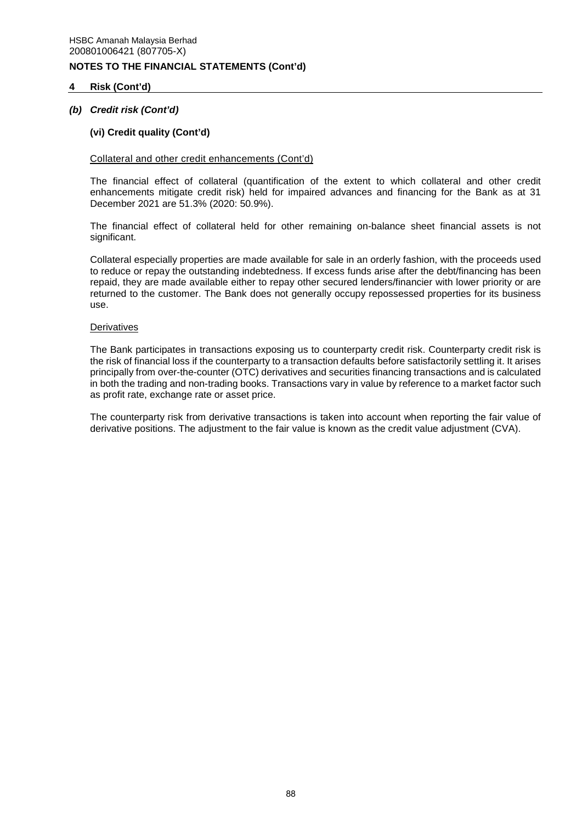## **4 Risk (Cont'd)**

## *(b) Credit risk (Cont'd)*

## **(vi) Credit quality (Cont'd)**

### Collateral and other credit enhancements (Cont'd)

The financial effect of collateral (quantification of the extent to which collateral and other credit enhancements mitigate credit risk) held for impaired advances and financing for the Bank as at 31 December 2021 are 51.3% (2020: 50.9%).

The financial effect of collateral held for other remaining on-balance sheet financial assets is not significant.

Collateral especially properties are made available for sale in an orderly fashion, with the proceeds used to reduce or repay the outstanding indebtedness. If excess funds arise after the debt/financing has been repaid, they are made available either to repay other secured lenders/financier with lower priority or are returned to the customer. The Bank does not generally occupy repossessed properties for its business use.

#### **Derivatives**

The Bank participates in transactions exposing us to counterparty credit risk. Counterparty credit risk is the risk of financial loss if the counterparty to a transaction defaults before satisfactorily settling it. It arises principally from over-the-counter (OTC) derivatives and securities financing transactions and is calculated in both the trading and non-trading books. Transactions vary in value by reference to a market factor such as profit rate, exchange rate or asset price.

The counterparty risk from derivative transactions is taken into account when reporting the fair value of derivative positions. The adjustment to the fair value is known as the credit value adjustment (CVA).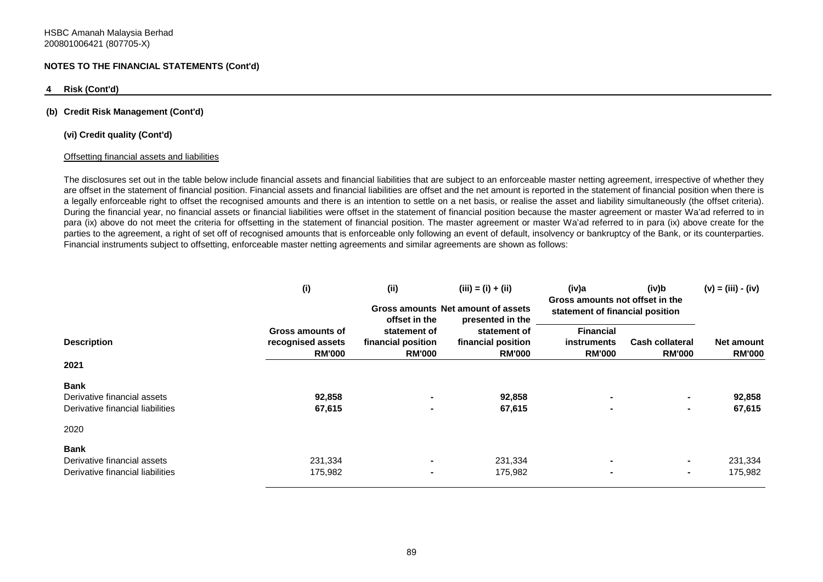#### **4 Risk (Cont'd)**

#### **(b) Credit Risk Management (Cont'd)**

#### **(vi) Credit quality (Cont'd)**

#### Offsetting financial assets and liabilities

The disclosures set out in the table below include financial assets and financial liabilities that are subject to an enforceable master netting agreement, irrespective of whether they are offset in the statement of financial position. Financial assets and financial liabilities are offset and the net amount is reported in the statement of financial position when there is a legally enforceable right to offset the recognised amounts and there is an intention to settle on a net basis, or realise the asset and liability simultaneously (the offset criteria). During the financial year, no financial assets or financial liabilities were offset in the statement of financial position because the master agreement or master Wa'ad referred to in para (ix) above do not meet the criteria for offsetting in the statement of financial position. The master agreement or master Wa'ad referred to in para (ix) above create for the parties to the agreement, a right of set off of recognised amounts that is enforceable only following an event of default, insolvency or bankruptcy of the Bank, or its counterparties. Financial instruments subject to offsetting, enforceable master netting agreements and similar agreements are shown as follows:

|                                                                                | (i)                                                    | (ii)<br>offset in the                               | $(iii) = (i) + (ii)$<br>Gross amounts Net amount of assets<br>presented in the | (iv)a<br>(iv)b<br>Gross amounts not offset in the<br>statement of financial position |                                                      | $(v) = (iii) - (iv)$               |  |
|--------------------------------------------------------------------------------|--------------------------------------------------------|-----------------------------------------------------|--------------------------------------------------------------------------------|--------------------------------------------------------------------------------------|------------------------------------------------------|------------------------------------|--|
| <b>Description</b>                                                             | Gross amounts of<br>recognised assets<br><b>RM'000</b> | statement of<br>financial position<br><b>RM'000</b> | statement of<br>financial position<br><b>RM'000</b>                            | <b>Financial</b><br>instruments<br><b>RM'000</b>                                     | Cash collateral<br><b>RM'000</b>                     | <b>Net amount</b><br><b>RM'000</b> |  |
| 2021                                                                           |                                                        |                                                     |                                                                                |                                                                                      |                                                      |                                    |  |
| <b>Bank</b><br>Derivative financial assets<br>Derivative financial liabilities | 92,858<br>67,615                                       | $\blacksquare$                                      | 92,858<br>67,615                                                               | ۰<br>$\blacksquare$                                                                  | $\overline{\phantom{0}}$<br>$\overline{\phantom{0}}$ | 92,858<br>67,615                   |  |
| 2020                                                                           |                                                        |                                                     |                                                                                |                                                                                      |                                                      |                                    |  |
| <b>Bank</b><br>Derivative financial assets<br>Derivative financial liabilities | 231,334<br>175,982                                     | $\blacksquare$<br>$\blacksquare$                    | 231,334<br>175,982                                                             | ۰<br>$\blacksquare$                                                                  | $\overline{\phantom{0}}$<br>$\blacksquare$           | 231,334<br>175,982                 |  |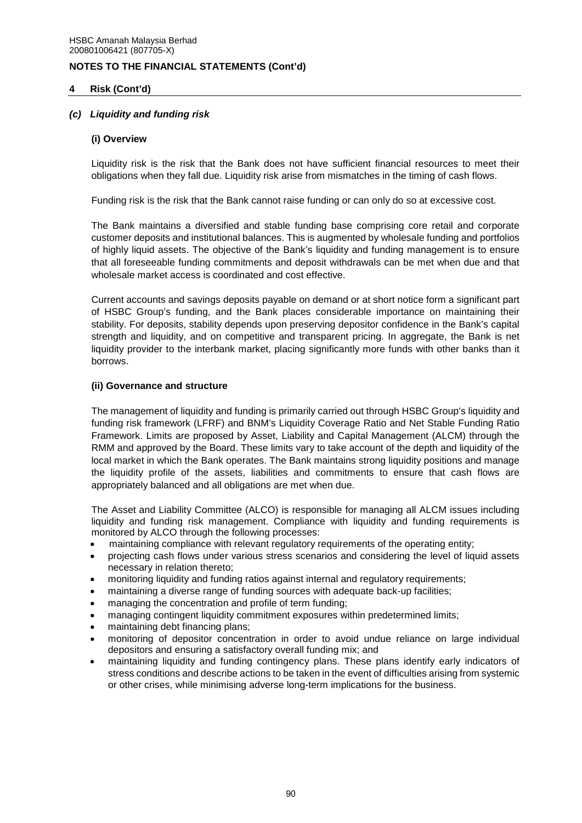## **4 Risk (Cont'd)**

## *(c) Liquidity and funding risk*

### **(i) Overview**

Liquidity risk is the risk that the Bank does not have sufficient financial resources to meet their obligations when they fall due. Liquidity risk arise from mismatches in the timing of cash flows.

Funding risk is the risk that the Bank cannot raise funding or can only do so at excessive cost.

The Bank maintains a diversified and stable funding base comprising core retail and corporate customer deposits and institutional balances. This is augmented by wholesale funding and portfolios of highly liquid assets. The objective of the Bank's liquidity and funding management is to ensure that all foreseeable funding commitments and deposit withdrawals can be met when due and that wholesale market access is coordinated and cost effective.

Current accounts and savings deposits payable on demand or at short notice form a significant part of HSBC Group's funding, and the Bank places considerable importance on maintaining their stability. For deposits, stability depends upon preserving depositor confidence in the Bank's capital strength and liquidity, and on competitive and transparent pricing. In aggregate, the Bank is net liquidity provider to the interbank market, placing significantly more funds with other banks than it borrows.

#### **(ii) Governance and structure**

The management of liquidity and funding is primarily carried out through HSBC Group's liquidity and funding risk framework (LFRF) and BNM's Liquidity Coverage Ratio and Net Stable Funding Ratio Framework. Limits are proposed by Asset, Liability and Capital Management (ALCM) through the RMM and approved by the Board. These limits vary to take account of the depth and liquidity of the local market in which the Bank operates. The Bank maintains strong liquidity positions and manage the liquidity profile of the assets, liabilities and commitments to ensure that cash flows are appropriately balanced and all obligations are met when due.

The Asset and Liability Committee (ALCO) is responsible for managing all ALCM issues including liquidity and funding risk management. Compliance with liquidity and funding requirements is monitored by ALCO through the following processes:

- maintaining compliance with relevant regulatory requirements of the operating entity;
- projecting cash flows under various stress scenarios and considering the level of liquid assets necessary in relation thereto;
- monitoring liquidity and funding ratios against internal and regulatory requirements;
- maintaining a diverse range of funding sources with adequate back-up facilities;
- managing the concentration and profile of term funding;
- managing contingent liquidity commitment exposures within predetermined limits;
- maintaining debt financing plans;
- monitoring of depositor concentration in order to avoid undue reliance on large individual depositors and ensuring a satisfactory overall funding mix; and
- maintaining liquidity and funding contingency plans. These plans identify early indicators of stress conditions and describe actions to be taken in the event of difficulties arising from systemic or other crises, while minimising adverse long-term implications for the business.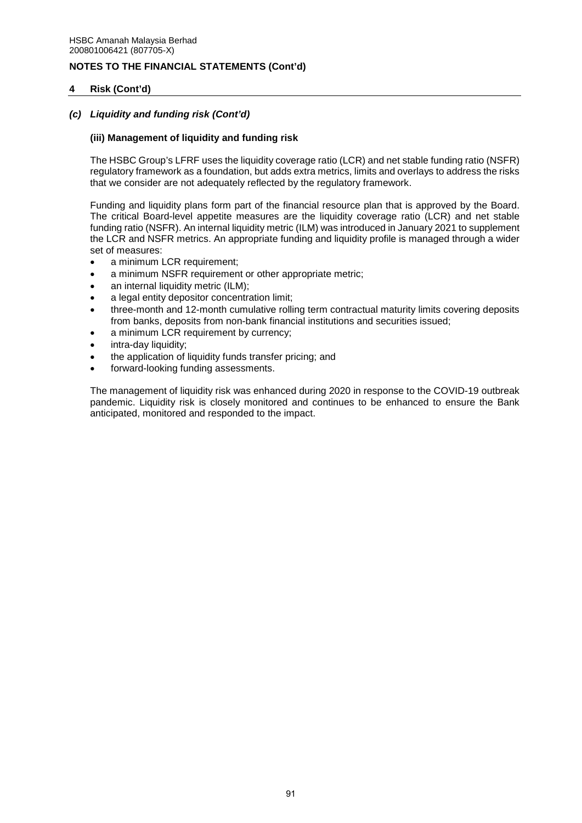## **4 Risk (Cont'd)**

## *(c) Liquidity and funding risk (Cont'd)*

## **(iii) Management of liquidity and funding risk**

The HSBC Group's LFRF uses the liquidity coverage ratio (LCR) and net stable funding ratio (NSFR) regulatory framework as a foundation, but adds extra metrics, limits and overlays to address the risks that we consider are not adequately reflected by the regulatory framework.

Funding and liquidity plans form part of the financial resource plan that is approved by the Board. The critical Board-level appetite measures are the liquidity coverage ratio (LCR) and net stable funding ratio (NSFR). An internal liquidity metric (ILM) was introduced in January 2021 to supplement the LCR and NSFR metrics. An appropriate funding and liquidity profile is managed through a wider set of measures:

- a minimum LCR requirement;
- a minimum NSFR requirement or other appropriate metric;
- an internal liquidity metric (ILM);
- a legal entity depositor concentration limit;
- three-month and 12-month cumulative rolling term contractual maturity limits covering deposits from banks, deposits from non-bank financial institutions and securities issued;
- a minimum LCR requirement by currency;
- intra-day liquidity;
- the application of liquidity funds transfer pricing; and
- forward-looking funding assessments.

The management of liquidity risk was enhanced during 2020 in response to the COVID-19 outbreak pandemic. Liquidity risk is closely monitored and continues to be enhanced to ensure the Bank anticipated, monitored and responded to the impact.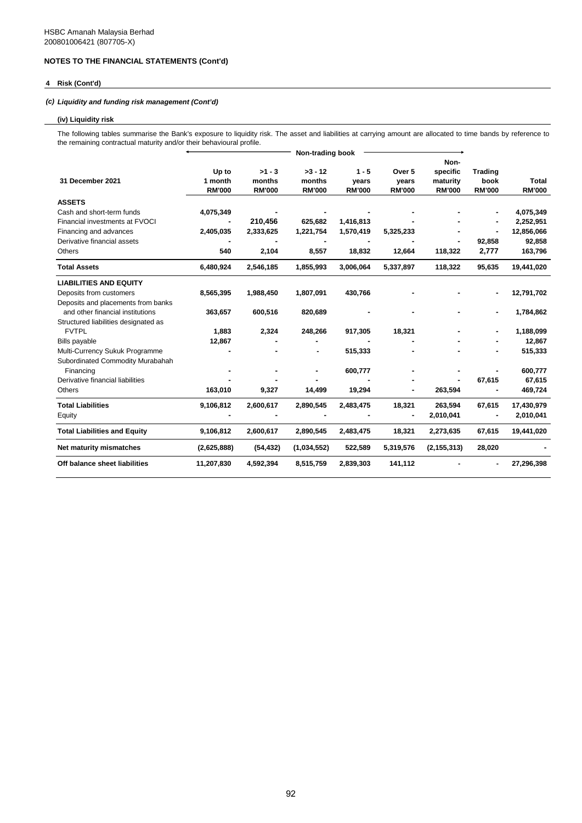### **4 Risk (Cont'd)**

### *(c) Liquidity and funding risk management (Cont'd)*

#### **(iv) Liquidity risk**

The following tables summarise the Bank's exposure to liquidity risk. The asset and liabilities at carrying amount are allocated to time bands by reference to the remaining contractual maturity and/or their behavioural profile.

|                                      | Non-trading book |               |               |               |               |               |                |               |
|--------------------------------------|------------------|---------------|---------------|---------------|---------------|---------------|----------------|---------------|
|                                      |                  |               |               |               |               | Non-          |                |               |
|                                      | Up to            | $>1 - 3$      | $>3 - 12$     | $1 - 5$       | Over 5        | specific      | <b>Trading</b> |               |
| 31 December 2021                     | 1 month          | months        | months        | years         | years         | maturity      | book           | <b>Total</b>  |
|                                      | <b>RM'000</b>    | <b>RM'000</b> | <b>RM'000</b> | <b>RM'000</b> | <b>RM'000</b> | <b>RM'000</b> | <b>RM'000</b>  | <b>RM'000</b> |
| <b>ASSETS</b>                        |                  |               |               |               |               |               |                |               |
| Cash and short-term funds            | 4,075,349        |               |               |               |               |               |                | 4,075,349     |
| Financial investments at FVOCI       |                  | 210,456       | 625,682       | 1,416,813     |               |               |                | 2,252,951     |
| Financing and advances               | 2,405,035        | 2,333,625     | 1,221,754     | 1,570,419     | 5,325,233     |               |                | 12,856,066    |
| Derivative financial assets          |                  |               |               |               |               |               | 92,858         | 92,858        |
| Others                               | 540              | 2,104         | 8,557         | 18,832        | 12,664        | 118,322       | 2,777          | 163,796       |
| <b>Total Assets</b>                  | 6,480,924        | 2,546,185     | 1,855,993     | 3,006,064     | 5,337,897     | 118,322       | 95,635         | 19,441,020    |
| <b>LIABILITIES AND EQUITY</b>        |                  |               |               |               |               |               |                |               |
| Deposits from customers              | 8,565,395        | 1,988,450     | 1,807,091     | 430,766       |               |               |                | 12,791,702    |
| Deposits and placements from banks   |                  |               |               |               |               |               |                |               |
| and other financial institutions     | 363,657          | 600,516       | 820,689       |               |               |               |                | 1,784,862     |
| Structured liabilities designated as |                  |               |               |               |               |               |                |               |
| <b>FVTPL</b>                         | 1,883            | 2,324         | 248,266       | 917,305       | 18,321        |               |                | 1,188,099     |
| <b>Bills payable</b>                 | 12,867           |               |               |               |               |               |                | 12,867        |
| Multi-Currency Sukuk Programme       |                  |               |               | 515,333       |               |               |                | 515,333       |
| Subordinated Commodity Murabahah     |                  |               |               |               |               |               |                |               |
| Financing                            |                  |               |               | 600,777       |               |               |                | 600,777       |
| Derivative financial liabilities     |                  |               |               |               |               |               | 67,615         | 67,615        |
| Others                               | 163,010          | 9,327         | 14,499        | 19,294        |               | 263,594       |                | 469,724       |
| <b>Total Liabilities</b>             | 9,106,812        | 2,600,617     | 2,890,545     | 2,483,475     | 18,321        | 263,594       | 67,615         | 17,430,979    |
| Equity                               |                  |               |               |               |               | 2,010,041     |                | 2,010,041     |
| <b>Total Liabilities and Equity</b>  | 9,106,812        | 2,600,617     | 2,890,545     | 2,483,475     | 18,321        | 2,273,635     | 67,615         | 19,441,020    |
| Net maturity mismatches              | (2,625,888)      | (54, 432)     | (1,034,552)   | 522,589       | 5,319,576     | (2, 155, 313) | 28,020         |               |
| Off balance sheet liabilities        | 11,207,830       | 4,592,394     | 8,515,759     | 2,839,303     | 141,112       |               |                | 27,296,398    |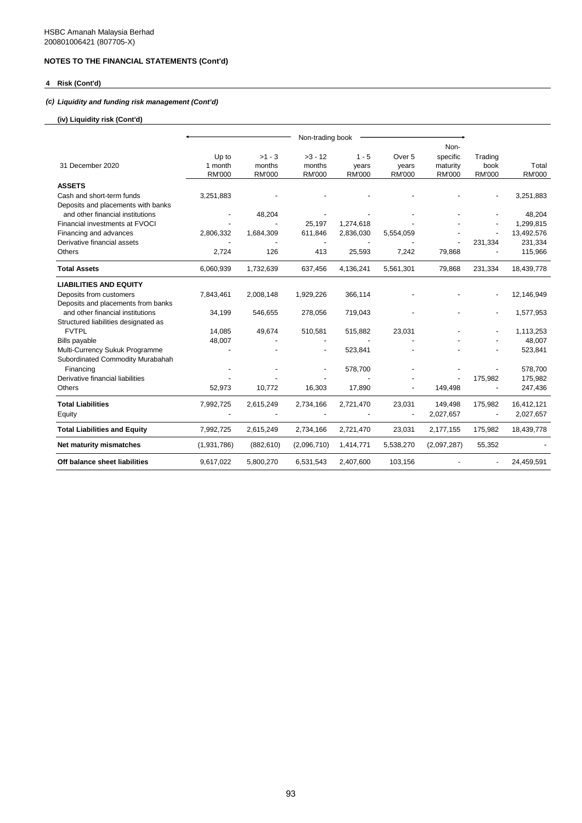## **4 Risk (Cont'd)**

## *(c) Liquidity and funding risk management (Cont'd)*

### **(iv) Liquidity risk (Cont'd)**

|                                      |               |               | Non-trading book |               |                   |               |                          |               |
|--------------------------------------|---------------|---------------|------------------|---------------|-------------------|---------------|--------------------------|---------------|
|                                      |               |               |                  |               |                   | Non-          |                          |               |
|                                      | Up to         | $>1 - 3$      | $>3 - 12$        | $1 - 5$       | Over <sub>5</sub> | specific      | Trading                  |               |
| 31 December 2020                     | 1 month       | months        | months           | years         | years             | maturity      | book                     | Total         |
|                                      | <b>RM'000</b> | <b>RM'000</b> | <b>RM'000</b>    | <b>RM'000</b> | <b>RM'000</b>     | <b>RM'000</b> | <b>RM'000</b>            | <b>RM'000</b> |
| <b>ASSETS</b>                        |               |               |                  |               |                   |               |                          |               |
| Cash and short-term funds            | 3,251,883     |               |                  |               |                   |               |                          | 3,251,883     |
| Deposits and placements with banks   |               |               |                  |               |                   |               |                          |               |
| and other financial institutions     |               | 48,204        |                  |               |                   |               |                          | 48,204        |
| Financial investments at FVOCI       |               |               | 25,197           | 1,274,618     |                   |               |                          | 1,299,815     |
| Financing and advances               | 2,806,332     | 1,684,309     | 611,846          | 2,836,030     | 5,554,059         |               |                          | 13,492,576    |
| Derivative financial assets          |               |               |                  |               |                   |               | 231,334                  | 231,334       |
| Others                               | 2,724         | 126           | 413              | 25,593        | 7,242             | 79,868        |                          | 115,966       |
| <b>Total Assets</b>                  | 6,060,939     | 1,732,639     | 637,456          | 4,136,241     | 5,561,301         | 79,868        | 231,334                  | 18,439,778    |
| <b>LIABILITIES AND EQUITY</b>        |               |               |                  |               |                   |               |                          |               |
| Deposits from customers              | 7,843,461     | 2,008,148     | 1,929,226        | 366,114       |                   |               |                          | 12,146,949    |
| Deposits and placements from banks   |               |               |                  |               |                   |               |                          |               |
| and other financial institutions     | 34,199        | 546,655       | 278,056          | 719,043       |                   |               |                          | 1,577,953     |
| Structured liabilities designated as |               |               |                  |               |                   |               |                          |               |
| <b>FVTPL</b>                         | 14,085        | 49,674        | 510,581          | 515,882       | 23,031            |               |                          | 1,113,253     |
| Bills payable                        | 48,007        |               |                  |               |                   |               |                          | 48,007        |
| Multi-Currency Sukuk Programme       |               |               |                  | 523,841       |                   |               |                          | 523,841       |
| Subordinated Commodity Murabahah     |               |               |                  |               |                   |               |                          |               |
| Financing                            |               |               |                  | 578,700       |                   |               |                          | 578,700       |
| Derivative financial liabilities     |               |               |                  |               |                   |               | 175,982                  | 175,982       |
| Others                               | 52,973        | 10,772        | 16,303           | 17,890        |                   | 149,498       |                          | 247,436       |
| <b>Total Liabilities</b>             | 7,992,725     | 2,615,249     | 2,734,166        | 2,721,470     | 23,031            | 149,498       | 175,982                  | 16,412,121    |
| Equity                               |               |               |                  |               |                   | 2,027,657     | $\overline{\phantom{a}}$ | 2,027,657     |
| <b>Total Liabilities and Equity</b>  | 7,992,725     | 2,615,249     | 2,734,166        | 2,721,470     | 23,031            | 2,177,155     | 175,982                  | 18,439,778    |
| Net maturity mismatches              | (1,931,786)   | (882, 610)    | (2,096,710)      | 1,414,771     | 5,538,270         | (2,097,287)   | 55,352                   |               |
| Off balance sheet liabilities        | 9,617,022     | 5,800,270     | 6,531,543        | 2,407,600     | 103,156           |               |                          | 24,459,591    |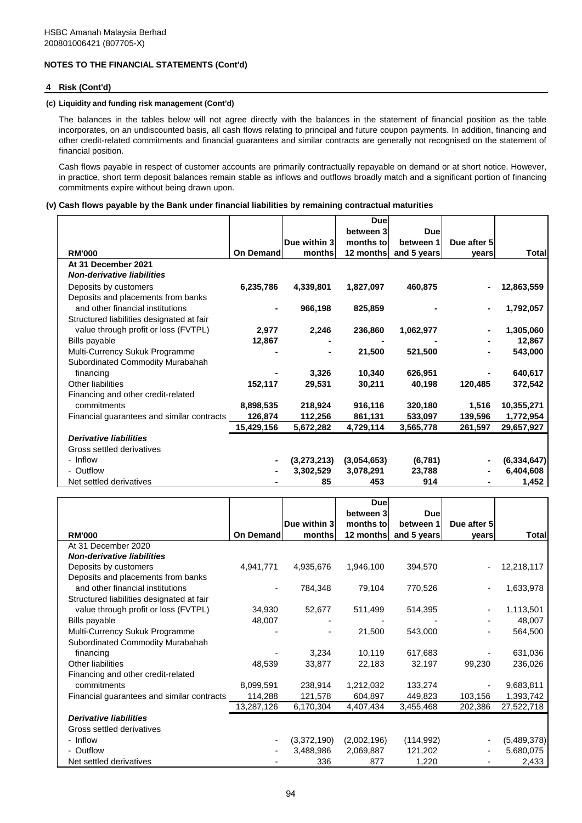#### **4 Risk (Cont'd)**

#### **(c) Liquidity and funding risk management (Cont'd)**

The balances in the tables below will not agree directly with the balances in the statement of financial position as the table incorporates, on an undiscounted basis, all cash flows relating to principal and future coupon payments. In addition, financing and other credit-related commitments and financial guarantees and similar contracts are generally not recognised on the statement of financial position.

Cash flows payable in respect of customer accounts are primarily contractually repayable on demand or at short notice. However, in practice, short term deposit balances remain stable as inflows and outflows broadly match and a significant portion of financing commitments expire without being drawn upon.

#### **(v) Cash flows payable by the Bank under financial liabilities by remaining contractual maturities**

|                                            |            |              | <b>Due</b>  |             |             |               |
|--------------------------------------------|------------|--------------|-------------|-------------|-------------|---------------|
|                                            |            |              | between 3   | Duel        |             |               |
|                                            |            | Due within 3 | months to   | between 1   | Due after 5 |               |
| <b>RM'000</b>                              | On Demand  | months       | 12 months   | and 5 years | vears       | Total         |
| At 31 December 2021                        |            |              |             |             |             |               |
| <b>Non-derivative liabilities</b>          |            |              |             |             |             |               |
| Deposits by customers                      | 6,235,786  | 4,339,801    | 1,827,097   | 460,875     |             | 12,863,559    |
| Deposits and placements from banks         |            |              |             |             |             |               |
| and other financial institutions           |            | 966,198      | 825,859     |             |             | 1,792,057     |
| Structured liabilities designated at fair  |            |              |             |             |             |               |
| value through profit or loss (FVTPL)       | 2,977      | 2,246        | 236,860     | 1,062,977   |             | 1,305,060     |
| Bills payable                              | 12,867     |              |             |             |             | 12,867        |
| Multi-Currency Sukuk Programme             |            |              | 21,500      | 521,500     |             | 543,000       |
| Subordinated Commodity Murabahah           |            |              |             |             |             |               |
| financing                                  |            | 3,326        | 10,340      | 626,951     |             | 640,617       |
| Other liabilities                          | 152,117    | 29,531       | 30,211      | 40.198      | 120,485     | 372,542       |
| Financing and other credit-related         |            |              |             |             |             |               |
| commitments                                | 8,898,535  | 218,924      | 916,116     | 320,180     | 1,516       | 10,355,271    |
| Financial guarantees and similar contracts | 126,874    | 112,256      | 861,131     | 533,097     | 139,596     | 1,772,954     |
|                                            | 15,429,156 | 5,672,282    | 4,729,114   | 3,565,778   | 261,597     | 29,657,927    |
| <b>Derivative liabilities</b>              |            |              |             |             |             |               |
| Gross settled derivatives                  |            |              |             |             |             |               |
| - Inflow                                   |            | (3,273,213)  | (3,054,653) | (6, 781)    |             | (6, 334, 647) |
| - Outflow                                  |            | 3,302,529    | 3,078,291   | 23,788      |             | 6,404,608     |
| Net settled derivatives                    |            | 85           | 453         | 914         |             | 1,452         |

|                                            |                   |              | <b>Due</b>  |             |             |             |
|--------------------------------------------|-------------------|--------------|-------------|-------------|-------------|-------------|
|                                            |                   |              | between 3   | Duel        |             |             |
|                                            |                   | Due within 3 | months to   | between 1   | Due after 5 |             |
| <b>RM'000</b>                              | <b>On Demandl</b> | months       | 12 months   | and 5 years | vears       | Total       |
| At 31 December 2020                        |                   |              |             |             |             |             |
| <b>Non-derivative liabilities</b>          |                   |              |             |             |             |             |
| Deposits by customers                      | 4,941,771         | 4,935,676    | 1,946,100   | 394,570     |             | 12,218,117  |
| Deposits and placements from banks         |                   |              |             |             |             |             |
| and other financial institutions           |                   | 784,348      | 79,104      | 770,526     | -           | 1,633,978   |
| Structured liabilities designated at fair  |                   |              |             |             |             |             |
| value through profit or loss (FVTPL)       | 34,930            | 52,677       | 511,499     | 514,395     | ٠           | 1,113,501   |
| Bills payable                              | 48,007            |              |             |             |             | 48,007      |
| Multi-Currency Sukuk Programme             |                   |              | 21,500      | 543,000     | ۰           | 564,500     |
| Subordinated Commodity Murabahah           |                   |              |             |             |             |             |
| financing                                  |                   | 3,234        | 10,119      | 617,683     |             | 631,036     |
| <b>Other liabilities</b>                   | 48,539            | 33,877       | 22,183      | 32,197      | 99,230      | 236,026     |
| Financing and other credit-related         |                   |              |             |             |             |             |
| commitments                                | 8,099,591         | 238,914      | 1,212,032   | 133,274     |             | 9,683,811   |
| Financial guarantees and similar contracts | 114,288           | 121,578      | 604,897     | 449,823     | 103,156     | 1,393,742   |
|                                            | 13,287,126        | 6,170,304    | 4,407,434   | 3,455,468   | 202,386     | 27,522,718  |
| <b>Derivative liabilities</b>              |                   |              |             |             |             |             |
| Gross settled derivatives                  |                   |              |             |             |             |             |
| - Inflow                                   |                   | (3,372,190)  | (2,002,196) | (114, 992)  |             | (5,489,378) |
| - Outflow                                  |                   | 3,488,986    | 2,069,887   | 121,202     |             | 5,680,075   |
| Net settled derivatives                    |                   | 336          | 877         | 1,220       |             | 2,433       |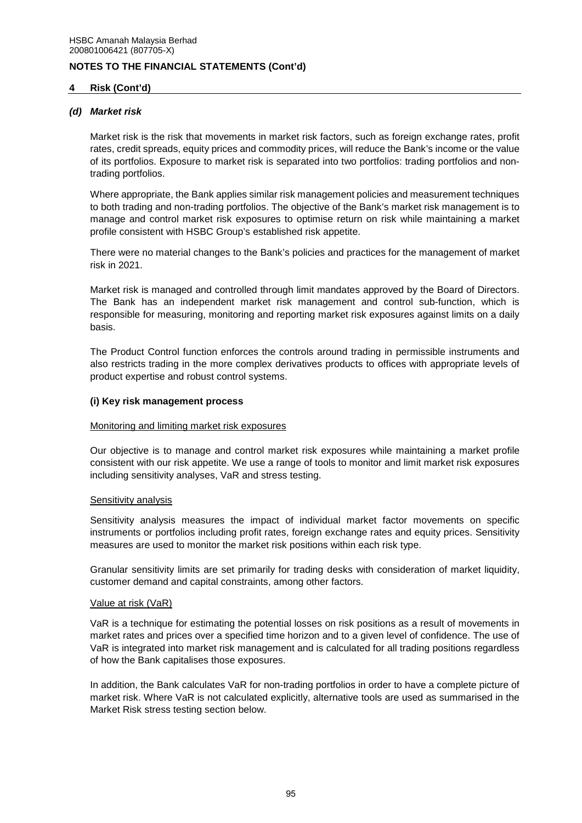## **4 Risk (Cont'd)**

## *(d) Market risk*

Market risk is the risk that movements in market risk factors, such as foreign exchange rates, profit rates, credit spreads, equity prices and commodity prices, will reduce the Bank's income or the value of its portfolios. Exposure to market risk is separated into two portfolios: trading portfolios and nontrading portfolios.

Where appropriate, the Bank applies similar risk management policies and measurement techniques to both trading and non-trading portfolios. The objective of the Bank's market risk management is to manage and control market risk exposures to optimise return on risk while maintaining a market profile consistent with HSBC Group's established risk appetite.

There were no material changes to the Bank's policies and practices for the management of market risk in 2021.

Market risk is managed and controlled through limit mandates approved by the Board of Directors. The Bank has an independent market risk management and control sub-function, which is responsible for measuring, monitoring and reporting market risk exposures against limits on a daily basis.

The Product Control function enforces the controls around trading in permissible instruments and also restricts trading in the more complex derivatives products to offices with appropriate levels of product expertise and robust control systems.

## **(i) Key risk management process**

## Monitoring and limiting market risk exposures

Our objective is to manage and control market risk exposures while maintaining a market profile consistent with our risk appetite. We use a range of tools to monitor and limit market risk exposures including sensitivity analyses, VaR and stress testing.

## Sensitivity analysis

Sensitivity analysis measures the impact of individual market factor movements on specific instruments or portfolios including profit rates, foreign exchange rates and equity prices. Sensitivity measures are used to monitor the market risk positions within each risk type.

Granular sensitivity limits are set primarily for trading desks with consideration of market liquidity, customer demand and capital constraints, among other factors.

## Value at risk (VaR)

VaR is a technique for estimating the potential losses on risk positions as a result of movements in market rates and prices over a specified time horizon and to a given level of confidence. The use of VaR is integrated into market risk management and is calculated for all trading positions regardless of how the Bank capitalises those exposures.

In addition, the Bank calculates VaR for non-trading portfolios in order to have a complete picture of market risk. Where VaR is not calculated explicitly, alternative tools are used as summarised in the Market Risk stress testing section below.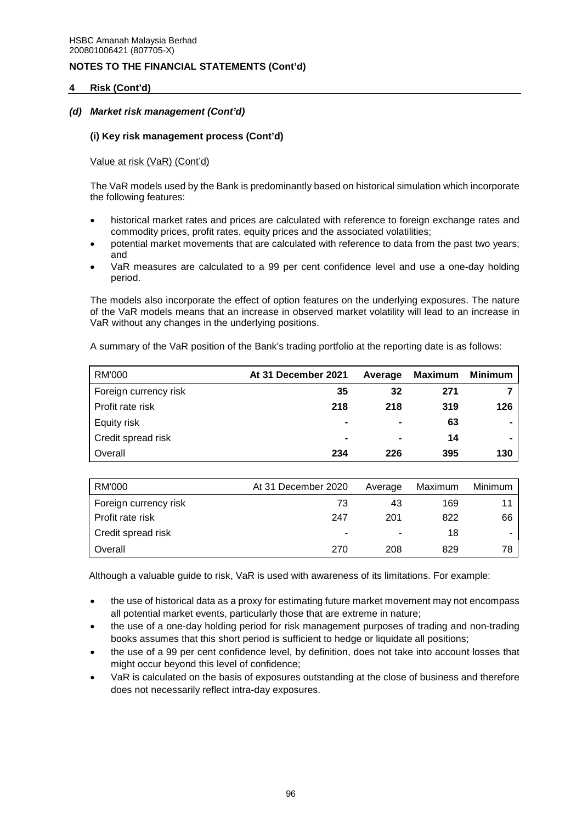## **4 Risk (Cont'd)**

## *(d) Market risk management (Cont'd)*

## **(i) Key risk management process (Cont'd)**

## Value at risk (VaR) (Cont'd)

The VaR models used by the Bank is predominantly based on historical simulation which incorporate the following features:

- historical market rates and prices are calculated with reference to foreign exchange rates and commodity prices, profit rates, equity prices and the associated volatilities;
- potential market movements that are calculated with reference to data from the past two years; and
- VaR measures are calculated to a 99 per cent confidence level and use a one-day holding period.

The models also incorporate the effect of option features on the underlying exposures. The nature of the VaR models means that an increase in observed market volatility will lead to an increase in VaR without any changes in the underlying positions.

A summary of the VaR position of the Bank's trading portfolio at the reporting date is as follows:

| RM'000                | At 31 December 2021 | Average        | Maximum | Minimum        |
|-----------------------|---------------------|----------------|---------|----------------|
| Foreign currency risk | 35                  | 32             | 271     |                |
| Profit rate risk      | 218                 | 218            | 319     | 126            |
| Equity risk           | $\blacksquare$      |                | 63      | $\blacksquare$ |
| Credit spread risk    | $\blacksquare$      | $\blacksquare$ | 14      | $\blacksquare$ |
| Overall               | 234                 | 226            | 395     | 130            |

| RM'000                | At 31 December 2020      | Average | Maximum | <b>Minimum</b> |
|-----------------------|--------------------------|---------|---------|----------------|
| Foreign currency risk | 73                       | 43      | 169     |                |
| Profit rate risk      | 247                      | 201     | 822     | 66             |
| Credit spread risk    | $\overline{\phantom{a}}$ |         | 18      |                |
| Overall               | 270                      | 208     | 829     | 78             |

Although a valuable guide to risk, VaR is used with awareness of its limitations. For example:

- the use of historical data as a proxy for estimating future market movement may not encompass all potential market events, particularly those that are extreme in nature;
- the use of a one-day holding period for risk management purposes of trading and non-trading books assumes that this short period is sufficient to hedge or liquidate all positions;
- the use of a 99 per cent confidence level, by definition, does not take into account losses that might occur beyond this level of confidence;
- VaR is calculated on the basis of exposures outstanding at the close of business and therefore does not necessarily reflect intra-day exposures.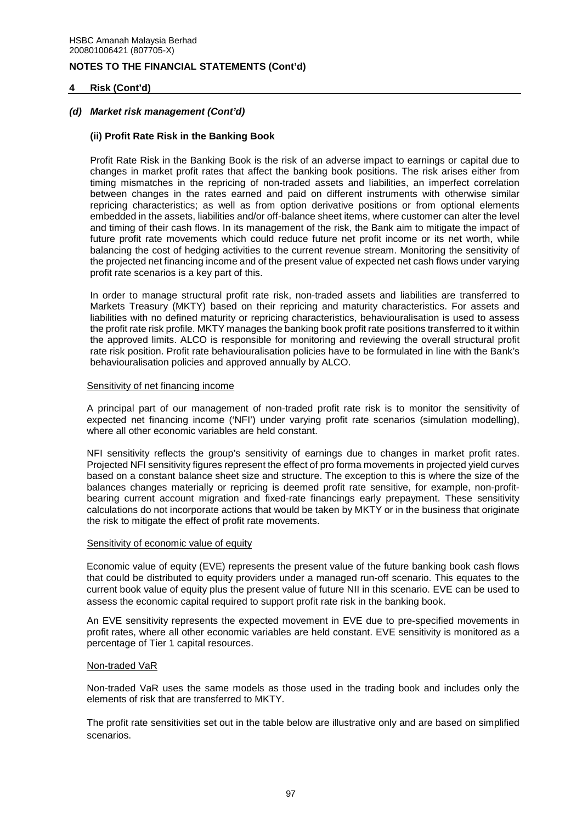## **4 Risk (Cont'd)**

## *(d) Market risk management (Cont'd)*

### **(ii) Profit Rate Risk in the Banking Book**

Profit Rate Risk in the Banking Book is the risk of an adverse impact to earnings or capital due to changes in market profit rates that affect the banking book positions. The risk arises either from timing mismatches in the repricing of non-traded assets and liabilities, an imperfect correlation between changes in the rates earned and paid on different instruments with otherwise similar repricing characteristics; as well as from option derivative positions or from optional elements embedded in the assets, liabilities and/or off-balance sheet items, where customer can alter the level and timing of their cash flows. In its management of the risk, the Bank aim to mitigate the impact of future profit rate movements which could reduce future net profit income or its net worth, while balancing the cost of hedging activities to the current revenue stream. Monitoring the sensitivity of the projected net financing income and of the present value of expected net cash flows under varying profit rate scenarios is a key part of this.

In order to manage structural profit rate risk, non-traded assets and liabilities are transferred to Markets Treasury (MKTY) based on their repricing and maturity characteristics. For assets and liabilities with no defined maturity or repricing characteristics, behaviouralisation is used to assess the profit rate risk profile. MKTY manages the banking book profit rate positions transferred to it within the approved limits. ALCO is responsible for monitoring and reviewing the overall structural profit rate risk position. Profit rate behaviouralisation policies have to be formulated in line with the Bank's behaviouralisation policies and approved annually by ALCO.

#### Sensitivity of net financing income

A principal part of our management of non-traded profit rate risk is to monitor the sensitivity of expected net financing income ('NFI') under varying profit rate scenarios (simulation modelling), where all other economic variables are held constant.

NFI sensitivity reflects the group's sensitivity of earnings due to changes in market profit rates. Projected NFI sensitivity figures represent the effect of pro forma movements in projected yield curves based on a constant balance sheet size and structure. The exception to this is where the size of the balances changes materially or repricing is deemed profit rate sensitive, for example, non-profitbearing current account migration and fixed-rate financings early prepayment. These sensitivity calculations do not incorporate actions that would be taken by MKTY or in the business that originate the risk to mitigate the effect of profit rate movements.

#### Sensitivity of economic value of equity

Economic value of equity (EVE) represents the present value of the future banking book cash flows that could be distributed to equity providers under a managed run-off scenario. This equates to the current book value of equity plus the present value of future NII in this scenario. EVE can be used to assess the economic capital required to support profit rate risk in the banking book.

An EVE sensitivity represents the expected movement in EVE due to pre-specified movements in profit rates, where all other economic variables are held constant. EVE sensitivity is monitored as a percentage of Tier 1 capital resources.

#### Non-traded VaR

Non-traded VaR uses the same models as those used in the trading book and includes only the elements of risk that are transferred to MKTY.

The profit rate sensitivities set out in the table below are illustrative only and are based on simplified scenarios.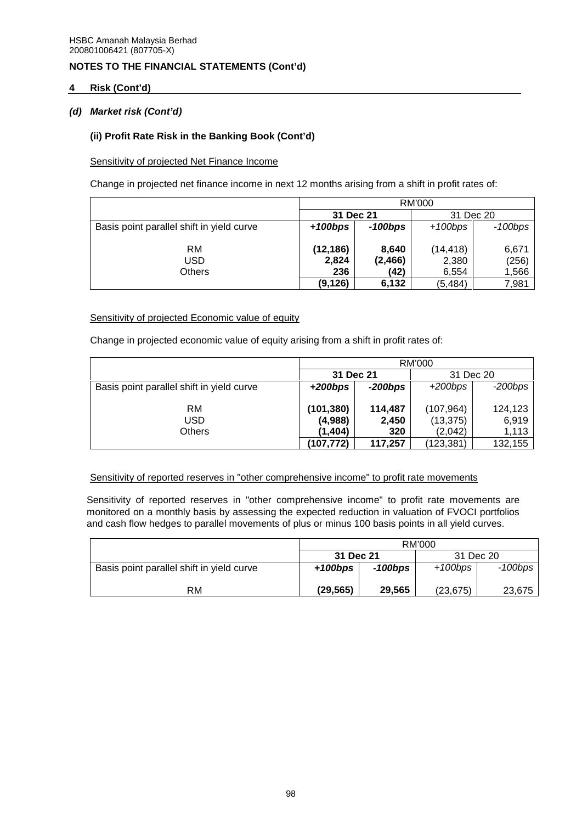## **4 Risk (Cont'd)**

## *(d) Market risk (Cont'd)*

## **(ii) Profit Rate Risk in the Banking Book (Cont'd)**

Sensitivity of projected Net Finance Income

Change in projected net finance income in next 12 months arising from a shift in profit rates of:

|                                           | RM'000     |          |           |         |  |  |  |
|-------------------------------------------|------------|----------|-----------|---------|--|--|--|
|                                           | 31 Dec 21  |          | 31 Dec 20 |         |  |  |  |
| Basis point parallel shift in yield curve | $+100$ bps | -100bps  | $+100bps$ | -100bps |  |  |  |
|                                           |            |          |           |         |  |  |  |
| RM                                        | (12, 186)  | 8.640    | (14, 418) | 6.671   |  |  |  |
| USD                                       | 2,824      | (2, 466) | 2,380     | (256)   |  |  |  |
| Others                                    | 236        | (42)     | 6.554     | 1,566   |  |  |  |
|                                           | (9, 126)   | 6,132    | (5,484)   | 7,981   |  |  |  |

## Sensitivity of projected Economic value of equity

Change in projected economic value of equity arising from a shift in profit rates of:

|                                           |            | RM'000     |           |           |  |  |  |
|-------------------------------------------|------------|------------|-----------|-----------|--|--|--|
|                                           | 31 Dec 21  |            | 31 Dec 20 |           |  |  |  |
| Basis point parallel shift in yield curve | $+200$ bps | $-200$ bps | $+200bps$ | $-200bps$ |  |  |  |
|                                           |            |            |           |           |  |  |  |
| <b>RM</b>                                 | (101, 380) | 114,487    | (107,964) | 124,123   |  |  |  |
| USD                                       | (4,988)    | 2,450      | (13, 375) | 6,919     |  |  |  |
| Others                                    | (1,404)    | 320        | (2,042)   | 1,113     |  |  |  |
|                                           | (107, 772) | 117,257    | (123,381) | 132,155   |  |  |  |

## Sensitivity of reported reserves in "other comprehensive income" to profit rate movements

Sensitivity of reported reserves in "other comprehensive income" to profit rate movements are monitored on a monthly basis by assessing the expected reduction in valuation of FVOCI portfolios and cash flow hedges to parallel movements of plus or minus 100 basis points in all yield curves.

|                                           | RM'000    |         |            |         |  |  |  |
|-------------------------------------------|-----------|---------|------------|---------|--|--|--|
|                                           | 31 Dec 21 |         | 31 Dec 20  |         |  |  |  |
| Basis point parallel shift in yield curve | $+100bps$ | -100bps | $+100$ bps | -100bps |  |  |  |
| RM                                        | (29, 565) | 29,565  | (23, 675)  | 23,675  |  |  |  |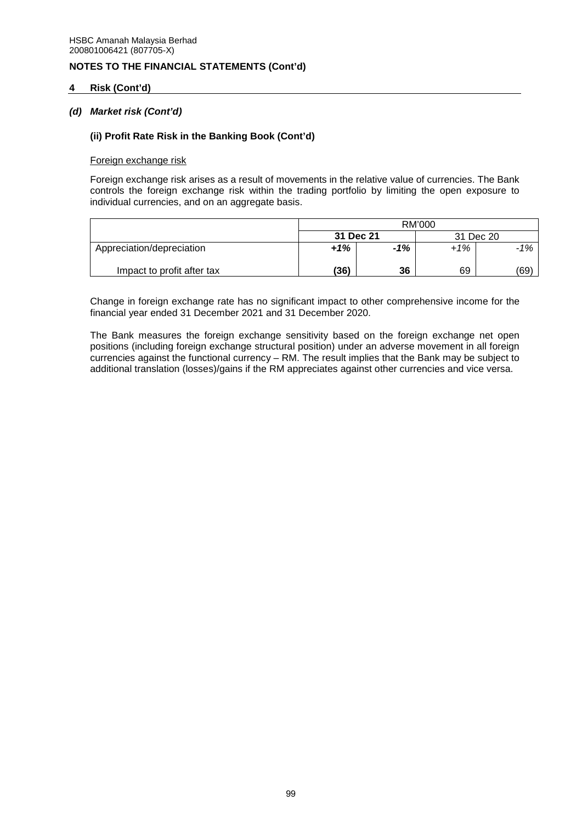## **4 Risk (Cont'd)**

## *(d) Market risk (Cont'd)*

### **(ii) Profit Rate Risk in the Banking Book (Cont'd)**

#### Foreign exchange risk

Foreign exchange risk arises as a result of movements in the relative value of currencies. The Bank controls the foreign exchange risk within the trading portfolio by limiting the open exposure to individual currencies, and on an aggregate basis.

|                            | RM'000    |       |           |        |  |  |
|----------------------------|-----------|-------|-----------|--------|--|--|
|                            | 31 Dec 21 |       | 31 Dec 20 |        |  |  |
| Appreciation/depreciation  | $+1%$     | $-1%$ | $+1\%$    | $-1\%$ |  |  |
| Impact to profit after tax | (36)      | 36    | 69        | (69)   |  |  |

Change in foreign exchange rate has no significant impact to other comprehensive income for the financial year ended 31 December 2021 and 31 December 2020.

The Bank measures the foreign exchange sensitivity based on the foreign exchange net open positions (including foreign exchange structural position) under an adverse movement in all foreign currencies against the functional currency – RM. The result implies that the Bank may be subject to additional translation (losses)/gains if the RM appreciates against other currencies and vice versa.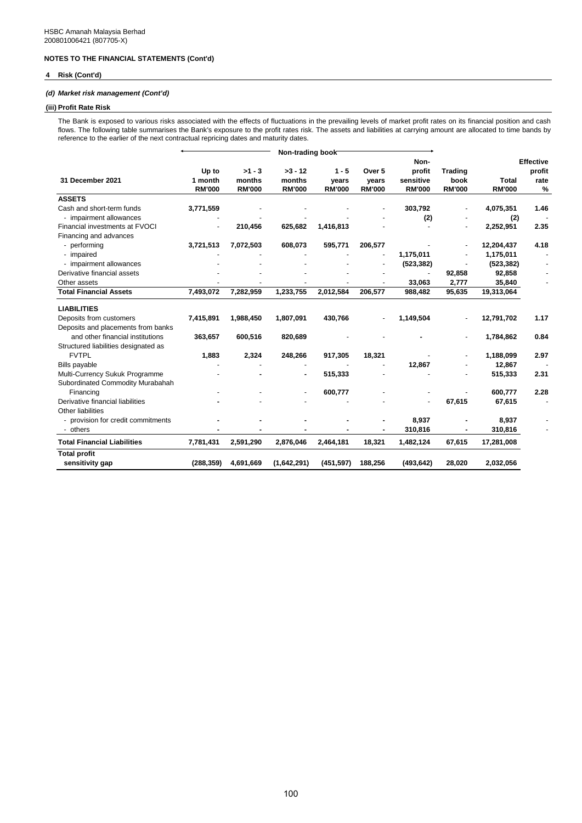### **4 Risk (Cont'd)**

### *(d) Market risk management (Cont'd)*

# **(iii) Profit Rate Risk**

The Bank is exposed to various risks associated with the effects of fluctuations in the prevailing levels of market profit rates on its financial position and cash flows. The following table summarises the Bank's exposure to the profit rates risk. The assets and liabilities at carrying amount are allocated to time bands by reference to the earlier of the next contractual repricing dates and maturity dates.

|                                        | Non-trading book                  |                                     |                                      |                                   |                                             |                                              |                                         |                               |                                         |
|----------------------------------------|-----------------------------------|-------------------------------------|--------------------------------------|-----------------------------------|---------------------------------------------|----------------------------------------------|-----------------------------------------|-------------------------------|-----------------------------------------|
| 31 December 2021                       | Up to<br>1 month<br><b>RM'000</b> | $>1 - 3$<br>months<br><b>RM'000</b> | $>3 - 12$<br>months<br><b>RM'000</b> | $1 - 5$<br>years<br><b>RM'000</b> | Over <sub>5</sub><br>years<br><b>RM'000</b> | Non-<br>profit<br>sensitive<br><b>RM'000</b> | <b>Trading</b><br>book<br><b>RM'000</b> | <b>Total</b><br><b>RM'000</b> | <b>Effective</b><br>profit<br>rate<br>% |
| <b>ASSETS</b>                          |                                   |                                     |                                      |                                   |                                             |                                              |                                         |                               |                                         |
| Cash and short-term funds              | 3,771,559                         |                                     |                                      |                                   |                                             | 303,792                                      |                                         | 4,075,351                     | 1.46                                    |
| - impairment allowances                |                                   |                                     |                                      |                                   |                                             | (2)                                          |                                         | (2)                           |                                         |
| Financial investments at FVOCI         | $\blacksquare$                    | 210,456                             | 625,682                              | 1,416,813                         |                                             |                                              |                                         | 2,252,951                     | 2.35                                    |
| Financing and advances                 |                                   |                                     |                                      |                                   |                                             |                                              |                                         |                               |                                         |
| - performing                           | 3,721,513                         | 7,072,503                           | 608,073                              | 595,771                           | 206,577                                     |                                              |                                         | 12,204,437                    | 4.18                                    |
| - impaired                             |                                   |                                     |                                      |                                   |                                             | 1,175,011                                    |                                         | 1,175,011                     |                                         |
| - impairment allowances                |                                   |                                     |                                      |                                   |                                             | (523, 382)                                   |                                         | (523, 382)                    |                                         |
| Derivative financial assets            |                                   |                                     |                                      |                                   |                                             |                                              | 92,858                                  | 92,858                        |                                         |
| Other assets                           |                                   |                                     |                                      |                                   |                                             | 33,063                                       | 2,777                                   | 35,840                        |                                         |
| <b>Total Financial Assets</b>          | 7,493,072                         | 7,282,959                           | 1,233,755                            | 2,012,584                         | 206,577                                     | 988,482                                      | 95,635                                  | 19,313,064                    |                                         |
| <b>LIABILITIES</b>                     |                                   |                                     |                                      |                                   |                                             |                                              |                                         |                               |                                         |
| Deposits from customers                | 7,415,891                         | 1,988,450                           | 1,807,091                            | 430,766                           |                                             | 1,149,504                                    |                                         | 12,791,702                    | 1.17                                    |
| Deposits and placements from banks     |                                   |                                     |                                      |                                   |                                             |                                              |                                         |                               |                                         |
| and other financial institutions       | 363,657                           | 600,516                             | 820,689                              |                                   |                                             |                                              |                                         | 1,784,862                     | 0.84                                    |
| Structured liabilities designated as   |                                   |                                     |                                      |                                   |                                             |                                              |                                         |                               |                                         |
| <b>FVTPL</b>                           | 1,883                             | 2,324                               | 248,266                              | 917,305                           | 18,321                                      |                                              |                                         | 1,188,099                     | 2.97                                    |
| <b>Bills payable</b>                   |                                   |                                     |                                      |                                   |                                             | 12,867                                       |                                         | 12,867                        |                                         |
| Multi-Currency Sukuk Programme         |                                   |                                     |                                      | 515,333                           |                                             |                                              |                                         | 515,333                       | 2.31                                    |
| Subordinated Commodity Murabahah       |                                   |                                     |                                      |                                   |                                             |                                              |                                         |                               |                                         |
| Financing                              |                                   |                                     |                                      | 600,777                           |                                             |                                              |                                         | 600.777                       | 2.28                                    |
| Derivative financial liabilities       |                                   |                                     |                                      |                                   |                                             |                                              | 67,615                                  | 67,615                        |                                         |
| Other liabilities                      |                                   |                                     |                                      |                                   |                                             |                                              |                                         |                               |                                         |
| - provision for credit commitments     |                                   |                                     |                                      |                                   |                                             | 8,937                                        |                                         | 8,937                         |                                         |
| - others                               |                                   |                                     |                                      |                                   |                                             | 310,816                                      |                                         | 310,816                       |                                         |
| <b>Total Financial Liabilities</b>     | 7,781,431                         | 2,591,290                           | 2,876,046                            | 2,464,181                         | 18,321                                      | 1,482,124                                    | 67,615                                  | 17,281,008                    |                                         |
| <b>Total profit</b><br>sensitivity gap | (288, 359)                        | 4,691,669                           | (1,642,291)                          | (451, 597)                        | 188,256                                     | (493, 642)                                   | 28,020                                  | 2,032,056                     |                                         |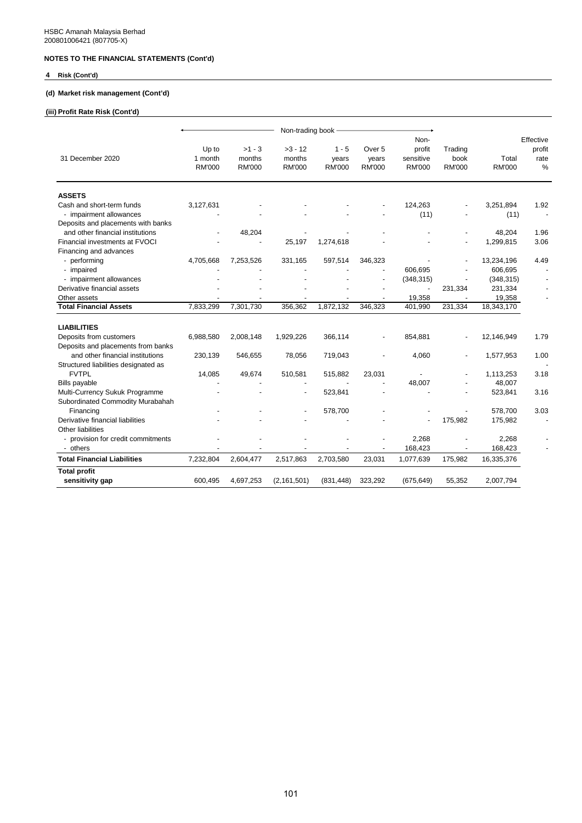### **4 Risk (Cont'd)**

## **(d) Market risk management (Cont'd)**

## **(iii) Profit Rate Risk (Cont'd)**

|                                      | Non-trading book -                |                                     |                                      |                                   |                                  |                                      |                                  |                        |                        |
|--------------------------------------|-----------------------------------|-------------------------------------|--------------------------------------|-----------------------------------|----------------------------------|--------------------------------------|----------------------------------|------------------------|------------------------|
|                                      |                                   |                                     |                                      |                                   |                                  | Non-                                 |                                  |                        | Effective              |
| 31 December 2020                     | Up to<br>1 month<br><b>RM'000</b> | $>1 - 3$<br>months<br><b>RM'000</b> | $>3 - 12$<br>months<br><b>RM'000</b> | $1 - 5$<br>years<br><b>RM'000</b> | Over 5<br>years<br><b>RM'000</b> | profit<br>sensitive<br><b>RM'000</b> | Trading<br>book<br><b>RM'000</b> | Total<br><b>RM'000</b> | profit<br>rate<br>$\%$ |
| <b>ASSETS</b>                        |                                   |                                     |                                      |                                   |                                  |                                      |                                  |                        |                        |
| Cash and short-term funds            | 3,127,631                         |                                     |                                      |                                   |                                  | 124,263                              |                                  | 3,251,894              | 1.92                   |
| - impairment allowances              |                                   |                                     |                                      |                                   |                                  | (11)                                 |                                  | (11)                   |                        |
| Deposits and placements with banks   |                                   |                                     |                                      |                                   |                                  |                                      |                                  |                        |                        |
| and other financial institutions     |                                   | 48,204                              |                                      |                                   |                                  |                                      |                                  | 48,204                 | 1.96                   |
| Financial investments at FVOCI       |                                   |                                     | 25,197                               | 1,274,618                         |                                  |                                      |                                  | 1,299,815              | 3.06                   |
| Financing and advances               |                                   |                                     |                                      |                                   |                                  |                                      |                                  |                        |                        |
| - performing                         | 4,705,668                         | 7,253,526                           | 331,165                              | 597,514                           | 346,323                          |                                      |                                  | 13,234,196             | 4.49                   |
| - impaired                           |                                   |                                     |                                      |                                   | ٠                                | 606,695                              |                                  | 606,695                |                        |
| - impairment allowances              |                                   |                                     |                                      |                                   |                                  | (348, 315)                           |                                  | (348, 315)             |                        |
| Derivative financial assets          |                                   |                                     |                                      |                                   |                                  | ÷,                                   | 231,334                          | 231,334                |                        |
| Other assets                         |                                   |                                     |                                      |                                   |                                  | 19,358                               |                                  | 19,358                 |                        |
| <b>Total Financial Assets</b>        | 7,833,299                         | 7,301,730                           | 356,362                              | 1,872,132                         | 346,323                          | 401,990                              | 231,334                          | 18,343,170             |                        |
| <b>LIABILITIES</b>                   |                                   |                                     |                                      |                                   |                                  |                                      |                                  |                        |                        |
| Deposits from customers              | 6,988,580                         | 2,008,148                           | 1,929,226                            | 366,114                           |                                  | 854,881                              |                                  | 12,146,949             | 1.79                   |
| Deposits and placements from banks   |                                   |                                     |                                      |                                   |                                  |                                      |                                  |                        |                        |
| and other financial institutions     | 230,139                           | 546,655                             | 78,056                               | 719,043                           |                                  | 4,060                                |                                  | 1,577,953              | 1.00                   |
| Structured liabilities designated as |                                   |                                     |                                      |                                   |                                  |                                      |                                  |                        |                        |
| <b>FVTPL</b>                         | 14,085                            | 49,674                              | 510,581                              | 515,882                           | 23,031                           |                                      |                                  | 1,113,253              | 3.18                   |
| <b>Bills payable</b>                 |                                   |                                     |                                      |                                   |                                  | 48,007                               |                                  | 48,007                 |                        |
| Multi-Currency Sukuk Programme       |                                   |                                     |                                      | 523,841                           |                                  |                                      |                                  | 523,841                | 3.16                   |
| Subordinated Commodity Murabahah     |                                   |                                     |                                      |                                   |                                  |                                      |                                  |                        |                        |
| Financing                            |                                   |                                     |                                      | 578,700                           |                                  |                                      |                                  | 578,700                | 3.03                   |
| Derivative financial liabilities     |                                   |                                     |                                      |                                   |                                  |                                      | 175,982                          | 175,982                |                        |
| Other liabilities                    |                                   |                                     |                                      |                                   |                                  |                                      |                                  |                        |                        |
| - provision for credit commitments   |                                   |                                     |                                      |                                   |                                  | 2,268                                |                                  | 2,268                  |                        |
| - others                             |                                   |                                     |                                      |                                   |                                  | 168,423                              |                                  | 168,423                |                        |
| <b>Total Financial Liabilities</b>   | 7,232,804                         | 2,604,477                           | 2,517,863                            | 2,703,580                         | 23,031                           | 1,077,639                            | 175,982                          | 16,335,376             |                        |
| <b>Total profit</b>                  |                                   |                                     |                                      |                                   |                                  |                                      |                                  |                        |                        |
| sensitivity gap                      | 600,495                           | 4,697,253                           | (2, 161, 501)                        | (831, 448)                        | 323,292                          | (675, 649)                           | 55,352                           | 2,007,794              |                        |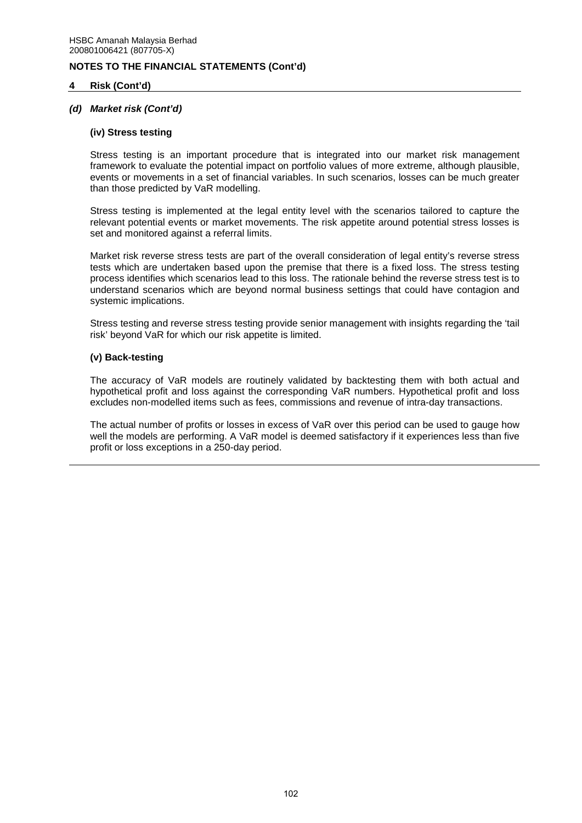## **4 Risk (Cont'd)**

## *(d) Market risk (Cont'd)*

#### **(iv) Stress testing**

Stress testing is an important procedure that is integrated into our market risk management framework to evaluate the potential impact on portfolio values of more extreme, although plausible, events or movements in a set of financial variables. In such scenarios, losses can be much greater than those predicted by VaR modelling.

Stress testing is implemented at the legal entity level with the scenarios tailored to capture the relevant potential events or market movements. The risk appetite around potential stress losses is set and monitored against a referral limits.

Market risk reverse stress tests are part of the overall consideration of legal entity's reverse stress tests which are undertaken based upon the premise that there is a fixed loss. The stress testing process identifies which scenarios lead to this loss. The rationale behind the reverse stress test is to understand scenarios which are beyond normal business settings that could have contagion and systemic implications.

Stress testing and reverse stress testing provide senior management with insights regarding the 'tail risk' beyond VaR for which our risk appetite is limited.

### **(v) Back-testing**

The accuracy of VaR models are routinely validated by backtesting them with both actual and hypothetical profit and loss against the corresponding VaR numbers. Hypothetical profit and loss excludes non-modelled items such as fees, commissions and revenue of intra-day transactions.

The actual number of profits or losses in excess of VaR over this period can be used to gauge how well the models are performing. A VaR model is deemed satisfactory if it experiences less than five profit or loss exceptions in a 250-day period.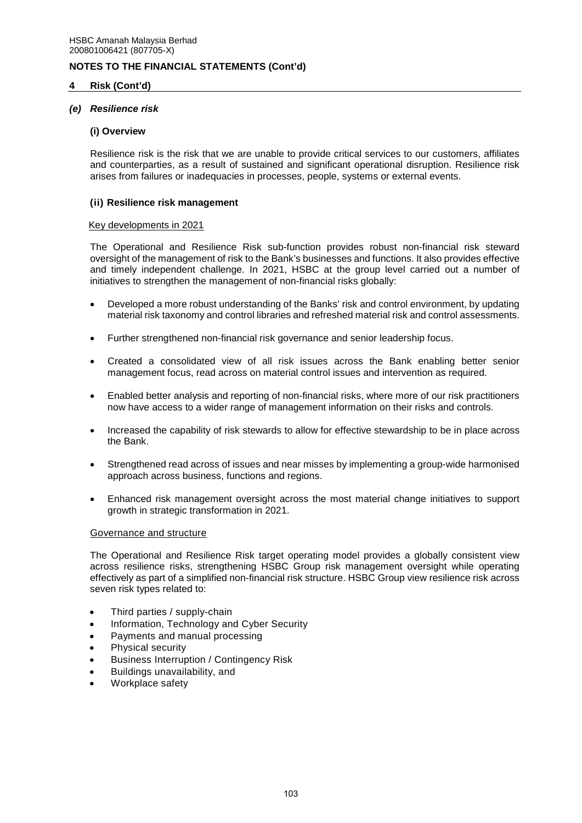## **4 Risk (Cont'd)**

### *(e) Resilience risk*

#### **(i) Overview**

Resilience risk is the risk that we are unable to provide critical services to our customers, affiliates and counterparties, as a result of sustained and significant operational disruption. Resilience risk arises from failures or inadequacies in processes, people, systems or external events.

#### **(ii) Resilience risk management**

#### Key developments in 2021

The Operational and Resilience Risk sub-function provides robust non-financial risk steward oversight of the management of risk to the Bank's businesses and functions. It also provides effective and timely independent challenge. In 2021, HSBC at the group level carried out a number of initiatives to strengthen the management of non-financial risks globally:

- Developed a more robust understanding of the Banks' risk and control environment, by updating material risk taxonomy and control libraries and refreshed material risk and control assessments.
- Further strengthened non-financial risk governance and senior leadership focus.
- Created a consolidated view of all risk issues across the Bank enabling better senior management focus, read across on material control issues and intervention as required.
- Enabled better analysis and reporting of non-financial risks, where more of our risk practitioners now have access to a wider range of management information on their risks and controls.
- Increased the capability of risk stewards to allow for effective stewardship to be in place across the Bank.
- Strengthened read across of issues and near misses by implementing a group-wide harmonised approach across business, functions and regions.
- Enhanced risk management oversight across the most material change initiatives to support growth in strategic transformation in 2021.

#### Governance and structure

The Operational and Resilience Risk target operating model provides a globally consistent view across resilience risks, strengthening HSBC Group risk management oversight while operating effectively as part of a simplified non-financial risk structure. HSBC Group view resilience risk across seven risk types related to:

- Third parties / supply-chain
- Information, Technology and Cyber Security
- Payments and manual processing
- Physical security
- Business Interruption / Contingency Risk
- Buildings unavailability, and
- Workplace safety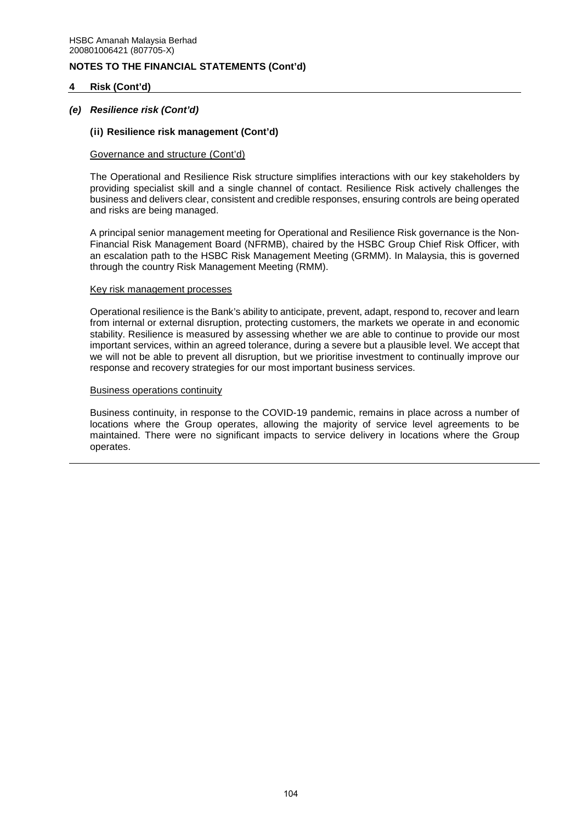## **4 Risk (Cont'd)**

## *(e) Resilience risk (Cont'd)*

#### **(ii) Resilience risk management (Cont'd)**

#### Governance and structure (Cont'd)

The Operational and Resilience Risk structure simplifies interactions with our key stakeholders by providing specialist skill and a single channel of contact. Resilience Risk actively challenges the business and delivers clear, consistent and credible responses, ensuring controls are being operated and risks are being managed.

A principal senior management meeting for Operational and Resilience Risk governance is the Non-Financial Risk Management Board (NFRMB), chaired by the HSBC Group Chief Risk Officer, with an escalation path to the HSBC Risk Management Meeting (GRMM). In Malaysia, this is governed through the country Risk Management Meeting (RMM).

#### Key risk management processes

Operational resilience is the Bank's ability to anticipate, prevent, adapt, respond to, recover and learn from internal or external disruption, protecting customers, the markets we operate in and economic stability. Resilience is measured by assessing whether we are able to continue to provide our most important services, within an agreed tolerance, during a severe but a plausible level. We accept that we will not be able to prevent all disruption, but we prioritise investment to continually improve our response and recovery strategies for our most important business services.

#### Business operations continuity

Business continuity, in response to the COVID-19 pandemic, remains in place across a number of locations where the Group operates, allowing the majority of service level agreements to be maintained. There were no significant impacts to service delivery in locations where the Group operates.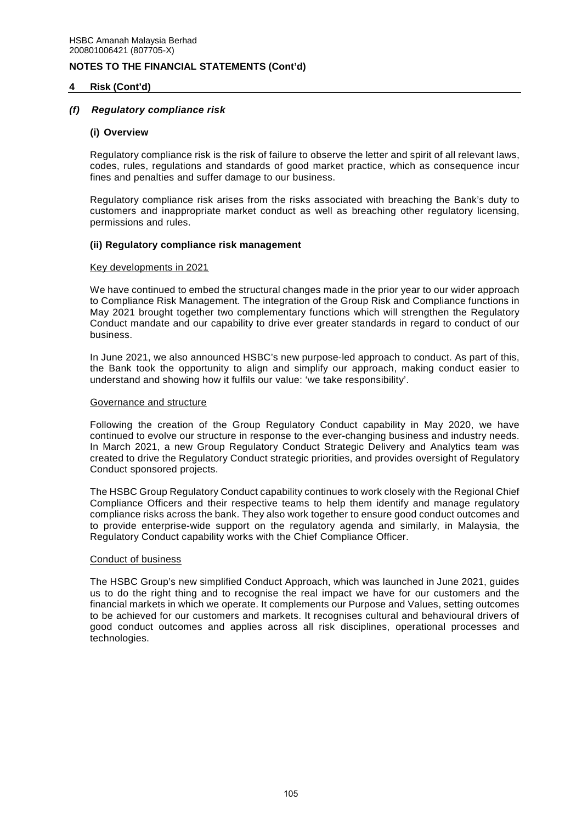## **4 Risk (Cont'd)**

## *(f) Regulatory compliance risk*

### **(i) Overview**

Regulatory compliance risk is the risk of failure to observe the letter and spirit of all relevant laws, codes, rules, regulations and standards of good market practice, which as consequence incur fines and penalties and suffer damage to our business.

Regulatory compliance risk arises from the risks associated with breaching the Bank's duty to customers and inappropriate market conduct as well as breaching other regulatory licensing, permissions and rules.

### **(ii) Regulatory compliance risk management**

#### Key developments in 2021

We have continued to embed the structural changes made in the prior year to our wider approach to Compliance Risk Management. The integration of the Group Risk and Compliance functions in May 2021 brought together two complementary functions which will strengthen the Regulatory Conduct mandate and our capability to drive ever greater standards in regard to conduct of our business.

In June 2021, we also announced HSBC's new purpose-led approach to conduct. As part of this, the Bank took the opportunity to align and simplify our approach, making conduct easier to understand and showing how it fulfils our value: 'we take responsibility'.

#### Governance and structure

Following the creation of the Group Regulatory Conduct capability in May 2020, we have continued to evolve our structure in response to the ever-changing business and industry needs. In March 2021, a new Group Regulatory Conduct Strategic Delivery and Analytics team was created to drive the Regulatory Conduct strategic priorities, and provides oversight of Regulatory Conduct sponsored projects.

The HSBC Group Regulatory Conduct capability continues to work closely with the Regional Chief Compliance Officers and their respective teams to help them identify and manage regulatory compliance risks across the bank. They also work together to ensure good conduct outcomes and to provide enterprise-wide support on the regulatory agenda and similarly, in Malaysia, the Regulatory Conduct capability works with the Chief Compliance Officer.

#### Conduct of business

The HSBC Group's new simplified Conduct Approach, which was launched in June 2021, guides us to do the right thing and to recognise the real impact we have for our customers and the financial markets in which we operate. It complements our Purpose and Values, setting outcomes to be achieved for our customers and markets. It recognises cultural and behavioural drivers of good conduct outcomes and applies across all risk disciplines, operational processes and technologies.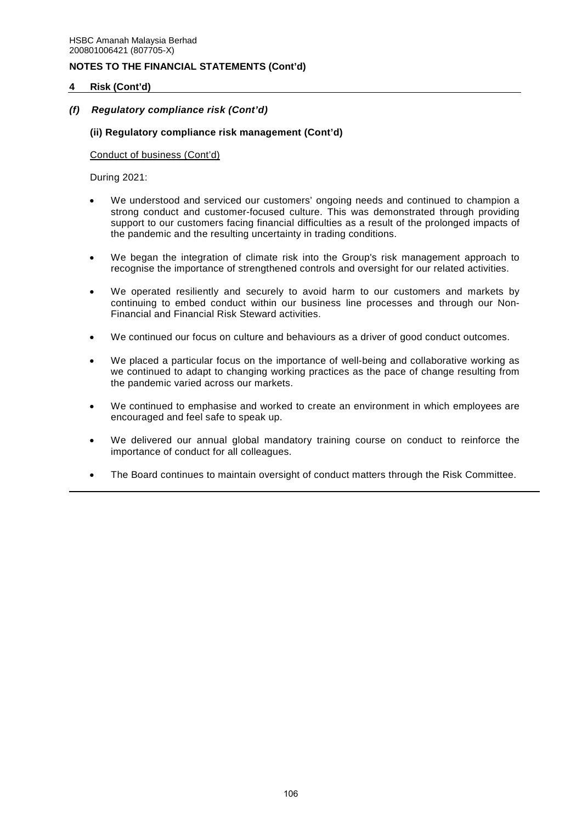## **4 Risk (Cont'd)**

## *(f) Regulatory compliance risk (Cont'd)*

## **(ii) Regulatory compliance risk management (Cont'd)**

Conduct of business (Cont'd)

During 2021:

- We understood and serviced our customers' ongoing needs and continued to champion a strong conduct and customer-focused culture. This was demonstrated through providing support to our customers facing financial difficulties as a result of the prolonged impacts of the pandemic and the resulting uncertainty in trading conditions.
- We began the integration of climate risk into the Group's risk management approach to recognise the importance of strengthened controls and oversight for our related activities.
- We operated resiliently and securely to avoid harm to our customers and markets by continuing to embed conduct within our business line processes and through our Non-Financial and Financial Risk Steward activities.
- We continued our focus on culture and behaviours as a driver of good conduct outcomes.
- We placed a particular focus on the importance of well-being and collaborative working as we continued to adapt to changing working practices as the pace of change resulting from the pandemic varied across our markets.
- We continued to emphasise and worked to create an environment in which employees are encouraged and feel safe to speak up.
- We delivered our annual global mandatory training course on conduct to reinforce the importance of conduct for all colleagues.
- The Board continues to maintain oversight of conduct matters through the Risk Committee.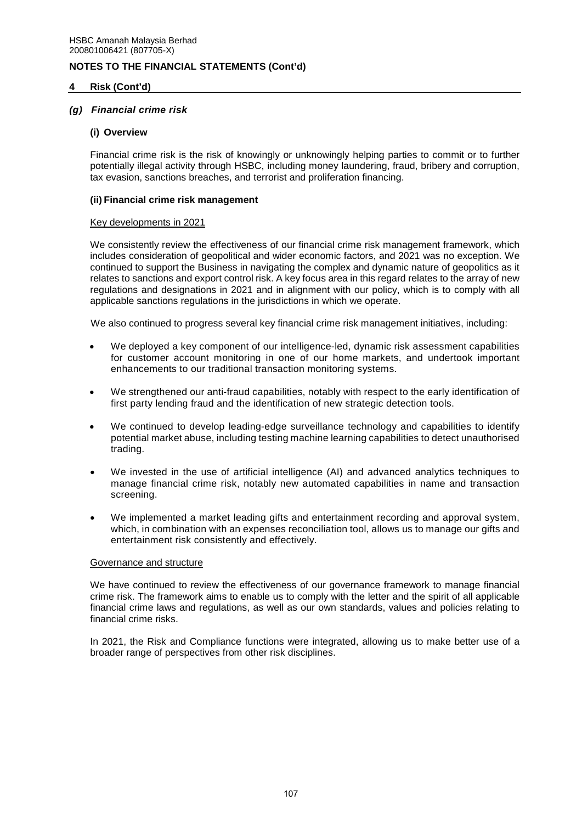### **4 Risk (Cont'd)**

### *(g) Financial crime risk*

#### **(i) Overview**

Financial crime risk is the risk of knowingly or unknowingly helping parties to commit or to further potentially illegal activity through HSBC, including money laundering, fraud, bribery and corruption, tax evasion, sanctions breaches, and terrorist and proliferation financing.

#### **(ii) Financial crime risk management**

#### Key developments in 2021

We consistently review the effectiveness of our financial crime risk management framework, which includes consideration of geopolitical and wider economic factors, and 2021 was no exception. We continued to support the Business in navigating the complex and dynamic nature of geopolitics as it relates to sanctions and export control risk. A key focus area in this regard relates to the array of new regulations and designations in 2021 and in alignment with our policy, which is to comply with all applicable sanctions regulations in the jurisdictions in which we operate.

We also continued to progress several key financial crime risk management initiatives, including:

- We deployed a key component of our intelligence-led, dynamic risk assessment capabilities for customer account monitoring in one of our home markets, and undertook important enhancements to our traditional transaction monitoring systems.
- We strengthened our anti-fraud capabilities, notably with respect to the early identification of first party lending fraud and the identification of new strategic detection tools.
- We continued to develop leading-edge surveillance technology and capabilities to identify potential market abuse, including testing machine learning capabilities to detect unauthorised trading.
- We invested in the use of artificial intelligence (AI) and advanced analytics techniques to manage financial crime risk, notably new automated capabilities in name and transaction screening.
- We implemented a market leading gifts and entertainment recording and approval system, which, in combination with an expenses reconciliation tool, allows us to manage our gifts and entertainment risk consistently and effectively.

#### Governance and structure

We have continued to review the effectiveness of our governance framework to manage financial crime risk. The framework aims to enable us to comply with the letter and the spirit of all applicable financial crime laws and regulations, as well as our own standards, values and policies relating to financial crime risks.

In 2021, the Risk and Compliance functions were integrated, allowing us to make better use of a broader range of perspectives from other risk disciplines.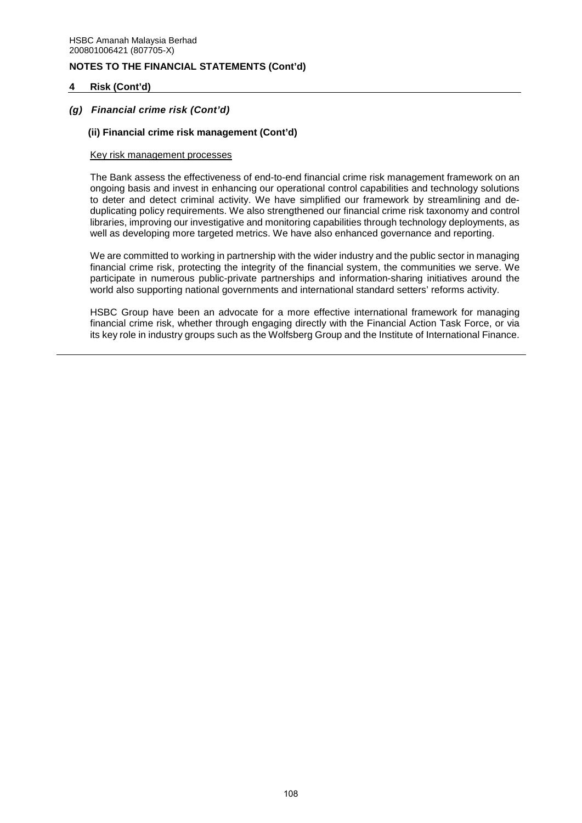## **4 Risk (Cont'd)**

## *(g) Financial crime risk (Cont'd)*

### **(ii) Financial crime risk management (Cont'd)**

#### Key risk management processes

The Bank assess the effectiveness of end-to-end financial crime risk management framework on an ongoing basis and invest in enhancing our operational control capabilities and technology solutions to deter and detect criminal activity. We have simplified our framework by streamlining and deduplicating policy requirements. We also strengthened our financial crime risk taxonomy and control libraries, improving our investigative and monitoring capabilities through technology deployments, as well as developing more targeted metrics. We have also enhanced governance and reporting.

We are committed to working in partnership with the wider industry and the public sector in managing financial crime risk, protecting the integrity of the financial system, the communities we serve. We participate in numerous public-private partnerships and information-sharing initiatives around the world also supporting national governments and international standard setters' reforms activity.

HSBC Group have been an advocate for a more effective international framework for managing financial crime risk, whether through engaging directly with the Financial Action Task Force, or via its key role in industry groups such as the Wolfsberg Group and the Institute of International Finance.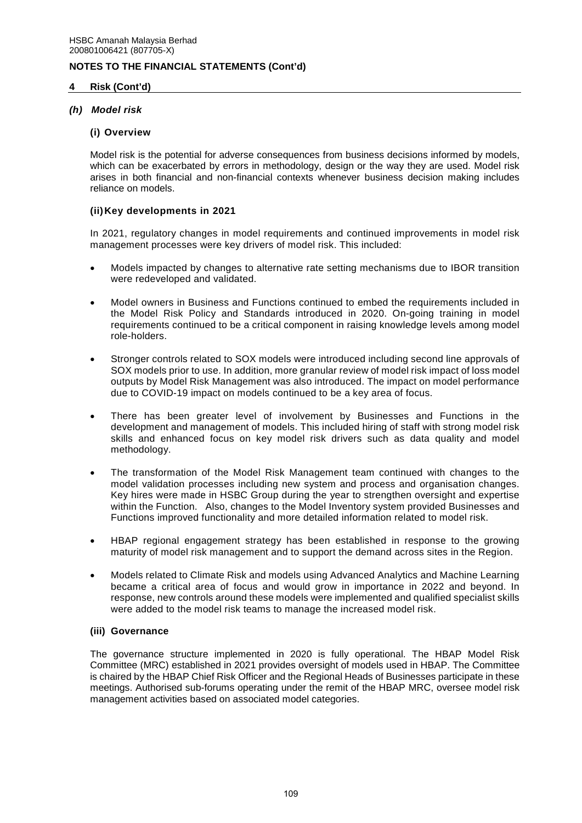## **4 Risk (Cont'd)**

## *(h) Model risk*

### **(i) Overview**

Model risk is the potential for adverse consequences from business decisions informed by models, which can be exacerbated by errors in methodology, design or the way they are used. Model risk arises in both financial and non-financial contexts whenever business decision making includes reliance on models.

## **(ii) Key developments in 2021**

In 2021, regulatory changes in model requirements and continued improvements in model risk management processes were key drivers of model risk. This included:

- Models impacted by changes to alternative rate setting mechanisms due to IBOR transition were redeveloped and validated.
- Model owners in Business and Functions continued to embed the requirements included in the Model Risk Policy and Standards introduced in 2020. On-going training in model requirements continued to be a critical component in raising knowledge levels among model role-holders.
- Stronger controls related to SOX models were introduced including second line approvals of SOX models prior to use. In addition, more granular review of model risk impact of loss model outputs by Model Risk Management was also introduced. The impact on model performance due to COVID-19 impact on models continued to be a key area of focus.
- There has been greater level of involvement by Businesses and Functions in the development and management of models. This included hiring of staff with strong model risk skills and enhanced focus on key model risk drivers such as data quality and model methodology.
- The transformation of the Model Risk Management team continued with changes to the model validation processes including new system and process and organisation changes. Key hires were made in HSBC Group during the year to strengthen oversight and expertise within the Function. Also, changes to the Model Inventory system provided Businesses and Functions improved functionality and more detailed information related to model risk.
- HBAP regional engagement strategy has been established in response to the growing maturity of model risk management and to support the demand across sites in the Region.
- Models related to Climate Risk and models using Advanced Analytics and Machine Learning became a critical area of focus and would grow in importance in 2022 and beyond. In response, new controls around these models were implemented and qualified specialist skills were added to the model risk teams to manage the increased model risk.

## **(iii) Governance**

The governance structure implemented in 2020 is fully operational. The HBAP Model Risk Committee (MRC) established in 2021 provides oversight of models used in HBAP. The Committee is chaired by the HBAP Chief Risk Officer and the Regional Heads of Businesses participate in these meetings. Authorised sub-forums operating under the remit of the HBAP MRC, oversee model risk management activities based on associated model categories.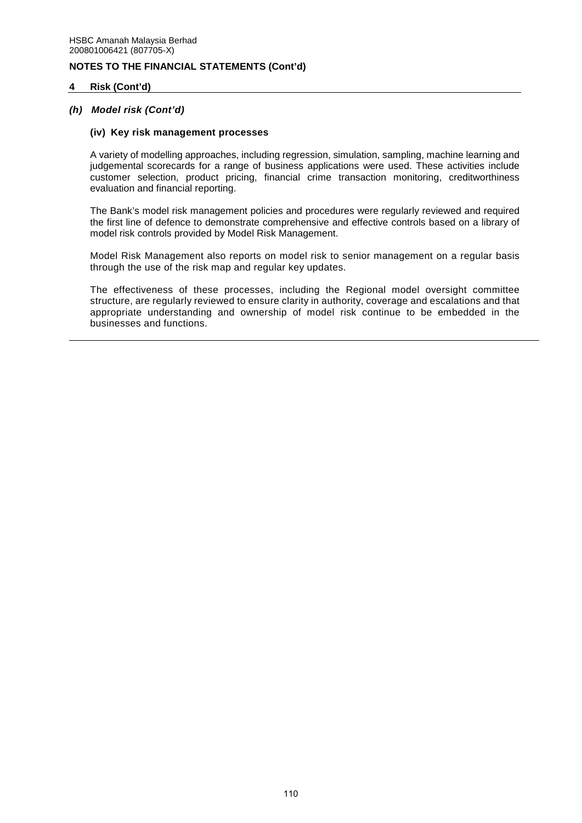### **4 Risk (Cont'd)**

### *(h) Model risk (Cont'd)*

#### **(iv) Key risk management processes**

A variety of modelling approaches, including regression, simulation, sampling, machine learning and judgemental scorecards for a range of business applications were used. These activities include customer selection, product pricing, financial crime transaction monitoring, creditworthiness evaluation and financial reporting.

The Bank's model risk management policies and procedures were regularly reviewed and required the first line of defence to demonstrate comprehensive and effective controls based on a library of model risk controls provided by Model Risk Management.

Model Risk Management also reports on model risk to senior management on a regular basis through the use of the risk map and regular key updates.

The effectiveness of these processes, including the Regional model oversight committee structure, are regularly reviewed to ensure clarity in authority, coverage and escalations and that appropriate understanding and ownership of model risk continue to be embedded in the businesses and functions.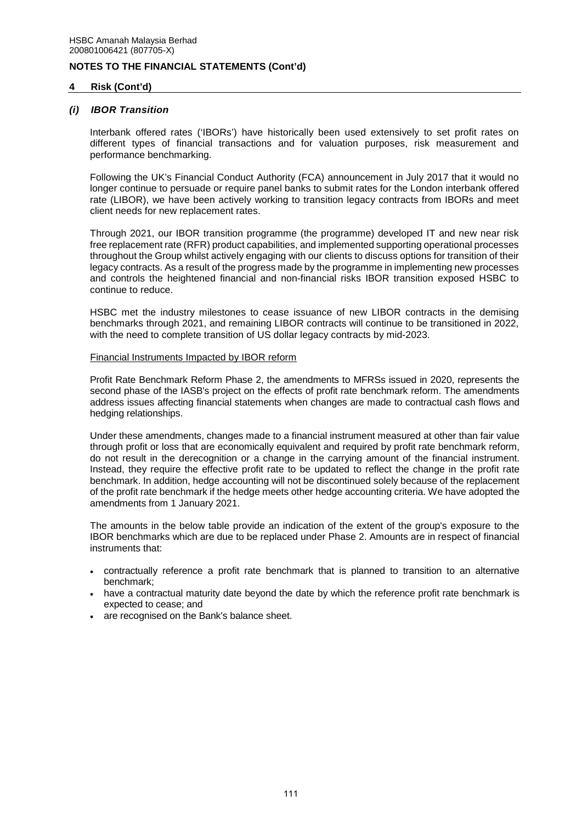### **4 Risk (Cont'd)**

#### *(i) IBOR Transition*

Interbank offered rates ('IBORs') have historically been used extensively to set profit rates on different types of financial transactions and for valuation purposes, risk measurement and performance benchmarking.

Following the UK's Financial Conduct Authority (FCA) announcement in July 2017 that it would no longer continue to persuade or require panel banks to submit rates for the London interbank offered rate (LIBOR), we have been actively working to transition legacy contracts from IBORs and meet client needs for new replacement rates.

Through 2021, our IBOR transition programme (the programme) developed IT and new near risk free replacement rate (RFR) product capabilities, and implemented supporting operational processes throughout the Group whilst actively engaging with our clients to discuss options for transition of their legacy contracts. As a result of the progress made by the programme in implementing new processes and controls the heightened financial and non-financial risks IBOR transition exposed HSBC to continue to reduce.

HSBC met the industry milestones to cease issuance of new LIBOR contracts in the demising benchmarks through 2021, and remaining LIBOR contracts will continue to be transitioned in 2022, with the need to complete transition of US dollar legacy contracts by mid-2023.

#### Financial Instruments Impacted by IBOR reform

Profit Rate Benchmark Reform Phase 2, the amendments to MFRSs issued in 2020, represents the second phase of the IASB's project on the effects of profit rate benchmark reform. The amendments address issues affecting financial statements when changes are made to contractual cash flows and hedging relationships.

Under these amendments, changes made to a financial instrument measured at other than fair value through profit or loss that are economically equivalent and required by profit rate benchmark reform, do not result in the derecognition or a change in the carrying amount of the financial instrument. Instead, they require the effective profit rate to be updated to reflect the change in the profit rate benchmark. In addition, hedge accounting will not be discontinued solely because of the replacement of the profit rate benchmark if the hedge meets other hedge accounting criteria. We have adopted the amendments from 1 January 2021.

The amounts in the below table provide an indication of the extent of the group's exposure to the IBOR benchmarks which are due to be replaced under Phase 2. Amounts are in respect of financial instruments that:

- contractually reference a profit rate benchmark that is planned to transition to an alternative benchmark;
- have a contractual maturity date beyond the date by which the reference profit rate benchmark is expected to cease; and
- are recognised on the Bank's balance sheet.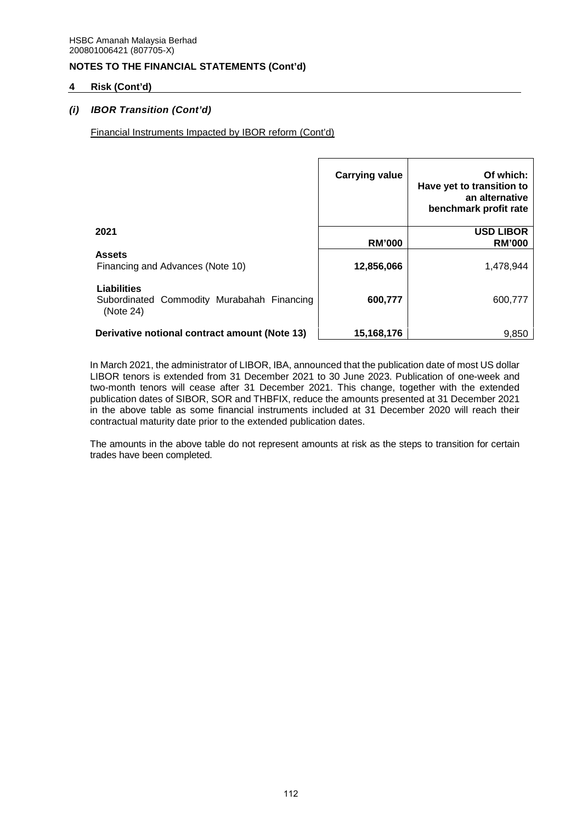## **4 Risk (Cont'd)**

## *(i) IBOR Transition (Cont'd)*

Financial Instruments Impacted by IBOR reform (Cont'd)

|                                                                               | <b>Carrying value</b> | Of which:<br>Have yet to transition to<br>an alternative<br>benchmark profit rate |
|-------------------------------------------------------------------------------|-----------------------|-----------------------------------------------------------------------------------|
| 2021                                                                          | <b>RM'000</b>         | <b>USD LIBOR</b><br><b>RM'000</b>                                                 |
| <b>Assets</b><br>Financing and Advances (Note 10)                             | 12,856,066            | 1,478,944                                                                         |
| <b>Liabilities</b><br>Subordinated Commodity Murabahah Financing<br>(Note 24) | 600,777               | 600,777                                                                           |
| Derivative notional contract amount (Note 13)                                 | 15,168,176            | 9.850                                                                             |

In March 2021, the administrator of LIBOR, IBA, announced that the publication date of most US dollar LIBOR tenors is extended from 31 December 2021 to 30 June 2023. Publication of one-week and two-month tenors will cease after 31 December 2021. This change, together with the extended publication dates of SIBOR, SOR and THBFIX, reduce the amounts presented at 31 December 2021 in the above table as some financial instruments included at 31 December 2020 will reach their contractual maturity date prior to the extended publication dates.

The amounts in the above table do not represent amounts at risk as the steps to transition for certain trades have been completed.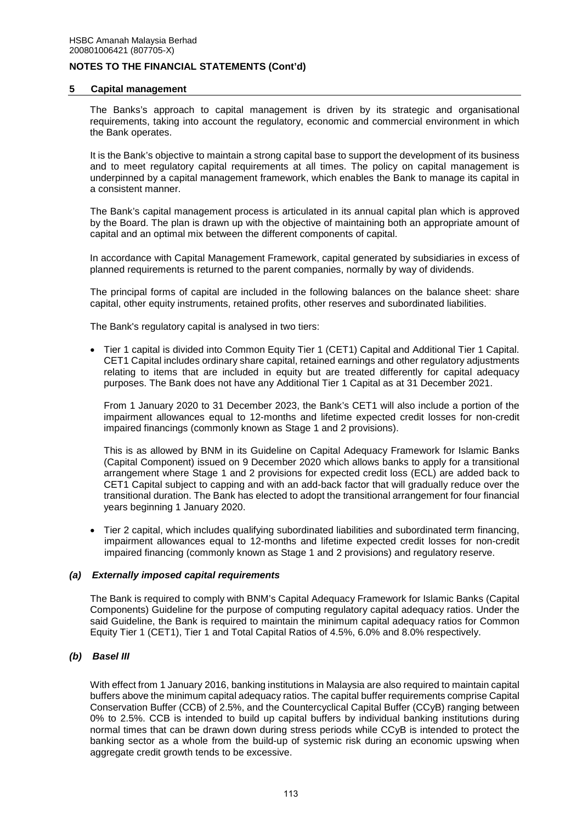#### **5 Capital management**

The Banks's approach to capital management is driven by its strategic and organisational requirements, taking into account the regulatory, economic and commercial environment in which the Bank operates.

It is the Bank's objective to maintain a strong capital base to support the development of its business and to meet regulatory capital requirements at all times. The policy on capital management is underpinned by a capital management framework, which enables the Bank to manage its capital in a consistent manner.

The Bank's capital management process is articulated in its annual capital plan which is approved by the Board. The plan is drawn up with the objective of maintaining both an appropriate amount of capital and an optimal mix between the different components of capital.

In accordance with Capital Management Framework, capital generated by subsidiaries in excess of planned requirements is returned to the parent companies, normally by way of dividends.

The principal forms of capital are included in the following balances on the balance sheet: share capital, other equity instruments, retained profits, other reserves and subordinated liabilities.

The Bank's regulatory capital is analysed in two tiers:

 Tier 1 capital is divided into Common Equity Tier 1 (CET1) Capital and Additional Tier 1 Capital. CET1 Capital includes ordinary share capital, retained earnings and other regulatory adjustments relating to items that are included in equity but are treated differently for capital adequacy purposes. The Bank does not have any Additional Tier 1 Capital as at 31 December 2021.

From 1 January 2020 to 31 December 2023, the Bank's CET1 will also include a portion of the impairment allowances equal to 12-months and lifetime expected credit losses for non-credit impaired financings (commonly known as Stage 1 and 2 provisions).

This is as allowed by BNM in its Guideline on Capital Adequacy Framework for Islamic Banks (Capital Component) issued on 9 December 2020 which allows banks to apply for a transitional arrangement where Stage 1 and 2 provisions for expected credit loss (ECL) are added back to CET1 Capital subject to capping and with an add-back factor that will gradually reduce over the transitional duration. The Bank has elected to adopt the transitional arrangement for four financial years beginning 1 January 2020.

 Tier 2 capital, which includes qualifying subordinated liabilities and subordinated term financing, impairment allowances equal to 12-months and lifetime expected credit losses for non-credit impaired financing (commonly known as Stage 1 and 2 provisions) and regulatory reserve.

### *(a) Externally imposed capital requirements*

The Bank is required to comply with BNM's Capital Adequacy Framework for Islamic Banks (Capital Components) Guideline for the purpose of computing regulatory capital adequacy ratios. Under the said Guideline, the Bank is required to maintain the minimum capital adequacy ratios for Common Equity Tier 1 (CET1), Tier 1 and Total Capital Ratios of 4.5%, 6.0% and 8.0% respectively.

## *(b) Basel III*

With effect from 1 January 2016, banking institutions in Malaysia are also required to maintain capital buffers above the minimum capital adequacy ratios. The capital buffer requirements comprise Capital Conservation Buffer (CCB) of 2.5%, and the Countercyclical Capital Buffer (CCyB) ranging between 0% to 2.5%. CCB is intended to build up capital buffers by individual banking institutions during normal times that can be drawn down during stress periods while CCyB is intended to protect the banking sector as a whole from the build-up of systemic risk during an economic upswing when aggregate credit growth tends to be excessive.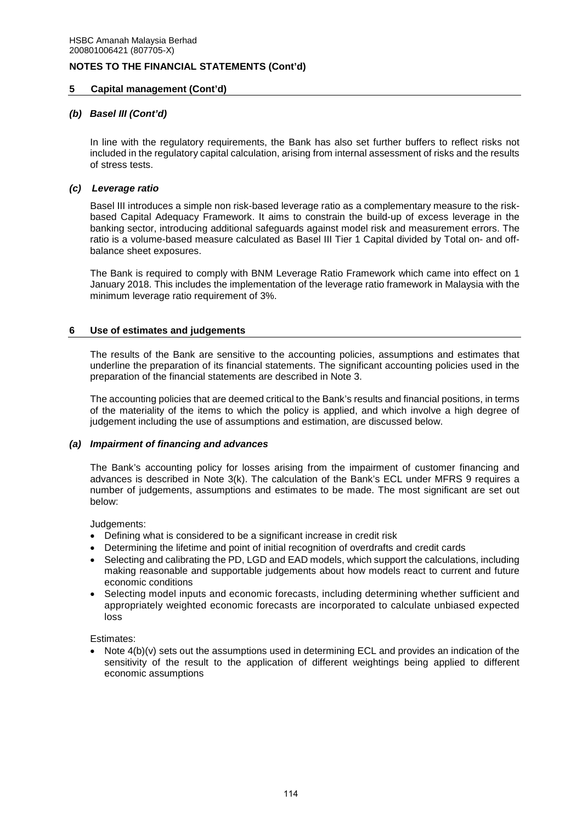## **5 Capital management (Cont'd)**

## *(b) Basel III (Cont'd)*

In line with the regulatory requirements, the Bank has also set further buffers to reflect risks not included in the regulatory capital calculation, arising from internal assessment of risks and the results of stress tests.

## *(c) Leverage ratio*

Basel III introduces a simple non risk-based leverage ratio as a complementary measure to the riskbased Capital Adequacy Framework. It aims to constrain the build-up of excess leverage in the banking sector, introducing additional safeguards against model risk and measurement errors. The ratio is a volume-based measure calculated as Basel III Tier 1 Capital divided by Total on- and offbalance sheet exposures.

The Bank is required to comply with BNM Leverage Ratio Framework which came into effect on 1 January 2018. This includes the implementation of the leverage ratio framework in Malaysia with the minimum leverage ratio requirement of 3%.

## **6 Use of estimates and judgements**

The results of the Bank are sensitive to the accounting policies, assumptions and estimates that underline the preparation of its financial statements. The significant accounting policies used in the preparation of the financial statements are described in Note 3.

The accounting policies that are deemed critical to the Bank's results and financial positions, in terms of the materiality of the items to which the policy is applied, and which involve a high degree of judgement including the use of assumptions and estimation, are discussed below.

### *(a) Impairment of financing and advances*

The Bank's accounting policy for losses arising from the impairment of customer financing and advances is described in Note 3(k). The calculation of the Bank's ECL under MFRS 9 requires a number of judgements, assumptions and estimates to be made. The most significant are set out below:

Judgements:

- Defining what is considered to be a significant increase in credit risk
- Determining the lifetime and point of initial recognition of overdrafts and credit cards
- Selecting and calibrating the PD, LGD and EAD models, which support the calculations, including making reasonable and supportable judgements about how models react to current and future economic conditions
- Selecting model inputs and economic forecasts, including determining whether sufficient and appropriately weighted economic forecasts are incorporated to calculate unbiased expected loss

Estimates:

 Note 4(b)(v) sets out the assumptions used in determining ECL and provides an indication of the sensitivity of the result to the application of different weightings being applied to different economic assumptions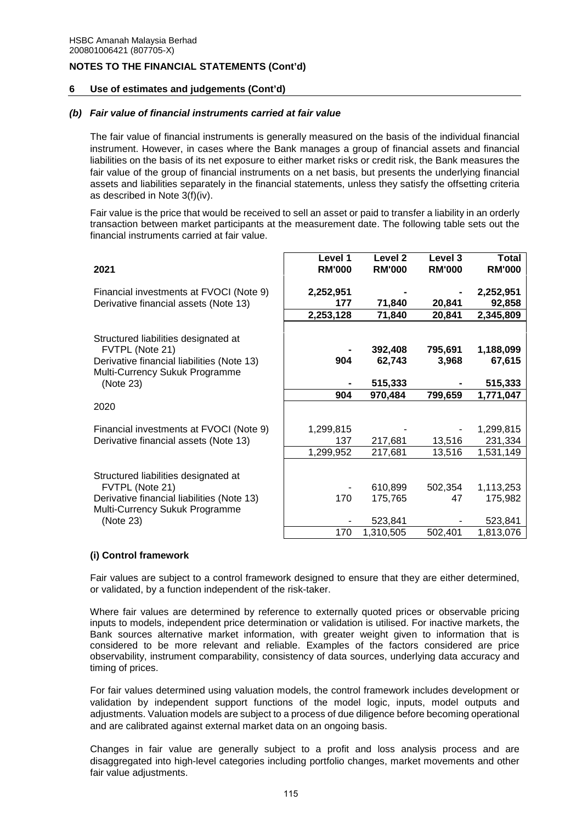## **6 Use of estimates and judgements (Cont'd)**

## *(b) Fair value of financial instruments carried at fair value*

The fair value of financial instruments is generally measured on the basis of the individual financial instrument. However, in cases where the Bank manages a group of financial assets and financial liabilities on the basis of its net exposure to either market risks or credit risk, the Bank measures the fair value of the group of financial instruments on a net basis, but presents the underlying financial assets and liabilities separately in the financial statements, unless they satisfy the offsetting criteria as described in Note 3(f)(iv).

Fair value is the price that would be received to sell an asset or paid to transfer a liability in an orderly transaction between market participants at the measurement date. The following table sets out the financial instruments carried at fair value.

| 2021                                                                                                                                    | Level 1<br><b>RM'000</b> | Level <sub>2</sub><br><b>RM'000</b> | Level 3<br><b>RM'000</b> | <b>Total</b><br><b>RM'000</b> |
|-----------------------------------------------------------------------------------------------------------------------------------------|--------------------------|-------------------------------------|--------------------------|-------------------------------|
| Financial investments at FVOCI (Note 9)                                                                                                 | 2,252,951                |                                     |                          | 2,252,951                     |
| Derivative financial assets (Note 13)                                                                                                   | 177                      | 71,840                              | 20,841                   | 92,858                        |
|                                                                                                                                         | 2,253,128                | 71,840                              | 20,841                   | 2,345,809                     |
| Structured liabilities designated at<br>FVTPL (Note 21)<br>Derivative financial liabilities (Note 13)<br>Multi-Currency Sukuk Programme | 904                      | 392,408<br>62,743                   | 795,691<br>3,968         | 1,188,099<br>67,615           |
| (Note 23)                                                                                                                               |                          | 515,333                             |                          | 515,333                       |
|                                                                                                                                         | 904                      | 970,484                             | 799,659                  | 1,771,047                     |
| 2020                                                                                                                                    |                          |                                     |                          |                               |
| Financial investments at FVOCI (Note 9)                                                                                                 | 1,299,815                |                                     |                          | 1,299,815                     |
| Derivative financial assets (Note 13)                                                                                                   | 137                      | 217,681                             | 13,516                   | 231,334                       |
|                                                                                                                                         | 1,299,952                | 217,681                             | 13,516                   | 1,531,149                     |
| Structured liabilities designated at<br>FVTPL (Note 21)<br>Derivative financial liabilities (Note 13)<br>Multi-Currency Sukuk Programme | 170                      | 610,899<br>175,765                  | 502,354<br>47            | 1,113,253<br>175,982          |
| (Note 23)                                                                                                                               |                          | 523,841                             |                          | 523,841                       |
|                                                                                                                                         | 170                      | 1,310,505                           | 502,401                  | 1,813,076                     |

# **(i) Control framework**

Fair values are subject to a control framework designed to ensure that they are either determined, or validated, by a function independent of the risk-taker.

Where fair values are determined by reference to externally quoted prices or observable pricing inputs to models, independent price determination or validation is utilised. For inactive markets, the Bank sources alternative market information, with greater weight given to information that is considered to be more relevant and reliable. Examples of the factors considered are price observability, instrument comparability, consistency of data sources, underlying data accuracy and timing of prices.

For fair values determined using valuation models, the control framework includes development or validation by independent support functions of the model logic, inputs, model outputs and adjustments. Valuation models are subject to a process of due diligence before becoming operational and are calibrated against external market data on an ongoing basis.

Changes in fair value are generally subject to a profit and loss analysis process and are disaggregated into high-level categories including portfolio changes, market movements and other fair value adjustments.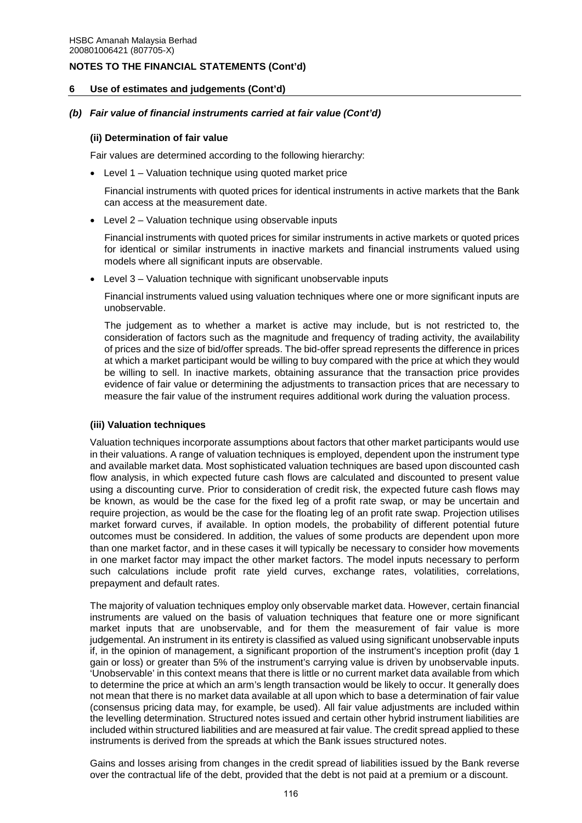## **6 Use of estimates and judgements (Cont'd)**

## *(b) Fair value of financial instruments carried at fair value (Cont'd)*

### **(ii) Determination of fair value**

Fair values are determined according to the following hierarchy:

Level 1 – Valuation technique using quoted market price

Financial instruments with quoted prices for identical instruments in active markets that the Bank can access at the measurement date.

Level 2 – Valuation technique using observable inputs

Financial instruments with quoted prices for similar instruments in active markets or quoted prices for identical or similar instruments in inactive markets and financial instruments valued using models where all significant inputs are observable.

Level 3 – Valuation technique with significant unobservable inputs

Financial instruments valued using valuation techniques where one or more significant inputs are unobservable.

The judgement as to whether a market is active may include, but is not restricted to, the consideration of factors such as the magnitude and frequency of trading activity, the availability of prices and the size of bid/offer spreads. The bid-offer spread represents the difference in prices at which a market participant would be willing to buy compared with the price at which they would be willing to sell. In inactive markets, obtaining assurance that the transaction price provides evidence of fair value or determining the adjustments to transaction prices that are necessary to measure the fair value of the instrument requires additional work during the valuation process.

# **(iii) Valuation techniques**

Valuation techniques incorporate assumptions about factors that other market participants would use in their valuations. A range of valuation techniques is employed, dependent upon the instrument type and available market data. Most sophisticated valuation techniques are based upon discounted cash flow analysis, in which expected future cash flows are calculated and discounted to present value using a discounting curve. Prior to consideration of credit risk, the expected future cash flows may be known, as would be the case for the fixed leg of a profit rate swap, or may be uncertain and require projection, as would be the case for the floating leg of an profit rate swap. Projection utilises market forward curves, if available. In option models, the probability of different potential future outcomes must be considered. In addition, the values of some products are dependent upon more than one market factor, and in these cases it will typically be necessary to consider how movements in one market factor may impact the other market factors. The model inputs necessary to perform such calculations include profit rate yield curves, exchange rates, volatilities, correlations, prepayment and default rates.

The majority of valuation techniques employ only observable market data. However, certain financial instruments are valued on the basis of valuation techniques that feature one or more significant market inputs that are unobservable, and for them the measurement of fair value is more judgemental. An instrument in its entirety is classified as valued using significant unobservable inputs if, in the opinion of management, a significant proportion of the instrument's inception profit (day 1 gain or loss) or greater than 5% of the instrument's carrying value is driven by unobservable inputs. 'Unobservable' in this context means that there is little or no current market data available from which to determine the price at which an arm's length transaction would be likely to occur. It generally does not mean that there is no market data available at all upon which to base a determination of fair value (consensus pricing data may, for example, be used). All fair value adjustments are included within the levelling determination. Structured notes issued and certain other hybrid instrument liabilities are included within structured liabilities and are measured at fair value. The credit spread applied to these instruments is derived from the spreads at which the Bank issues structured notes.

Gains and losses arising from changes in the credit spread of liabilities issued by the Bank reverse over the contractual life of the debt, provided that the debt is not paid at a premium or a discount.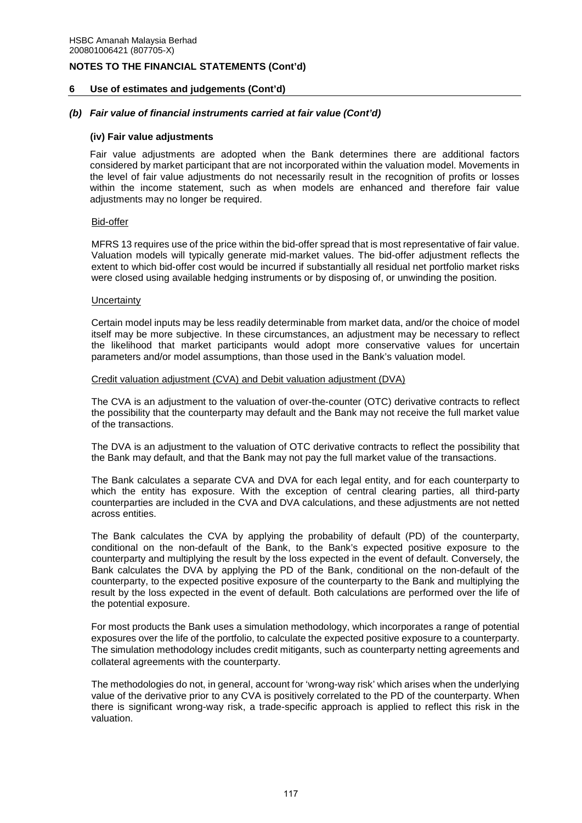#### **6 Use of estimates and judgements (Cont'd)**

#### *(b) Fair value of financial instruments carried at fair value (Cont'd)*

#### **(iv) Fair value adjustments**

Fair value adjustments are adopted when the Bank determines there are additional factors considered by market participant that are not incorporated within the valuation model. Movements in the level of fair value adjustments do not necessarily result in the recognition of profits or losses within the income statement, such as when models are enhanced and therefore fair value adjustments may no longer be required.

#### Bid-offer

MFRS 13 requires use of the price within the bid-offer spread that is most representative of fair value. Valuation models will typically generate mid-market values. The bid-offer adjustment reflects the extent to which bid-offer cost would be incurred if substantially all residual net portfolio market risks were closed using available hedging instruments or by disposing of, or unwinding the position.

#### **Uncertainty**

Certain model inputs may be less readily determinable from market data, and/or the choice of model itself may be more subjective. In these circumstances, an adjustment may be necessary to reflect the likelihood that market participants would adopt more conservative values for uncertain parameters and/or model assumptions, than those used in the Bank's valuation model.

#### Credit valuation adjustment (CVA) and Debit valuation adjustment (DVA)

The CVA is an adjustment to the valuation of over-the-counter (OTC) derivative contracts to reflect the possibility that the counterparty may default and the Bank may not receive the full market value of the transactions.

The DVA is an adjustment to the valuation of OTC derivative contracts to reflect the possibility that the Bank may default, and that the Bank may not pay the full market value of the transactions.

The Bank calculates a separate CVA and DVA for each legal entity, and for each counterparty to which the entity has exposure. With the exception of central clearing parties, all third-party counterparties are included in the CVA and DVA calculations, and these adjustments are not netted across entities.

The Bank calculates the CVA by applying the probability of default (PD) of the counterparty, conditional on the non-default of the Bank, to the Bank's expected positive exposure to the counterparty and multiplying the result by the loss expected in the event of default. Conversely, the Bank calculates the DVA by applying the PD of the Bank, conditional on the non-default of the counterparty, to the expected positive exposure of the counterparty to the Bank and multiplying the result by the loss expected in the event of default. Both calculations are performed over the life of the potential exposure.

For most products the Bank uses a simulation methodology, which incorporates a range of potential exposures over the life of the portfolio, to calculate the expected positive exposure to a counterparty. The simulation methodology includes credit mitigants, such as counterparty netting agreements and collateral agreements with the counterparty.

The methodologies do not, in general, account for 'wrong-way risk' which arises when the underlying value of the derivative prior to any CVA is positively correlated to the PD of the counterparty. When there is significant wrong-way risk, a trade-specific approach is applied to reflect this risk in the valuation.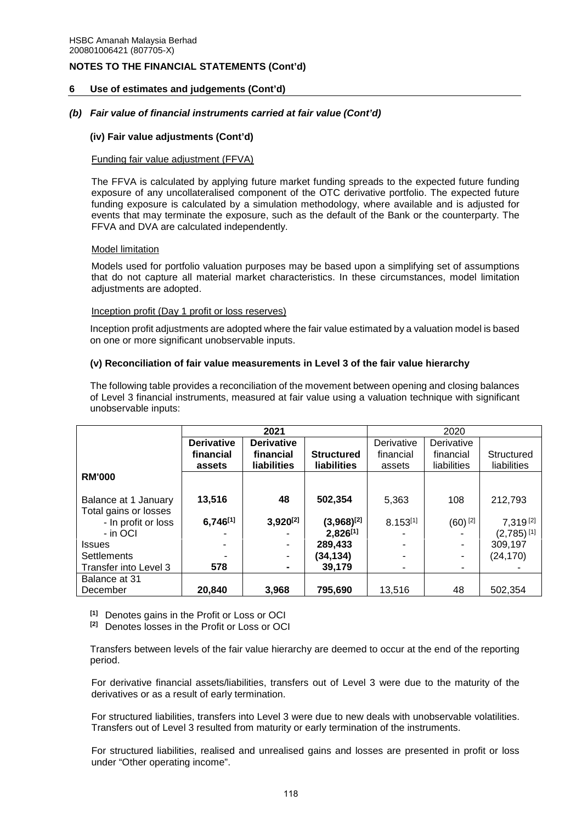## **6 Use of estimates and judgements (Cont'd)**

## *(b) Fair value of financial instruments carried at fair value (Cont'd)*

## **(iv) Fair value adjustments (Cont'd)**

### Funding fair value adjustment (FFVA)

The FFVA is calculated by applying future market funding spreads to the expected future funding exposure of any uncollateralised component of the OTC derivative portfolio. The expected future funding exposure is calculated by a simulation methodology, where available and is adjusted for events that may terminate the exposure, such as the default of the Bank or the counterparty. The FFVA and DVA are calculated independently.

### Model limitation

Models used for portfolio valuation purposes may be based upon a simplifying set of assumptions that do not capture all material market characteristics. In these circumstances, model limitation adjustments are adopted.

#### Inception profit (Day 1 profit or loss reserves)

Inception profit adjustments are adopted where the fair value estimated by a valuation model is based on one or more significant unobservable inputs.

### **(v) Reconciliation of fair value measurements in Level 3 of the fair value hierarchy**

The following table provides a reconciliation of the movement between opening and closing balances of Level 3 financial instruments, measured at fair value using a valuation technique with significant unobservable inputs:

|                       |                   | 2021               |                    | 2020          |                       |                          |
|-----------------------|-------------------|--------------------|--------------------|---------------|-----------------------|--------------------------|
|                       | <b>Derivative</b> | <b>Derivative</b>  |                    | Derivative    | Derivative            |                          |
|                       | financial         | financial          | <b>Structured</b>  | financial     | financial             | Structured               |
|                       | assets            | <b>liabilities</b> | <b>liabilities</b> | assets        | liabilities           | liabilities              |
| <b>RM'000</b>         |                   |                    |                    |               |                       |                          |
|                       |                   |                    |                    |               |                       |                          |
| Balance at 1 January  | 13,516            | 48                 | 502,354            | 5,363         | 108                   | 212,793                  |
| Total gains or losses |                   |                    |                    |               |                       |                          |
| - In profit or loss   | $6,746^{[1]}$     | $3,920^{[2]}$      | $(3,968)^{[2]}$    | $8.153^{[1]}$ | $(60)$ <sup>[2]</sup> | 7,319[2]                 |
| - in OCI              |                   |                    | $2,826^{[1]}$      |               |                       | $(2,785)$ <sup>[1]</sup> |
| <b>Issues</b>         |                   |                    | 289,433            |               |                       | 309,197                  |
| <b>Settlements</b>    |                   |                    | (34,134)           |               |                       | (24,170)                 |
| Transfer into Level 3 | 578               |                    | 39,179             | ٠             |                       |                          |
| Balance at 31         |                   |                    |                    |               |                       |                          |
| December              | 20,840            | 3,968              | 795,690            | 13,516        | 48                    | 502.354                  |

**[1]** Denotes gains in the Profit or Loss or OCI

**[2]** Denotes losses in the Profit or Loss or OCI

Transfers between levels of the fair value hierarchy are deemed to occur at the end of the reporting period.

For derivative financial assets/liabilities, transfers out of Level 3 were due to the maturity of the derivatives or as a result of early termination.

For structured liabilities, transfers into Level 3 were due to new deals with unobservable volatilities. Transfers out of Level 3 resulted from maturity or early termination of the instruments.

For structured liabilities, realised and unrealised gains and losses are presented in profit or loss under "Other operating income".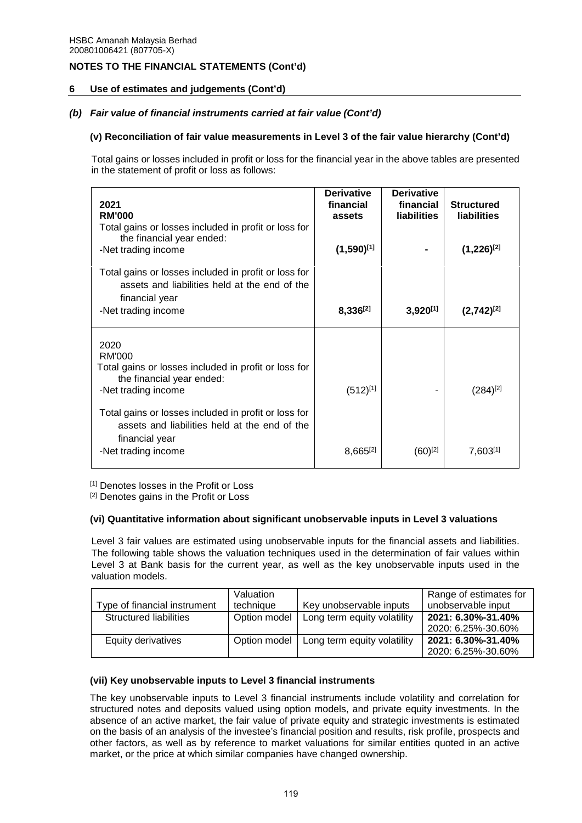## **6 Use of estimates and judgements (Cont'd)**

# *(b) Fair value of financial instruments carried at fair value (Cont'd)*

## **(v) Reconciliation of fair value measurements in Level 3 of the fair value hierarchy (Cont'd)**

Total gains or losses included in profit or loss for the financial year in the above tables are presented in the statement of profit or loss as follows:

| 2021<br><b>RM'000</b><br>Total gains or losses included in profit or loss for<br>the financial year ended:<br>-Net trading income<br>Total gains or losses included in profit or loss for | <b>Derivative</b><br>financial<br>assets<br>$(1,590)^{[1]}$ | <b>Derivative</b><br>financial<br><b>liabilities</b> | <b>Structured</b><br><b>liabilities</b><br>$(1,226)^{[2]}$ |
|-------------------------------------------------------------------------------------------------------------------------------------------------------------------------------------------|-------------------------------------------------------------|------------------------------------------------------|------------------------------------------------------------|
| assets and liabilities held at the end of the<br>financial year<br>-Net trading income                                                                                                    | $8,336^{[2]}$                                               | $3,920^{[1]}$                                        | $(2,742)^{[2]}$                                            |
| 2020<br>RM'000<br>Total gains or losses included in profit or loss for<br>the financial year ended:<br>-Net trading income                                                                | $(512)^{[1]}$                                               |                                                      | $(284)^{[2]}$                                              |
| Total gains or losses included in profit or loss for<br>assets and liabilities held at the end of the<br>financial year<br>-Net trading income                                            | $8,665^{[2]}$                                               | $(60)^{[2]}$                                         | $7,603^{[1]}$                                              |

[1] Denotes losses in the Profit or Loss

[2] Denotes gains in the Profit or Loss

## **(vi) Quantitative information about significant unobservable inputs in Level 3 valuations**

Level 3 fair values are estimated using unobservable inputs for the financial assets and liabilities. The following table shows the valuation techniques used in the determination of fair values within Level 3 at Bank basis for the current year, as well as the key unobservable inputs used in the valuation models.

|                              | Valuation    |                             | Range of estimates for |
|------------------------------|--------------|-----------------------------|------------------------|
| Type of financial instrument | technique    | Key unobservable inputs     | unobservable input     |
| Structured liabilities       | Option model | Long term equity volatility | 2021: 6.30%-31.40%     |
|                              |              |                             | 2020: 6.25%-30.60%     |
| Equity derivatives           | Option model | Long term equity volatility | 2021: 6.30%-31.40%     |
|                              |              |                             | 2020: 6.25%-30.60%     |

## **(vii) Key unobservable inputs to Level 3 financial instruments**

The key unobservable inputs to Level 3 financial instruments include volatility and correlation for structured notes and deposits valued using option models, and private equity investments. In the absence of an active market, the fair value of private equity and strategic investments is estimated on the basis of an analysis of the investee's financial position and results, risk profile, prospects and other factors, as well as by reference to market valuations for similar entities quoted in an active market, or the price at which similar companies have changed ownership.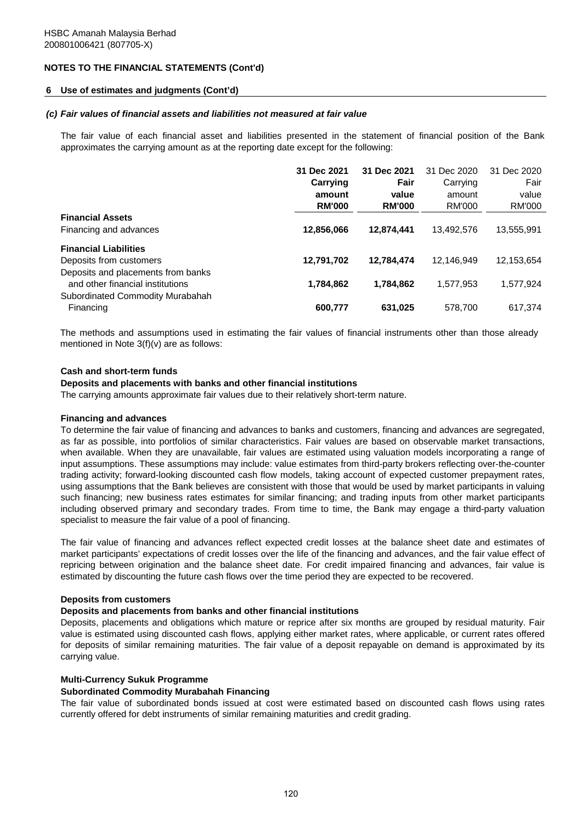## **6 Use of estimates and judgments (Cont'd)**

#### *(c) Fair values of financial assets and liabilities not measured at fair value*

The fair value of each financial asset and liabilities presented in the statement of financial position of the Bank approximates the carrying amount as at the reporting date except for the following:

|                                    | 31 Dec 2021   | 31 Dec 2021   | 31 Dec 2020 | 31 Dec 2020 |
|------------------------------------|---------------|---------------|-------------|-------------|
|                                    | Carrying      | Fair          | Carrying    | Fair        |
|                                    | amount        | value         | amount      | value       |
|                                    | <b>RM'000</b> | <b>RM'000</b> | RM'000      | RM'000      |
| <b>Financial Assets</b>            |               |               |             |             |
| Financing and advances             | 12,856,066    | 12,874,441    | 13.492.576  | 13,555,991  |
| <b>Financial Liabilities</b>       |               |               |             |             |
| Deposits from customers            | 12,791,702    | 12,784,474    | 12,146,949  | 12,153,654  |
| Deposits and placements from banks |               |               |             |             |
| and other financial institutions   | 1,784,862     | 1,784,862     | 1.577.953   | 1,577,924   |
| Subordinated Commodity Murabahah   |               |               |             |             |
| Financing                          | 600,777       | 631,025       | 578.700     | 617,374     |
|                                    |               |               |             |             |

The methods and assumptions used in estimating the fair values of financial instruments other than those already mentioned in Note 3(f)(v) are as follows:

#### **Cash and short-term funds**

#### **Deposits and placements with banks and other financial institutions**

The carrying amounts approximate fair values due to their relatively short-term nature.

#### **Financing and advances**

To determine the fair value of financing and advances to banks and customers, financing and advances are segregated, as far as possible, into portfolios of similar characteristics. Fair values are based on observable market transactions, when available. When they are unavailable, fair values are estimated using valuation models incorporating a range of input assumptions. These assumptions may include: value estimates from third-party brokers reflecting over-the-counter trading activity; forward-looking discounted cash flow models, taking account of expected customer prepayment rates, using assumptions that the Bank believes are consistent with those that would be used by market participants in valuing such financing; new business rates estimates for similar financing; and trading inputs from other market participants including observed primary and secondary trades. From time to time, the Bank may engage a third-party valuation specialist to measure the fair value of a pool of financing.

The fair value of financing and advances reflect expected credit losses at the balance sheet date and estimates of market participants' expectations of credit losses over the life of the financing and advances, and the fair value effect of repricing between origination and the balance sheet date. For credit impaired financing and advances, fair value is estimated by discounting the future cash flows over the time period they are expected to be recovered.

#### **Deposits from customers**

#### **Deposits and placements from banks and other financial institutions**

Deposits, placements and obligations which mature or reprice after six months are grouped by residual maturity. Fair value is estimated using discounted cash flows, applying either market rates, where applicable, or current rates offered for deposits of similar remaining maturities. The fair value of a deposit repayable on demand is approximated by its carrying value.

### **Multi-Currency Sukuk Programme**

#### **Subordinated Commodity Murabahah Financing**

The fair value of subordinated bonds issued at cost were estimated based on discounted cash flows using rates currently offered for debt instruments of similar remaining maturities and credit grading.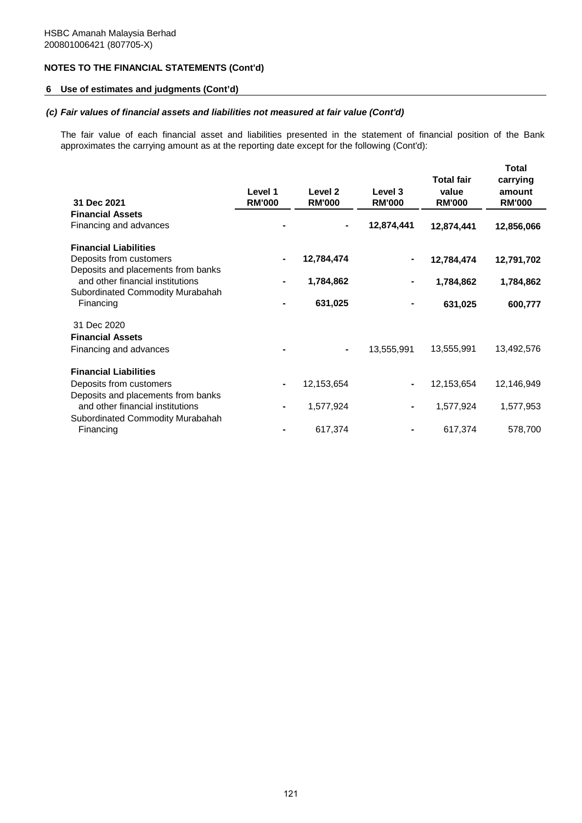## **6 Use of estimates and judgments (Cont'd)**

## *(c) Fair values of financial assets and liabilities not measured at fair value (Cont'd)*

The fair value of each financial asset and liabilities presented in the statement of financial position of the Bank approximates the carrying amount as at the reporting date except for the following (Cont'd):

| 31 Dec 2021                                   | Level 1<br><b>RM'000</b> | Level <sub>2</sub><br><b>RM'000</b> | Level 3<br><b>RM'000</b> | <b>Total fair</b><br>value<br><b>RM'000</b> | <b>Total</b><br>carrying<br>amount<br><b>RM'000</b> |
|-----------------------------------------------|--------------------------|-------------------------------------|--------------------------|---------------------------------------------|-----------------------------------------------------|
| <b>Financial Assets</b>                       |                          |                                     |                          |                                             |                                                     |
| Financing and advances                        |                          |                                     | 12,874,441               | 12,874,441                                  | 12,856,066                                          |
| <b>Financial Liabilities</b>                  |                          |                                     |                          |                                             |                                                     |
| Deposits from customers                       |                          | 12,784,474                          |                          | 12,784,474                                  | 12,791,702                                          |
| Deposits and placements from banks            |                          |                                     |                          |                                             |                                                     |
| and other financial institutions              |                          | 1,784,862                           |                          | 1,784,862                                   | 1,784,862                                           |
| Subordinated Commodity Murabahah<br>Financing |                          | 631,025                             |                          | 631,025                                     | 600,777                                             |
| 31 Dec 2020                                   |                          |                                     |                          |                                             |                                                     |
|                                               |                          |                                     |                          |                                             |                                                     |
| <b>Financial Assets</b>                       |                          |                                     |                          |                                             |                                                     |
| Financing and advances                        |                          | ۰                                   | 13,555,991               | 13,555,991                                  | 13,492,576                                          |
| <b>Financial Liabilities</b>                  |                          |                                     |                          |                                             |                                                     |
| Deposits from customers                       |                          | 12,153,654                          |                          | 12,153,654                                  | 12,146,949                                          |
| Deposits and placements from banks            |                          |                                     |                          |                                             |                                                     |
| and other financial institutions              |                          | 1,577,924                           |                          | 1,577,924                                   | 1,577,953                                           |
| Subordinated Commodity Murabahah              |                          |                                     |                          |                                             |                                                     |
| Financing                                     |                          | 617,374                             |                          | 617,374                                     | 578,700                                             |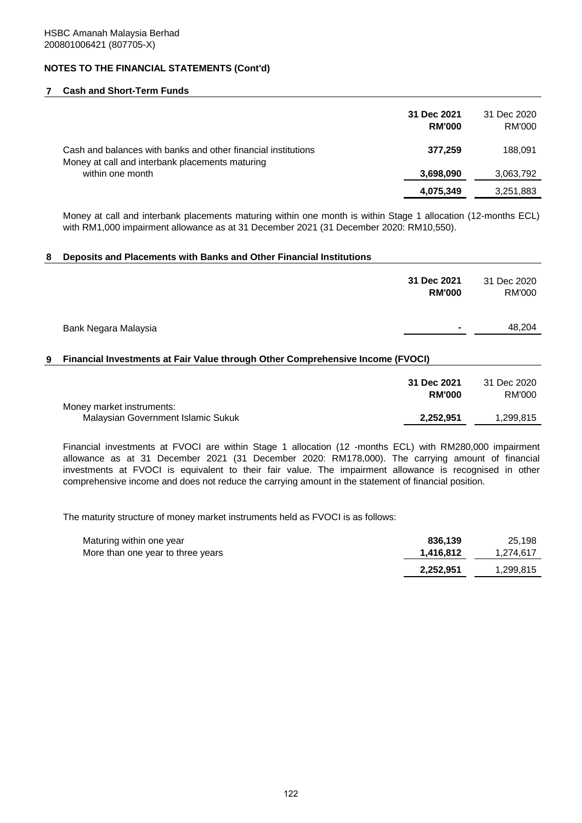### **7 Cash and Short-Term Funds**

|                                                                                                                  | 31 Dec 2021<br><b>RM'000</b> | 31 Dec 2020<br>RM'000 |
|------------------------------------------------------------------------------------------------------------------|------------------------------|-----------------------|
| Cash and balances with banks and other financial institutions<br>Money at call and interbank placements maturing | 377,259                      | 188,091               |
| within one month                                                                                                 | 3,698,090                    | 3,063,792             |
|                                                                                                                  | 4,075,349                    | 3,251,883             |
|                                                                                                                  |                              |                       |

Money at call and interbank placements maturing within one month is within Stage 1 allocation (12-months ECL) with RM1,000 impairment allowance as at 31 December 2021 (31 December 2020: RM10,550).

#### **8 Deposits and Placements with Banks and Other Financial Institutions**

|   |                                                                                | 31 Dec 2021<br><b>RM'000</b> | 31 Dec 2020<br>RM'000 |
|---|--------------------------------------------------------------------------------|------------------------------|-----------------------|
|   | Bank Negara Malaysia                                                           |                              | 48,204                |
| 9 | Financial Investments at Fair Value through Other Comprehensive Income (FVOCI) |                              |                       |
|   |                                                                                | 31 Dec 2021<br><b>RM'000</b> | 31 Dec 2020<br>RM'000 |
|   | Money market instruments:<br>Malaysian Government Islamic Sukuk                | 2,252,951                    | 1,299,815             |

Financial investments at FVOCI are within Stage 1 allocation (12 -months ECL) with RM280,000 impairment allowance as at 31 December 2021 (31 December 2020: RM178,000). The carrying amount of financial investments at FVOCI is equivalent to their fair value. The impairment allowance is recognised in other comprehensive income and does not reduce the carrying amount in the statement of financial position.

The maturity structure of money market instruments held as FVOCI is as follows:

| Maturing within one year          | 836.139   | 25.198    |
|-----------------------------------|-----------|-----------|
| More than one year to three years | 1.416.812 | 1.274.617 |
|                                   | 2,252,951 | 1,299,815 |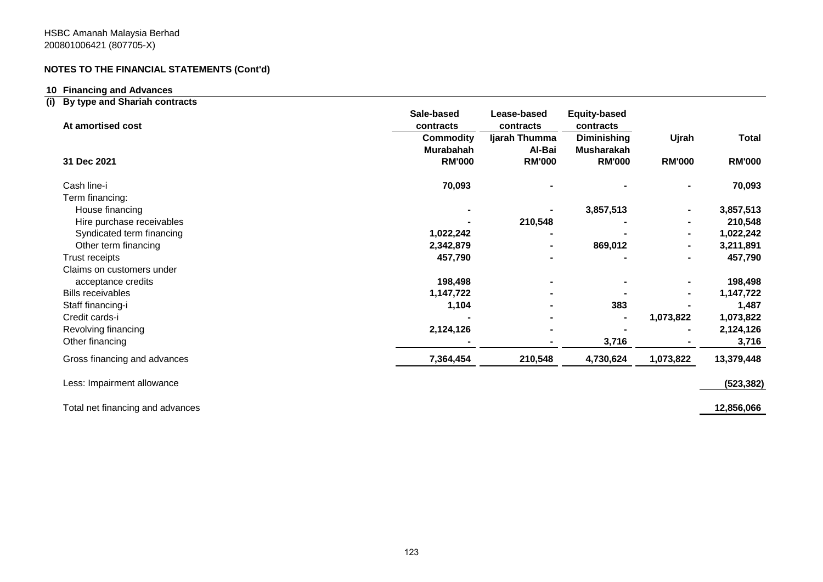## **10 Financing and Advances**

# **(i) By type and Shariah contracts**

| At amortised cost            | Sale-based<br>contracts       | Lease-based<br>contracts | <b>Equity-based</b><br>contracts        |               |               |
|------------------------------|-------------------------------|--------------------------|-----------------------------------------|---------------|---------------|
|                              | <b>Commodity</b><br>Murabahah | Ijarah Thumma<br>Al-Bai  | <b>Diminishing</b><br><b>Musharakah</b> | Ujrah         | <b>Total</b>  |
| 31 Dec 2021                  | <b>RM'000</b>                 | <b>RM'000</b>            | <b>RM'000</b>                           | <b>RM'000</b> | <b>RM'000</b> |
| Cash line-i                  | 70,093                        |                          |                                         |               | 70,093        |
| Term financing:              |                               |                          |                                         |               |               |
| House financing              |                               |                          | 3,857,513                               |               | 3,857,513     |
| Hire purchase receivables    |                               | 210,548                  |                                         |               | 210,548       |
| Syndicated term financing    | 1,022,242                     |                          |                                         |               | 1,022,242     |
| Other term financing         | 2,342,879                     |                          | 869,012                                 |               | 3,211,891     |
| Trust receipts               | 457,790                       |                          |                                         |               | 457,790       |
| Claims on customers under    |                               |                          |                                         |               |               |
| acceptance credits           | 198,498                       |                          |                                         |               | 198,498       |
| <b>Bills receivables</b>     | 1,147,722                     |                          |                                         |               | 1,147,722     |
| Staff financing-i            | 1,104                         |                          | 383                                     |               | 1,487         |
| Credit cards-i               |                               |                          |                                         | 1,073,822     | 1,073,822     |
| Revolving financing          | 2,124,126                     |                          |                                         |               | 2,124,126     |
| Other financing              |                               |                          | 3,716                                   |               | 3,716         |
| Gross financing and advances | 7,364,454                     | 210,548                  | 4,730,624                               | 1,073,822     | 13,379,448    |
| Less: Impairment allowance   |                               |                          |                                         |               | (523, 382)    |
|                              |                               |                          |                                         |               |               |

Total net financing and advances **12,856,066**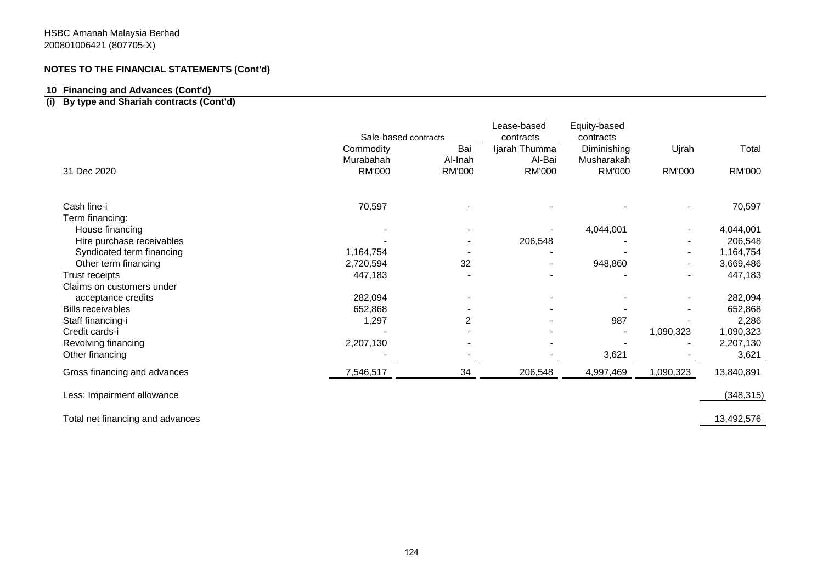## **10 Financing and Advances (Cont'd)**

# **(i) By type and Shariah contracts (Cont'd)**

|                              | Sale-based contracts |               | Lease-based<br>contracts | Equity-based<br>contracts |               |            |
|------------------------------|----------------------|---------------|--------------------------|---------------------------|---------------|------------|
|                              | Commodity            | Bai           | Ijarah Thumma            | Diminishing               | Ujrah         | Total      |
|                              | Murabahah            | Al-Inah       | Al-Bai                   | Musharakah                |               |            |
| 31 Dec 2020                  | <b>RM'000</b>        | <b>RM'000</b> | <b>RM'000</b>            | <b>RM'000</b>             | <b>RM'000</b> | RM'000     |
| Cash line-i                  | 70,597               |               |                          |                           |               | 70,597     |
| Term financing:              |                      |               |                          |                           |               |            |
| House financing              |                      |               |                          | 4,044,001                 |               | 4,044,001  |
| Hire purchase receivables    |                      |               | 206,548                  |                           |               | 206,548    |
| Syndicated term financing    | 1,164,754            |               |                          |                           |               | 1,164,754  |
| Other term financing         | 2,720,594            | 32            |                          | 948,860                   |               | 3,669,486  |
| Trust receipts               | 447,183              |               |                          |                           |               | 447,183    |
| Claims on customers under    |                      |               |                          |                           |               |            |
| acceptance credits           | 282,094              |               |                          |                           |               | 282,094    |
| <b>Bills receivables</b>     | 652,868              |               |                          |                           |               | 652,868    |
| Staff financing-i            | 1,297                | 2             |                          | 987                       |               | 2,286      |
| Credit cards-i               |                      |               |                          |                           | 1,090,323     | 1,090,323  |
| Revolving financing          | 2,207,130            |               |                          |                           |               | 2,207,130  |
| Other financing              |                      |               |                          | 3,621                     |               | 3,621      |
| Gross financing and advances | 7,546,517            | 34            | 206,548                  | 4,997,469                 | 1,090,323     | 13,840,891 |
| Less: Impairment allowance   |                      |               |                          |                           |               | (348, 315) |

Total net financing and advances 13,492,576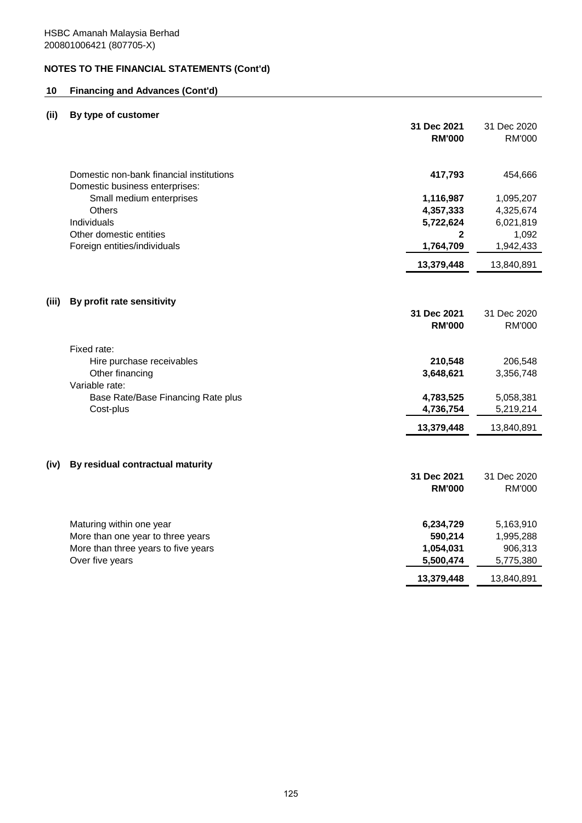# **10 Financing and Advances (Cont'd)**

# **(ii) By type of customer**

|       |                                                                            | 31 Dec 2021<br><b>RM'000</b> | 31 Dec 2020<br><b>RM'000</b> |
|-------|----------------------------------------------------------------------------|------------------------------|------------------------------|
|       | Domestic non-bank financial institutions<br>Domestic business enterprises: | 417,793                      | 454,666                      |
|       | Small medium enterprises                                                   | 1,116,987                    | 1,095,207                    |
|       | Others                                                                     | 4,357,333                    | 4,325,674                    |
|       | Individuals                                                                | 5,722,624                    | 6,021,819                    |
|       | Other domestic entities                                                    | $\mathbf{2}$                 | 1,092                        |
|       | Foreign entities/individuals                                               | 1,764,709                    | 1,942,433                    |
|       |                                                                            | 13,379,448                   | 13,840,891                   |
| (iii) | By profit rate sensitivity                                                 |                              |                              |
|       |                                                                            | 31 Dec 2021                  | 31 Dec 2020                  |
|       |                                                                            | <b>RM'000</b>                | <b>RM'000</b>                |
|       | Fixed rate:                                                                |                              |                              |
|       | Hire purchase receivables                                                  | 210,548                      | 206,548                      |
|       | Other financing<br>Variable rate:                                          | 3,648,621                    | 3,356,748                    |
|       | Base Rate/Base Financing Rate plus                                         | 4,783,525                    | 5,058,381                    |
|       | Cost-plus                                                                  | 4,736,754                    | 5,219,214                    |
|       |                                                                            | 13,379,448                   | 13,840,891                   |
|       |                                                                            |                              |                              |
| (iv)  | By residual contractual maturity                                           | 31 Dec 2021                  | 31 Dec 2020                  |
|       |                                                                            | <b>RM'000</b>                | <b>RM'000</b>                |
|       |                                                                            |                              |                              |
|       | Maturing within one year                                                   | 6,234,729                    | 5,163,910                    |
|       | More than one year to three years                                          | 590,214                      | 1,995,288                    |
|       | More than three years to five years                                        | 1,054,031                    | 906,313                      |
|       | Over five years                                                            | 5,500,474                    | 5,775,380                    |
|       |                                                                            | 13,379,448                   | 13,840,891                   |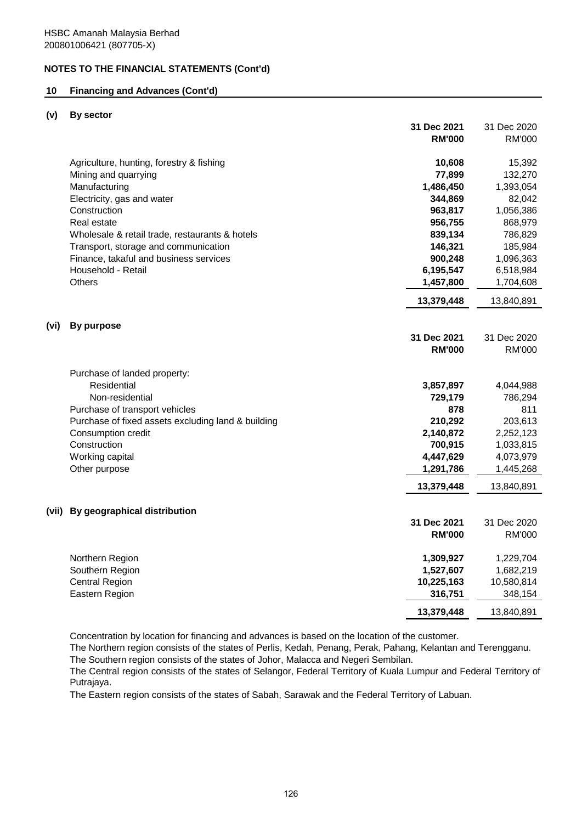## **10 Financing and Advances (Cont'd)**

#### **(v) By sector**

|      |                                                    | 31 Dec 2021   | 31 Dec 2020   |
|------|----------------------------------------------------|---------------|---------------|
|      |                                                    | <b>RM'000</b> | <b>RM'000</b> |
|      | Agriculture, hunting, forestry & fishing           | 10,608        | 15,392        |
|      | Mining and quarrying                               | 77,899        | 132,270       |
|      | Manufacturing                                      | 1,486,450     | 1,393,054     |
|      | Electricity, gas and water                         | 344,869       | 82,042        |
|      | Construction                                       | 963,817       | 1,056,386     |
|      | Real estate                                        | 956,755       | 868,979       |
|      | Wholesale & retail trade, restaurants & hotels     | 839,134       | 786,829       |
|      | Transport, storage and communication               | 146,321       | 185,984       |
|      | Finance, takaful and business services             | 900,248       | 1,096,363     |
|      | Household - Retail                                 | 6,195,547     | 6,518,984     |
|      | <b>Others</b>                                      | 1,457,800     | 1,704,608     |
|      |                                                    | 13,379,448    | 13,840,891    |
| (vi) | <b>By purpose</b>                                  |               |               |
|      |                                                    | 31 Dec 2021   | 31 Dec 2020   |
|      |                                                    | <b>RM'000</b> | <b>RM'000</b> |
|      |                                                    |               |               |
|      | Purchase of landed property:                       |               |               |
|      | Residential                                        | 3,857,897     | 4,044,988     |
|      | Non-residential                                    | 729,179       | 786,294       |
|      | Purchase of transport vehicles                     | 878           | 811           |
|      | Purchase of fixed assets excluding land & building | 210,292       | 203,613       |
|      | Consumption credit                                 | 2,140,872     | 2,252,123     |
|      | Construction                                       | 700,915       | 1,033,815     |
|      | Working capital                                    | 4,447,629     | 4,073,979     |
|      | Other purpose                                      | 1,291,786     | 1,445,268     |
|      |                                                    | 13,379,448    | 13,840,891    |
|      | (vii) By geographical distribution                 |               |               |
|      |                                                    | 31 Dec 2021   | 31 Dec 2020   |
|      |                                                    | <b>RM'000</b> | RM'000        |
|      | Northern Region                                    | 1,309,927     | 1,229,704     |
|      | Southern Region                                    | 1,527,607     | 1,682,219     |
|      | <b>Central Region</b>                              | 10,225,163    | 10,580,814    |
|      | Eastern Region                                     | 316,751       | 348,154       |
|      |                                                    | 13,379,448    | 13,840,891    |

Concentration by location for financing and advances is based on the location of the customer.

The Southern region consists of the states of Johor, Malacca and Negeri Sembilan. The Northern region consists of the states of Perlis, Kedah, Penang, Perak, Pahang, Kelantan and Terengganu.

The Central region consists of the states of Selangor, Federal Territory of Kuala Lumpur and Federal Territory of Putrajaya.

The Eastern region consists of the states of Sabah, Sarawak and the Federal Territory of Labuan.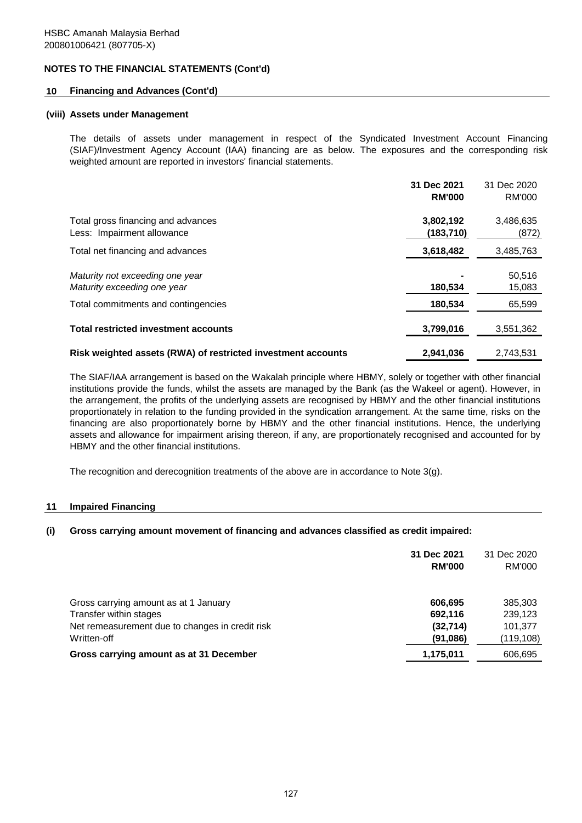### **10 Financing and Advances (Cont'd)**

#### **(viii) Assets under Management**

The details of assets under management in respect of the Syndicated Investment Account Financing (SIAF)/Investment Agency Account (IAA) financing are as below. The exposures and the corresponding risk weighted amount are reported in investors' financial statements.

|                                                                  | 31 Dec 2021<br><b>RM'000</b> | 31 Dec 2020<br><b>RM'000</b> |
|------------------------------------------------------------------|------------------------------|------------------------------|
| Total gross financing and advances<br>Less: Impairment allowance | 3,802,192<br>(183,710)       | 3,486,635<br>(872)           |
| Total net financing and advances                                 | 3,618,482                    | 3,485,763                    |
| Maturity not exceeding one year<br>Maturity exceeding one year   | 180,534                      | 50,516<br>15,083             |
| Total commitments and contingencies                              | 180,534                      | 65,599                       |
| <b>Total restricted investment accounts</b>                      | 3,799,016                    | 3,551,362                    |
| Risk weighted assets (RWA) of restricted investment accounts     | 2,941,036                    | 2.743.531                    |

The SIAF/IAA arrangement is based on the Wakalah principle where HBMY, solely or together with other financial institutions provide the funds, whilst the assets are managed by the Bank (as the Wakeel or agent). However, in the arrangement, the profits of the underlying assets are recognised by HBMY and the other financial institutions proportionately in relation to the funding provided in the syndication arrangement. At the same time, risks on the financing are also proportionately borne by HBMY and the other financial institutions. Hence, the underlying assets and allowance for impairment arising thereon, if any, are proportionately recognised and accounted for by HBMY and the other financial institutions.

The recognition and derecognition treatments of the above are in accordance to Note 3(g).

#### **11 Impaired Financing**

### **(i) Gross carrying amount movement of financing and advances classified as credit impaired:**

|                                                                                                                                   | 31 Dec 2021<br><b>RM'000</b>                | 31 Dec 2020<br>RM'000                       |
|-----------------------------------------------------------------------------------------------------------------------------------|---------------------------------------------|---------------------------------------------|
| Gross carrying amount as at 1 January<br>Transfer within stages<br>Net remeasurement due to changes in credit risk<br>Written-off | 606,695<br>692.116<br>(32, 714)<br>(91,086) | 385,303<br>239,123<br>101.377<br>(119, 108) |
| Gross carrying amount as at 31 December                                                                                           | 1,175,011                                   | 606,695                                     |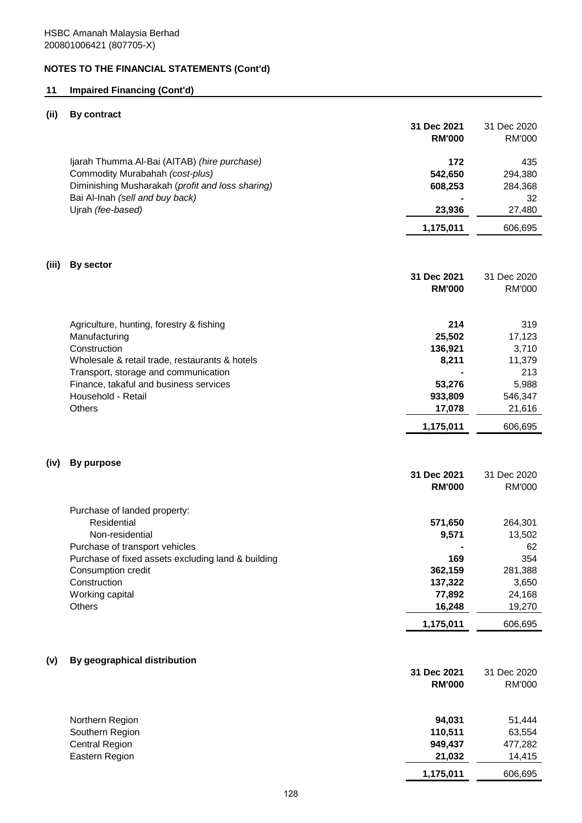# **11 Impaired Financing (Cont'd)**

# **(ii) By contract**

|       |                                                                                                                                                                        | 31 Dec 2021<br><b>RM'000</b> | 31 Dec 2020<br><b>RM'000</b>    |
|-------|------------------------------------------------------------------------------------------------------------------------------------------------------------------------|------------------------------|---------------------------------|
|       | Ijarah Thumma Al-Bai (AITAB) (hire purchase)<br>Commodity Murabahah (cost-plus)<br>Diminishing Musharakah (profit and loss sharing)<br>Bai Al-Inah (sell and buy back) | 172<br>542,650<br>608,253    | 435<br>294,380<br>284,368<br>32 |
|       | Ujrah (fee-based)                                                                                                                                                      | 23,936                       | 27,480                          |
|       |                                                                                                                                                                        | 1,175,011                    | 606,695                         |
| (iii) | By sector                                                                                                                                                              |                              |                                 |
|       |                                                                                                                                                                        | 31 Dec 2021                  | 31 Dec 2020                     |
|       |                                                                                                                                                                        | <b>RM'000</b>                | <b>RM'000</b>                   |
|       | Agriculture, hunting, forestry & fishing                                                                                                                               | 214                          | 319                             |
|       | Manufacturing                                                                                                                                                          | 25,502                       | 17,123                          |
|       | Construction                                                                                                                                                           | 136,921                      | 3,710                           |
|       | Wholesale & retail trade, restaurants & hotels                                                                                                                         | 8,211                        | 11,379<br>213                   |
|       | Transport, storage and communication<br>Finance, takaful and business services                                                                                         | 53,276                       | 5,988                           |
|       | Household - Retail                                                                                                                                                     | 933,809                      | 546,347                         |
|       | Others                                                                                                                                                                 | 17,078                       | 21,616                          |
|       |                                                                                                                                                                        | 1,175,011                    | 606,695                         |
| (iv)  | <b>By purpose</b>                                                                                                                                                      |                              |                                 |
|       |                                                                                                                                                                        | 31 Dec 2021<br><b>RM'000</b> | 31 Dec 2020<br><b>RM'000</b>    |
|       | Purchase of landed property:                                                                                                                                           |                              |                                 |
|       | Residential                                                                                                                                                            | 571,650                      | 264,301                         |
|       | Non-residential<br>Purchase of transport vehicles                                                                                                                      | 9,571                        | 13,502<br>62                    |
|       | Purchase of fixed assets excluding land & building                                                                                                                     | 169                          | 354                             |
|       | Consumption credit                                                                                                                                                     | 362,159                      | 281,388                         |
|       | Construction                                                                                                                                                           | 137,322                      | 3,650                           |
|       | Working capital                                                                                                                                                        | 77,892                       | 24,168                          |
|       | <b>Others</b>                                                                                                                                                          | 16,248                       | 19,270                          |
|       |                                                                                                                                                                        | 1,175,011                    | 606,695                         |
| (v)   | By geographical distribution                                                                                                                                           |                              |                                 |
|       |                                                                                                                                                                        | 31 Dec 2021                  | 31 Dec 2020                     |
|       |                                                                                                                                                                        | <b>RM'000</b>                | <b>RM'000</b>                   |
|       | Northern Region                                                                                                                                                        | 94,031                       | 51,444                          |
|       | Southern Region                                                                                                                                                        | 110,511                      | 63,554                          |
|       | <b>Central Region</b>                                                                                                                                                  | 949,437                      | 477,282                         |
|       | Eastern Region                                                                                                                                                         | 21,032                       | 14,415                          |

**1,175,011** 606,695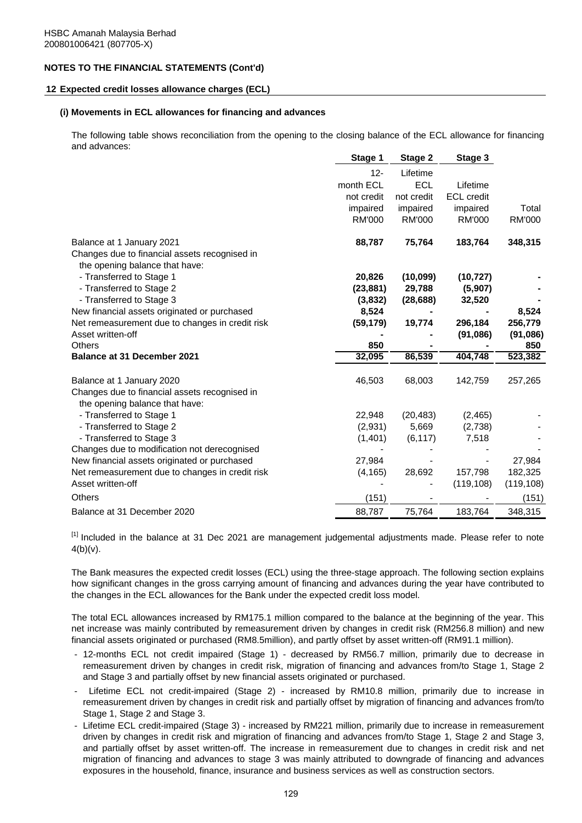#### **12 Expected credit losses allowance charges (ECL)**

#### **(i) Movements in ECL allowances for financing and advances**

The following table shows reconciliation from the opening to the closing balance of the ECL allowance for financing and advances:

|                                                 | Stage 1       | Stage 2       | Stage 3           |               |
|-------------------------------------------------|---------------|---------------|-------------------|---------------|
|                                                 | $12 -$        | Lifetime      |                   |               |
|                                                 | month ECL     | <b>ECL</b>    | Lifetime          |               |
|                                                 | not credit    | not credit    | <b>ECL</b> credit |               |
|                                                 | impaired      | impaired      | impaired          | Total         |
|                                                 | <b>RM'000</b> | <b>RM'000</b> | <b>RM'000</b>     | <b>RM'000</b> |
| Balance at 1 January 2021                       | 88,787        | 75,764        | 183,764           | 348,315       |
| Changes due to financial assets recognised in   |               |               |                   |               |
| the opening balance that have:                  |               |               |                   |               |
| - Transferred to Stage 1                        | 20,826        | (10,099)      | (10, 727)         |               |
| - Transferred to Stage 2                        | (23, 881)     | 29,788        | (5,907)           |               |
| - Transferred to Stage 3                        | (3,832)       | (28, 688)     | 32,520            |               |
| New financial assets originated or purchased    | 8,524         |               |                   | 8,524         |
| Net remeasurement due to changes in credit risk | (59, 179)     | 19,774        | 296,184           | 256,779       |
| Asset written-off                               |               |               | (91,086)          | (91,086)      |
| <b>Others</b>                                   | 850           |               |                   | 850           |
| <b>Balance at 31 December 2021</b>              | 32,095        | 86,539        | 404,748           | 523,382       |
| Balance at 1 January 2020                       | 46,503        | 68,003        | 142,759           | 257,265       |
| Changes due to financial assets recognised in   |               |               |                   |               |
| the opening balance that have:                  |               |               |                   |               |
| - Transferred to Stage 1                        | 22,948        | (20, 483)     | (2,465)           |               |
| - Transferred to Stage 2                        | (2,931)       | 5,669         | (2,738)           |               |
| - Transferred to Stage 3                        | (1,401)       | (6, 117)      | 7,518             |               |
| Changes due to modification not derecognised    |               |               |                   |               |
| New financial assets originated or purchased    | 27,984        |               |                   | 27,984        |
| Net remeasurement due to changes in credit risk | (4, 165)      | 28,692        | 157,798           | 182,325       |
| Asset written-off                               |               |               | (119, 108)        | (119, 108)    |
| Others                                          | (151)         |               |                   | (151)         |
| Balance at 31 December 2020                     | 88,787        | 75,764        | 183,764           | 348,315       |

<sup>[1]</sup> Included in the balance at 31 Dec 2021 are management judgemental adjustments made. Please refer to note  $4(b)(v)$ .

The Bank measures the expected credit losses (ECL) using the three-stage approach. The following section explains how significant changes in the gross carrying amount of financing and advances during the year have contributed to the changes in the ECL allowances for the Bank under the expected credit loss model.

The total ECL allowances increased by RM175.1 million compared to the balance at the beginning of the year. This net increase was mainly contributed by remeasurement driven by changes in credit risk (RM256.8 million) and new financial assets originated or purchased (RM8.5million), and partly offset by asset written-off (RM91.1 million).

- 12-months ECL not credit impaired (Stage 1) decreased by RM56.7 million, primarily due to decrease in remeasurement driven by changes in credit risk, migration of financing and advances from/to Stage 1, Stage 2 and Stage 3 and partially offset by new financial assets originated or purchased.
- Lifetime ECL not credit-impaired (Stage 2) - increased by RM10.8 million, primarily due to increase in remeasurement driven by changes in credit risk and partially offset by migration of financing and advances from/to Stage 1, Stage 2 and Stage 3.
- Lifetime ECL credit-impaired (Stage 3) increased by RM221 million, primarily due to increase in remeasurement driven by changes in credit risk and migration of financing and advances from/to Stage 1, Stage 2 and Stage 3, and partially offset by asset written-off. The increase in remeasurement due to changes in credit risk and net migration of financing and advances to stage 3 was mainly attributed to downgrade of financing and advances exposures in the household, finance, insurance and business services as well as construction sectors.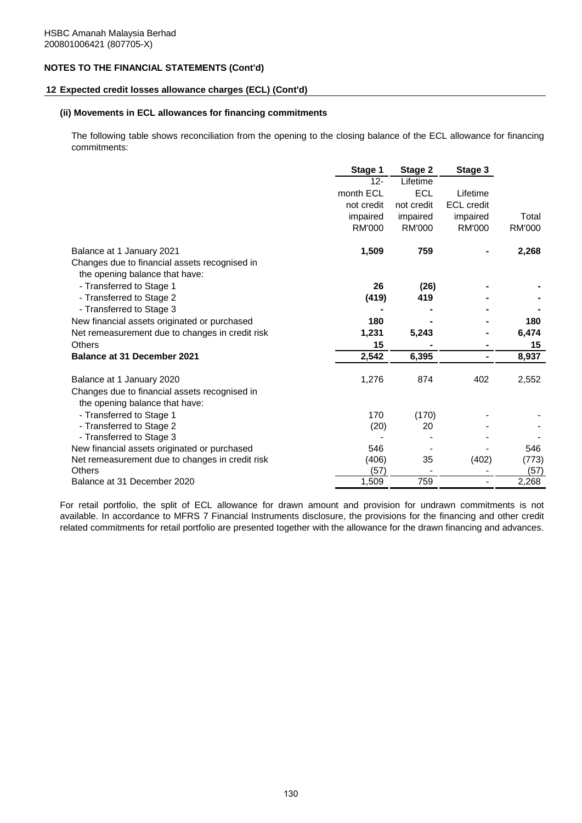#### **12 Expected credit losses allowance charges (ECL) (Cont'd)**

#### **(ii) Movements in ECL allowances for financing commitments**

The following table shows reconciliation from the opening to the closing balance of the ECL allowance for financing commitments:

|                                                 | Stage 1    | Stage 2       | Stage 3           |               |
|-------------------------------------------------|------------|---------------|-------------------|---------------|
|                                                 | $12 -$     | Lifetime      |                   |               |
|                                                 | month ECL  | <b>ECL</b>    | Lifetime          |               |
|                                                 | not credit | not credit    | <b>ECL</b> credit |               |
|                                                 | impaired   | impaired      | impaired          | Total         |
|                                                 | RM'000     | <b>RM'000</b> | <b>RM'000</b>     | <b>RM'000</b> |
| Balance at 1 January 2021                       | 1,509      | 759           |                   | 2,268         |
| Changes due to financial assets recognised in   |            |               |                   |               |
| the opening balance that have:                  |            |               |                   |               |
| - Transferred to Stage 1                        | 26         | (26)          |                   |               |
| - Transferred to Stage 2                        | (419)      | 419           |                   |               |
| - Transferred to Stage 3                        |            |               |                   |               |
| New financial assets originated or purchased    | 180        |               |                   | 180           |
| Net remeasurement due to changes in credit risk | 1,231      | 5,243         |                   | 6,474         |
| Others                                          | 15         |               |                   | 15            |
| Balance at 31 December 2021                     | 2,542      | 6,395         |                   | 8,937         |
| Balance at 1 January 2020                       | 1,276      | 874           | 402               | 2,552         |
| Changes due to financial assets recognised in   |            |               |                   |               |
| the opening balance that have:                  |            |               |                   |               |
| - Transferred to Stage 1                        | 170        | (170)         |                   |               |
| - Transferred to Stage 2                        | (20)       | 20            |                   |               |
| - Transferred to Stage 3                        |            |               |                   |               |
| New financial assets originated or purchased    | 546        |               |                   | 546           |
| Net remeasurement due to changes in credit risk | (406)      | 35            | (402)             | (773)         |
| Others                                          | (57)       |               |                   | (57)          |
| Balance at 31 December 2020                     | 1,509      | 759           |                   | 2,268         |

For retail portfolio, the split of ECL allowance for drawn amount and provision for undrawn commitments is not available. In accordance to MFRS 7 Financial Instruments disclosure, the provisions for the financing and other credit related commitments for retail portfolio are presented together with the allowance for the drawn financing and advances.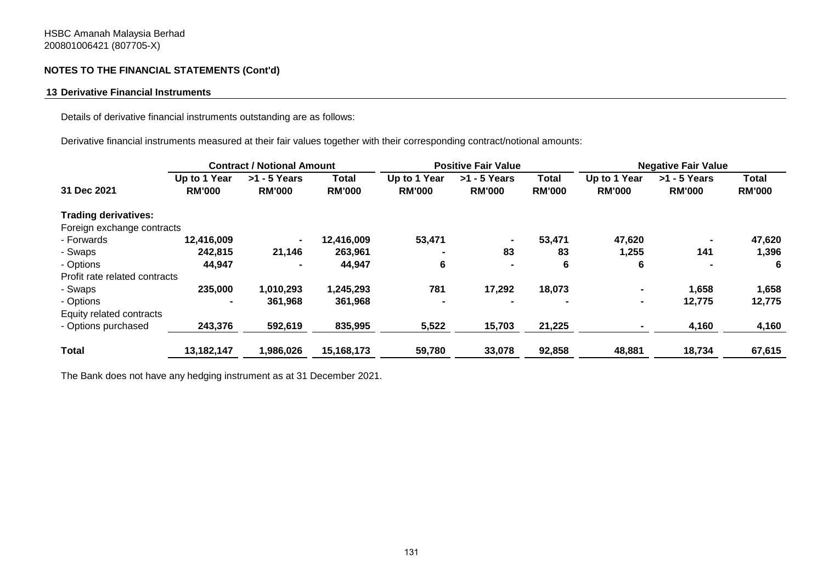## **13 Derivative Financial Instruments**

Details of derivative financial instruments outstanding are as follows:

Derivative financial instruments measured at their fair values together with their corresponding contract/notional amounts:

|                               |                               | <b>Contract / Notional Amount</b> |                               | <b>Positive Fair Value</b>    |                                 |                        | <b>Negative Fair Value</b>    |                                 |                               |
|-------------------------------|-------------------------------|-----------------------------------|-------------------------------|-------------------------------|---------------------------------|------------------------|-------------------------------|---------------------------------|-------------------------------|
| 31 Dec 2021                   | Up to 1 Year<br><b>RM'000</b> | $>1 - 5$ Years<br><b>RM'000</b>   | <b>Total</b><br><b>RM'000</b> | Up to 1 Year<br><b>RM'000</b> | $>1 - 5$ Years<br><b>RM'000</b> | Total<br><b>RM'000</b> | Up to 1 Year<br><b>RM'000</b> | $>1 - 5$ Years<br><b>RM'000</b> | <b>Total</b><br><b>RM'000</b> |
| <b>Trading derivatives:</b>   |                               |                                   |                               |                               |                                 |                        |                               |                                 |                               |
| Foreign exchange contracts    |                               |                                   |                               |                               |                                 |                        |                               |                                 |                               |
| - Forwards                    | 12,416,009                    | $\blacksquare$                    | 12,416,009                    | 53,471                        | $\blacksquare$                  | 53,471                 | 47,620                        |                                 | 47,620                        |
| - Swaps                       | 242,815                       | 21,146                            | 263,961                       |                               | 83                              | 83                     | 1,255                         | 141                             | 1,396                         |
| - Options                     | 44,947                        |                                   | 44,947                        | 6                             |                                 | 6                      | 6                             |                                 | 6                             |
| Profit rate related contracts |                               |                                   |                               |                               |                                 |                        |                               |                                 |                               |
| - Swaps                       | 235,000                       | 1,010,293                         | 1,245,293                     | 781                           | 17,292                          | 18,073                 | $\blacksquare$                | 1,658                           | 1,658                         |
| - Options                     | $\blacksquare$                | 361,968                           | 361,968                       |                               |                                 | $\blacksquare$         | $\blacksquare$                | 12,775                          | 12,775                        |
| Equity related contracts      |                               |                                   |                               |                               |                                 |                        |                               |                                 |                               |
| - Options purchased           | 243,376                       | 592,619                           | 835,995                       | 5,522                         | 15,703                          | 21,225                 |                               | 4,160                           | 4,160                         |
| <b>Total</b>                  | 13,182,147                    | 1,986,026                         | 15,168,173                    | 59,780                        | 33,078                          | 92,858                 | 48,881                        | 18,734                          | 67,615                        |

The Bank does not have any hedging instrument as at 31 December 2021.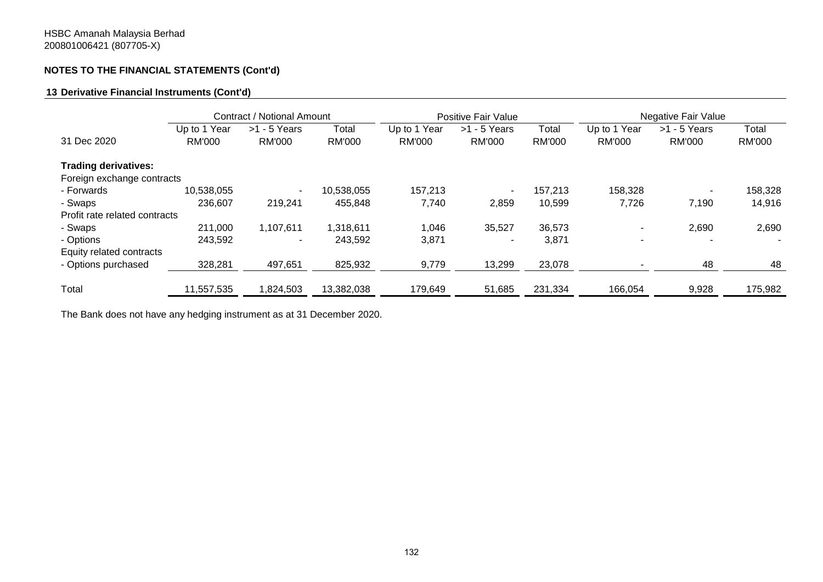## **13 Derivative Financial Instruments (Cont'd)**

|                               |              | Contract / Notional Amount |            | Positive Fair Value |                          | Negative Fair Value |               |                |         |
|-------------------------------|--------------|----------------------------|------------|---------------------|--------------------------|---------------------|---------------|----------------|---------|
|                               | Up to 1 Year | $>1 - 5$ Years             | Total      | Up to 1 Year        | $>1 - 5$ Years           | Total               | Up to 1 Year  | $>1 - 5$ Years | Total   |
| 31 Dec 2020                   | RM'000       | RM'000                     | RM'000     | <b>RM'000</b>       | <b>RM'000</b>            | RM'000              | <b>RM'000</b> | RM'000         | RM'000  |
| <b>Trading derivatives:</b>   |              |                            |            |                     |                          |                     |               |                |         |
| Foreign exchange contracts    |              |                            |            |                     |                          |                     |               |                |         |
| - Forwards                    | 10,538,055   | $\overline{\phantom{a}}$   | 10,538,055 | 157,213             | $\blacksquare$           | 157,213             | 158,328       |                | 158,328 |
| - Swaps                       | 236,607      | 219,241                    | 455,848    | 7,740               | 2,859                    | 10,599              | 7,726         | 7,190          | 14,916  |
| Profit rate related contracts |              |                            |            |                     |                          |                     |               |                |         |
| - Swaps                       | 211,000      | 1,107,611                  | 1,318,611  | 1,046               | 35,527                   | 36,573              |               | 2,690          | 2,690   |
| - Options                     | 243,592      |                            | 243,592    | 3,871               | $\overline{\phantom{0}}$ | 3,871               |               | ۰              | ٠       |
| Equity related contracts      |              |                            |            |                     |                          |                     |               |                |         |
| - Options purchased           | 328,281      | 497,651                    | 825,932    | 9,779               | 13,299                   | 23,078              |               | 48             | 48      |
| Total                         | 11,557,535   | 1,824,503                  | 13,382,038 | 179,649             | 51,685                   | 231,334             | 166,054       | 9,928          | 175,982 |

The Bank does not have any hedging instrument as at 31 December 2020.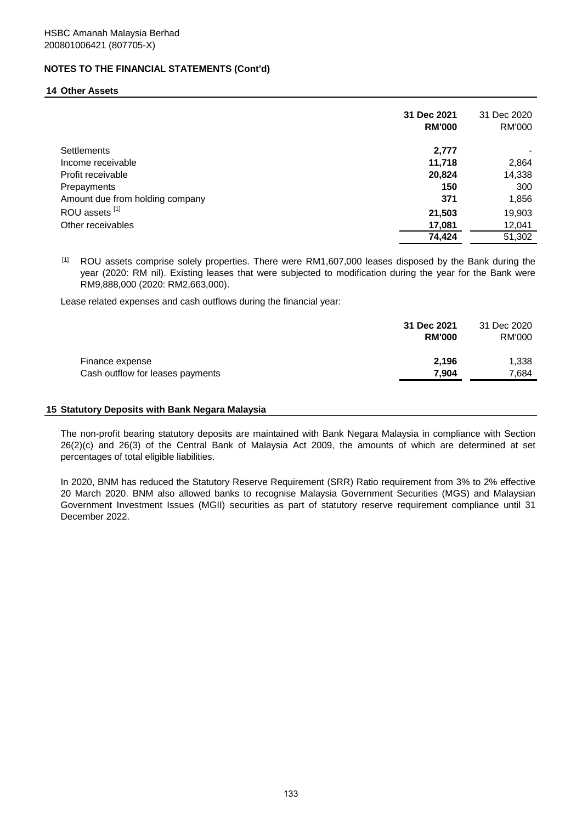#### **14 Other Assets**

|                                 | 31 Dec 2021<br><b>RM'000</b> | 31 Dec 2020<br>RM'000 |
|---------------------------------|------------------------------|-----------------------|
| <b>Settlements</b>              | 2,777                        |                       |
| Income receivable               | 11,718                       | 2,864                 |
| Profit receivable               | 20,824                       | 14,338                |
| Prepayments                     | 150                          | 300                   |
| Amount due from holding company | 371                          | 1,856                 |
| ROU assets [1]                  | 21,503                       | 19,903                |
| Other receivables               | 17,081                       | 12,041                |
|                                 | 74,424                       | 51,302                |

 $[1]$ ROU assets comprise solely properties. There were RM1,607,000 leases disposed by the Bank during the year (2020: RM nil). Existing leases that were subjected to modification during the year for the Bank were RM9,888,000 (2020: RM2,663,000).

Lease related expenses and cash outflows during the financial year:

|                                  | 31 Dec 2021<br><b>RM'000</b> | 31 Dec 2020<br>RM'000 |
|----------------------------------|------------------------------|-----------------------|
| Finance expense                  | 2.196                        | 1.338                 |
| Cash outflow for leases payments | 7.904                        | 7.684                 |

#### **15 Statutory Deposits with Bank Negara Malaysia**

The non-profit bearing statutory deposits are maintained with Bank Negara Malaysia in compliance with Section 26(2)(c) and 26(3) of the Central Bank of Malaysia Act 2009, the amounts of which are determined at set percentages of total eligible liabilities.

In 2020, BNM has reduced the Statutory Reserve Requirement (SRR) Ratio requirement from 3% to 2% effective 20 March 2020. BNM also allowed banks to recognise Malaysia Government Securities (MGS) and Malaysian Government Investment Issues (MGII) securities as part of statutory reserve requirement compliance until 31 December 2022.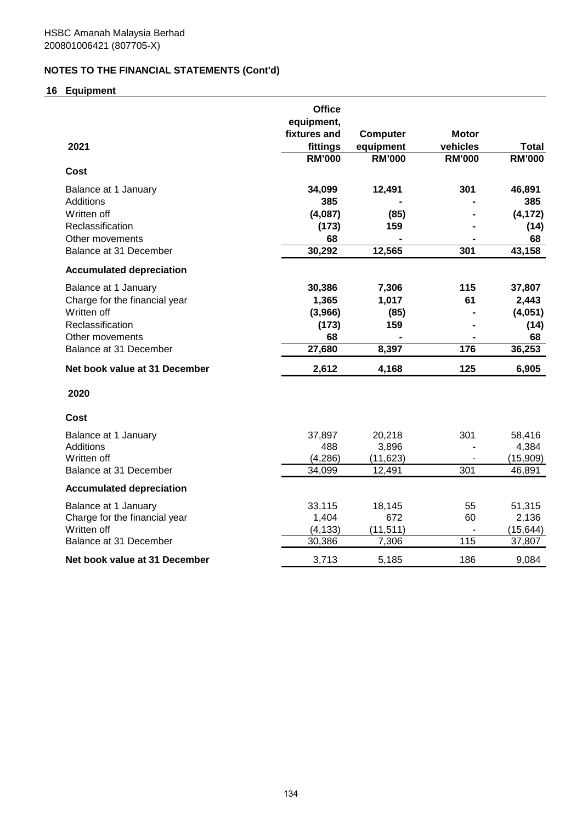# **16 Equipment**

|                                 | <b>Office</b>              |                 |               |               |
|---------------------------------|----------------------------|-----------------|---------------|---------------|
|                                 | equipment,<br>fixtures and | <b>Computer</b> | <b>Motor</b>  |               |
| 2021                            | fittings                   | equipment       | vehicles      | <b>Total</b>  |
|                                 | <b>RM'000</b>              | <b>RM'000</b>   | <b>RM'000</b> | <b>RM'000</b> |
| <b>Cost</b>                     |                            |                 |               |               |
| Balance at 1 January            | 34,099                     | 12,491          | 301           | 46,891        |
| <b>Additions</b>                | 385                        |                 |               | 385           |
| Written off                     | (4,087)                    | (85)            |               | (4, 172)      |
| Reclassification                | (173)                      | 159             |               | (14)          |
| Other movements                 | 68                         |                 |               | 68            |
| Balance at 31 December          | 30,292                     | 12,565          | 301           | 43,158        |
| <b>Accumulated depreciation</b> |                            |                 |               |               |
| Balance at 1 January            | 30,386                     | 7,306           | 115           | 37,807        |
| Charge for the financial year   | 1,365                      | 1,017           | 61            | 2,443         |
| Written off                     | (3,966)                    | (85)            |               | (4,051)       |
| Reclassification                | (173)                      | 159             |               | (14)          |
| Other movements                 | 68                         |                 |               | 68            |
| Balance at 31 December          | 27,680                     | 8,397           | 176           | 36,253        |
| Net book value at 31 December   | 2,612                      | 4,168           | 125           | 6,905         |
| 2020                            |                            |                 |               |               |
| Cost                            |                            |                 |               |               |
| Balance at 1 January            | 37,897                     | 20,218          | 301           | 58,416        |
| <b>Additions</b>                | 488                        | 3,896           |               | 4,384         |
| Written off                     | (4,286)                    | (11, 623)       |               | (15,909)      |
| Balance at 31 December          | 34,099                     | 12,491          | 301           | 46,891        |
| <b>Accumulated depreciation</b> |                            |                 |               |               |
| Balance at 1 January            | 33,115                     | 18,145          | 55            | 51,315        |
| Charge for the financial year   | 1,404                      | 672             | 60            | 2,136         |
| Written off                     | (4, 133)                   | (11, 511)       | $\sim$        | (15, 644)     |
| Balance at 31 December          | 30,386                     | 7,306           | 115           | 37,807        |
| Net book value at 31 December   | 3,713                      | 5,185           | 186           | 9,084         |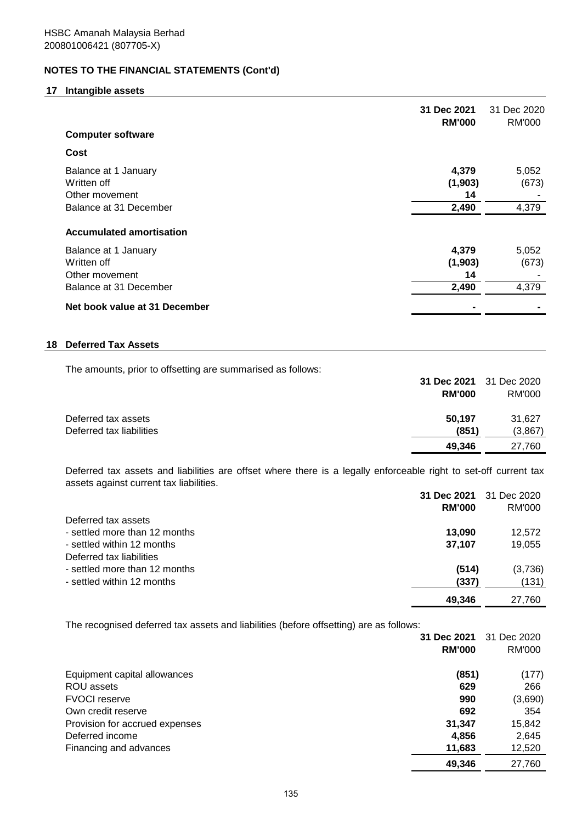## **17 Intangible assets**

|                                                                                 | 31 Dec 2021<br><b>RM'000</b>    | 31 Dec 2020<br>RM'000   |
|---------------------------------------------------------------------------------|---------------------------------|-------------------------|
| <b>Computer software</b>                                                        |                                 |                         |
| Cost                                                                            |                                 |                         |
| Balance at 1 January<br>Written off<br>Other movement<br>Balance at 31 December | 4,379<br>(1,903)<br>14<br>2,490 | 5,052<br>(673)<br>4,379 |
| <b>Accumulated amortisation</b>                                                 |                                 |                         |
| Balance at 1 January<br>Written off<br>Other movement<br>Balance at 31 December | 4,379<br>(1,903)<br>14<br>2,490 | 5,052<br>(673)<br>4,379 |
| Net book value at 31 December                                                   |                                 |                         |

# **18 Deferred Tax Assets**

The amounts, prior to offsetting are summarised as follows:

|                          | 31 Dec 2021 31 Dec 2020 |         |
|--------------------------|-------------------------|---------|
|                          | <b>RM'000</b>           | RM'000  |
|                          |                         |         |
| Deferred tax assets      | 50.197                  | 31.627  |
| Deferred tax liabilities | (851)                   | (3,867) |
|                          | 49.346                  | 27,760  |

Deferred tax assets and liabilities are offset where there is a legally enforceable right to set-off current tax assets against current tax liabilities.

|                               | 31 Dec 2021   | 31 Dec 2020 |
|-------------------------------|---------------|-------------|
|                               | <b>RM'000</b> | RM'000      |
| Deferred tax assets           |               |             |
| - settled more than 12 months | 13.090        | 12,572      |
| - settled within 12 months    | 37.107        | 19,055      |
| Deferred tax liabilities      |               |             |
| - settled more than 12 months | (514)         | (3,736)     |
| - settled within 12 months    | (337)         | (131)       |
|                               | 49.346        | 27.760      |

The recognised deferred tax assets and liabilities (before offsetting) are as follows:

|                                | 31 Dec 2021   | 31 Dec 2020 |
|--------------------------------|---------------|-------------|
|                                | <b>RM'000</b> | RM'000      |
| Equipment capital allowances   | (851)         | (177)       |
| ROU assets                     | 629           | 266         |
| <b>FVOCI</b> reserve           | 990           | (3,690)     |
| Own credit reserve             | 692           | 354         |
| Provision for accrued expenses | 31,347        | 15,842      |
| Deferred income                | 4,856         | 2,645       |
| Financing and advances         | 11,683        | 12,520      |
|                                | 49,346        | 27,760      |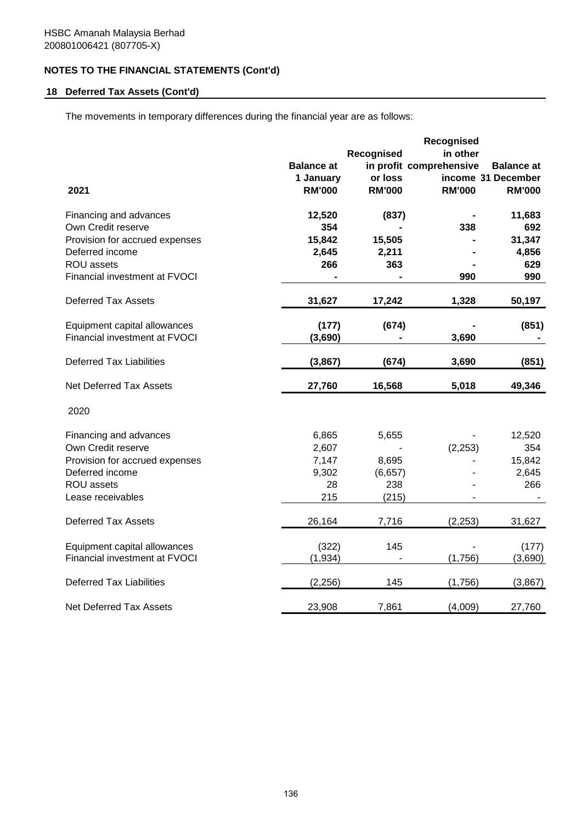# **18 Deferred Tax Assets (Cont'd)**

The movements in temporary differences during the financial year are as follows:

|                                                               | Recognised        |               |                         |                    |  |  |
|---------------------------------------------------------------|-------------------|---------------|-------------------------|--------------------|--|--|
|                                                               |                   | Recognised    | in other                |                    |  |  |
|                                                               | <b>Balance at</b> |               | in profit comprehensive | <b>Balance at</b>  |  |  |
|                                                               | 1 January         | or loss       |                         | income 31 December |  |  |
| 2021                                                          | <b>RM'000</b>     | <b>RM'000</b> | <b>RM'000</b>           | <b>RM'000</b>      |  |  |
| Financing and advances                                        | 12,520            | (837)         |                         | 11,683             |  |  |
| Own Credit reserve                                            | 354               |               | 338                     | 692                |  |  |
| Provision for accrued expenses                                | 15,842            | 15,505        |                         | 31,347             |  |  |
| Deferred income                                               | 2,645             | 2,211         |                         | 4,856              |  |  |
| ROU assets                                                    | 266               | 363           |                         | 629                |  |  |
| Financial investment at FVOCI                                 |                   |               | 990                     | 990                |  |  |
| <b>Deferred Tax Assets</b>                                    | 31,627            | 17,242        | 1,328                   | 50,197             |  |  |
| Equipment capital allowances                                  | (177)             | (674)         |                         | (851)              |  |  |
| Financial investment at FVOCI                                 | (3,690)           |               | 3,690                   |                    |  |  |
| <b>Deferred Tax Liabilities</b>                               | (3, 867)          | (674)         | 3,690                   | (851)              |  |  |
|                                                               |                   |               |                         |                    |  |  |
| <b>Net Deferred Tax Assets</b>                                | 27,760            | 16,568        | 5,018                   | 49,346             |  |  |
| 2020                                                          |                   |               |                         |                    |  |  |
| Financing and advances                                        | 6,865             | 5,655         |                         | 12,520             |  |  |
| Own Credit reserve                                            | 2,607             |               | (2, 253)                | 354                |  |  |
| Provision for accrued expenses                                | 7,147             | 8,695         |                         | 15,842             |  |  |
| Deferred income                                               | 9,302             | (6,657)       |                         | 2,645              |  |  |
| ROU assets                                                    | 28                | 238           |                         | 266                |  |  |
| Lease receivables                                             | 215               | (215)         |                         |                    |  |  |
| <b>Deferred Tax Assets</b>                                    | 26,164            | 7,716         | (2, 253)                | 31,627             |  |  |
|                                                               |                   |               |                         |                    |  |  |
| Equipment capital allowances<br>Financial investment at FVOCI | (322)<br>(1, 934) | 145           | (1,756)                 | (177)<br>(3,690)   |  |  |
|                                                               |                   |               |                         |                    |  |  |
| <b>Deferred Tax Liabilities</b>                               | (2, 256)          | 145           | (1,756)                 | (3,867)            |  |  |
| Net Deferred Tax Assets                                       | 23,908            | 7,861         | (4,009)                 | 27,760             |  |  |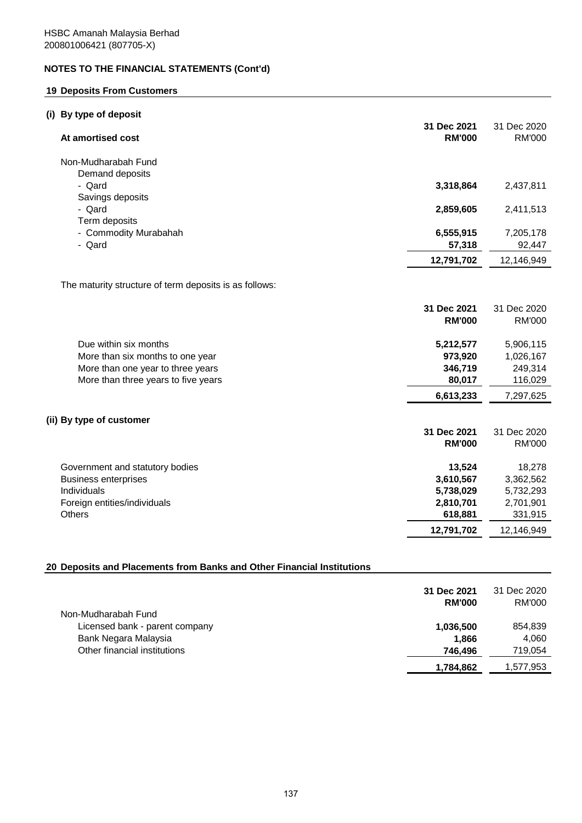# **19 Deposits From Customers**

# **(i) By type of deposit**

| At amortised cost                                      | 31 Dec 2021<br><b>RM'000</b> | 31 Dec 2020<br><b>RM'000</b> |
|--------------------------------------------------------|------------------------------|------------------------------|
| Non-Mudharabah Fund                                    |                              |                              |
| Demand deposits                                        |                              |                              |
| - Qard                                                 | 3,318,864                    | 2,437,811                    |
| Savings deposits                                       |                              |                              |
| - Qard                                                 | 2,859,605                    | 2,411,513                    |
| Term deposits<br>- Commodity Murabahah                 | 6,555,915                    | 7,205,178                    |
| - Qard                                                 | 57,318                       | 92,447                       |
|                                                        | 12,791,702                   | 12,146,949                   |
|                                                        |                              |                              |
| The maturity structure of term deposits is as follows: |                              |                              |
|                                                        |                              |                              |
|                                                        | 31 Dec 2021                  | 31 Dec 2020                  |
|                                                        | <b>RM'000</b>                | <b>RM'000</b>                |
| Due within six months                                  | 5,212,577                    | 5,906,115                    |
| More than six months to one year                       | 973,920                      | 1,026,167                    |
| More than one year to three years                      | 346,719                      | 249,314                      |
| More than three years to five years                    | 80,017                       | 116,029                      |
|                                                        | 6,613,233                    | 7,297,625                    |
|                                                        |                              |                              |
| (ii) By type of customer                               | 31 Dec 2021                  | 31 Dec 2020                  |
|                                                        | <b>RM'000</b>                | <b>RM'000</b>                |
|                                                        |                              |                              |
| Government and statutory bodies                        | 13,524                       | 18,278                       |
| <b>Business enterprises</b>                            | 3,610,567                    | 3,362,562                    |
| Individuals                                            | 5,738,029                    | 5,732,293                    |
| Foreign entities/individuals                           | 2,810,701                    | 2,701,901                    |
| <b>Others</b>                                          | 618,881                      | 331,915                      |
|                                                        | 12,791,702                   | 12,146,949                   |

# **20 Deposits and Placements from Banks and Other Financial Institutions**

|                                | 31 Dec 2021<br><b>RM'000</b> | 31 Dec 2020<br>RM'000 |
|--------------------------------|------------------------------|-----------------------|
| Non-Mudharabah Fund            |                              |                       |
| Licensed bank - parent company | 1,036,500                    | 854,839               |
| Bank Negara Malaysia           | 1.866                        | 4.060                 |
| Other financial institutions   | 746.496                      | 719,054               |
|                                | 1,784,862                    | 1,577,953             |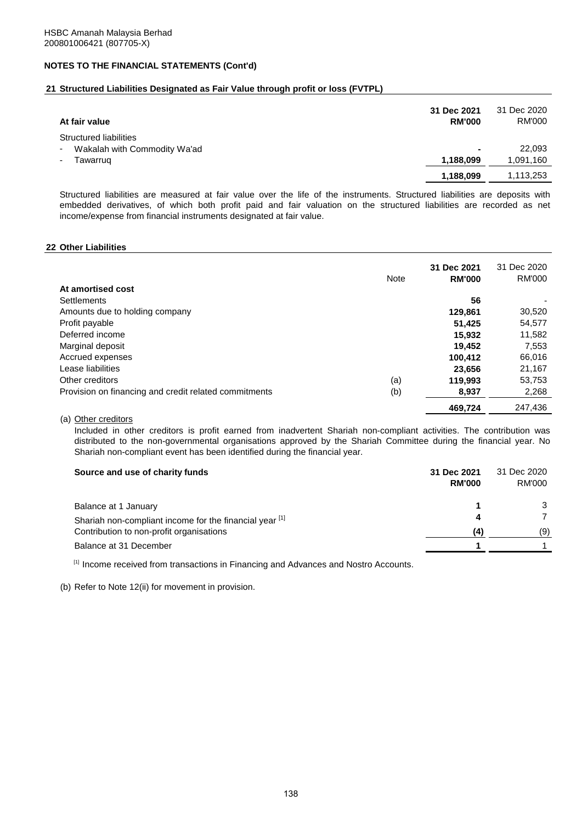## **21 Structured Liabilities Designated as Fair Value through profit or loss (FVTPL)**

| At fair value                                                           | 31 Dec 2021<br><b>RM'000</b> | 31 Dec 2020<br>RM'000 |
|-------------------------------------------------------------------------|------------------------------|-----------------------|
| Structured liabilities<br>Wakalah with Commodity Wa'ad<br>٠<br>Tawarrug | ۰<br>1,188,099               | 22,093<br>1,091,160   |
|                                                                         | 1,188,099                    | 1,113,253             |

Structured liabilities are measured at fair value over the life of the instruments. Structured liabilities are deposits with embedded derivatives, of which both profit paid and fair valuation on the structured liabilities are recorded as net income/expense from financial instruments designated at fair value.

#### **22 Other Liabilities**

|                                                       | <b>Note</b> | 31 Dec 2021<br><b>RM'000</b> | 31 Dec 2020<br><b>RM'000</b> |
|-------------------------------------------------------|-------------|------------------------------|------------------------------|
| At amortised cost                                     |             |                              |                              |
| <b>Settlements</b>                                    |             | 56                           |                              |
| Amounts due to holding company                        |             | 129,861                      | 30,520                       |
| Profit payable                                        |             | 51.425                       | 54,577                       |
| Deferred income                                       |             | 15.932                       | 11,582                       |
| Marginal deposit                                      |             | 19.452                       | 7,553                        |
| Accrued expenses                                      |             | 100.412                      | 66,016                       |
| Lease liabilities                                     |             | 23.656                       | 21,167                       |
| Other creditors                                       | (a)         | 119,993                      | 53,753                       |
| Provision on financing and credit related commitments | (b)         | 8,937                        | 2,268                        |
|                                                       |             | 469,724                      | 247,436                      |

#### (a) Other creditors

Included in other creditors is profit earned from inadvertent Shariah non-compliant activities. The contribution was distributed to the non-governmental organisations approved by the Shariah Committee during the financial year. No Shariah non-compliant event has been identified during the financial year.

| Source and use of charity funds                         | 31 Dec 2021<br><b>RM'000</b> | 31 Dec 2020<br>RM'000 |
|---------------------------------------------------------|------------------------------|-----------------------|
| Balance at 1 January                                    |                              |                       |
| Shariah non-compliant income for the financial year [1] |                              |                       |
| Contribution to non-profit organisations                | (4)                          | (9)                   |
| Balance at 31 December                                  |                              |                       |
|                                                         |                              |                       |

[1] Income received from transactions in Financing and Advances and Nostro Accounts.

(b) Refer to Note 12(ii) for movement in provision.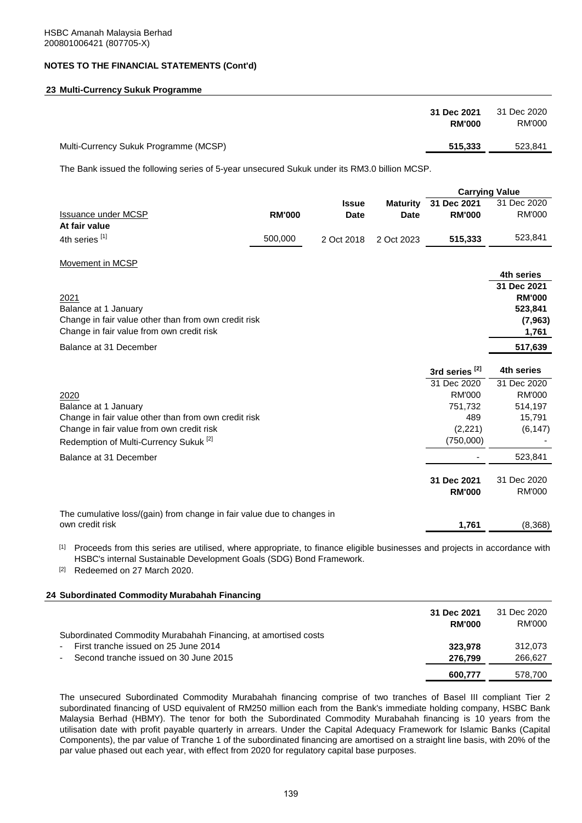# **23 Multi-Currency Sukuk Programme**

| 31 Dec 2021                                      | 31 Dec 2020 |
|--------------------------------------------------|-------------|
| <b>RM'000</b>                                    | RM'000      |
| Multi-Currency Sukuk Programme (MCSP)<br>515,333 | 523,841     |

The Bank issued the following series of 5-year unsecured Sukuk under its RM3.0 billion MCSP.

|                                                                        |               |              |                 | <b>Carrying Value</b>     |               |
|------------------------------------------------------------------------|---------------|--------------|-----------------|---------------------------|---------------|
|                                                                        |               | <b>Issue</b> | <b>Maturity</b> | 31 Dec 2021               | 31 Dec 2020   |
| <b>Issuance under MCSP</b>                                             | <b>RM'000</b> | <b>Date</b>  | <b>Date</b>     | <b>RM'000</b>             | <b>RM'000</b> |
| At fair value                                                          |               |              |                 |                           |               |
| 4th series [1]                                                         | 500,000       | 2 Oct 2018   | 2 Oct 2023      | 515,333                   | 523,841       |
|                                                                        |               |              |                 |                           |               |
| Movement in MCSP                                                       |               |              |                 |                           |               |
|                                                                        |               |              |                 |                           | 4th series    |
|                                                                        |               |              |                 |                           | 31 Dec 2021   |
| 2021                                                                   |               |              |                 |                           | <b>RM'000</b> |
| Balance at 1 January                                                   |               |              |                 |                           | 523,841       |
| Change in fair value other than from own credit risk                   |               |              |                 |                           | (7, 963)      |
| Change in fair value from own credit risk                              |               |              |                 |                           | 1,761         |
| Balance at 31 December                                                 |               |              |                 |                           | 517,639       |
|                                                                        |               |              |                 |                           |               |
|                                                                        |               |              |                 | 3rd series <sup>[2]</sup> | 4th series    |
|                                                                        |               |              |                 | 31 Dec 2020               | 31 Dec 2020   |
| 2020                                                                   |               |              |                 | <b>RM'000</b>             | <b>RM'000</b> |
| Balance at 1 January                                                   |               |              |                 | 751,732                   | 514,197       |
| Change in fair value other than from own credit risk                   |               |              |                 | 489                       | 15,791        |
| Change in fair value from own credit risk                              |               |              |                 | (2,221)                   | (6, 147)      |
| Redemption of Multi-Currency Sukuk <sup>[2]</sup>                      |               |              |                 | (750,000)                 |               |
| Balance at 31 December                                                 |               |              |                 |                           | 523,841       |
|                                                                        |               |              |                 | 31 Dec 2021               | 31 Dec 2020   |
|                                                                        |               |              |                 | <b>RM'000</b>             | <b>RM'000</b> |
|                                                                        |               |              |                 |                           |               |
| The cumulative loss/(gain) from change in fair value due to changes in |               |              |                 |                           |               |
| own credit risk                                                        |               |              |                 | 1,761                     | (8,368)       |

[1] Proceeds from this series are utilised, where appropriate, to finance eligible businesses and projects in accordance with HSBC's internal Sustainable Development Goals (SDG) Bond Framework.

[2] Redeemed on 27 March 2020.

#### **24 Subordinated Commodity Murabahah Financing**

|                                                                | 31 Dec 2021<br><b>RM'000</b> | 31 Dec 2020<br>RM'000 |
|----------------------------------------------------------------|------------------------------|-----------------------|
| Subordinated Commodity Murabahah Financing, at amortised costs |                              |                       |
| First tranche issued on 25 June 2014<br>$\blacksquare$         | 323.978                      | 312,073               |
| Second tranche issued on 30 June 2015<br>$\sim$                | 276.799                      | 266.627               |
|                                                                | 600.777                      | 578.700               |
|                                                                |                              |                       |

The unsecured Subordinated Commodity Murabahah financing comprise of two tranches of Basel III compliant Tier 2 subordinated financing of USD equivalent of RM250 million each from the Bank's immediate holding company, HSBC Bank Malaysia Berhad (HBMY). The tenor for both the Subordinated Commodity Murabahah financing is 10 years from the utilisation date with profit payable quarterly in arrears. Under the Capital Adequacy Framework for Islamic Banks (Capital Components), the par value of Tranche 1 of the subordinated financing are amortised on a straight line basis, with 20% of the par value phased out each year, with effect from 2020 for regulatory capital base purposes.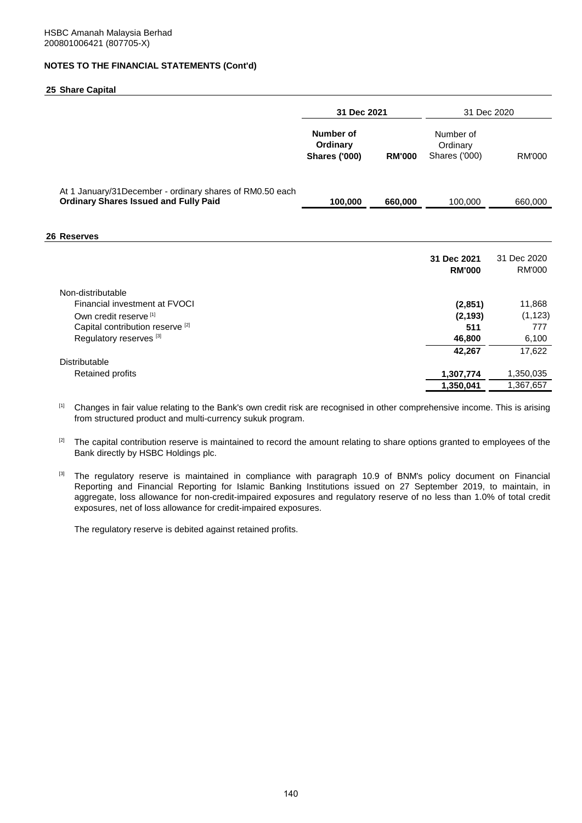#### **25 Share Capital**

|                                                                                                           | 31 Dec 2021                                          |               | 31 Dec 2020                                   |                              |
|-----------------------------------------------------------------------------------------------------------|------------------------------------------------------|---------------|-----------------------------------------------|------------------------------|
|                                                                                                           | <b>Number of</b><br>Ordinary<br><b>Shares ('000)</b> | <b>RM'000</b> | Number of<br>Ordinary<br><b>Shares ('000)</b> | RM'000                       |
| At 1 January/31 December - ordinary shares of RM0.50 each<br><b>Ordinary Shares Issued and Fully Paid</b> | 100,000                                              | 660,000       | 100,000                                       | 660,000                      |
|                                                                                                           |                                                      |               |                                               |                              |
| 26 Reserves                                                                                               |                                                      |               |                                               |                              |
|                                                                                                           |                                                      |               | 31 Dec 2021<br><b>RM'000</b>                  | 31 Dec 2020<br><b>RM'000</b> |
| Non-distributable                                                                                         |                                                      |               |                                               |                              |
| Financial investment at FVOCI                                                                             |                                                      |               | (2,851)                                       | 11,868                       |
| Own credit reserve <sup>[1]</sup>                                                                         |                                                      |               | (2, 193)                                      | (1, 123)                     |
| Capital contribution reserve <sup>[2]</sup>                                                               |                                                      |               | 511                                           | 777                          |
| Regulatory reserves <sup>[3]</sup>                                                                        |                                                      |               | 46,800                                        | 6,100                        |
|                                                                                                           |                                                      |               | 42,267                                        | 17,622                       |
| Distributable                                                                                             |                                                      |               |                                               |                              |
| <b>Retained profits</b>                                                                                   |                                                      |               | 1,307,774                                     | 1,350,035                    |
|                                                                                                           |                                                      |               | 1,350,041                                     | 1,367,657                    |

[1] Changes in fair value relating to the Bank's own credit risk are recognised in other comprehensive income. This is arising from structured product and multi-currency sukuk program.

[2] The capital contribution reserve is maintained to record the amount relating to share options granted to employees of the Bank directly by HSBC Holdings plc.

[3] The regulatory reserve is maintained in compliance with paragraph 10.9 of BNM's policy document on Financial Reporting and Financial Reporting for Islamic Banking Institutions issued on 27 September 2019, to maintain, in aggregate, loss allowance for non-credit-impaired exposures and regulatory reserve of no less than 1.0% of total credit exposures, net of loss allowance for credit-impaired exposures.

The regulatory reserve is debited against retained profits.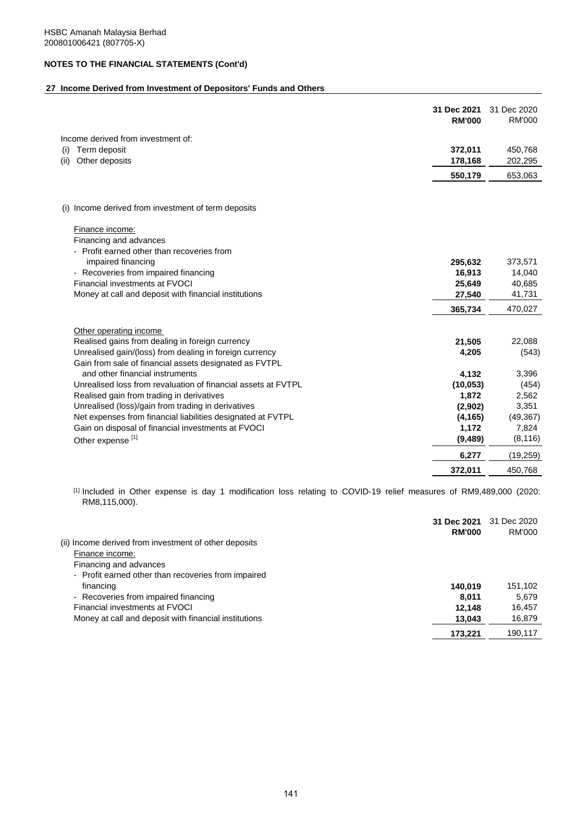# **27 Income Derived from Investment of Depositors' Funds and Others**

|                                                                                                                   | 31 Dec 2021<br><b>RM'000</b> | 31 Dec 2020<br><b>RM'000</b> |
|-------------------------------------------------------------------------------------------------------------------|------------------------------|------------------------------|
| Income derived from investment of:                                                                                |                              |                              |
| Term deposit<br>(i)<br>Other deposits<br>(ii)                                                                     | 372,011<br>178,168           | 450,768<br>202,295           |
|                                                                                                                   | 550,179                      | 653,063                      |
| Income derived from investment of term deposits<br>(1)                                                            |                              |                              |
| Finance income:<br>Financing and advances<br>- Profit earned other than recoveries from                           |                              |                              |
| impaired financing                                                                                                | 295,632                      | 373,571                      |
| - Recoveries from impaired financing                                                                              | 16,913                       | 14,040                       |
| Financial investments at FVOCI                                                                                    | 25,649                       | 40,685                       |
| Money at call and deposit with financial institutions                                                             | 27,540                       | 41,731                       |
|                                                                                                                   | 365,734                      | 470,027                      |
| Other operating income                                                                                            |                              |                              |
| Realised gains from dealing in foreign currency                                                                   | 21,505                       | 22,088                       |
| Unrealised gain/(loss) from dealing in foreign currency<br>Gain from sale of financial assets designated as FVTPL | 4,205                        | (543)                        |
| and other financial instruments                                                                                   | 4,132                        | 3,396                        |
| Unrealised loss from revaluation of financial assets at FVTPL                                                     | (10, 053)                    | (454)                        |
| Realised gain from trading in derivatives                                                                         | 1,872                        | 2,562                        |
| Unrealised (loss)/gain from trading in derivatives                                                                | (2,902)                      | 3,351                        |
| Net expenses from financial liabilities designated at FVTPL                                                       | (4, 165)                     | (49, 367)                    |
| Gain on disposal of financial investments at FVOCI                                                                | 1,172                        | 7,824                        |
| Other expense [1]                                                                                                 | (9,489)                      | (8, 116)                     |
|                                                                                                                   | 6,277                        | (19, 259)                    |
|                                                                                                                   | 372,011                      | 450,768                      |

[1] Included in Other expense is day 1 modification loss relating to COVID-19 relief measures of RM9,489,000 (2020: RM8,115,000).

|                                                       | 31 Dec 2021<br><b>RM'000</b> | 31 Dec 2020<br>RM'000 |
|-------------------------------------------------------|------------------------------|-----------------------|
| (ii) Income derived from investment of other deposits |                              |                       |
| Finance income:                                       |                              |                       |
| Financing and advances                                |                              |                       |
| - Profit earned other than recoveries from impaired   |                              |                       |
| financing                                             | 140.019                      | 151,102               |
| - Recoveries from impaired financing                  | 8.011                        | 5.679                 |
| Financial investments at FVOCI                        | 12.148                       | 16.457                |
| Money at call and deposit with financial institutions | 13,043                       | 16,879                |
|                                                       | 173.221                      | 190.117               |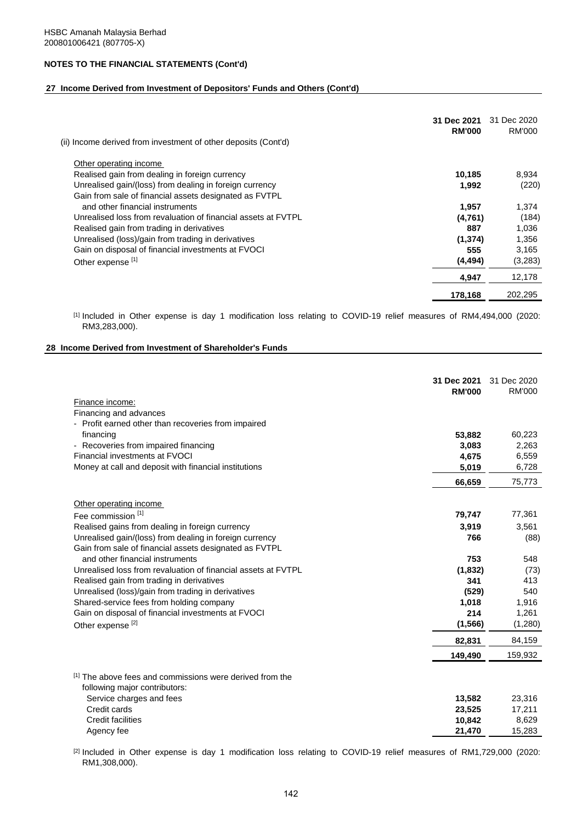#### **27 Income Derived from Investment of Depositors' Funds and Others (Cont'd)**

|                                                                | 31 Dec 2021<br><b>RM'000</b> | 31 Dec 2020<br>RM'000 |
|----------------------------------------------------------------|------------------------------|-----------------------|
| (ii) Income derived from investment of other deposits (Cont'd) |                              |                       |
| Other operating income                                         |                              |                       |
| Realised gain from dealing in foreign currency                 | 10,185                       | 8,934                 |
| Unrealised gain/(loss) from dealing in foreign currency        | 1,992                        | (220)                 |
| Gain from sale of financial assets designated as FVTPL         |                              |                       |
| and other financial instruments                                | 1,957                        | 1,374                 |
| Unrealised loss from revaluation of financial assets at FVTPL  | (4,761)                      | (184)                 |
| Realised gain from trading in derivatives                      | 887                          | 1,036                 |
| Unrealised (loss)/gain from trading in derivatives             | (1,374)                      | 1,356                 |
| Gain on disposal of financial investments at FVOCI             | 555                          | 3,165                 |
| Other expense [1]                                              | (4, 494)                     | (3,283)               |
|                                                                | 4,947                        | 12,178                |
|                                                                | 178,168                      | 202,295               |
|                                                                |                              |                       |

[1] Included in Other expense is day 1 modification loss relating to COVID-19 relief measures of RM4,494,000 (2020: RM3,283,000).

#### **28 Income Derived from Investment of Shareholder's Funds**

|                                                                                                | 31 Dec 2021<br><b>RM'000</b> | 31 Dec 2020<br><b>RM'000</b> |
|------------------------------------------------------------------------------------------------|------------------------------|------------------------------|
| Finance income:<br>Financing and advances                                                      |                              |                              |
| - Profit earned other than recoveries from impaired                                            |                              |                              |
| financing                                                                                      | 53,882                       | 60,223                       |
| - Recoveries from impaired financing                                                           | 3,083                        | 2,263                        |
| Financial investments at FVOCI                                                                 | 4,675                        | 6,559                        |
| Money at call and deposit with financial institutions                                          | 5,019                        | 6,728                        |
|                                                                                                | 66,659                       | 75,773                       |
| Other operating income                                                                         |                              |                              |
| Fee commission [1]                                                                             | 79,747                       | 77,361                       |
| Realised gains from dealing in foreign currency                                                | 3,919                        | 3,561                        |
| Unrealised gain/(loss) from dealing in foreign currency                                        | 766                          | (88)                         |
| Gain from sale of financial assets designated as FVTPL                                         |                              |                              |
| and other financial instruments                                                                | 753                          | 548                          |
| Unrealised loss from revaluation of financial assets at FVTPL                                  | (1,832)                      | (73)                         |
| Realised gain from trading in derivatives                                                      | 341                          | 413                          |
| Unrealised (loss)/gain from trading in derivatives                                             | (529)<br>1,018               | 540                          |
| Shared-service fees from holding company<br>Gain on disposal of financial investments at FVOCI | 214                          | 1,916<br>1,261               |
| Other expense <sup>[2]</sup>                                                                   | (1, 566)                     | (1,280)                      |
|                                                                                                | 82,831                       | 84,159                       |
|                                                                                                | 149,490                      | 159,932                      |
| [1] The above fees and commissions were derived from the<br>following major contributors:      |                              |                              |
| Service charges and fees                                                                       | 13,582                       | 23,316                       |
| Credit cards                                                                                   | 23,525                       | 17,211                       |
| <b>Credit facilities</b>                                                                       | 10,842                       | 8,629                        |
| Agency fee                                                                                     | 21,470                       | 15,283                       |

[2] Included in Other expense is day 1 modification loss relating to COVID-19 relief measures of RM1,729,000 (2020: RM1,308,000).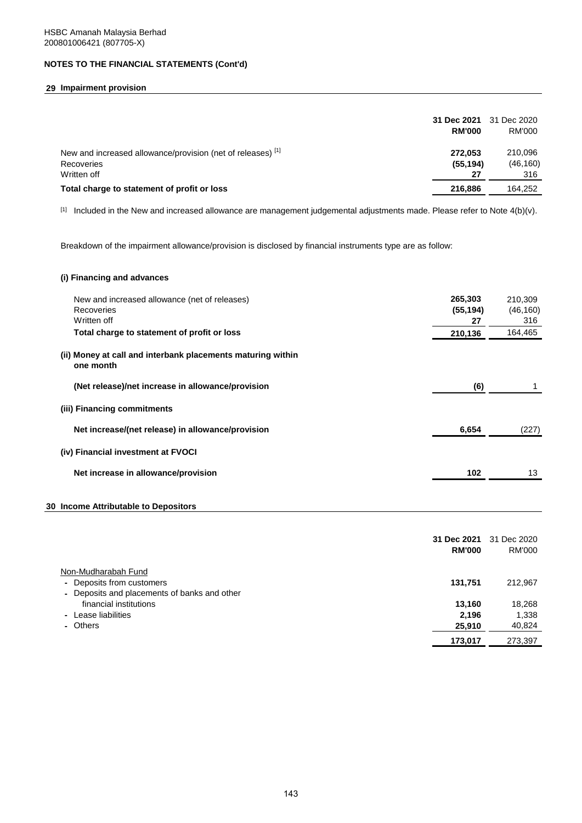## **29 Impairment provision**

|                                                                                          | 31 Dec 2021<br><b>RM'000</b> | 31 Dec 2020<br><b>RM'000</b> |
|------------------------------------------------------------------------------------------|------------------------------|------------------------------|
| New and increased allowance/provision (net of releases) [1]<br>Recoveries<br>Written off | 272.053<br>(55, 194)<br>27   | 210,096<br>(46, 160)<br>316  |
| Total charge to statement of profit or loss                                              | 216.886                      | 164.252                      |

 $[1]$  Included in the New and increased allowance are management judgemental adjustments made. Please refer to Note 4(b)(v).

Breakdown of the impairment allowance/provision is disclosed by financial instruments type are as follow:

### **(i) Financing and advances**

| New and increased allowance (net of releases)<br>Recoveries<br>Written off | 265,303<br>(55, 194)<br>27 | 210.309<br>(46, 160)<br>316 |
|----------------------------------------------------------------------------|----------------------------|-----------------------------|
| Total charge to statement of profit or loss                                | 210,136                    | 164,465                     |
| (ii) Money at call and interbank placements maturing within<br>one month   |                            |                             |
| (Net release)/net increase in allowance/provision                          | (6)                        |                             |
| (iii) Financing commitments                                                |                            |                             |
| Net increase/(net release) in allowance/provision                          | 6,654                      | (227)                       |
| (iv) Financial investment at FVOCI                                         |                            |                             |
| Net increase in allowance/provision                                        | 102                        | 13                          |
|                                                                            |                            |                             |

### **30 Income Attributable to Depositors**

|                                              | 31 Dec 2021<br><b>RM'000</b> | 31 Dec 2020<br><b>RM'000</b> |
|----------------------------------------------|------------------------------|------------------------------|
| Non-Mudharabah Fund                          |                              |                              |
| - Deposits from customers                    | 131.751                      | 212,967                      |
| - Deposits and placements of banks and other |                              |                              |
| financial institutions                       | 13,160                       | 18,268                       |
| - Lease liabilities                          | 2.196                        | 1,338                        |
| - Others                                     | 25,910                       | 40,824                       |
|                                              | 173,017                      | 273,397                      |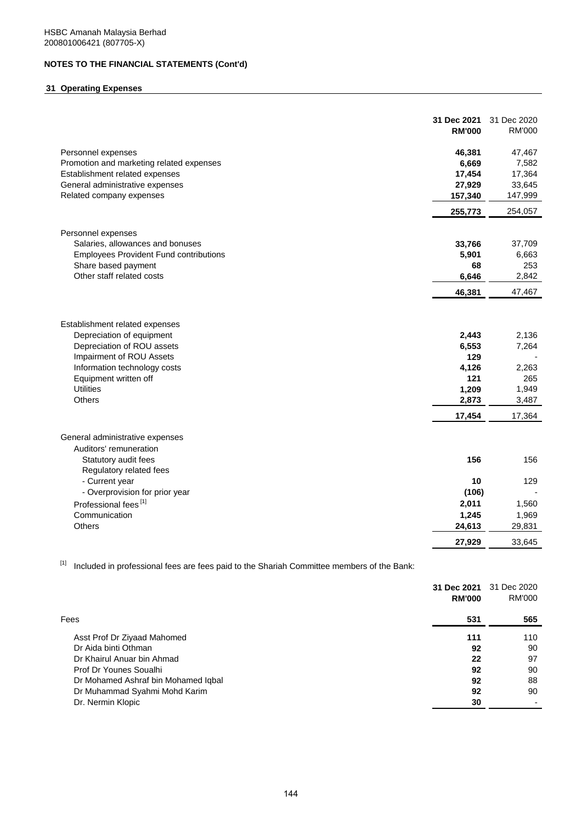## **31 Operating Expenses**

|                                                                                                                                                                                                              | 31 Dec 2021<br><b>RM'000</b>                                      | 31 Dec 2020<br><b>RM'000</b>                               |
|--------------------------------------------------------------------------------------------------------------------------------------------------------------------------------------------------------------|-------------------------------------------------------------------|------------------------------------------------------------|
| Personnel expenses                                                                                                                                                                                           | 46,381                                                            | 47,467                                                     |
| Promotion and marketing related expenses                                                                                                                                                                     | 6,669                                                             | 7,582                                                      |
| Establishment related expenses                                                                                                                                                                               | 17,454                                                            | 17,364                                                     |
| General administrative expenses                                                                                                                                                                              | 27,929                                                            | 33,645                                                     |
| Related company expenses                                                                                                                                                                                     | 157,340                                                           | 147,999                                                    |
|                                                                                                                                                                                                              | 255,773                                                           | 254,057                                                    |
| Personnel expenses                                                                                                                                                                                           |                                                                   |                                                            |
| Salaries, allowances and bonuses                                                                                                                                                                             | 33,766                                                            | 37,709                                                     |
| <b>Employees Provident Fund contributions</b>                                                                                                                                                                | 5,901                                                             | 6,663                                                      |
| Share based payment                                                                                                                                                                                          | 68                                                                | 253                                                        |
| Other staff related costs                                                                                                                                                                                    | 6,646                                                             | 2,842                                                      |
|                                                                                                                                                                                                              | 46,381                                                            | 47,467                                                     |
| Establishment related expenses<br>Depreciation of equipment<br>Depreciation of ROU assets<br>Impairment of ROU Assets<br>Information technology costs<br>Equipment written off<br><b>Utilities</b><br>Others | 2,443<br>6,553<br>129<br>4,126<br>121<br>1,209<br>2,873<br>17,454 | 2,136<br>7,264<br>2,263<br>265<br>1,949<br>3,487<br>17,364 |
| General administrative expenses<br>Auditors' remuneration<br>Statutory audit fees                                                                                                                            | 156                                                               | 156                                                        |
| Regulatory related fees                                                                                                                                                                                      |                                                                   |                                                            |
| - Current year                                                                                                                                                                                               | 10                                                                | 129                                                        |
| - Overprovision for prior year                                                                                                                                                                               | (106)                                                             |                                                            |
| Professional fees <sup>[1]</sup>                                                                                                                                                                             | 2,011                                                             | 1,560                                                      |
| Communication                                                                                                                                                                                                | 1,245                                                             | 1,969                                                      |
| Others                                                                                                                                                                                                       | 24,613                                                            | 29,831                                                     |
|                                                                                                                                                                                                              | 27,929                                                            | 33,645                                                     |

 $[1]$  Included in professional fees are fees paid to the Shariah Committee members of the Bank:

|                                     | 31 Dec 2021<br><b>RM'000</b> | 31 Dec 2020<br>RM'000 |
|-------------------------------------|------------------------------|-----------------------|
| Fees                                | 531                          | 565                   |
| Asst Prof Dr Ziyaad Mahomed         | 111                          | 110                   |
| Dr Aida binti Othman                | 92                           | 90                    |
| Dr Khairul Anuar bin Ahmad          | 22                           | 97                    |
| Prof Dr Younes Soualhi              | 92                           | 90                    |
| Dr Mohamed Ashraf bin Mohamed Iqbal | 92                           | 88                    |
| Dr Muhammad Syahmi Mohd Karim       | 92                           | 90                    |
| Dr. Nermin Klopic                   | 30                           |                       |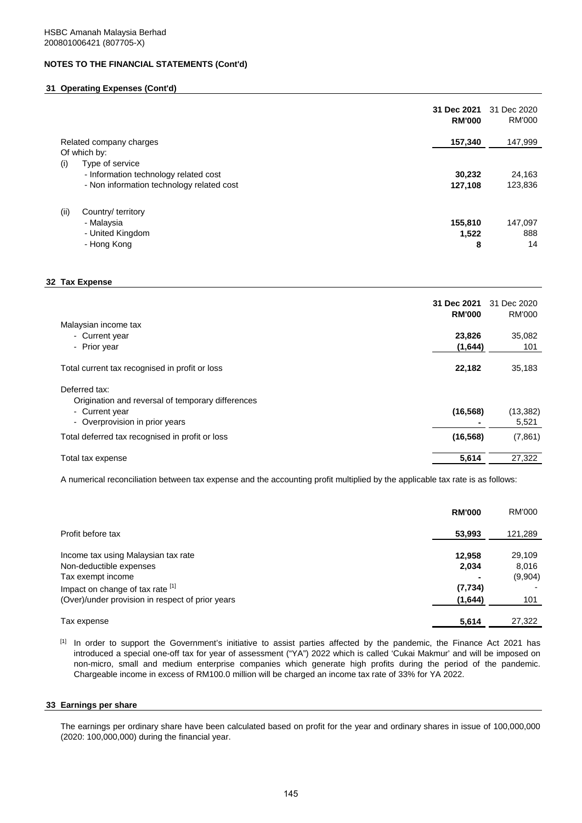## **31 Operating Expenses (Cont'd)**

|                                           | 31 Dec 2021<br><b>RM'000</b> | 31 Dec 2020<br>RM'000 |
|-------------------------------------------|------------------------------|-----------------------|
| Related company charges                   | 157,340                      | 147,999               |
| Of which by:                              |                              |                       |
| Type of service<br>(i)                    |                              |                       |
| - Information technology related cost     | 30,232                       | 24,163                |
| - Non information technology related cost | 127,108                      | 123,836               |
| (ii)<br>Country/ territory                |                              |                       |
| - Malaysia                                | 155,810                      | 147,097               |
| - United Kingdom                          | 1,522                        | 888                   |
| - Hong Kong                               | 8                            | 14                    |

### **32 Tax Expense**

|                                                   | 31 Dec 2021<br><b>RM'000</b> | 31 Dec 2020<br><b>RM'000</b> |
|---------------------------------------------------|------------------------------|------------------------------|
| Malaysian income tax                              |                              |                              |
| - Current year                                    | 23,826                       | 35,082                       |
| - Prior year                                      | (1,644)                      | 101                          |
| Total current tax recognised in profit or loss    | 22,182                       | 35,183                       |
| Deferred tax:                                     |                              |                              |
| Origination and reversal of temporary differences |                              |                              |
| - Current year                                    | (16, 568)                    | (13, 382)                    |
| - Overprovision in prior years                    |                              | 5,521                        |
| Total deferred tax recognised in profit or loss   | (16, 568)                    | (7,861)                      |
| Total tax expense                                 | 5,614                        | 27,322                       |

A numerical reconciliation between tax expense and the accounting profit multiplied by the applicable tax rate is as follows:

|                                                  | <b>RM'000</b> | RM'000  |
|--------------------------------------------------|---------------|---------|
| Profit before tax                                | 53,993        | 121,289 |
| Income tax using Malaysian tax rate              | 12,958        | 29,109  |
| Non-deductible expenses                          | 2,034         | 8,016   |
| Tax exempt income                                |               | (9,904) |
| Impact on change of tax rate [1]                 | (7, 734)      |         |
| (Over)/under provision in respect of prior years | (1,644)       | 101     |
| Tax expense                                      | 5,614         | 27.322  |

[1] In order to support the Government's initiative to assist parties affected by the pandemic, the Finance Act 2021 has introduced a special one-off tax for year of assessment ("YA") 2022 which is called 'Cukai Makmur' and will be imposed on non-micro, small and medium enterprise companies which generate high profits during the period of the pandemic. Chargeable income in excess of RM100.0 million will be charged an income tax rate of 33% for YA 2022.

### **33 Earnings per share**

The earnings per ordinary share have been calculated based on profit for the year and ordinary shares in issue of 100,000,000 (2020: 100,000,000) during the financial year.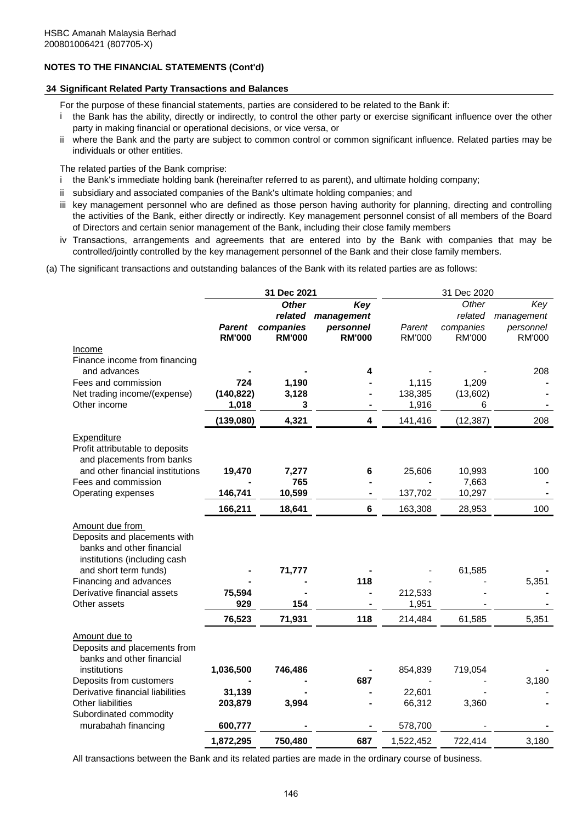## **34 Significant Related Party Transactions and Balances**

For the purpose of these financial statements, parties are considered to be related to the Bank if:

- i the Bank has the ability, directly or indirectly, to control the other party or exercise significant influence over the other party in making financial or operational decisions, or vice versa, or
- ii where the Bank and the party are subject to common control or common significant influence. Related parties may be individuals or other entities.

The related parties of the Bank comprise:

- i the Bank's immediate holding bank (hereinafter referred to as parent), and ultimate holding company;
- ii subsidiary and associated companies of the Bank's ultimate holding companies; and
- iii key management personnel who are defined as those person having authority for planning, directing and controlling the activities of the Bank, either directly or indirectly. Key management personnel consist of all members of the Board of Directors and certain senior management of the Bank, including their close family members
- iv Transactions, arrangements and agreements that are entered into by the Bank with companies that may be controlled/jointly controlled by the key management personnel of the Bank and their close family members.

(a) The significant transactions and outstanding balances of the Bank with its related parties are as follows:

|               |                                                                                                                                |                                                                                                                              |                                                                                 | 31 Dec 2020                                                                                                                                  |                                                                                                               |
|---------------|--------------------------------------------------------------------------------------------------------------------------------|------------------------------------------------------------------------------------------------------------------------------|---------------------------------------------------------------------------------|----------------------------------------------------------------------------------------------------------------------------------------------|---------------------------------------------------------------------------------------------------------------|
| <b>Parent</b> | <b>Other</b><br>related<br>companies                                                                                           | Key<br>management<br>personnel                                                                                               | Parent                                                                          | Other<br>related<br>companies                                                                                                                | Key<br>management<br>personnel<br><b>RM'000</b>                                                               |
|               |                                                                                                                                |                                                                                                                              |                                                                                 |                                                                                                                                              |                                                                                                               |
|               |                                                                                                                                |                                                                                                                              |                                                                                 |                                                                                                                                              |                                                                                                               |
|               |                                                                                                                                | 4                                                                                                                            |                                                                                 |                                                                                                                                              | 208                                                                                                           |
| 724           | 1,190                                                                                                                          |                                                                                                                              | 1,115                                                                           | 1,209                                                                                                                                        |                                                                                                               |
|               |                                                                                                                                |                                                                                                                              |                                                                                 |                                                                                                                                              |                                                                                                               |
|               |                                                                                                                                |                                                                                                                              |                                                                                 |                                                                                                                                              |                                                                                                               |
| (139,080)     | 4,321                                                                                                                          | 4                                                                                                                            | 141,416                                                                         | (12, 387)                                                                                                                                    | 208                                                                                                           |
|               |                                                                                                                                |                                                                                                                              |                                                                                 |                                                                                                                                              |                                                                                                               |
|               |                                                                                                                                |                                                                                                                              |                                                                                 |                                                                                                                                              | 100                                                                                                           |
|               |                                                                                                                                |                                                                                                                              |                                                                                 |                                                                                                                                              |                                                                                                               |
|               |                                                                                                                                |                                                                                                                              |                                                                                 |                                                                                                                                              |                                                                                                               |
|               |                                                                                                                                |                                                                                                                              |                                                                                 |                                                                                                                                              | 100                                                                                                           |
|               |                                                                                                                                |                                                                                                                              |                                                                                 |                                                                                                                                              |                                                                                                               |
|               |                                                                                                                                |                                                                                                                              |                                                                                 |                                                                                                                                              |                                                                                                               |
|               |                                                                                                                                |                                                                                                                              |                                                                                 |                                                                                                                                              | 5,351                                                                                                         |
|               |                                                                                                                                |                                                                                                                              |                                                                                 |                                                                                                                                              |                                                                                                               |
|               |                                                                                                                                |                                                                                                                              |                                                                                 |                                                                                                                                              |                                                                                                               |
|               |                                                                                                                                |                                                                                                                              |                                                                                 |                                                                                                                                              | 5,351                                                                                                         |
|               |                                                                                                                                |                                                                                                                              |                                                                                 |                                                                                                                                              |                                                                                                               |
| 1,036,500     | 746,486                                                                                                                        |                                                                                                                              | 854,839                                                                         | 719,054                                                                                                                                      |                                                                                                               |
|               |                                                                                                                                |                                                                                                                              |                                                                                 |                                                                                                                                              | 3,180                                                                                                         |
|               |                                                                                                                                |                                                                                                                              |                                                                                 |                                                                                                                                              |                                                                                                               |
|               |                                                                                                                                |                                                                                                                              |                                                                                 |                                                                                                                                              |                                                                                                               |
|               |                                                                                                                                |                                                                                                                              |                                                                                 |                                                                                                                                              |                                                                                                               |
|               |                                                                                                                                |                                                                                                                              |                                                                                 |                                                                                                                                              | 3,180                                                                                                         |
|               | <b>RM'000</b><br>1,018<br>19,470<br>146,741<br>166,211<br>75,594<br>929<br>76,523<br>31,139<br>203,879<br>600,777<br>1,872,295 | <b>RM'000</b><br>(140, 822)<br>3,128<br>3<br>7,277<br>765<br>10,599<br>18,641<br>71,777<br>154<br>71,931<br>3,994<br>750,480 | 31 Dec 2021<br><b>RM'000</b><br>6<br>$6\phantom{1}$<br>118<br>118<br>687<br>687 | <b>RM'000</b><br>138,385<br>1,916<br>25,606<br>137,702<br>163,308<br>212,533<br>1,951<br>214,484<br>22,601<br>66,312<br>578,700<br>1,522,452 | <b>RM'000</b><br>(13,602)<br>6<br>10,993<br>7,663<br>10,297<br>28,953<br>61,585<br>61,585<br>3,360<br>722,414 |

All transactions between the Bank and its related parties are made in the ordinary course of business.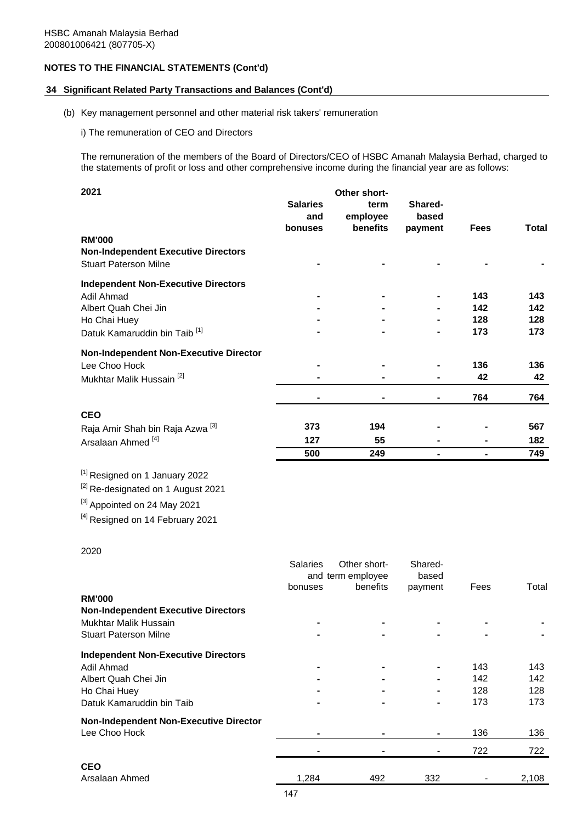## **34 Significant Related Party Transactions and Balances (Cont'd)**

# (b) Key management personnel and other material risk takers' remuneration

i) The remuneration of CEO and Directors

The remuneration of the members of the Board of Directors/CEO of HSBC Amanah Malaysia Berhad, charged to the statements of profit or loss and other comprehensive income during the financial year are as follows:

| 2021                                        |                 | Other short- |         |             |              |
|---------------------------------------------|-----------------|--------------|---------|-------------|--------------|
|                                             | <b>Salaries</b> | term         | Shared- |             |              |
|                                             | and             | employee     | based   |             |              |
|                                             | bonuses         | benefits     | payment | <b>Fees</b> | <b>Total</b> |
| <b>RM'000</b>                               |                 |              |         |             |              |
| <b>Non-Independent Executive Directors</b>  |                 |              |         |             |              |
| <b>Stuart Paterson Milne</b>                |                 |              |         |             |              |
| <b>Independent Non-Executive Directors</b>  |                 |              |         |             |              |
| Adil Ahmad                                  |                 |              |         | 143         | 143          |
| Albert Quah Chei Jin                        |                 |              |         | 142         | 142          |
| Ho Chai Huey                                |                 |              |         | 128         | 128          |
| Datuk Kamaruddin bin Taib <sup>[1]</sup>    |                 |              |         | 173         | 173          |
| Non-Independent Non-Executive Director      |                 |              |         |             |              |
| Lee Choo Hock                               |                 |              |         | 136         | 136          |
| Mukhtar Malik Hussain <sup>[2]</sup>        |                 |              |         | 42          | 42           |
|                                             |                 |              |         | 764         | 764          |
| <b>CEO</b>                                  |                 |              |         |             |              |
| Raja Amir Shah bin Raja Azwa <sup>[3]</sup> | 373             | 194          |         |             | 567          |
| Arsalaan Ahmed <sup>[4]</sup>               | 127             | 55           |         |             | 182          |
|                                             | 500             | 249          |         |             | 749          |

[1] Resigned on 1 January 2022

<sup>[2]</sup> Re-designated on 1 August 2021

[3] Appointed on 24 May 2021

[4] Resigned on 14 February 2021

## 2020

|                                               | <b>Salaries</b><br>bonuses | Other short-<br>and term employee<br>benefits | Shared-<br>based<br>payment | Fees | Total |
|-----------------------------------------------|----------------------------|-----------------------------------------------|-----------------------------|------|-------|
| <b>RM'000</b>                                 |                            |                                               |                             |      |       |
| <b>Non-Independent Executive Directors</b>    |                            |                                               |                             |      |       |
| Mukhtar Malik Hussain                         |                            |                                               |                             |      |       |
| <b>Stuart Paterson Milne</b>                  |                            |                                               |                             |      |       |
| <b>Independent Non-Executive Directors</b>    |                            |                                               |                             |      |       |
| Adil Ahmad                                    |                            | ۰                                             |                             | 143  | 143   |
| Albert Quah Chei Jin                          |                            | ۰                                             |                             | 142  | 142   |
| Ho Chai Huey                                  |                            | ۰                                             |                             | 128  | 128   |
| Datuk Kamaruddin bin Taib                     |                            | ٠                                             |                             | 173  | 173   |
| <b>Non-Independent Non-Executive Director</b> |                            |                                               |                             |      |       |
| Lee Choo Hock                                 |                            |                                               |                             | 136  | 136   |
|                                               |                            |                                               |                             | 722  | 722   |
| <b>CEO</b>                                    |                            |                                               |                             |      |       |
| Arsalaan Ahmed                                | 1,284                      | 492                                           | 332                         |      | 2,108 |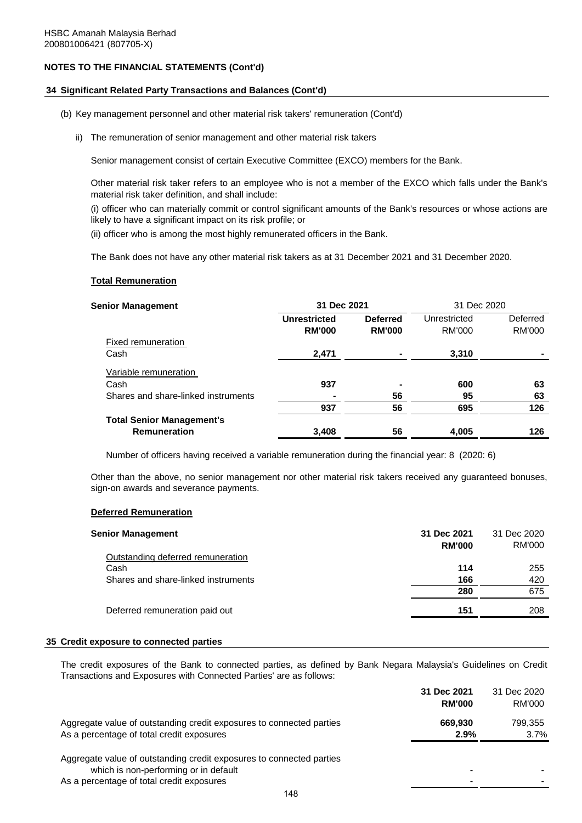## **34 Significant Related Party Transactions and Balances (Cont'd)**

- (b) Key management personnel and other material risk takers' remuneration (Cont'd)
	- ii) The remuneration of senior management and other material risk takers

Senior management consist of certain Executive Committee (EXCO) members for the Bank.

Other material risk taker refers to an employee who is not a member of the EXCO which falls under the Bank's material risk taker definition, and shall include:

(i) officer who can materially commit or control significant amounts of the Bank's resources or whose actions are likely to have a significant impact on its risk profile; or

(ii) officer who is among the most highly remunerated officers in the Bank.

The Bank does not have any other material risk takers as at 31 December 2021 and 31 December 2020.

#### **Total Remuneration**

| <b>Senior Management</b>            | 31 Dec 2021         |                          | 31 Dec 2020  |          |
|-------------------------------------|---------------------|--------------------------|--------------|----------|
|                                     | <b>Unrestricted</b> | <b>Deferred</b>          | Unrestricted | Deferred |
|                                     | <b>RM'000</b>       | <b>RM'000</b>            | RM'000       | RM'000   |
| Fixed remuneration                  |                     |                          |              |          |
| Cash                                | 2,471               |                          | 3,310        |          |
| Variable remuneration               |                     |                          |              |          |
| Cash                                | 937                 | $\overline{\phantom{0}}$ | 600          | 63       |
| Shares and share-linked instruments |                     | 56                       | 95           | 63       |
|                                     | 937                 | 56                       | 695          | 126      |
| <b>Total Senior Management's</b>    |                     |                          |              |          |
| <b>Remuneration</b>                 | 3,408               | 56                       | 4,005        | 126      |

Number of officers having received a variable remuneration during the financial year: 8 (2020: 6)

Other than the above, no senior management nor other material risk takers received any guaranteed bonuses, sign-on awards and severance payments.

### **Deferred Remuneration**

| 31 Dec 2021 | 31 Dec 2020<br>RM'000 |
|-------------|-----------------------|
|             |                       |
| 114         | 255                   |
| 166         | 420                   |
| 280         | 675                   |
| 151         | 208                   |
|             | <b>RM'000</b>         |

#### **35 Credit exposure to connected parties**

The credit exposures of the Bank to connected parties, as defined by Bank Negara Malaysia's Guidelines on Credit Transactions and Exposures with Connected Parties' are as follows:

|                                                                      | 31 Dec 2021   | 31 Dec 2020 |
|----------------------------------------------------------------------|---------------|-------------|
|                                                                      | <b>RM'000</b> | RM'000      |
| Aggregate value of outstanding credit exposures to connected parties | 669.930       | 799.355     |
| As a percentage of total credit exposures                            | 2.9%          | 3.7%        |
| Aggregate value of outstanding credit exposures to connected parties |               |             |
| which is non-performing or in default                                |               |             |
| As a percentage of total credit exposures                            |               |             |
|                                                                      |               |             |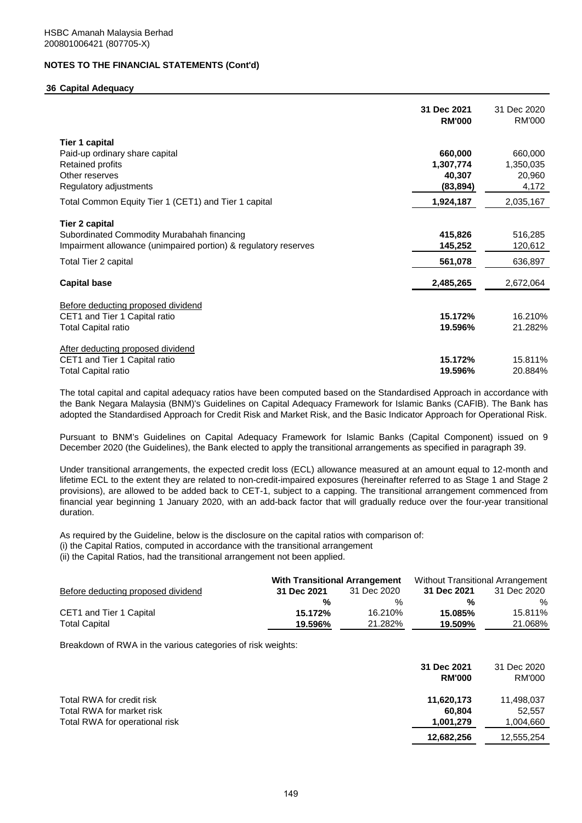### **36 Capital Adequacy**

|                                                                                                                                                                | 31 Dec 2021<br><b>RM'000</b>   | 31 Dec 2020<br><b>RM'000</b>   |
|----------------------------------------------------------------------------------------------------------------------------------------------------------------|--------------------------------|--------------------------------|
| Tier 1 capital<br>Paid-up ordinary share capital<br><b>Retained profits</b><br>Other reserves                                                                  | 660,000<br>1,307,774<br>40,307 | 660,000<br>1,350,035<br>20,960 |
| Regulatory adjustments<br>Total Common Equity Tier 1 (CET1) and Tier 1 capital                                                                                 | (83, 894)<br>1,924,187         | 4,172<br>2,035,167             |
| <b>Tier 2 capital</b><br>Subordinated Commodity Murabahah financing<br>Impairment allowance (unimpaired portion) & regulatory reserves<br>Total Tier 2 capital | 415,826<br>145,252<br>561,078  | 516,285<br>120,612<br>636,897  |
| <b>Capital base</b>                                                                                                                                            | 2,485,265                      | 2,672,064                      |
| Before deducting proposed dividend<br>CET1 and Tier 1 Capital ratio<br><b>Total Capital ratio</b>                                                              | 15.172%<br>19.596%             | 16.210%<br>21.282%             |
| After deducting proposed dividend<br>CET1 and Tier 1 Capital ratio<br><b>Total Capital ratio</b>                                                               | 15.172%<br>19.596%             | 15.811%<br>20.884%             |

The total capital and capital adequacy ratios have been computed based on the Standardised Approach in accordance with the Bank Negara Malaysia (BNM)'s Guidelines on Capital Adequacy Framework for Islamic Banks (CAFIB). The Bank has adopted the Standardised Approach for Credit Risk and Market Risk, and the Basic Indicator Approach for Operational Risk.

Pursuant to BNM's Guidelines on Capital Adequacy Framework for Islamic Banks (Capital Component) issued on 9 December 2020 (the Guidelines), the Bank elected to apply the transitional arrangements as specified in paragraph 39.

Under transitional arrangements, the expected credit loss (ECL) allowance measured at an amount equal to 12-month and lifetime ECL to the extent they are related to non-credit-impaired exposures (hereinafter referred to as Stage 1 and Stage 2 provisions), are allowed to be added back to CET-1, subject to a capping. The transitional arrangement commenced from financial year beginning 1 January 2020, with an add-back factor that will gradually reduce over the four-year transitional duration.

As required by the Guideline, below is the disclosure on the capital ratios with comparison of: (i) the Capital Ratios, computed in accordance with the transitional arrangement

(ii) the Capital Ratios, had the transitional arrangement not been applied.

|                                    | <b>With Transitional Arrangement</b> |             | Without Transitional Arrangement |             |
|------------------------------------|--------------------------------------|-------------|----------------------------------|-------------|
| Before deducting proposed dividend | 31 Dec 2021                          | 31 Dec 2020 | 31 Dec 2021                      | 31 Dec 2020 |
|                                    | $\frac{1}{2}$                        | %           | $\frac{1}{2}$                    | %           |
| CET1 and Tier 1 Capital            | 15.172%                              | 16.210%     | 15.085%                          | 15.811%     |
| <b>Total Capital</b>               | 19.596%                              | 21.282%     | 19.509%                          | 21.068%     |

Breakdown of RWA in the various categories of risk weights:

|                                                                                          | 31 Dec 2021<br><b>RM'000</b>      | 31 Dec 2020<br>RM'000             |
|------------------------------------------------------------------------------------------|-----------------------------------|-----------------------------------|
| Total RWA for credit risk<br>Total RWA for market risk<br>Total RWA for operational risk | 11,620,173<br>60.804<br>1,001,279 | 11,498,037<br>52.557<br>1,004,660 |
|                                                                                          | 12,682,256                        | 12,555,254                        |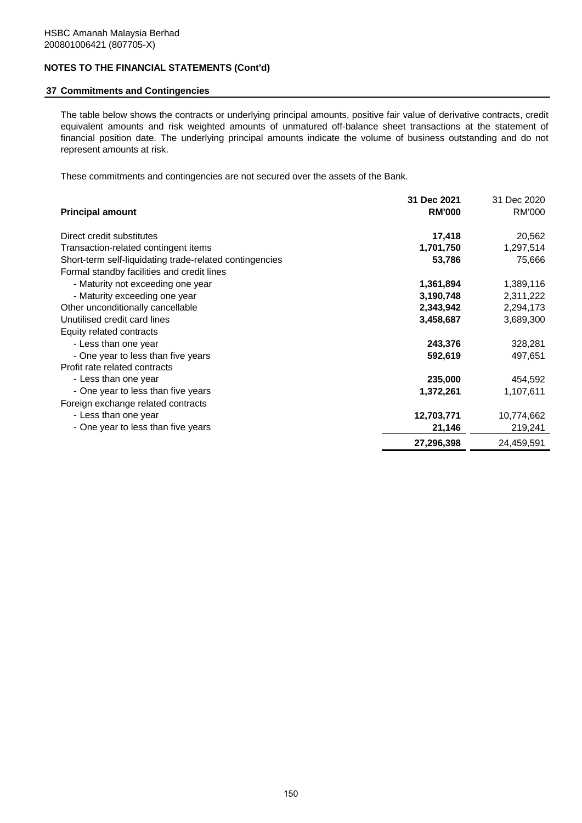# **37 Commitments and Contingencies**

The table below shows the contracts or underlying principal amounts, positive fair value of derivative contracts, credit equivalent amounts and risk weighted amounts of unmatured off-balance sheet transactions at the statement of financial position date. The underlying principal amounts indicate the volume of business outstanding and do not represent amounts at risk.

These commitments and contingencies are not secured over the assets of the Bank.

|                                                         | 31 Dec 2021   | 31 Dec 2020   |
|---------------------------------------------------------|---------------|---------------|
| <b>Principal amount</b>                                 | <b>RM'000</b> | <b>RM'000</b> |
| Direct credit substitutes                               | 17,418        | 20,562        |
| Transaction-related contingent items                    | 1,701,750     | 1,297,514     |
| Short-term self-liquidating trade-related contingencies | 53,786        | 75,666        |
| Formal standby facilities and credit lines              |               |               |
| - Maturity not exceeding one year                       | 1,361,894     | 1,389,116     |
| - Maturity exceeding one year                           | 3,190,748     | 2,311,222     |
| Other unconditionally cancellable                       | 2,343,942     | 2,294,173     |
| Unutilised credit card lines                            | 3,458,687     | 3,689,300     |
| Equity related contracts                                |               |               |
| - Less than one year                                    | 243,376       | 328,281       |
| - One year to less than five years                      | 592,619       | 497,651       |
| Profit rate related contracts                           |               |               |
| - Less than one year                                    | 235,000       | 454,592       |
| - One year to less than five years                      | 1,372,261     | 1,107,611     |
| Foreign exchange related contracts                      |               |               |
| - Less than one year                                    | 12,703,771    | 10,774,662    |
| - One year to less than five years                      | 21,146        | 219,241       |
|                                                         | 27,296,398    | 24,459,591    |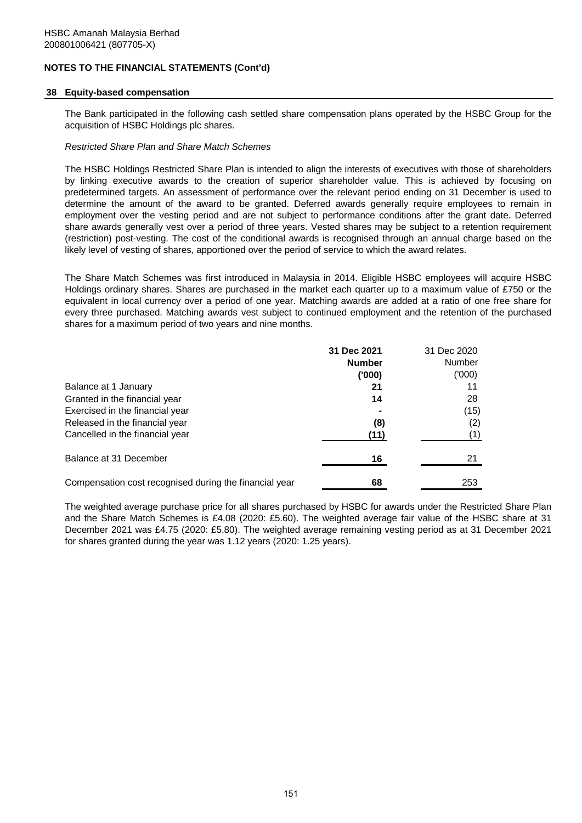## **38 Equity-based compensation**

The Bank participated in the following cash settled share compensation plans operated by the HSBC Group for the acquisition of HSBC Holdings plc shares.

### *Restricted Share Plan and Share Match Schemes*

The HSBC Holdings Restricted Share Plan is intended to align the interests of executives with those of shareholders by linking executive awards to the creation of superior shareholder value. This is achieved by focusing on predetermined targets. An assessment of performance over the relevant period ending on 31 December is used to determine the amount of the award to be granted. Deferred awards generally require employees to remain in employment over the vesting period and are not subject to performance conditions after the grant date. Deferred share awards generally vest over a period of three years. Vested shares may be subject to a retention requirement (restriction) post-vesting. The cost of the conditional awards is recognised through an annual charge based on the likely level of vesting of shares, apportioned over the period of service to which the award relates.

The Share Match Schemes was first introduced in Malaysia in 2014. Eligible HSBC employees will acquire HSBC Holdings ordinary shares. Shares are purchased in the market each quarter up to a maximum value of £750 or the equivalent in local currency over a period of one year. Matching awards are added at a ratio of one free share for every three purchased. Matching awards vest subject to continued employment and the retention of the purchased shares for a maximum period of two years and nine months.

|                                                        | 31 Dec 2021   | 31 Dec 2020   |
|--------------------------------------------------------|---------------|---------------|
|                                                        | <b>Number</b> | <b>Number</b> |
|                                                        | ('000)        | (000)         |
| Balance at 1 January                                   | 21            | 11            |
| Granted in the financial year                          | 14            | 28            |
| Exercised in the financial year                        |               | (15)          |
| Released in the financial year                         | (8)           | (2)           |
| Cancelled in the financial year                        | (11)          | (1)           |
| Balance at 31 December                                 | 16            | 21            |
| Compensation cost recognised during the financial year | 68            | 253           |

The weighted average purchase price for all shares purchased by HSBC for awards under the Restricted Share Plan and the Share Match Schemes is £4.08 (2020: £5.60). The weighted average fair value of the HSBC share at 31 December 2021 was £4.75 (2020: £5.80). The weighted average remaining vesting period as at 31 December 2021 for shares granted during the year was 1.12 years (2020: 1.25 years).